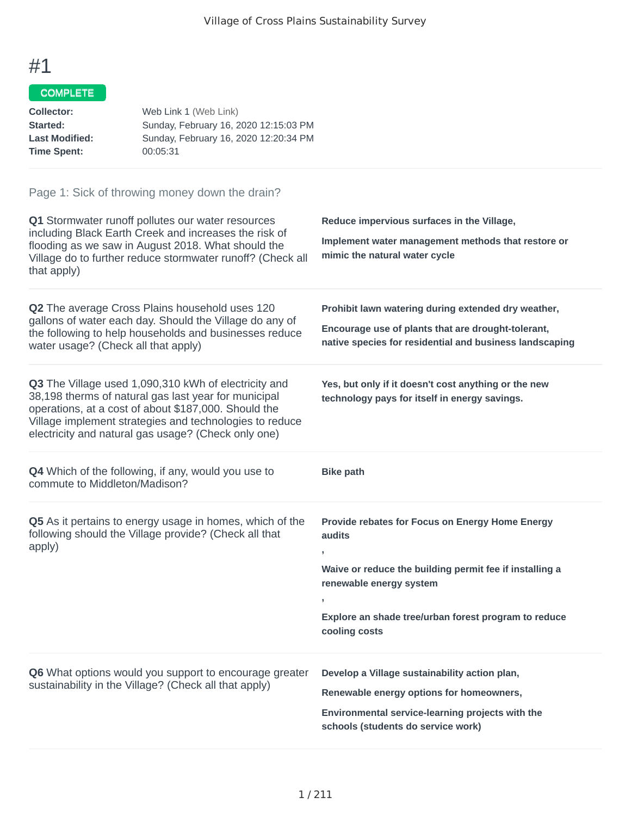# COMPLETE

| Collector:            | Web Link 1 (Web Link)                 |
|-----------------------|---------------------------------------|
| <b>Started:</b>       | Sunday, February 16, 2020 12:15:03 PM |
| <b>Last Modified:</b> | Sunday, February 16, 2020 12:20:34 PM |
| Time Spent:           | 00:05:31                              |
|                       |                                       |

| Q1 Stormwater runoff pollutes our water resources<br>including Black Earth Creek and increases the risk of<br>flooding as we saw in August 2018. What should the<br>Village do to further reduce stormwater runoff? (Check all<br>that apply)                                          | Reduce impervious surfaces in the Village,<br>Implement water management methods that restore or<br>mimic the natural water cycle                                                                                                          |
|----------------------------------------------------------------------------------------------------------------------------------------------------------------------------------------------------------------------------------------------------------------------------------------|--------------------------------------------------------------------------------------------------------------------------------------------------------------------------------------------------------------------------------------------|
| Q2 The average Cross Plains household uses 120<br>gallons of water each day. Should the Village do any of<br>the following to help households and businesses reduce<br>water usage? (Check all that apply)                                                                             | Prohibit lawn watering during extended dry weather,<br>Encourage use of plants that are drought-tolerant,<br>native species for residential and business landscaping                                                                       |
| Q3 The Village used 1,090,310 kWh of electricity and<br>38,198 therms of natural gas last year for municipal<br>operations, at a cost of about \$187,000. Should the<br>Village implement strategies and technologies to reduce<br>electricity and natural gas usage? (Check only one) | Yes, but only if it doesn't cost anything or the new<br>technology pays for itself in energy savings.                                                                                                                                      |
| <b>Q4</b> Which of the following, if any, would you use to<br>commute to Middleton/Madison?                                                                                                                                                                                            | <b>Bike path</b>                                                                                                                                                                                                                           |
| Q5 As it pertains to energy usage in homes, which of the<br>following should the Village provide? (Check all that<br>apply)                                                                                                                                                            | Provide rebates for Focus on Energy Home Energy<br>audits<br>$\overline{1}$<br>Waive or reduce the building permit fee if installing a<br>renewable energy system<br>Explore an shade tree/urban forest program to reduce<br>cooling costs |
| Q6 What options would you support to encourage greater<br>sustainability in the Village? (Check all that apply)                                                                                                                                                                        | Develop a Village sustainability action plan,<br>Renewable energy options for homeowners,<br>Environmental service-learning projects with the<br>schools (students do service work)                                                        |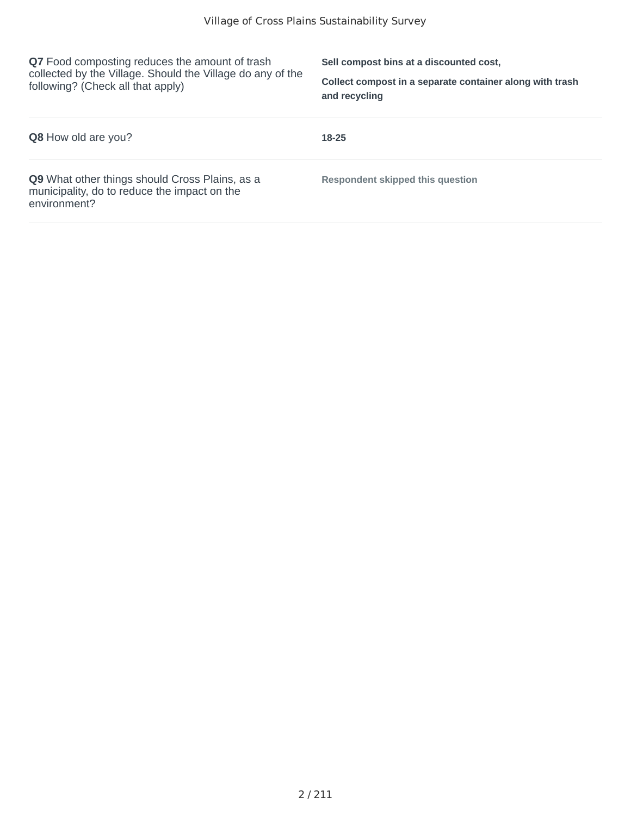**Q7** Food composting reduces the amount of trash collected by the Village. Should the Village do any of the following? (Check all that apply)

**Sell compost bins at a discounted cost,**

**Collect compost in a separate container along with trash and recycling**

| <b>Q8</b> How old are you?                                                                                     | 18-25                            |
|----------------------------------------------------------------------------------------------------------------|----------------------------------|
| Q9 What other things should Cross Plains, as a<br>municipality, do to reduce the impact on the<br>environment? | Respondent skipped this question |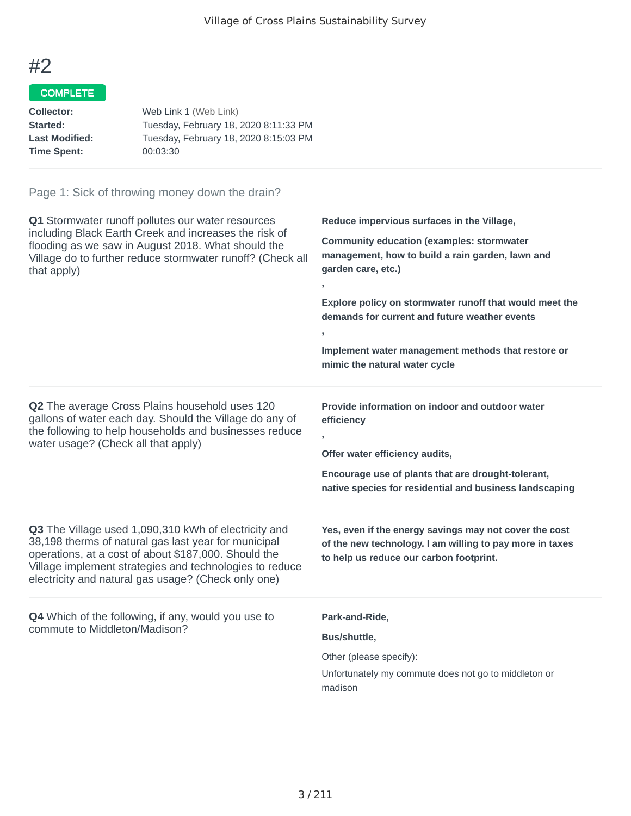### COMPLETE

| Tuesday, February 18, 2020 8:11:33 PM |
|---------------------------------------|
| Tuesday, February 18, 2020 8:15:03 PM |
|                                       |
|                                       |

| Q1 Stormwater runoff pollutes our water resources<br>including Black Earth Creek and increases the risk of<br>flooding as we saw in August 2018. What should the<br>Village do to further reduce stormwater runoff? (Check all<br>that apply)                                                 | Reduce impervious surfaces in the Village,<br><b>Community education (examples: stormwater</b><br>management, how to build a rain garden, lawn and<br>garden care, etc.)<br>Explore policy on stormwater runoff that would meet the<br>demands for current and future weather events<br>Implement water management methods that restore or<br>mimic the natural water cycle |
|-----------------------------------------------------------------------------------------------------------------------------------------------------------------------------------------------------------------------------------------------------------------------------------------------|-----------------------------------------------------------------------------------------------------------------------------------------------------------------------------------------------------------------------------------------------------------------------------------------------------------------------------------------------------------------------------|
| <b>Q2</b> The average Cross Plains household uses 120<br>gallons of water each day. Should the Village do any of<br>the following to help households and businesses reduce<br>water usage? (Check all that apply)                                                                             | Provide information on indoor and outdoor water<br>efficiency<br>y.<br>Offer water efficiency audits,<br>Encourage use of plants that are drought-tolerant,<br>native species for residential and business landscaping                                                                                                                                                      |
| <b>Q3</b> The Village used 1,090,310 kWh of electricity and<br>38,198 therms of natural gas last year for municipal<br>operations, at a cost of about \$187,000. Should the<br>Village implement strategies and technologies to reduce<br>electricity and natural gas usage? (Check only one) | Yes, even if the energy savings may not cover the cost<br>of the new technology. I am willing to pay more in taxes<br>to help us reduce our carbon footprint.                                                                                                                                                                                                               |
| <b>Q4</b> Which of the following, if any, would you use to<br>commute to Middleton/Madison?                                                                                                                                                                                                   | Park-and-Ride,<br>Bus/shuttle,<br>Other (please specify):<br>Unfortunately my commute does not go to middleton or<br>madison                                                                                                                                                                                                                                                |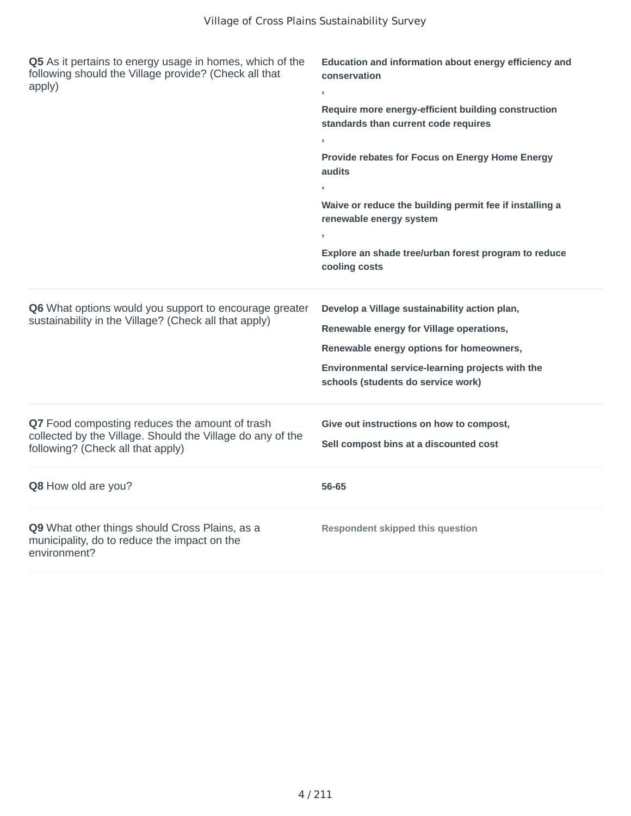| Q5 As it pertains to energy usage in homes, which of the<br>following should the Village provide? (Check all that<br>apply)                       | Education and information about energy efficiency and<br>conservation                       |  |
|---------------------------------------------------------------------------------------------------------------------------------------------------|---------------------------------------------------------------------------------------------|--|
|                                                                                                                                                   | Require more energy-efficient building construction<br>standards than current code requires |  |
|                                                                                                                                                   | y.                                                                                          |  |
|                                                                                                                                                   | Provide rebates for Focus on Energy Home Energy<br>audits                                   |  |
|                                                                                                                                                   |                                                                                             |  |
|                                                                                                                                                   | Waive or reduce the building permit fee if installing a<br>renewable energy system          |  |
|                                                                                                                                                   | $\overline{1}$                                                                              |  |
|                                                                                                                                                   | Explore an shade tree/urban forest program to reduce<br>cooling costs                       |  |
| Q6 What options would you support to encourage greater<br>sustainability in the Village? (Check all that apply)                                   | Develop a Village sustainability action plan,                                               |  |
|                                                                                                                                                   | Renewable energy for Village operations,                                                    |  |
|                                                                                                                                                   | Renewable energy options for homeowners,                                                    |  |
|                                                                                                                                                   | Environmental service-learning projects with the<br>schools (students do service work)      |  |
| Q7 Food composting reduces the amount of trash<br>collected by the Village. Should the Village do any of the<br>following? (Check all that apply) | Give out instructions on how to compost,<br>Sell compost bins at a discounted cost          |  |
| Q8 How old are you?                                                                                                                               | 56-65                                                                                       |  |
| Q9 What other things should Cross Plains, as a<br>municipality, do to reduce the impact on the<br>environment?                                    | <b>Respondent skipped this question</b>                                                     |  |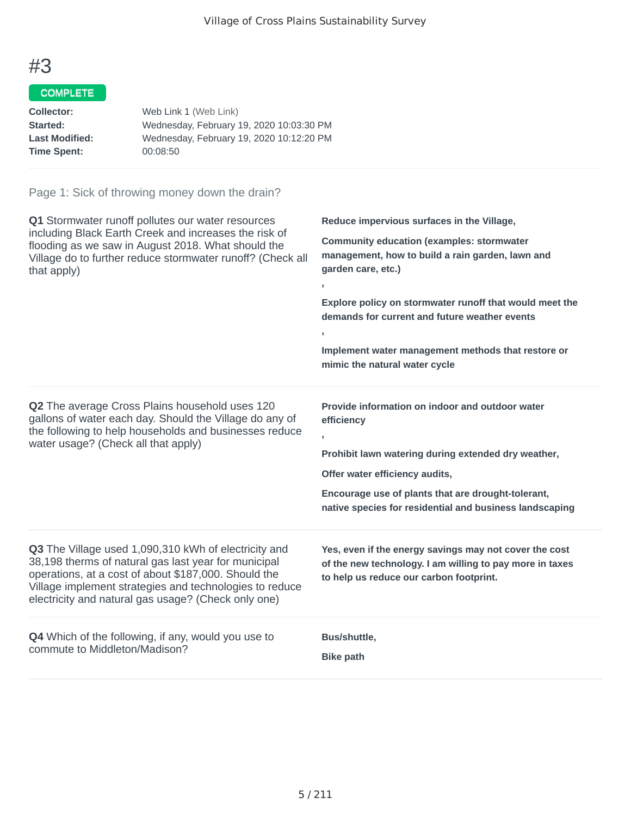### COMPLETE

| Collector:            | Web Link 1 (Web Link)                    |
|-----------------------|------------------------------------------|
| <b>Started:</b>       | Wednesday, February 19, 2020 10:03:30 PM |
| <b>Last Modified:</b> | Wednesday, February 19, 2020 10:12:20 PM |
| Time Spent:           | 00:08:50                                 |
|                       |                                          |

| Q1 Stormwater runoff pollutes our water resources<br>including Black Earth Creek and increases the risk of<br>flooding as we saw in August 2018. What should the<br>Village do to further reduce stormwater runoff? (Check all<br>that apply)                                          | Reduce impervious surfaces in the Village,<br><b>Community education (examples: stormwater</b><br>management, how to build a rain garden, lawn and<br>garden care, etc.)<br>y.<br>Explore policy on stormwater runoff that would meet the<br>demands for current and future weather events<br>$\mathbf{r}$<br>Implement water management methods that restore or<br>mimic the natural water cycle |
|----------------------------------------------------------------------------------------------------------------------------------------------------------------------------------------------------------------------------------------------------------------------------------------|---------------------------------------------------------------------------------------------------------------------------------------------------------------------------------------------------------------------------------------------------------------------------------------------------------------------------------------------------------------------------------------------------|
| <b>Q2</b> The average Cross Plains household uses 120<br>gallons of water each day. Should the Village do any of<br>the following to help households and businesses reduce<br>water usage? (Check all that apply)                                                                      | Provide information on indoor and outdoor water<br>efficiency<br>Prohibit lawn watering during extended dry weather,<br>Offer water efficiency audits,<br>Encourage use of plants that are drought-tolerant,<br>native species for residential and business landscaping                                                                                                                           |
| Q3 The Village used 1,090,310 kWh of electricity and<br>38,198 therms of natural gas last year for municipal<br>operations, at a cost of about \$187,000. Should the<br>Village implement strategies and technologies to reduce<br>electricity and natural gas usage? (Check only one) | Yes, even if the energy savings may not cover the cost<br>of the new technology. I am willing to pay more in taxes<br>to help us reduce our carbon footprint.                                                                                                                                                                                                                                     |
| Q4 Which of the following, if any, would you use to<br>commute to Middleton/Madison?                                                                                                                                                                                                   | Bus/shuttle,<br><b>Bike path</b>                                                                                                                                                                                                                                                                                                                                                                  |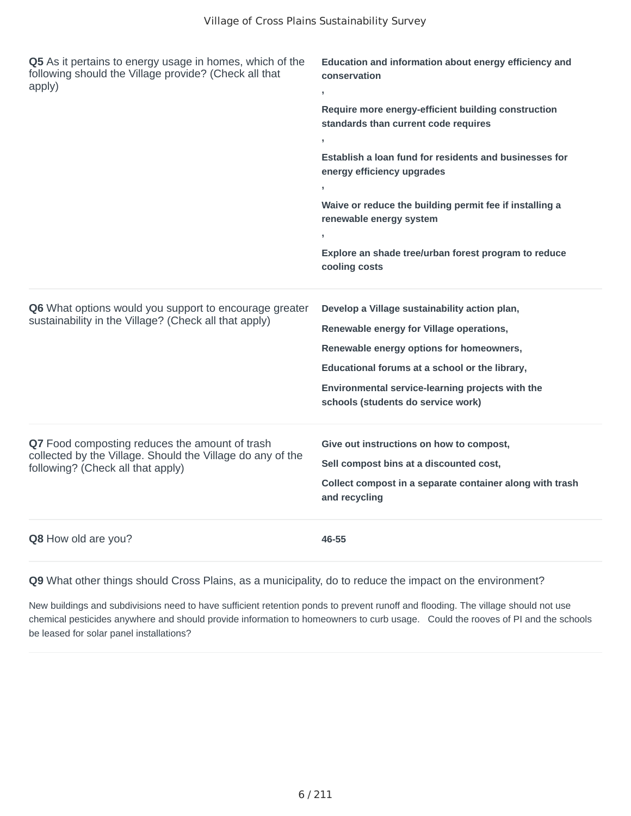| Q5 As it pertains to energy usage in homes, which of the<br>following should the Village provide? (Check all that<br>apply)                       | Education and information about energy efficiency and<br>conservation<br>y.<br>Require more energy-efficient building construction<br>standards than current code requires<br>y<br>Establish a loan fund for residents and businesses for<br>energy efficiency upgrades<br>Waive or reduce the building permit fee if installing a<br>renewable energy system<br>Explore an shade tree/urban forest program to reduce<br>cooling costs |
|---------------------------------------------------------------------------------------------------------------------------------------------------|----------------------------------------------------------------------------------------------------------------------------------------------------------------------------------------------------------------------------------------------------------------------------------------------------------------------------------------------------------------------------------------------------------------------------------------|
| Q6 What options would you support to encourage greater<br>sustainability in the Village? (Check all that apply)                                   | Develop a Village sustainability action plan,<br>Renewable energy for Village operations,<br>Renewable energy options for homeowners,<br>Educational forums at a school or the library,<br>Environmental service-learning projects with the<br>schools (students do service work)                                                                                                                                                      |
| Q7 Food composting reduces the amount of trash<br>collected by the Village. Should the Village do any of the<br>following? (Check all that apply) | Give out instructions on how to compost,<br>Sell compost bins at a discounted cost,<br>Collect compost in a separate container along with trash<br>and recycling                                                                                                                                                                                                                                                                       |
| Q8 How old are you?                                                                                                                               | 46-55                                                                                                                                                                                                                                                                                                                                                                                                                                  |

**Q9** What other things should Cross Plains, as a municipality, do to reduce the impact on the environment?

New buildings and subdivisions need to have sufficient retention ponds to prevent runoff and flooding. The village should not use chemical pesticides anywhere and should provide information to homeowners to curb usage. Could the rooves of PI and the schools be leased for solar panel installations?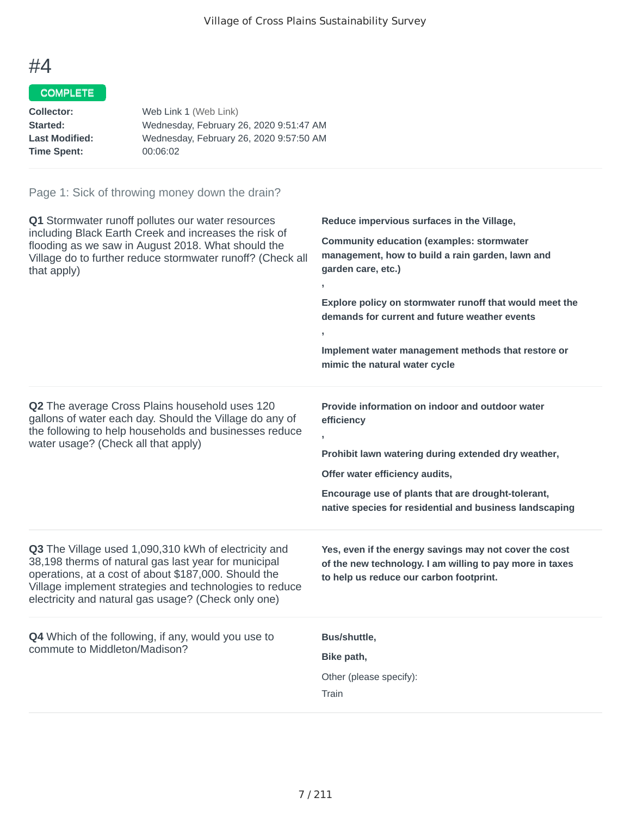# COMPLETE

| Collector:            | Web Link 1 (Web Link)                   |
|-----------------------|-----------------------------------------|
| <b>Started:</b>       | Wednesday, February 26, 2020 9:51:47 AM |
| <b>Last Modified:</b> | Wednesday, February 26, 2020 9:57:50 AM |
| Time Spent:           | 00:06:02                                |
|                       |                                         |

| Q1 Stormwater runoff pollutes our water resources<br>including Black Earth Creek and increases the risk of<br>flooding as we saw in August 2018. What should the<br>Village do to further reduce stormwater runoff? (Check all<br>that apply)                                          | Reduce impervious surfaces in the Village,<br><b>Community education (examples: stormwater</b><br>management, how to build a rain garden, lawn and<br>garden care, etc.)<br>$\mathbf{r}$<br>Explore policy on stormwater runoff that would meet the<br>demands for current and future weather events<br>y.<br>Implement water management methods that restore or<br>mimic the natural water cycle |
|----------------------------------------------------------------------------------------------------------------------------------------------------------------------------------------------------------------------------------------------------------------------------------------|---------------------------------------------------------------------------------------------------------------------------------------------------------------------------------------------------------------------------------------------------------------------------------------------------------------------------------------------------------------------------------------------------|
| <b>Q2</b> The average Cross Plains household uses 120<br>gallons of water each day. Should the Village do any of<br>the following to help households and businesses reduce<br>water usage? (Check all that apply)                                                                      | Provide information on indoor and outdoor water<br>efficiency<br>y.<br>Prohibit lawn watering during extended dry weather,<br>Offer water efficiency audits,<br>Encourage use of plants that are drought-tolerant,<br>native species for residential and business landscaping                                                                                                                     |
| Q3 The Village used 1,090,310 kWh of electricity and<br>38,198 therms of natural gas last year for municipal<br>operations, at a cost of about \$187,000. Should the<br>Village implement strategies and technologies to reduce<br>electricity and natural gas usage? (Check only one) | Yes, even if the energy savings may not cover the cost<br>of the new technology. I am willing to pay more in taxes<br>to help us reduce our carbon footprint.                                                                                                                                                                                                                                     |
| <b>Q4</b> Which of the following, if any, would you use to<br>commute to Middleton/Madison?                                                                                                                                                                                            | Bus/shuttle,<br>Bike path,<br>Other (please specify):<br>Train                                                                                                                                                                                                                                                                                                                                    |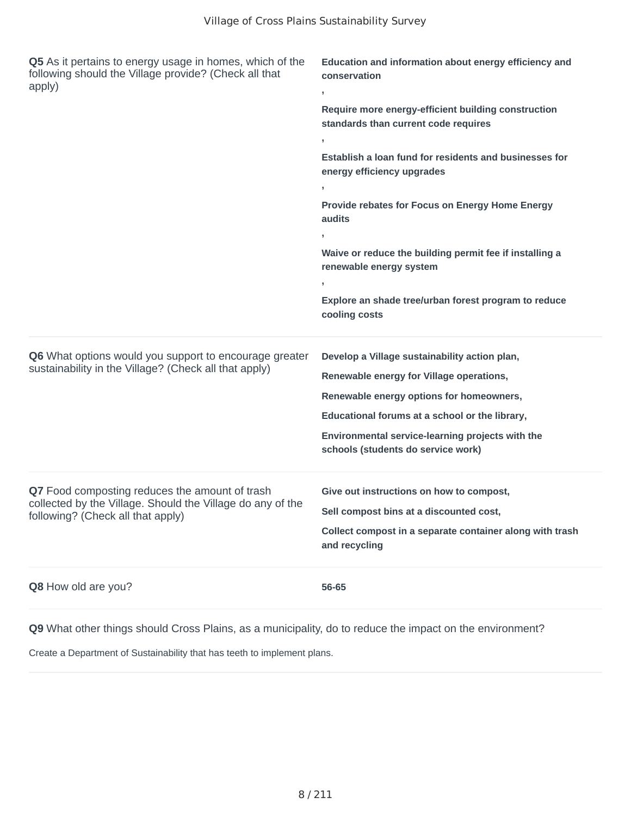| Q5 As it pertains to energy usage in homes, which of the<br>following should the Village provide? (Check all that<br>apply)                       | Education and information about energy efficiency and<br>conservation<br>$\mathbf{r}$                                                                                                                                                                                             |  |
|---------------------------------------------------------------------------------------------------------------------------------------------------|-----------------------------------------------------------------------------------------------------------------------------------------------------------------------------------------------------------------------------------------------------------------------------------|--|
|                                                                                                                                                   | Require more energy-efficient building construction<br>standards than current code requires                                                                                                                                                                                       |  |
|                                                                                                                                                   | Establish a loan fund for residents and businesses for<br>energy efficiency upgrades                                                                                                                                                                                              |  |
|                                                                                                                                                   | Provide rebates for Focus on Energy Home Energy<br>audits                                                                                                                                                                                                                         |  |
|                                                                                                                                                   | Waive or reduce the building permit fee if installing a<br>renewable energy system                                                                                                                                                                                                |  |
|                                                                                                                                                   | Explore an shade tree/urban forest program to reduce<br>cooling costs                                                                                                                                                                                                             |  |
| Q6 What options would you support to encourage greater<br>sustainability in the Village? (Check all that apply)                                   | Develop a Village sustainability action plan,<br>Renewable energy for Village operations,<br>Renewable energy options for homeowners,<br>Educational forums at a school or the library,<br>Environmental service-learning projects with the<br>schools (students do service work) |  |
| Q7 Food composting reduces the amount of trash<br>collected by the Village. Should the Village do any of the<br>following? (Check all that apply) | Give out instructions on how to compost,<br>Sell compost bins at a discounted cost,<br>Collect compost in a separate container along with trash<br>and recycling                                                                                                                  |  |
| Q8 How old are you?                                                                                                                               | 56-65                                                                                                                                                                                                                                                                             |  |

**Q9** What other things should Cross Plains, as a municipality, do to reduce the impact on the environment?

Create a Department of Sustainability that has teeth to implement plans.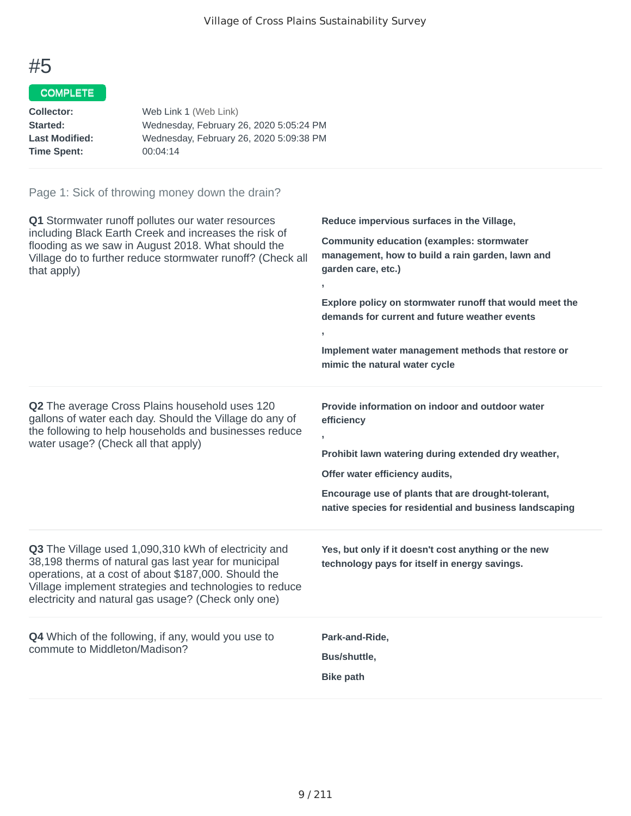### COMPLETE

| Collector:            | Web Link 1 (Web Link)                   |
|-----------------------|-----------------------------------------|
| <b>Started:</b>       | Wednesday, February 26, 2020 5:05:24 PM |
| <b>Last Modified:</b> | Wednesday, February 26, 2020 5:09:38 PM |
| Time Spent:           | 00:04:14                                |
|                       |                                         |

| Q1 Stormwater runoff pollutes our water resources<br>including Black Earth Creek and increases the risk of<br>flooding as we saw in August 2018. What should the<br>Village do to further reduce stormwater runoff? (Check all<br>that apply)                                          | Reduce impervious surfaces in the Village,<br><b>Community education (examples: stormwater</b><br>management, how to build a rain garden, lawn and<br>garden care, etc.)<br>Explore policy on stormwater runoff that would meet the<br>demands for current and future weather events<br>Implement water management methods that restore or<br>mimic the natural water cycle |
|----------------------------------------------------------------------------------------------------------------------------------------------------------------------------------------------------------------------------------------------------------------------------------------|-----------------------------------------------------------------------------------------------------------------------------------------------------------------------------------------------------------------------------------------------------------------------------------------------------------------------------------------------------------------------------|
| Q2 The average Cross Plains household uses 120<br>gallons of water each day. Should the Village do any of<br>the following to help households and businesses reduce<br>water usage? (Check all that apply)                                                                             | Provide information on indoor and outdoor water<br>efficiency<br>Prohibit lawn watering during extended dry weather,<br>Offer water efficiency audits,<br>Encourage use of plants that are drought-tolerant,<br>native species for residential and business landscaping                                                                                                     |
| Q3 The Village used 1,090,310 kWh of electricity and<br>38,198 therms of natural gas last year for municipal<br>operations, at a cost of about \$187,000. Should the<br>Village implement strategies and technologies to reduce<br>electricity and natural gas usage? (Check only one) | Yes, but only if it doesn't cost anything or the new<br>technology pays for itself in energy savings.                                                                                                                                                                                                                                                                       |
| Q4 Which of the following, if any, would you use to<br>commute to Middleton/Madison?                                                                                                                                                                                                   | Park-and-Ride,<br>Bus/shuttle,<br><b>Bike path</b>                                                                                                                                                                                                                                                                                                                          |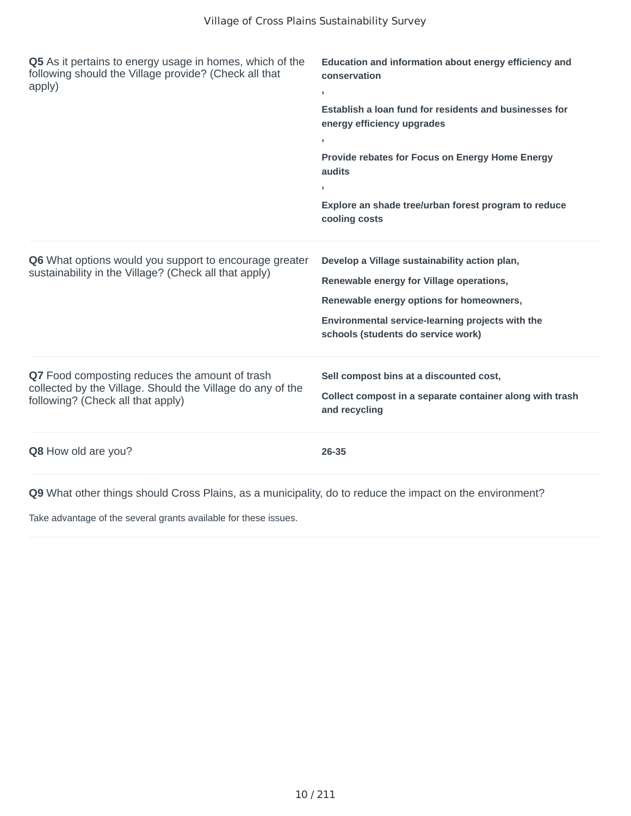| Q5 As it pertains to energy usage in homes, which of the<br>following should the Village provide? (Check all that<br>apply)                       | Education and information about energy efficiency and<br>conservation<br>$\mathbf{r}$<br>Establish a loan fund for residents and businesses for<br>energy efficiency upgrades<br>Provide rebates for Focus on Energy Home Energy<br>audits<br>Explore an shade tree/urban forest program to reduce<br>cooling costs |
|---------------------------------------------------------------------------------------------------------------------------------------------------|---------------------------------------------------------------------------------------------------------------------------------------------------------------------------------------------------------------------------------------------------------------------------------------------------------------------|
| Q6 What options would you support to encourage greater<br>sustainability in the Village? (Check all that apply)                                   | Develop a Village sustainability action plan,<br>Renewable energy for Village operations,<br>Renewable energy options for homeowners,<br>Environmental service-learning projects with the<br>schools (students do service work)                                                                                     |
| Q7 Food composting reduces the amount of trash<br>collected by the Village. Should the Village do any of the<br>following? (Check all that apply) | Sell compost bins at a discounted cost,<br>Collect compost in a separate container along with trash<br>and recycling                                                                                                                                                                                                |
| Q8 How old are you?                                                                                                                               | 26-35                                                                                                                                                                                                                                                                                                               |

**Q9** What other things should Cross Plains, as a municipality, do to reduce the impact on the environment?

Take advantage of the several grants available for these issues.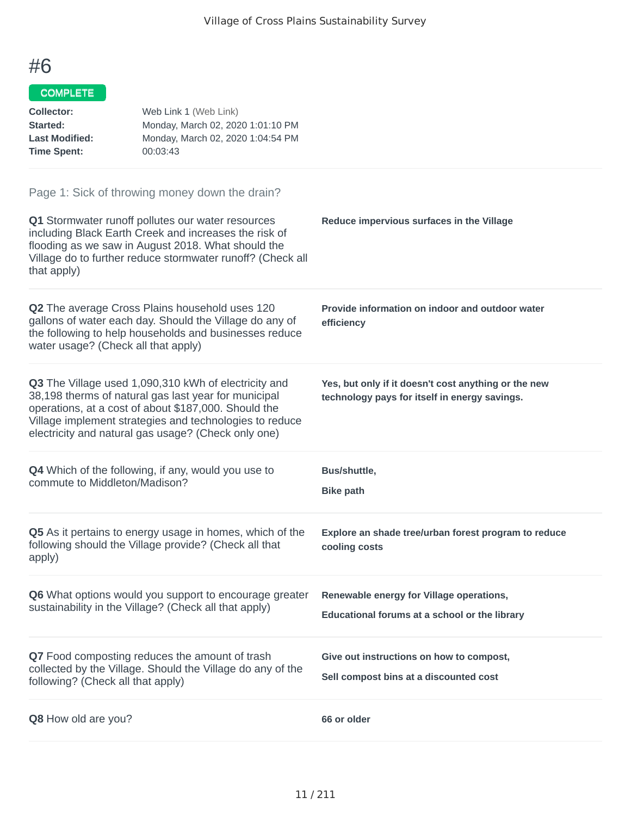### COMPLETE

| <b>Collector:</b><br>Started:<br><b>Last Modified:</b><br><b>Time Spent:</b> | Web Link 1 (Web Link)<br>Monday, March 02, 2020 1:01:10 PM<br>Monday, March 02, 2020 1:04:54 PM<br>00:03:43                                                                                                                                                                            |                                                                                                       |
|------------------------------------------------------------------------------|----------------------------------------------------------------------------------------------------------------------------------------------------------------------------------------------------------------------------------------------------------------------------------------|-------------------------------------------------------------------------------------------------------|
|                                                                              | Page 1: Sick of throwing money down the drain?                                                                                                                                                                                                                                         |                                                                                                       |
| that apply)                                                                  | Q1 Stormwater runoff pollutes our water resources<br>including Black Earth Creek and increases the risk of<br>flooding as we saw in August 2018. What should the<br>Village do to further reduce stormwater runoff? (Check all                                                         | Reduce impervious surfaces in the Village                                                             |
| water usage? (Check all that apply)                                          | Q2 The average Cross Plains household uses 120<br>gallons of water each day. Should the Village do any of<br>the following to help households and businesses reduce                                                                                                                    | Provide information on indoor and outdoor water<br>efficiency                                         |
|                                                                              | Q3 The Village used 1,090,310 kWh of electricity and<br>38,198 therms of natural gas last year for municipal<br>operations, at a cost of about \$187,000. Should the<br>Village implement strategies and technologies to reduce<br>electricity and natural gas usage? (Check only one) | Yes, but only if it doesn't cost anything or the new<br>technology pays for itself in energy savings. |
| commute to Middleton/Madison?                                                | <b>Q4</b> Which of the following, if any, would you use to                                                                                                                                                                                                                             | Bus/shuttle,<br><b>Bike path</b>                                                                      |
| apply)                                                                       | Q5 As it pertains to energy usage in homes, which of the<br>following should the Village provide? (Check all that                                                                                                                                                                      | Explore an shade tree/urban forest program to reduce<br>cooling costs                                 |
|                                                                              | <b>Q6</b> What options would you support to encourage greater<br>sustainability in the Village? (Check all that apply)                                                                                                                                                                 | Renewable energy for Village operations,<br>Educational forums at a school or the library             |
| following? (Check all that apply)                                            | Q7 Food composting reduces the amount of trash<br>collected by the Village. Should the Village do any of the                                                                                                                                                                           | Give out instructions on how to compost,<br>Sell compost bins at a discounted cost                    |
| Q8 How old are you?                                                          |                                                                                                                                                                                                                                                                                        | 66 or older                                                                                           |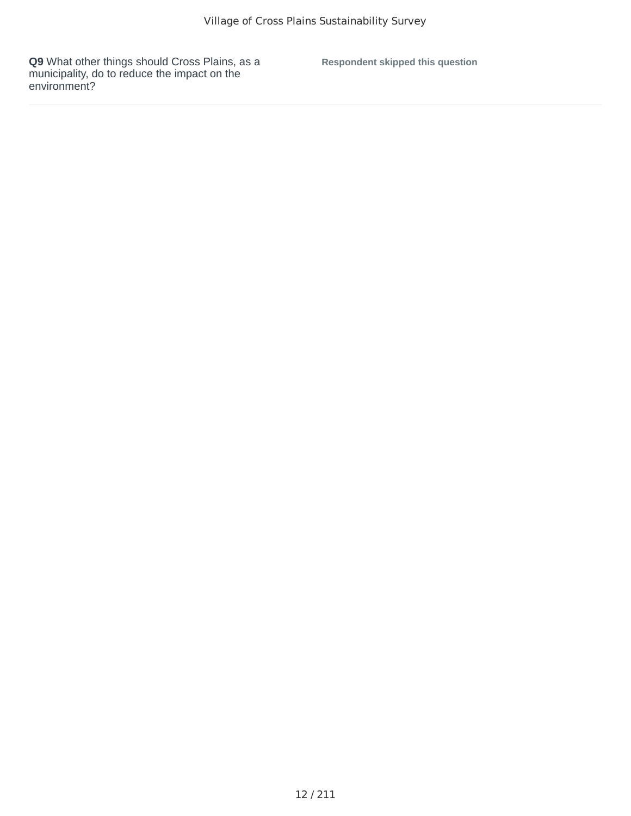**Q9** What other things should Cross Plains, as a municipality, do to reduce the impact on the environment?

**Respondent skipped this question**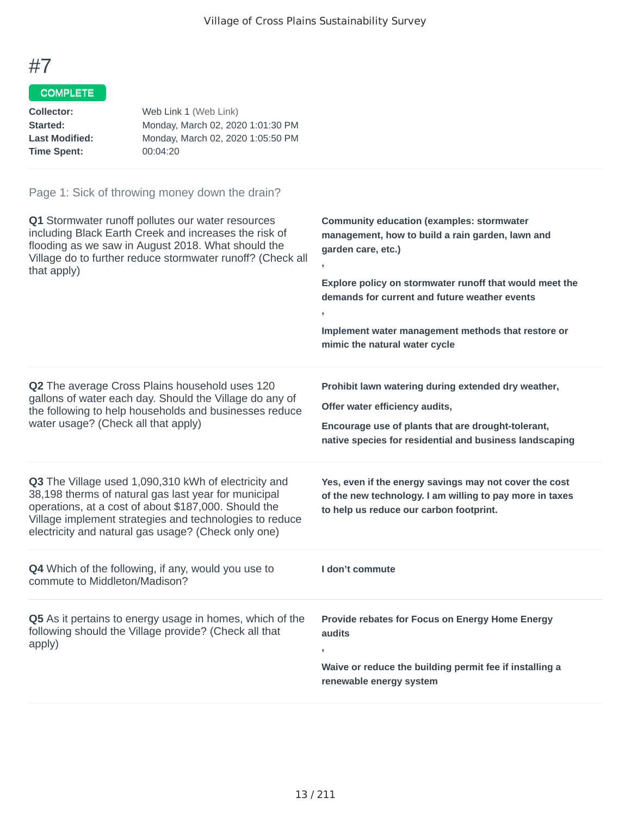# COMPLETE

| Collector:            | Web Link 1 (Web Link)             |
|-----------------------|-----------------------------------|
| Started:              | Monday, March 02, 2020 1:01:30 PM |
| <b>Last Modified:</b> | Monday, March 02, 2020 1:05:50 PM |
| <b>Time Spent:</b>    | 00:04:20                          |
|                       |                                   |

| Q1 Stormwater runoff pollutes our water resources<br>including Black Earth Creek and increases the risk of<br>flooding as we saw in August 2018. What should the<br>Village do to further reduce stormwater runoff? (Check all<br>that apply)                                          | <b>Community education (examples: stormwater</b><br>management, how to build a rain garden, lawn and<br>garden care, etc.)<br>y.<br>Explore policy on stormwater runoff that would meet the<br>demands for current and future weather events<br>$\overline{1}$<br>Implement water management methods that restore or<br>mimic the natural water cycle |
|----------------------------------------------------------------------------------------------------------------------------------------------------------------------------------------------------------------------------------------------------------------------------------------|-------------------------------------------------------------------------------------------------------------------------------------------------------------------------------------------------------------------------------------------------------------------------------------------------------------------------------------------------------|
| Q2 The average Cross Plains household uses 120<br>gallons of water each day. Should the Village do any of<br>the following to help households and businesses reduce<br>water usage? (Check all that apply)                                                                             | Prohibit lawn watering during extended dry weather,<br>Offer water efficiency audits,<br>Encourage use of plants that are drought-tolerant,<br>native species for residential and business landscaping                                                                                                                                                |
| Q3 The Village used 1,090,310 kWh of electricity and<br>38,198 therms of natural gas last year for municipal<br>operations, at a cost of about \$187,000. Should the<br>Village implement strategies and technologies to reduce<br>electricity and natural gas usage? (Check only one) | Yes, even if the energy savings may not cover the cost<br>of the new technology. I am willing to pay more in taxes<br>to help us reduce our carbon footprint.                                                                                                                                                                                         |
| Q4 Which of the following, if any, would you use to<br>commute to Middleton/Madison?                                                                                                                                                                                                   | I don't commute                                                                                                                                                                                                                                                                                                                                       |
| Q5 As it pertains to energy usage in homes, which of the<br>following should the Village provide? (Check all that<br>apply)                                                                                                                                                            | Provide rebates for Focus on Energy Home Energy<br>audits<br>Waive or reduce the building permit fee if installing a<br>renewable energy system                                                                                                                                                                                                       |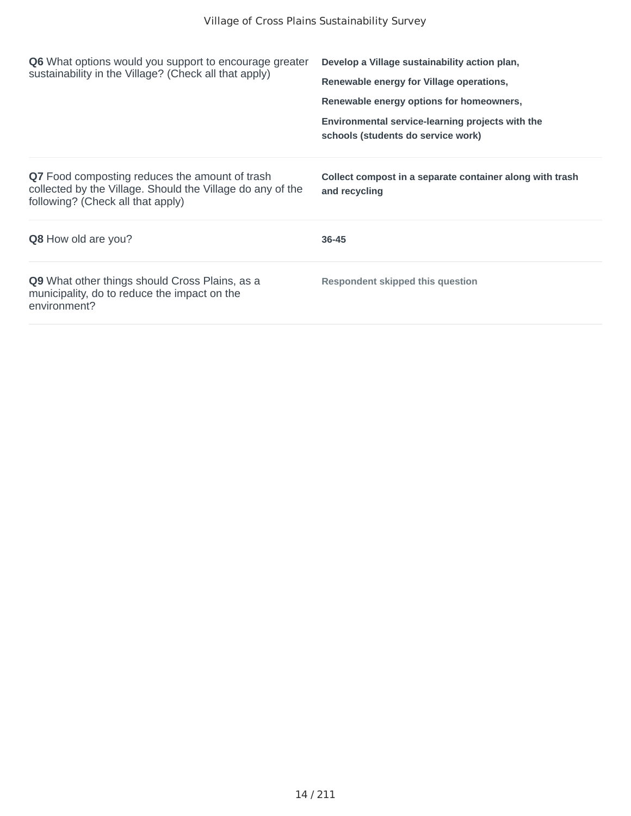| <b>Q6</b> What options would you support to encourage greater<br>sustainability in the Village? (Check all that apply)                            | Develop a Village sustainability action plan,                                          |
|---------------------------------------------------------------------------------------------------------------------------------------------------|----------------------------------------------------------------------------------------|
|                                                                                                                                                   | Renewable energy for Village operations,                                               |
|                                                                                                                                                   | Renewable energy options for homeowners,                                               |
|                                                                                                                                                   | Environmental service-learning projects with the<br>schools (students do service work) |
| Q7 Food composting reduces the amount of trash<br>collected by the Village. Should the Village do any of the<br>following? (Check all that apply) | Collect compost in a separate container along with trash<br>and recycling              |
| <b>Q8</b> How old are you?                                                                                                                        | 36-45                                                                                  |
| Q9 What other things should Cross Plains, as a<br>municipality, do to reduce the impact on the<br>environment?                                    | <b>Respondent skipped this question</b>                                                |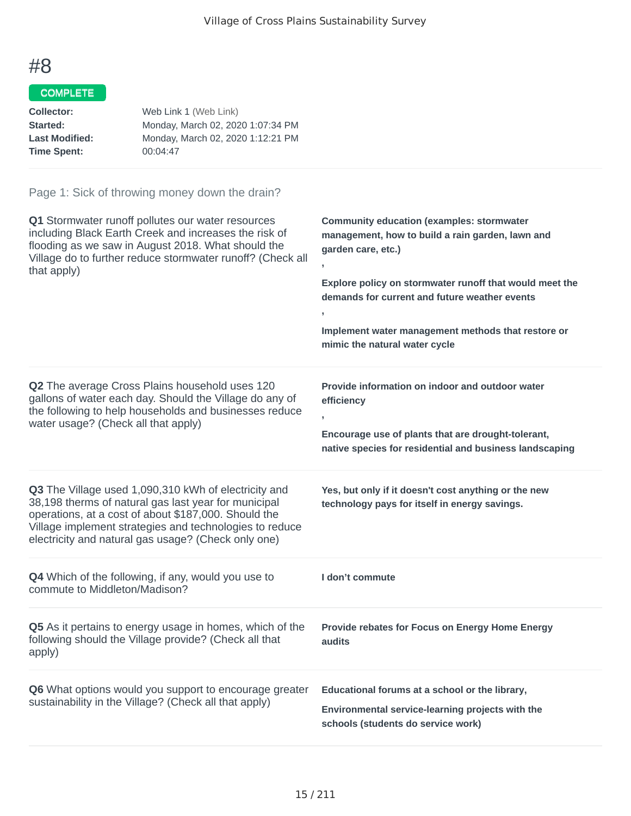### COMPLETE

| Collector:            | Web Link 1 (Web Link)             |
|-----------------------|-----------------------------------|
| Started:              | Monday, March 02, 2020 1:07:34 PM |
| <b>Last Modified:</b> | Monday, March 02, 2020 1:12:21 PM |
| <b>Time Spent:</b>    | 00:04:47                          |
|                       |                                   |

| Q1 Stormwater runoff pollutes our water resources<br>including Black Earth Creek and increases the risk of<br>flooding as we saw in August 2018. What should the<br>Village do to further reduce stormwater runoff? (Check all<br>that apply)                                          | <b>Community education (examples: stormwater</b><br>management, how to build a rain garden, lawn and<br>garden care, etc.)<br>Explore policy on stormwater runoff that would meet the<br>demands for current and future weather events<br>y<br>Implement water management methods that restore or<br>mimic the natural water cycle |
|----------------------------------------------------------------------------------------------------------------------------------------------------------------------------------------------------------------------------------------------------------------------------------------|------------------------------------------------------------------------------------------------------------------------------------------------------------------------------------------------------------------------------------------------------------------------------------------------------------------------------------|
| Q2 The average Cross Plains household uses 120<br>gallons of water each day. Should the Village do any of<br>the following to help households and businesses reduce<br>water usage? (Check all that apply)                                                                             | Provide information on indoor and outdoor water<br>efficiency<br>Encourage use of plants that are drought-tolerant,<br>native species for residential and business landscaping                                                                                                                                                     |
| Q3 The Village used 1,090,310 kWh of electricity and<br>38,198 therms of natural gas last year for municipal<br>operations, at a cost of about \$187,000. Should the<br>Village implement strategies and technologies to reduce<br>electricity and natural gas usage? (Check only one) | Yes, but only if it doesn't cost anything or the new<br>technology pays for itself in energy savings.                                                                                                                                                                                                                              |
| Q4 Which of the following, if any, would you use to<br>commute to Middleton/Madison?                                                                                                                                                                                                   | I don't commute                                                                                                                                                                                                                                                                                                                    |
| Q5 As it pertains to energy usage in homes, which of the<br>following should the Village provide? (Check all that<br>apply)                                                                                                                                                            | Provide rebates for Focus on Energy Home Energy<br>audits                                                                                                                                                                                                                                                                          |
| Q6 What options would you support to encourage greater<br>sustainability in the Village? (Check all that apply)                                                                                                                                                                        | Educational forums at a school or the library,<br>Environmental service-learning projects with the<br>schools (students do service work)                                                                                                                                                                                           |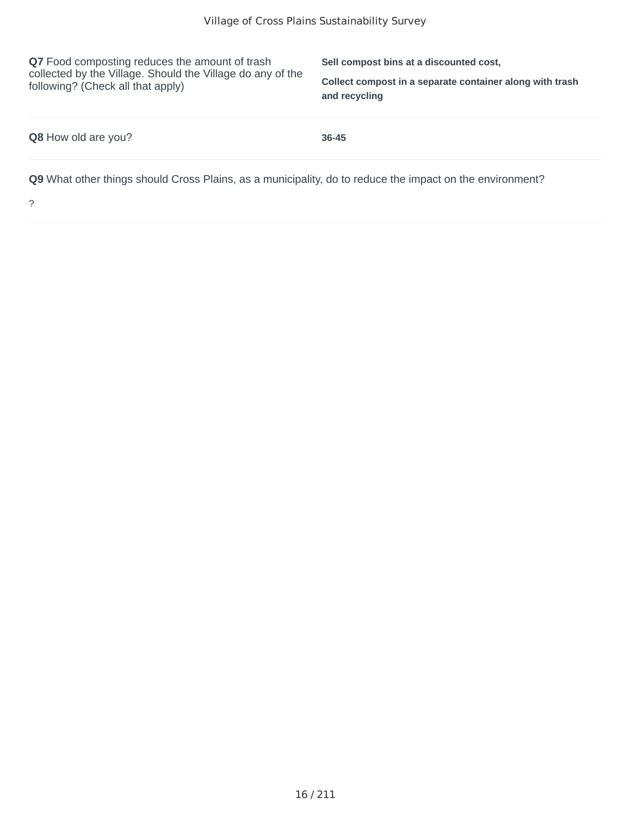**Q7** Food composting reduces the amount of trash collected by the Village. Should the Village do any of the following? (Check all that apply)

**Sell compost bins at a discounted cost,**

**Collect compost in a separate container along with trash and recycling**

| <b>Q8</b> How old are you? | $36 - 45$                                                                                                |
|----------------------------|----------------------------------------------------------------------------------------------------------|
|                            | Q9 What other things should Cross Plains, as a municipality, do to reduce the impact on the environment? |

?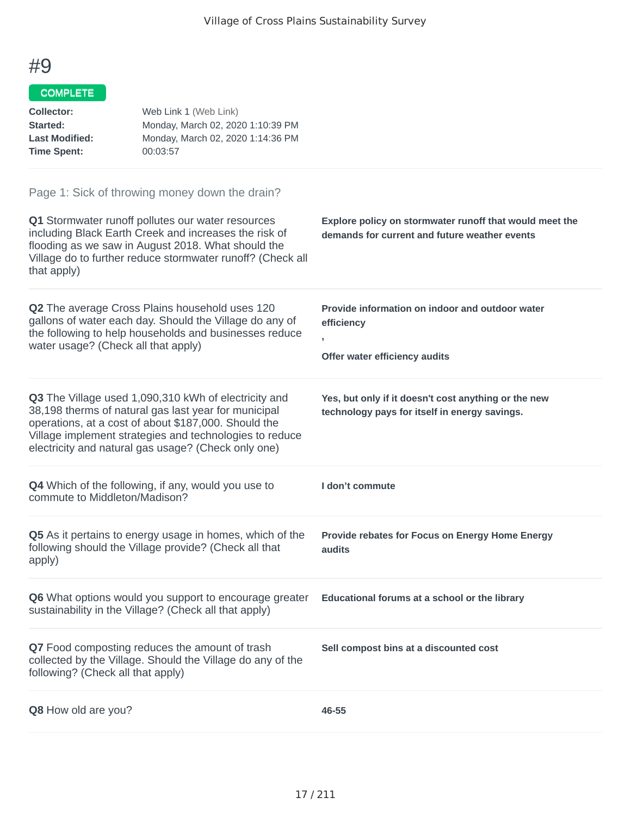#### COMPLETE

| <b>Collector:</b><br>Started:<br><b>Last Modified:</b><br><b>Time Spent:</b> | Web Link 1 (Web Link)<br>Monday, March 02, 2020 1:10:39 PM<br>Monday, March 02, 2020 1:14:36 PM<br>00:03:57                                                                                                                                                                            |                                                                                                          |
|------------------------------------------------------------------------------|----------------------------------------------------------------------------------------------------------------------------------------------------------------------------------------------------------------------------------------------------------------------------------------|----------------------------------------------------------------------------------------------------------|
|                                                                              | Page 1: Sick of throwing money down the drain?                                                                                                                                                                                                                                         |                                                                                                          |
| that apply)                                                                  | Q1 Stormwater runoff pollutes our water resources<br>including Black Earth Creek and increases the risk of<br>flooding as we saw in August 2018. What should the<br>Village do to further reduce stormwater runoff? (Check all                                                         | Explore policy on stormwater runoff that would meet the<br>demands for current and future weather events |
| water usage? (Check all that apply)                                          | Q2 The average Cross Plains household uses 120<br>gallons of water each day. Should the Village do any of<br>the following to help households and businesses reduce                                                                                                                    | Provide information on indoor and outdoor water<br>efficiency<br>,<br>Offer water efficiency audits      |
|                                                                              | Q3 The Village used 1,090,310 kWh of electricity and<br>38,198 therms of natural gas last year for municipal<br>operations, at a cost of about \$187,000. Should the<br>Village implement strategies and technologies to reduce<br>electricity and natural gas usage? (Check only one) | Yes, but only if it doesn't cost anything or the new<br>technology pays for itself in energy savings.    |
| commute to Middleton/Madison?                                                | <b>Q4</b> Which of the following, if any, would you use to                                                                                                                                                                                                                             | I don't commute                                                                                          |
| apply)                                                                       | Q5 As it pertains to energy usage in homes, which of the<br>following should the Village provide? (Check all that                                                                                                                                                                      | Provide rebates for Focus on Energy Home Energy<br>audits                                                |
|                                                                              | <b>Q6</b> What options would you support to encourage greater<br>sustainability in the Village? (Check all that apply)                                                                                                                                                                 | Educational forums at a school or the library                                                            |
| following? (Check all that apply)                                            | Q7 Food composting reduces the amount of trash<br>collected by the Village. Should the Village do any of the                                                                                                                                                                           | Sell compost bins at a discounted cost                                                                   |
| Q8 How old are you?                                                          |                                                                                                                                                                                                                                                                                        | 46-55                                                                                                    |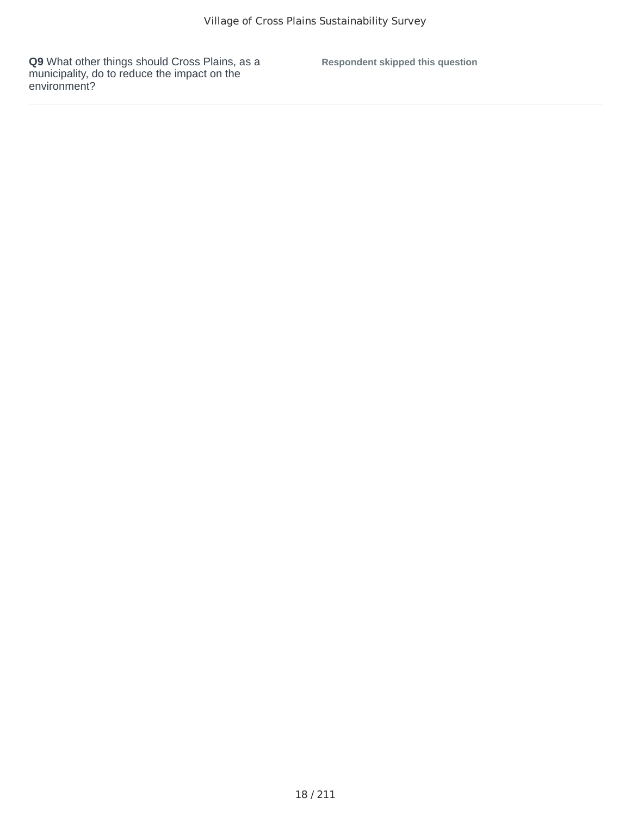**Q9** What other things should Cross Plains, as a municipality, do to reduce the impact on the environment?

**Respondent skipped this question**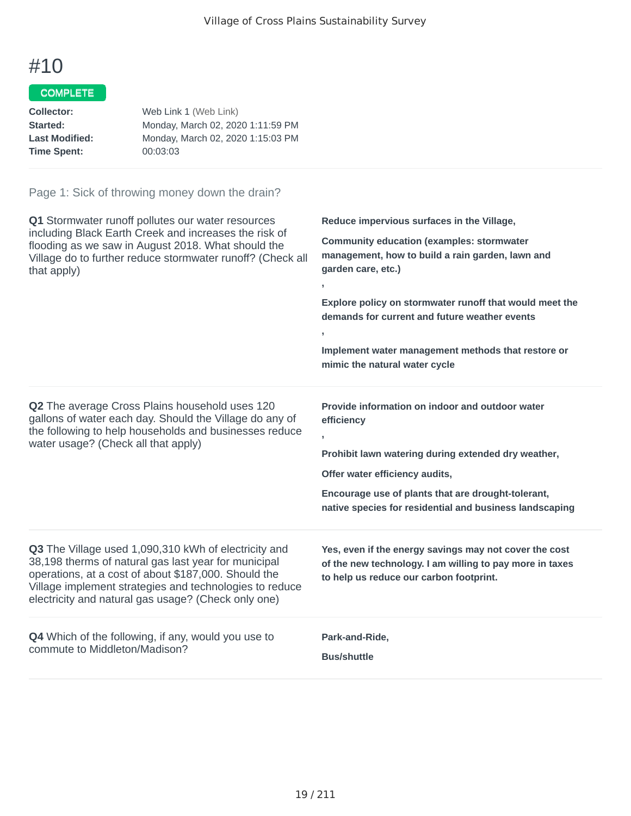### COMPLETE

| Web Link 1 (Web Link)             |
|-----------------------------------|
| Monday, March 02, 2020 1:11:59 PM |
| Monday, March 02, 2020 1:15:03 PM |
| 00:03:03                          |
|                                   |

| Q1 Stormwater runoff pollutes our water resources<br>including Black Earth Creek and increases the risk of<br>flooding as we saw in August 2018. What should the<br>Village do to further reduce stormwater runoff? (Check all<br>that apply)                                          | Reduce impervious surfaces in the Village,<br><b>Community education (examples: stormwater</b><br>management, how to build a rain garden, lawn and<br>garden care, etc.)<br>y.<br>Explore policy on stormwater runoff that would meet the<br>demands for current and future weather events<br>У.<br>Implement water management methods that restore or<br>mimic the natural water cycle |
|----------------------------------------------------------------------------------------------------------------------------------------------------------------------------------------------------------------------------------------------------------------------------------------|-----------------------------------------------------------------------------------------------------------------------------------------------------------------------------------------------------------------------------------------------------------------------------------------------------------------------------------------------------------------------------------------|
| Q2 The average Cross Plains household uses 120<br>gallons of water each day. Should the Village do any of<br>the following to help households and businesses reduce<br>water usage? (Check all that apply)                                                                             | Provide information on indoor and outdoor water<br>efficiency<br>$\overline{1}$<br>Prohibit lawn watering during extended dry weather,<br>Offer water efficiency audits,<br>Encourage use of plants that are drought-tolerant,<br>native species for residential and business landscaping                                                                                               |
| Q3 The Village used 1,090,310 kWh of electricity and<br>38,198 therms of natural gas last year for municipal<br>operations, at a cost of about \$187,000. Should the<br>Village implement strategies and technologies to reduce<br>electricity and natural gas usage? (Check only one) | Yes, even if the energy savings may not cover the cost<br>of the new technology. I am willing to pay more in taxes<br>to help us reduce our carbon footprint.                                                                                                                                                                                                                           |
| Q4 Which of the following, if any, would you use to<br>commute to Middleton/Madison?                                                                                                                                                                                                   | Park-and-Ride,<br><b>Bus/shuttle</b>                                                                                                                                                                                                                                                                                                                                                    |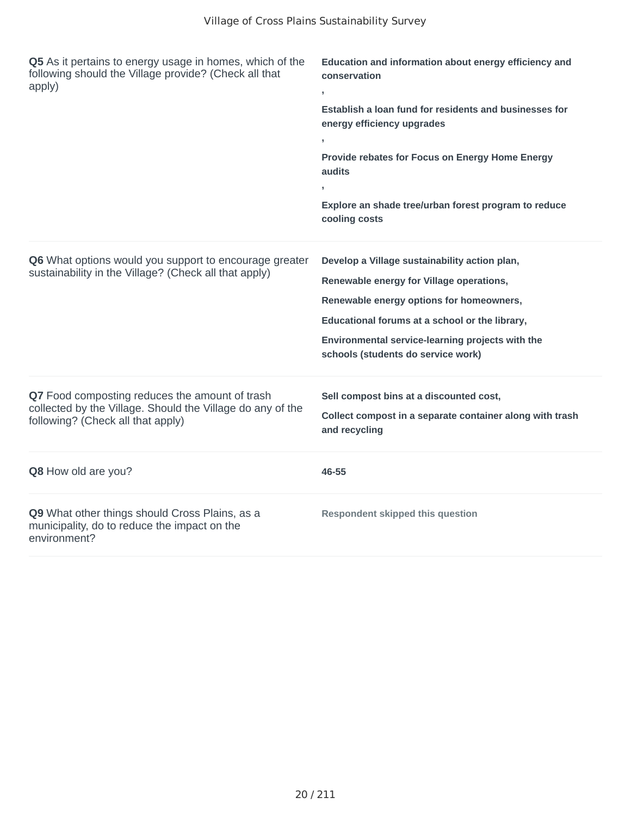| Q5 As it pertains to energy usage in homes, which of the<br>following should the Village provide? (Check all that<br>apply)                       | Education and information about energy efficiency and<br>conservation<br>$\overline{\phantom{a}}$<br>Establish a loan fund for residents and businesses for<br>energy efficiency upgrades<br>Provide rebates for Focus on Energy Home Energy<br>audits<br>×<br>Explore an shade tree/urban forest program to reduce<br>cooling costs |
|---------------------------------------------------------------------------------------------------------------------------------------------------|--------------------------------------------------------------------------------------------------------------------------------------------------------------------------------------------------------------------------------------------------------------------------------------------------------------------------------------|
| Q6 What options would you support to encourage greater<br>sustainability in the Village? (Check all that apply)                                   | Develop a Village sustainability action plan,<br>Renewable energy for Village operations,<br>Renewable energy options for homeowners,<br>Educational forums at a school or the library,<br>Environmental service-learning projects with the<br>schools (students do service work)                                                    |
| Q7 Food composting reduces the amount of trash<br>collected by the Village. Should the Village do any of the<br>following? (Check all that apply) | Sell compost bins at a discounted cost,<br>Collect compost in a separate container along with trash<br>and recycling                                                                                                                                                                                                                 |
| Q8 How old are you?                                                                                                                               | 46-55                                                                                                                                                                                                                                                                                                                                |
| Q9 What other things should Cross Plains, as a<br>municipality, do to reduce the impact on the<br>environment?                                    | <b>Respondent skipped this question</b>                                                                                                                                                                                                                                                                                              |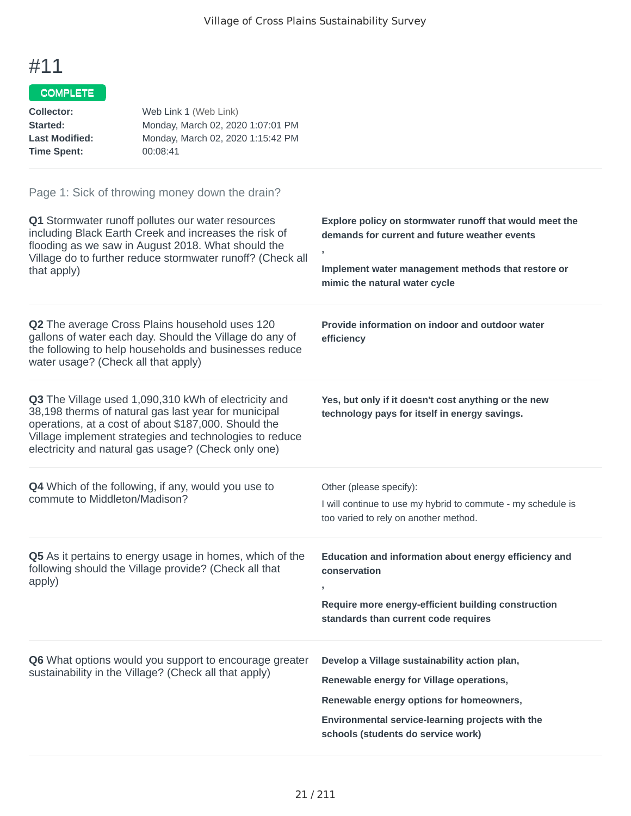### COMPLETE

| Collector:            | Web Link 1 (Web Link)             |
|-----------------------|-----------------------------------|
| Started:              | Monday, March 02, 2020 1:07:01 PM |
| <b>Last Modified:</b> | Monday, March 02, 2020 1:15:42 PM |
| <b>Time Spent:</b>    | 00:08:41                          |

| Q1 Stormwater runoff pollutes our water resources<br>including Black Earth Creek and increases the risk of<br>flooding as we saw in August 2018. What should the<br>Village do to further reduce stormwater runoff? (Check all<br>that apply)                                          | Explore policy on stormwater runoff that would meet the<br>demands for current and future weather events<br>J.<br>Implement water management methods that restore or<br>mimic the natural water cycle                           |
|----------------------------------------------------------------------------------------------------------------------------------------------------------------------------------------------------------------------------------------------------------------------------------------|---------------------------------------------------------------------------------------------------------------------------------------------------------------------------------------------------------------------------------|
| Q2 The average Cross Plains household uses 120<br>gallons of water each day. Should the Village do any of<br>the following to help households and businesses reduce<br>water usage? (Check all that apply)                                                                             | Provide information on indoor and outdoor water<br>efficiency                                                                                                                                                                   |
| Q3 The Village used 1,090,310 kWh of electricity and<br>38,198 therms of natural gas last year for municipal<br>operations, at a cost of about \$187,000. Should the<br>Village implement strategies and technologies to reduce<br>electricity and natural gas usage? (Check only one) | Yes, but only if it doesn't cost anything or the new<br>technology pays for itself in energy savings.                                                                                                                           |
| <b>Q4</b> Which of the following, if any, would you use to<br>commute to Middleton/Madison?                                                                                                                                                                                            | Other (please specify):<br>I will continue to use my hybrid to commute - my schedule is<br>too varied to rely on another method.                                                                                                |
| Q5 As it pertains to energy usage in homes, which of the<br>following should the Village provide? (Check all that<br>apply)                                                                                                                                                            | Education and information about energy efficiency and<br>conservation<br>Require more energy-efficient building construction<br>standards than current code requires                                                            |
| Q6 What options would you support to encourage greater<br>sustainability in the Village? (Check all that apply)                                                                                                                                                                        | Develop a Village sustainability action plan,<br>Renewable energy for Village operations,<br>Renewable energy options for homeowners,<br>Environmental service-learning projects with the<br>schools (students do service work) |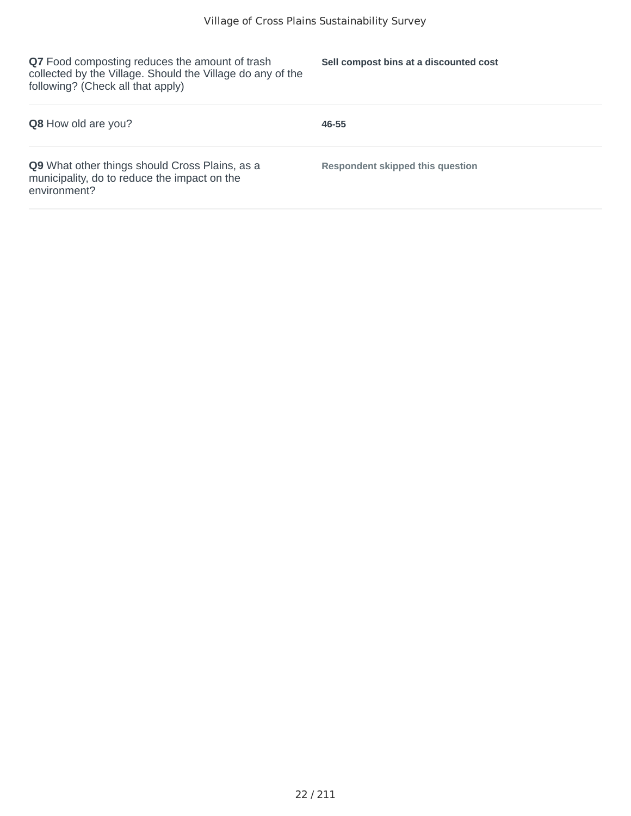**Q7** Food composting reduces the amount of trash collected by the Village. Should the Village do any of the following? (Check all that apply)

**Sell compost bins at a discounted cost**

| <b>Q8</b> How old are you?                                                                                     | 46-55                            |
|----------------------------------------------------------------------------------------------------------------|----------------------------------|
| Q9 What other things should Cross Plains, as a<br>municipality, do to reduce the impact on the<br>environment? | Respondent skipped this question |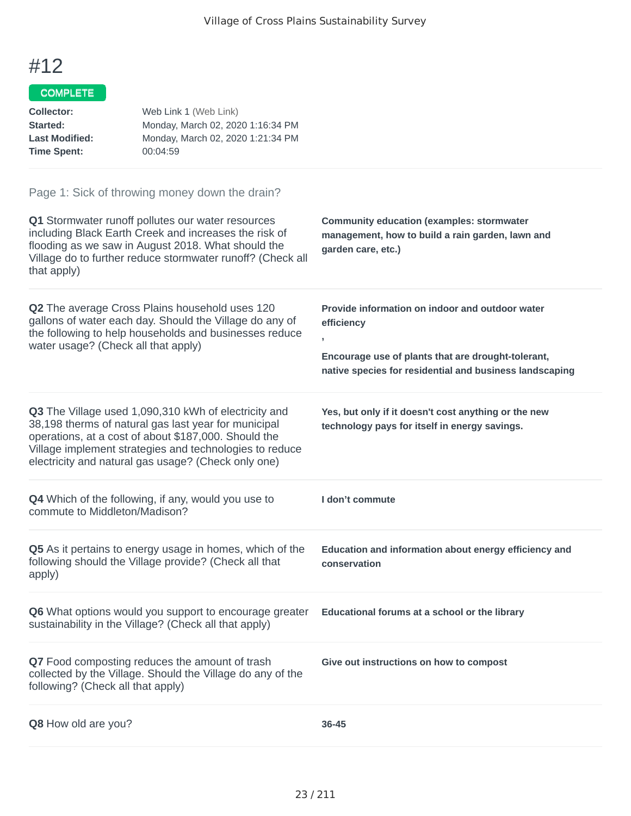#### COMPLETE

| <b>Collector:</b><br>Started:<br><b>Last Modified:</b><br><b>Time Spent:</b> | Web Link 1 (Web Link)<br>Monday, March 02, 2020 1:16:34 PM<br>Monday, March 02, 2020 1:21:34 PM<br>00:04:59                                                                                                                                                                            |                                                                                                                                                                                                  |
|------------------------------------------------------------------------------|----------------------------------------------------------------------------------------------------------------------------------------------------------------------------------------------------------------------------------------------------------------------------------------|--------------------------------------------------------------------------------------------------------------------------------------------------------------------------------------------------|
| that apply)                                                                  | Page 1: Sick of throwing money down the drain?<br>Q1 Stormwater runoff pollutes our water resources<br>including Black Earth Creek and increases the risk of<br>flooding as we saw in August 2018. What should the<br>Village do to further reduce stormwater runoff? (Check all       | <b>Community education (examples: stormwater</b><br>management, how to build a rain garden, lawn and<br>garden care, etc.)                                                                       |
| water usage? (Check all that apply)                                          | Q2 The average Cross Plains household uses 120<br>gallons of water each day. Should the Village do any of<br>the following to help households and businesses reduce                                                                                                                    | Provide information on indoor and outdoor water<br>efficiency<br>$\overline{ }$<br>Encourage use of plants that are drought-tolerant,<br>native species for residential and business landscaping |
|                                                                              | Q3 The Village used 1,090,310 kWh of electricity and<br>38,198 therms of natural gas last year for municipal<br>operations, at a cost of about \$187,000. Should the<br>Village implement strategies and technologies to reduce<br>electricity and natural gas usage? (Check only one) | Yes, but only if it doesn't cost anything or the new<br>technology pays for itself in energy savings.                                                                                            |
| commute to Middleton/Madison?                                                | <b>Q4</b> Which of the following, if any, would you use to                                                                                                                                                                                                                             | I don't commute                                                                                                                                                                                  |
| apply)                                                                       | Q5 As it pertains to energy usage in homes, which of the<br>following should the Village provide? (Check all that                                                                                                                                                                      | Education and information about energy efficiency and<br>conservation                                                                                                                            |
|                                                                              | Q6 What options would you support to encourage greater<br>sustainability in the Village? (Check all that apply)                                                                                                                                                                        | Educational forums at a school or the library                                                                                                                                                    |
| following? (Check all that apply)                                            | Q7 Food composting reduces the amount of trash<br>collected by the Village. Should the Village do any of the                                                                                                                                                                           | Give out instructions on how to compost                                                                                                                                                          |
| Q8 How old are you?                                                          |                                                                                                                                                                                                                                                                                        | 36-45                                                                                                                                                                                            |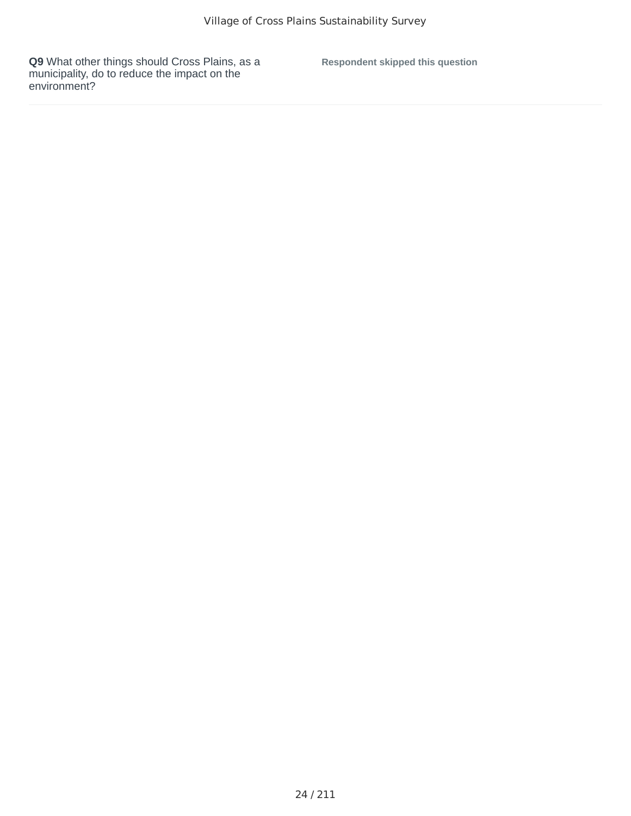**Q9** What other things should Cross Plains, as a municipality, do to reduce the impact on the environment?

**Respondent skipped this question**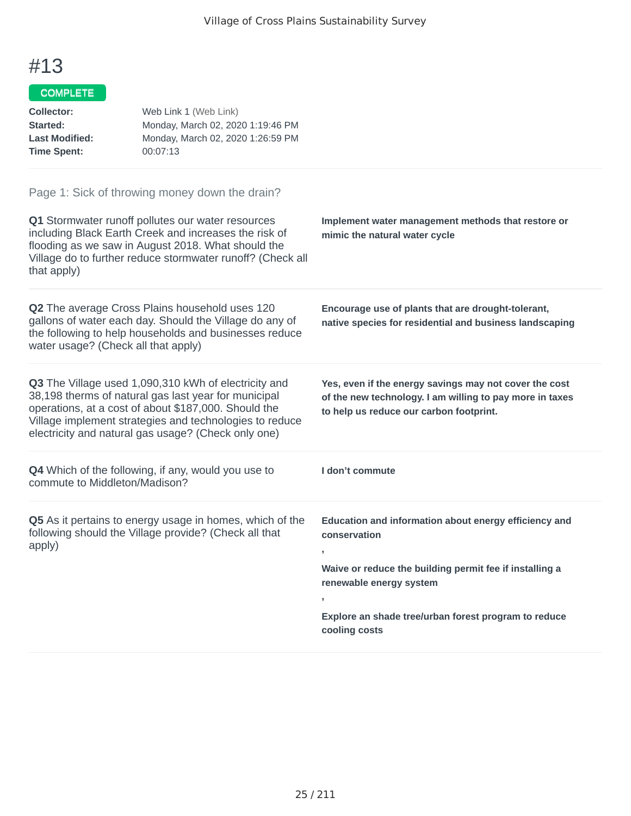#### COMPLETE<sup>T</sup>

| <b>Collector:</b><br>Started:<br><b>Last Modified:</b><br><b>Time Spent:</b> | Web Link 1 (Web Link)<br>Monday, March 02, 2020 1:19:46 PM<br>Monday, March 02, 2020 1:26:59 PM<br>00:07:13                                                                                                                                                                            |                                                                                                                                                               |
|------------------------------------------------------------------------------|----------------------------------------------------------------------------------------------------------------------------------------------------------------------------------------------------------------------------------------------------------------------------------------|---------------------------------------------------------------------------------------------------------------------------------------------------------------|
|                                                                              | Page 1: Sick of throwing money down the drain?                                                                                                                                                                                                                                         |                                                                                                                                                               |
| that apply)                                                                  | Q1 Stormwater runoff pollutes our water resources<br>including Black Earth Creek and increases the risk of<br>flooding as we saw in August 2018. What should the<br>Village do to further reduce stormwater runoff? (Check all                                                         | Implement water management methods that restore or<br>mimic the natural water cycle                                                                           |
| water usage? (Check all that apply)                                          | <b>Q2</b> The average Cross Plains household uses 120<br>gallons of water each day. Should the Village do any of<br>the following to help households and businesses reduce                                                                                                             | Encourage use of plants that are drought-tolerant,<br>native species for residential and business landscaping                                                 |
|                                                                              | Q3 The Village used 1,090,310 kWh of electricity and<br>38,198 therms of natural gas last year for municipal<br>operations, at a cost of about \$187,000. Should the<br>Village implement strategies and technologies to reduce<br>electricity and natural gas usage? (Check only one) | Yes, even if the energy savings may not cover the cost<br>of the new technology. I am willing to pay more in taxes<br>to help us reduce our carbon footprint. |
| commute to Middleton/Madison?                                                | Q4 Which of the following, if any, would you use to                                                                                                                                                                                                                                    | I don't commute                                                                                                                                               |

**Q5** As it pertains to energy usage in homes, which of the following should the Village provide? (Check all that apply) **,**

**Education and information about energy efficiency and conservation**

**Waive or reduce the building permit fee if installing a renewable energy system**

**Explore an shade tree/urban forest program to reduce cooling costs**

**,**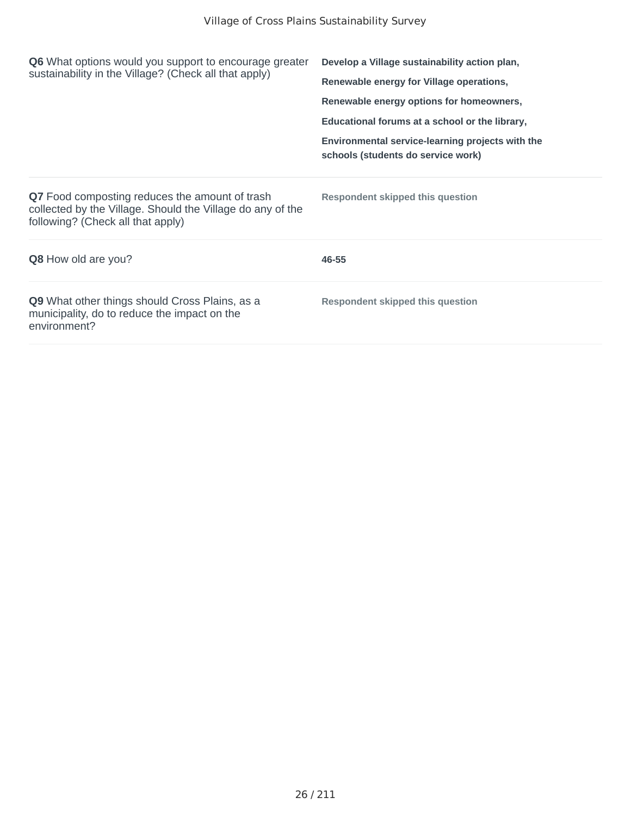| <b>Q6</b> What options would you support to encourage greater<br>sustainability in the Village? (Check all that apply)                                   | Develop a Village sustainability action plan,                                          |  |
|----------------------------------------------------------------------------------------------------------------------------------------------------------|----------------------------------------------------------------------------------------|--|
|                                                                                                                                                          | Renewable energy for Village operations,                                               |  |
|                                                                                                                                                          | Renewable energy options for homeowners,                                               |  |
|                                                                                                                                                          | Educational forums at a school or the library,                                         |  |
|                                                                                                                                                          | Environmental service-learning projects with the<br>schools (students do service work) |  |
| <b>Q7</b> Food composting reduces the amount of trash<br>collected by the Village. Should the Village do any of the<br>following? (Check all that apply) | <b>Respondent skipped this question</b>                                                |  |
| <b>Q8</b> How old are you?                                                                                                                               | 46-55                                                                                  |  |
| <b>Q9</b> What other things should Cross Plains, as a<br>municipality, do to reduce the impact on the<br>environment?                                    | Respondent skipped this question                                                       |  |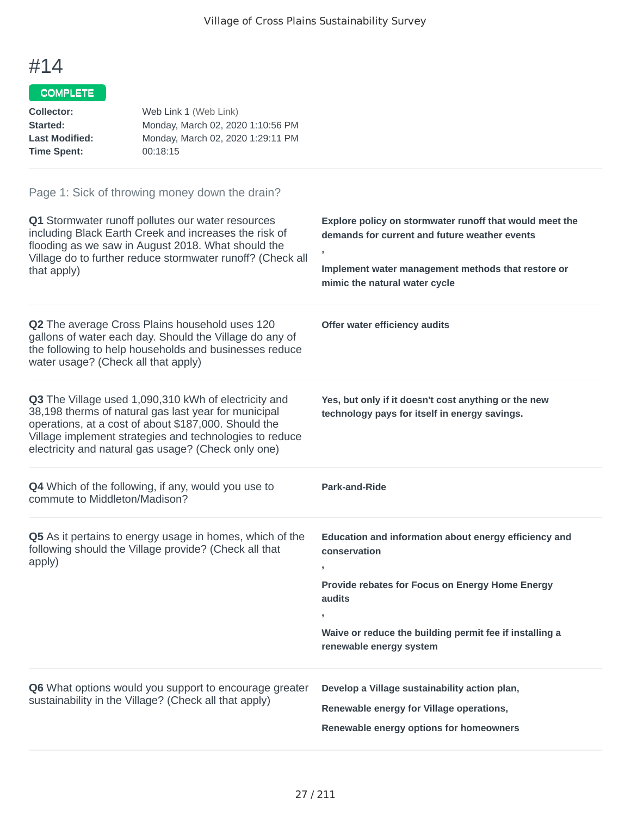### COMPLETE

| Collector:            | Web Link 1 (Web Link)             |
|-----------------------|-----------------------------------|
| Started:              | Monday, March 02, 2020 1:10:56 PM |
| <b>Last Modified:</b> | Monday, March 02, 2020 1:29:11 PM |
| <b>Time Spent:</b>    | 00:18:15                          |

| Q1 Stormwater runoff pollutes our water resources<br>including Black Earth Creek and increases the risk of<br>flooding as we saw in August 2018. What should the<br>Village do to further reduce stormwater runoff? (Check all<br>that apply)                                          | Explore policy on stormwater runoff that would meet the<br>demands for current and future weather events<br>y.<br>Implement water management methods that restore or<br>mimic the natural water cycle                                      |
|----------------------------------------------------------------------------------------------------------------------------------------------------------------------------------------------------------------------------------------------------------------------------------------|--------------------------------------------------------------------------------------------------------------------------------------------------------------------------------------------------------------------------------------------|
| Q2 The average Cross Plains household uses 120<br>gallons of water each day. Should the Village do any of<br>the following to help households and businesses reduce<br>water usage? (Check all that apply)                                                                             | Offer water efficiency audits                                                                                                                                                                                                              |
| Q3 The Village used 1,090,310 kWh of electricity and<br>38,198 therms of natural gas last year for municipal<br>operations, at a cost of about \$187,000. Should the<br>Village implement strategies and technologies to reduce<br>electricity and natural gas usage? (Check only one) | Yes, but only if it doesn't cost anything or the new<br>technology pays for itself in energy savings.                                                                                                                                      |
| <b>Q4</b> Which of the following, if any, would you use to<br>commute to Middleton/Madison?                                                                                                                                                                                            | <b>Park-and-Ride</b>                                                                                                                                                                                                                       |
| Q5 As it pertains to energy usage in homes, which of the<br>following should the Village provide? (Check all that<br>apply)                                                                                                                                                            | Education and information about energy efficiency and<br>conservation<br>$\overline{ }$<br>Provide rebates for Focus on Energy Home Energy<br>audits<br>Waive or reduce the building permit fee if installing a<br>renewable energy system |
| Q6 What options would you support to encourage greater<br>sustainability in the Village? (Check all that apply)                                                                                                                                                                        | Develop a Village sustainability action plan,<br>Renewable energy for Village operations,<br>Renewable energy options for homeowners                                                                                                       |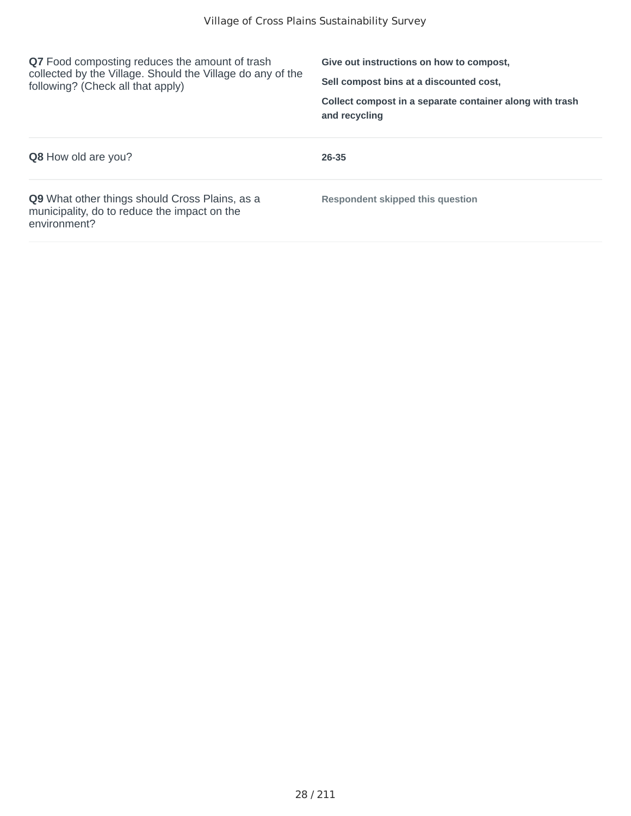| <b>Q7</b> Food composting reduces the amount of trash<br>collected by the Village. Should the Village do any of the<br>following? (Check all that apply) | Give out instructions on how to compost,<br>Sell compost bins at a discounted cost.<br>Collect compost in a separate container along with trash<br>and recycling |
|----------------------------------------------------------------------------------------------------------------------------------------------------------|------------------------------------------------------------------------------------------------------------------------------------------------------------------|
| <b>Q8</b> How old are you?                                                                                                                               | 26-35                                                                                                                                                            |
| <b>Q9</b> What other things should Cross Plains, as a<br>municipality, do to reduce the impact on the<br>environment?                                    | Respondent skipped this question                                                                                                                                 |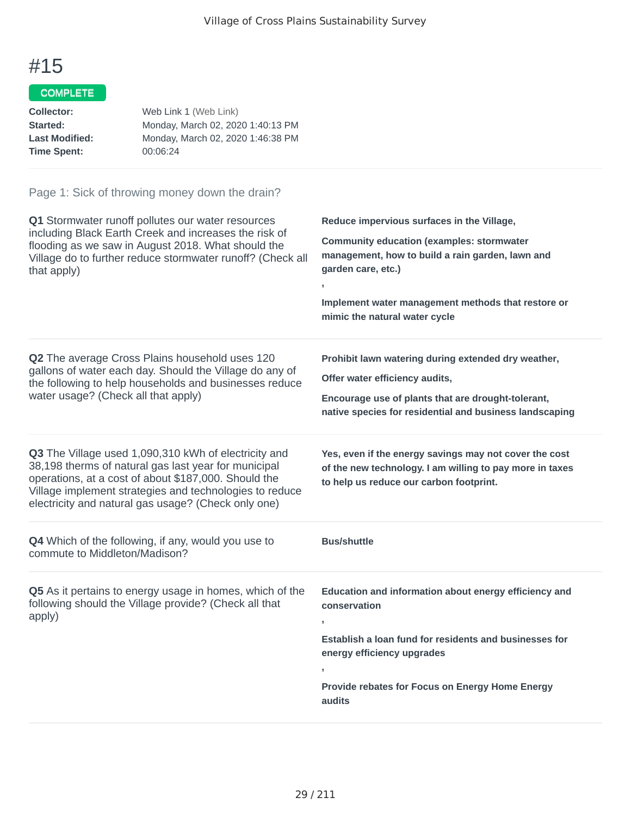### COMPLETE

| Collector:            | Web Link 1 (Web Link)             |
|-----------------------|-----------------------------------|
| Started:              | Monday, March 02, 2020 1:40:13 PM |
| <b>Last Modified:</b> | Monday, March 02, 2020 1:46:38 PM |
| <b>Time Spent:</b>    | 00:06:24                          |

| Q1 Stormwater runoff pollutes our water resources<br>including Black Earth Creek and increases the risk of<br>flooding as we saw in August 2018. What should the<br>Village do to further reduce stormwater runoff? (Check all<br>that apply)                                          | Reduce impervious surfaces in the Village,<br><b>Community education (examples: stormwater</b><br>management, how to build a rain garden, lawn and<br>garden care, etc.)<br>Implement water management methods that restore or<br>mimic the natural water cycle |
|----------------------------------------------------------------------------------------------------------------------------------------------------------------------------------------------------------------------------------------------------------------------------------------|-----------------------------------------------------------------------------------------------------------------------------------------------------------------------------------------------------------------------------------------------------------------|
| Q2 The average Cross Plains household uses 120<br>gallons of water each day. Should the Village do any of<br>the following to help households and businesses reduce<br>water usage? (Check all that apply)                                                                             | Prohibit lawn watering during extended dry weather,<br>Offer water efficiency audits,<br>Encourage use of plants that are drought-tolerant,<br>native species for residential and business landscaping                                                          |
| Q3 The Village used 1,090,310 kWh of electricity and<br>38,198 therms of natural gas last year for municipal<br>operations, at a cost of about \$187,000. Should the<br>Village implement strategies and technologies to reduce<br>electricity and natural gas usage? (Check only one) | Yes, even if the energy savings may not cover the cost<br>of the new technology. I am willing to pay more in taxes<br>to help us reduce our carbon footprint.                                                                                                   |
| Q4 Which of the following, if any, would you use to<br>commute to Middleton/Madison?                                                                                                                                                                                                   | <b>Bus/shuttle</b>                                                                                                                                                                                                                                              |
| Q5 As it pertains to energy usage in homes, which of the<br>following should the Village provide? (Check all that<br>apply)                                                                                                                                                            | Education and information about energy efficiency and<br>conservation<br>Establish a loan fund for residents and businesses for<br>energy efficiency upgrades<br>Provide rebates for Focus on Energy Home Energy<br>audits                                      |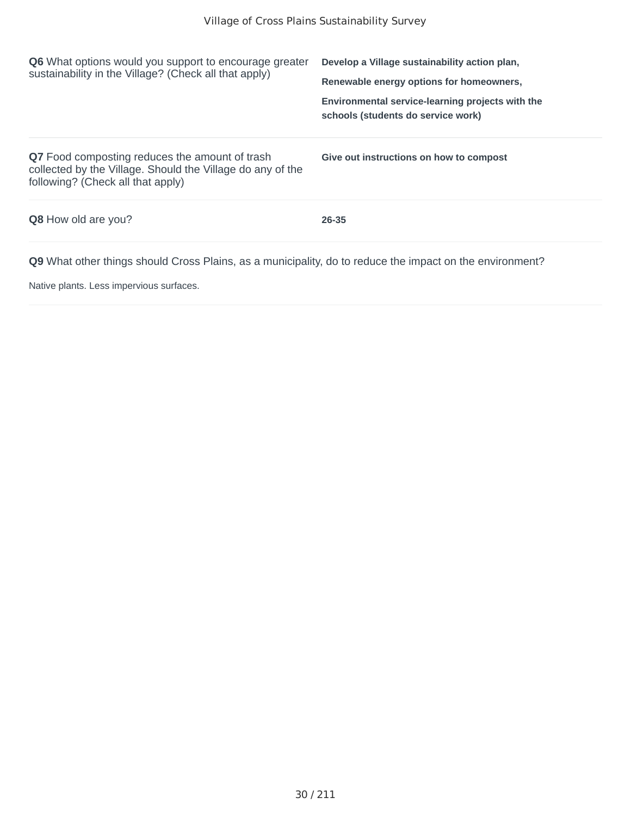| <b>Q6</b> What options would you support to encourage greater<br>sustainability in the Village? (Check all that apply)                            | Develop a Village sustainability action plan,<br>Renewable energy options for homeowners, |
|---------------------------------------------------------------------------------------------------------------------------------------------------|-------------------------------------------------------------------------------------------|
|                                                                                                                                                   | Environmental service-learning projects with the<br>schools (students do service work)    |
| Q7 Food composting reduces the amount of trash<br>collected by the Village. Should the Village do any of the<br>following? (Check all that apply) | Give out instructions on how to compost                                                   |
| <b>Q8</b> How old are you?                                                                                                                        | 26-35                                                                                     |
| <b>Q9</b> What other things should Cross Plains, as a municipality, do to reduce the impact on the environment?                                   |                                                                                           |

Native plants. Less impervious surfaces.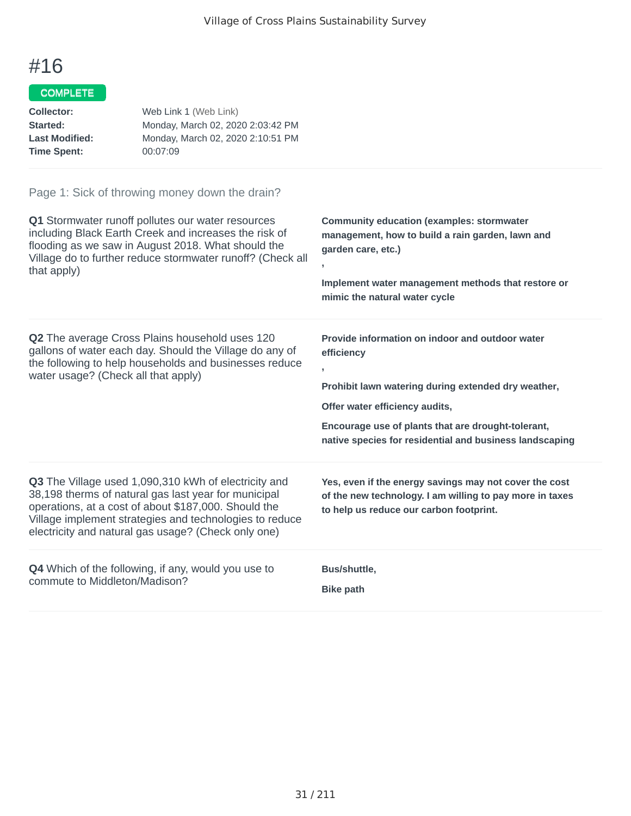### COMPLETE

| Collector:            | Web Link 1 (Web Link)             |
|-----------------------|-----------------------------------|
| Started:              | Monday, March 02, 2020 2:03:42 PM |
| <b>Last Modified:</b> | Monday, March 02, 2020 2:10:51 PM |
| <b>Time Spent:</b>    | 00:07:09                          |

| Q1 Stormwater runoff pollutes our water resources<br>including Black Earth Creek and increases the risk of<br>flooding as we saw in August 2018. What should the<br>Village do to further reduce stormwater runoff? (Check all<br>that apply)                                          | <b>Community education (examples: stormwater</b><br>management, how to build a rain garden, lawn and<br>garden care, etc.)<br>$\mathbf{I}$<br>Implement water management methods that restore or<br>mimic the natural water cycle                                                       |
|----------------------------------------------------------------------------------------------------------------------------------------------------------------------------------------------------------------------------------------------------------------------------------------|-----------------------------------------------------------------------------------------------------------------------------------------------------------------------------------------------------------------------------------------------------------------------------------------|
| <b>Q2</b> The average Cross Plains household uses 120<br>gallons of water each day. Should the Village do any of<br>the following to help households and businesses reduce<br>water usage? (Check all that apply)                                                                      | Provide information on indoor and outdoor water<br>efficiency<br>$\mathbf{I}$<br>Prohibit lawn watering during extended dry weather,<br>Offer water efficiency audits,<br>Encourage use of plants that are drought-tolerant,<br>native species for residential and business landscaping |
| Q3 The Village used 1,090,310 kWh of electricity and<br>38,198 therms of natural gas last year for municipal<br>operations, at a cost of about \$187,000. Should the<br>Village implement strategies and technologies to reduce<br>electricity and natural gas usage? (Check only one) | Yes, even if the energy savings may not cover the cost<br>of the new technology. I am willing to pay more in taxes<br>to help us reduce our carbon footprint.                                                                                                                           |
| <b>Q4</b> Which of the following, if any, would you use to<br>commute to Middleton/Madison?                                                                                                                                                                                            | Bus/shuttle,<br><b>Bike path</b>                                                                                                                                                                                                                                                        |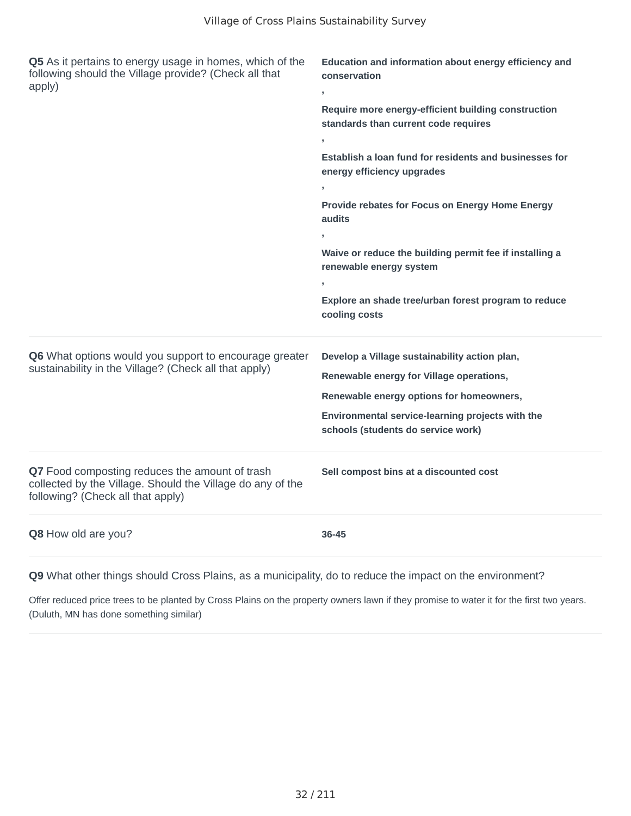| Q5 As it pertains to energy usage in homes, which of the<br>following should the Village provide? (Check all that<br>apply)                       | Education and information about energy efficiency and<br>conservation<br>$\overline{1}$     |  |
|---------------------------------------------------------------------------------------------------------------------------------------------------|---------------------------------------------------------------------------------------------|--|
|                                                                                                                                                   | Require more energy-efficient building construction<br>standards than current code requires |  |
|                                                                                                                                                   | $\,$                                                                                        |  |
|                                                                                                                                                   | Establish a loan fund for residents and businesses for<br>energy efficiency upgrades        |  |
|                                                                                                                                                   | $\overline{1}$                                                                              |  |
|                                                                                                                                                   | Provide rebates for Focus on Energy Home Energy<br>audits                                   |  |
|                                                                                                                                                   |                                                                                             |  |
|                                                                                                                                                   | Waive or reduce the building permit fee if installing a<br>renewable energy system          |  |
|                                                                                                                                                   | $\overline{1}$                                                                              |  |
|                                                                                                                                                   | Explore an shade tree/urban forest program to reduce<br>cooling costs                       |  |
| Q6 What options would you support to encourage greater                                                                                            | Develop a Village sustainability action plan,                                               |  |
| sustainability in the Village? (Check all that apply)                                                                                             | Renewable energy for Village operations,                                                    |  |
|                                                                                                                                                   | Renewable energy options for homeowners,                                                    |  |
|                                                                                                                                                   | Environmental service-learning projects with the<br>schools (students do service work)      |  |
|                                                                                                                                                   |                                                                                             |  |
|                                                                                                                                                   |                                                                                             |  |
| Q7 Food composting reduces the amount of trash<br>collected by the Village. Should the Village do any of the<br>following? (Check all that apply) | Sell compost bins at a discounted cost                                                      |  |

**Q9** What other things should Cross Plains, as a municipality, do to reduce the impact on the environment?

Offer reduced price trees to be planted by Cross Plains on the property owners lawn if they promise to water it for the first two years. (Duluth, MN has done something similar)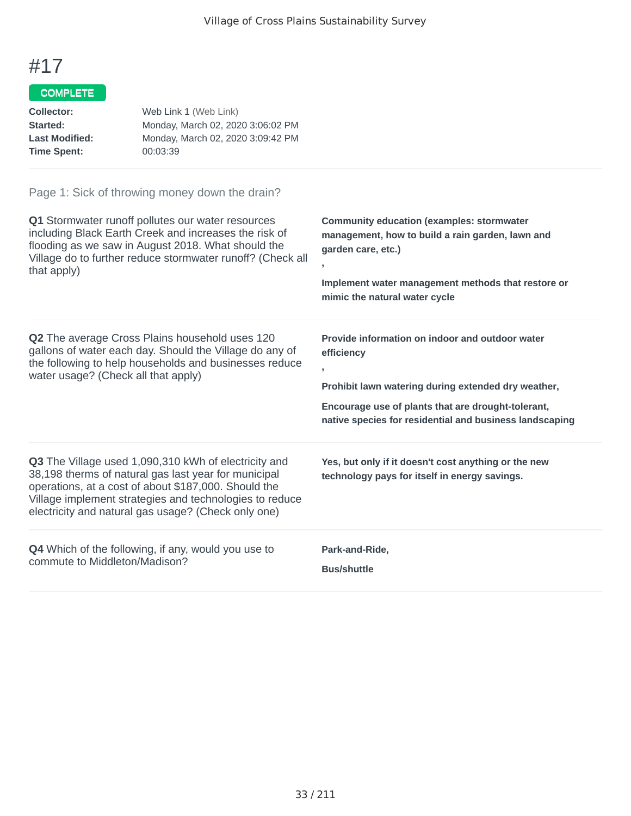### COMPLETE

| Collector:            | Web Link 1 (Web Link)             |
|-----------------------|-----------------------------------|
| Started:              | Monday, March 02, 2020 3:06:02 PM |
| <b>Last Modified:</b> | Monday, March 02, 2020 3:09:42 PM |
| <b>Time Spent:</b>    | 00:03:39                          |

| Q1 Stormwater runoff pollutes our water resources                                                                                                                                                                                                                                      | <b>Community education (examples: stormwater</b>                                                                                                                                                                                            |
|----------------------------------------------------------------------------------------------------------------------------------------------------------------------------------------------------------------------------------------------------------------------------------------|---------------------------------------------------------------------------------------------------------------------------------------------------------------------------------------------------------------------------------------------|
| including Black Earth Creek and increases the risk of                                                                                                                                                                                                                                  | management, how to build a rain garden, lawn and                                                                                                                                                                                            |
| flooding as we saw in August 2018. What should the                                                                                                                                                                                                                                     | garden care, etc.)                                                                                                                                                                                                                          |
| Village do to further reduce stormwater runoff? (Check all                                                                                                                                                                                                                             | Implement water management methods that restore or                                                                                                                                                                                          |
| that apply)                                                                                                                                                                                                                                                                            | mimic the natural water cycle                                                                                                                                                                                                               |
| <b>Q2</b> The average Cross Plains household uses 120<br>gallons of water each day. Should the Village do any of<br>the following to help households and businesses reduce<br>water usage? (Check all that apply)                                                                      | Provide information on indoor and outdoor water<br>efficiency<br>y.<br>Prohibit lawn watering during extended dry weather,<br>Encourage use of plants that are drought-tolerant,<br>native species for residential and business landscaping |
| Q3 The Village used 1,090,310 kWh of electricity and<br>38,198 therms of natural gas last year for municipal<br>operations, at a cost of about \$187,000. Should the<br>Village implement strategies and technologies to reduce<br>electricity and natural gas usage? (Check only one) | Yes, but only if it doesn't cost anything or the new<br>technology pays for itself in energy savings.                                                                                                                                       |
| <b>Q4</b> Which of the following, if any, would you use to                                                                                                                                                                                                                             | Park-and-Ride,                                                                                                                                                                                                                              |
| commute to Middleton/Madison?                                                                                                                                                                                                                                                          | <b>Bus/shuttle</b>                                                                                                                                                                                                                          |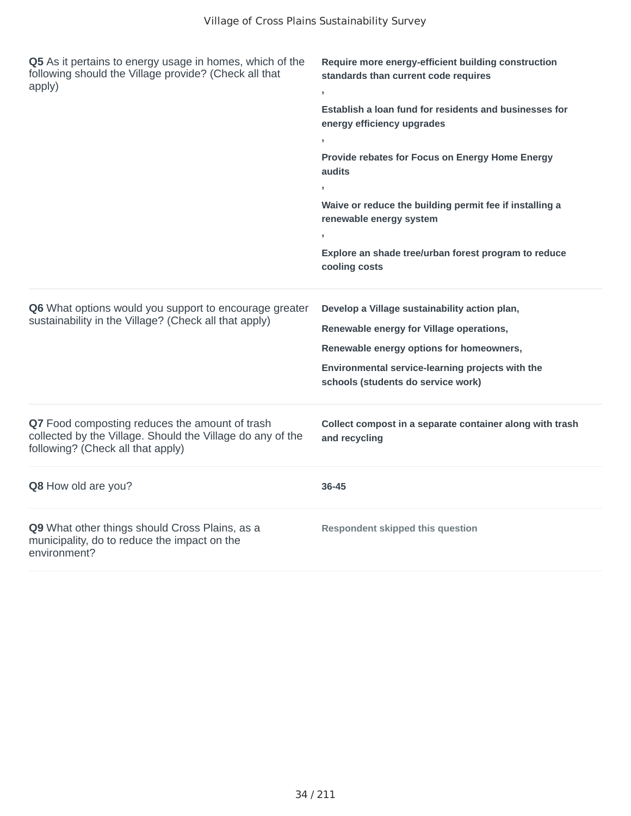| Q5 As it pertains to energy usage in homes, which of the<br>following should the Village provide? (Check all that<br>apply)                       | Require more energy-efficient building construction<br>standards than current code requires |
|---------------------------------------------------------------------------------------------------------------------------------------------------|---------------------------------------------------------------------------------------------|
|                                                                                                                                                   | Establish a loan fund for residents and businesses for<br>energy efficiency upgrades        |
|                                                                                                                                                   | $\mathbf{y}$                                                                                |
|                                                                                                                                                   | Provide rebates for Focus on Energy Home Energy<br>audits                                   |
|                                                                                                                                                   |                                                                                             |
|                                                                                                                                                   | Waive or reduce the building permit fee if installing a<br>renewable energy system          |
|                                                                                                                                                   | $\mathbf{r}$                                                                                |
|                                                                                                                                                   | Explore an shade tree/urban forest program to reduce<br>cooling costs                       |
| Q6 What options would you support to encourage greater<br>sustainability in the Village? (Check all that apply)                                   | Develop a Village sustainability action plan,                                               |
|                                                                                                                                                   | Renewable energy for Village operations,                                                    |
|                                                                                                                                                   | Renewable energy options for homeowners,                                                    |
|                                                                                                                                                   | Environmental service-learning projects with the<br>schools (students do service work)      |
| Q7 Food composting reduces the amount of trash<br>collected by the Village. Should the Village do any of the<br>following? (Check all that apply) | Collect compost in a separate container along with trash<br>and recycling                   |
| Q8 How old are you?                                                                                                                               | 36-45                                                                                       |
| Q9 What other things should Cross Plains, as a<br>municipality, do to reduce the impact on the<br>environment?                                    | <b>Respondent skipped this question</b>                                                     |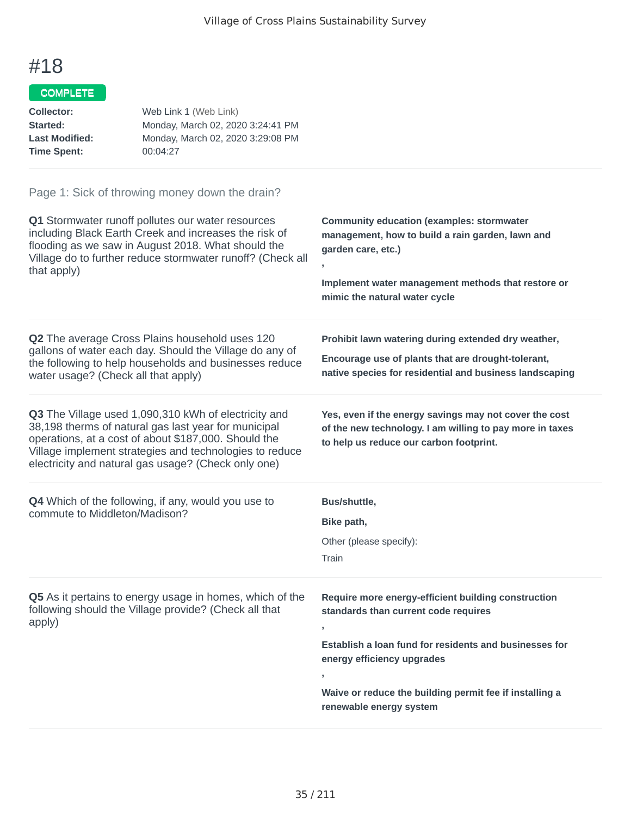### COMPLETE

| Collector:            | Web Link 1 (Web Link)             |
|-----------------------|-----------------------------------|
| Started:              | Monday, March 02, 2020 3:24:41 PM |
| <b>Last Modified:</b> | Monday, March 02, 2020 3:29:08 PM |
| <b>Time Spent:</b>    | 00:04:27                          |

| Q1 Stormwater runoff pollutes our water resources<br>including Black Earth Creek and increases the risk of<br>flooding as we saw in August 2018. What should the<br>Village do to further reduce stormwater runoff? (Check all<br>that apply)                                          | <b>Community education (examples: stormwater</b><br>management, how to build a rain garden, lawn and<br>garden care, etc.)<br>$\overline{1}$<br>Implement water management methods that restore or<br>mimic the natural water cycle                                       |
|----------------------------------------------------------------------------------------------------------------------------------------------------------------------------------------------------------------------------------------------------------------------------------------|---------------------------------------------------------------------------------------------------------------------------------------------------------------------------------------------------------------------------------------------------------------------------|
| Q2 The average Cross Plains household uses 120<br>gallons of water each day. Should the Village do any of<br>the following to help households and businesses reduce<br>water usage? (Check all that apply)                                                                             | Prohibit lawn watering during extended dry weather,<br>Encourage use of plants that are drought-tolerant,<br>native species for residential and business landscaping                                                                                                      |
| Q3 The Village used 1,090,310 kWh of electricity and<br>38,198 therms of natural gas last year for municipal<br>operations, at a cost of about \$187,000. Should the<br>Village implement strategies and technologies to reduce<br>electricity and natural gas usage? (Check only one) | Yes, even if the energy savings may not cover the cost<br>of the new technology. I am willing to pay more in taxes<br>to help us reduce our carbon footprint.                                                                                                             |
| <b>Q4</b> Which of the following, if any, would you use to<br>commute to Middleton/Madison?                                                                                                                                                                                            | Bus/shuttle,<br>Bike path,<br>Other (please specify):<br>Train                                                                                                                                                                                                            |
| Q5 As it pertains to energy usage in homes, which of the<br>following should the Village provide? (Check all that<br>apply)                                                                                                                                                            | Require more energy-efficient building construction<br>standards than current code requires<br>Establish a loan fund for residents and businesses for<br>energy efficiency upgrades<br>Waive or reduce the building permit fee if installing a<br>renewable energy system |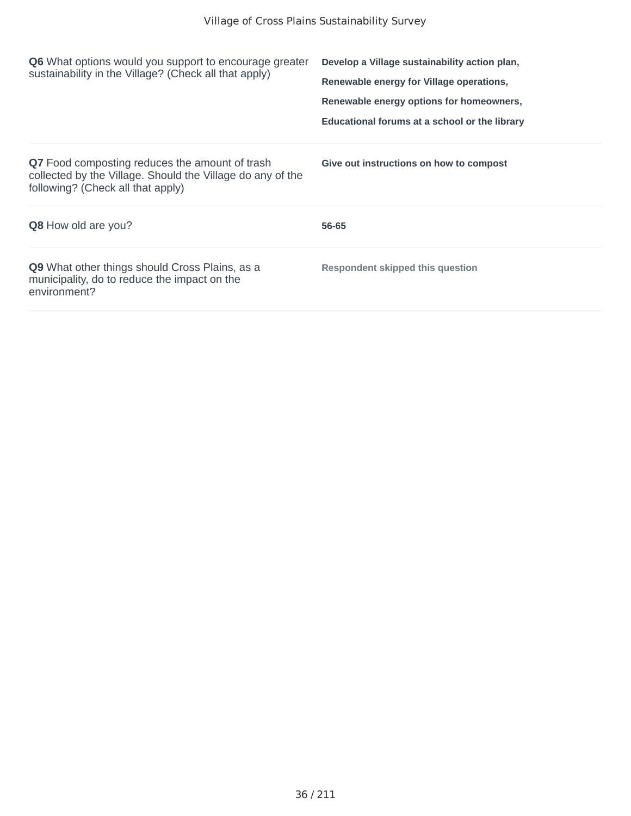| Q6 What options would you support to encourage greater<br>sustainability in the Village? (Check all that apply)                                          | Develop a Village sustainability action plan,<br>Renewable energy for Village operations,<br>Renewable energy options for homeowners,<br>Educational forums at a school or the library |
|----------------------------------------------------------------------------------------------------------------------------------------------------------|----------------------------------------------------------------------------------------------------------------------------------------------------------------------------------------|
| <b>Q7</b> Food composting reduces the amount of trash<br>collected by the Village. Should the Village do any of the<br>following? (Check all that apply) | Give out instructions on how to compost                                                                                                                                                |
| <b>Q8</b> How old are you?                                                                                                                               | 56-65                                                                                                                                                                                  |
| <b>Q9</b> What other things should Cross Plains, as a<br>municipality, do to reduce the impact on the<br>environment?                                    | <b>Respondent skipped this question</b>                                                                                                                                                |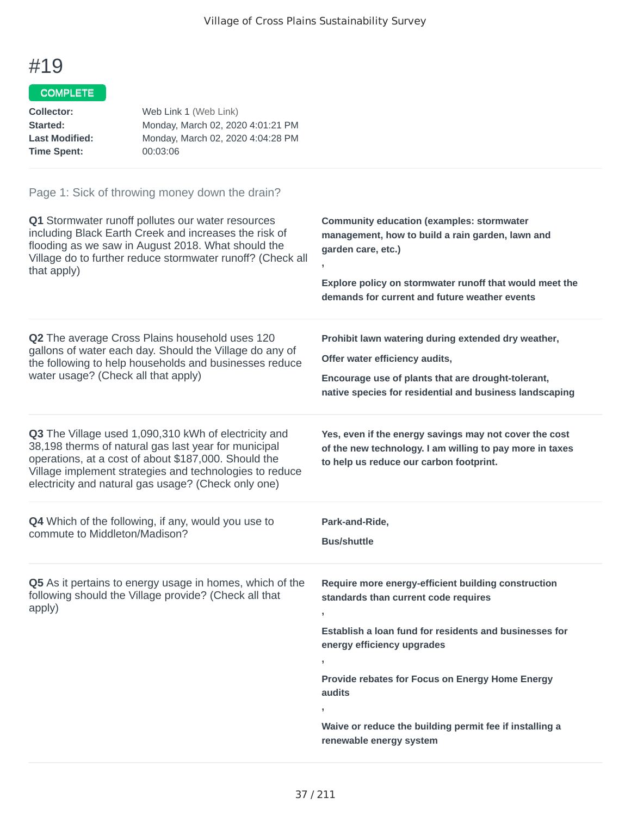## COMPLETE

| Web Link 1 (Web Link)             |
|-----------------------------------|
| Monday, March 02, 2020 4:01:21 PM |
| Monday, March 02, 2020 4:04:28 PM |
| 00:03:06                          |
|                                   |

| Q1 Stormwater runoff pollutes our water resources                                                                                                                                                                                                                                      | <b>Community education (examples: stormwater</b>                                                                                                                                                                                                                                                                       |
|----------------------------------------------------------------------------------------------------------------------------------------------------------------------------------------------------------------------------------------------------------------------------------------|------------------------------------------------------------------------------------------------------------------------------------------------------------------------------------------------------------------------------------------------------------------------------------------------------------------------|
| including Black Earth Creek and increases the risk of                                                                                                                                                                                                                                  | management, how to build a rain garden, lawn and                                                                                                                                                                                                                                                                       |
| flooding as we saw in August 2018. What should the                                                                                                                                                                                                                                     | garden care, etc.)                                                                                                                                                                                                                                                                                                     |
| Village do to further reduce stormwater runoff? (Check all                                                                                                                                                                                                                             | Explore policy on stormwater runoff that would meet the                                                                                                                                                                                                                                                                |
| that apply)                                                                                                                                                                                                                                                                            | demands for current and future weather events                                                                                                                                                                                                                                                                          |
| Q2 The average Cross Plains household uses 120                                                                                                                                                                                                                                         | Prohibit lawn watering during extended dry weather,                                                                                                                                                                                                                                                                    |
| gallons of water each day. Should the Village do any of                                                                                                                                                                                                                                | Offer water efficiency audits,                                                                                                                                                                                                                                                                                         |
| the following to help households and businesses reduce                                                                                                                                                                                                                                 | Encourage use of plants that are drought-tolerant,                                                                                                                                                                                                                                                                     |
| water usage? (Check all that apply)                                                                                                                                                                                                                                                    | native species for residential and business landscaping                                                                                                                                                                                                                                                                |
| Q3 The Village used 1,090,310 kWh of electricity and<br>38,198 therms of natural gas last year for municipal<br>operations, at a cost of about \$187,000. Should the<br>Village implement strategies and technologies to reduce<br>electricity and natural gas usage? (Check only one) | Yes, even if the energy savings may not cover the cost<br>of the new technology. I am willing to pay more in taxes<br>to help us reduce our carbon footprint.                                                                                                                                                          |
| <b>Q4</b> Which of the following, if any, would you use to                                                                                                                                                                                                                             | Park-and-Ride,                                                                                                                                                                                                                                                                                                         |
| commute to Middleton/Madison?                                                                                                                                                                                                                                                          | <b>Bus/shuttle</b>                                                                                                                                                                                                                                                                                                     |
| Q5 As it pertains to energy usage in homes, which of the<br>following should the Village provide? (Check all that<br>apply)                                                                                                                                                            | Require more energy-efficient building construction<br>standards than current code requires<br>Establish a loan fund for residents and businesses for<br>energy efficiency upgrades<br>,<br>Provide rebates for Focus on Energy Home Energy<br>audits<br>y.<br>Waive or reduce the building permit fee if installing a |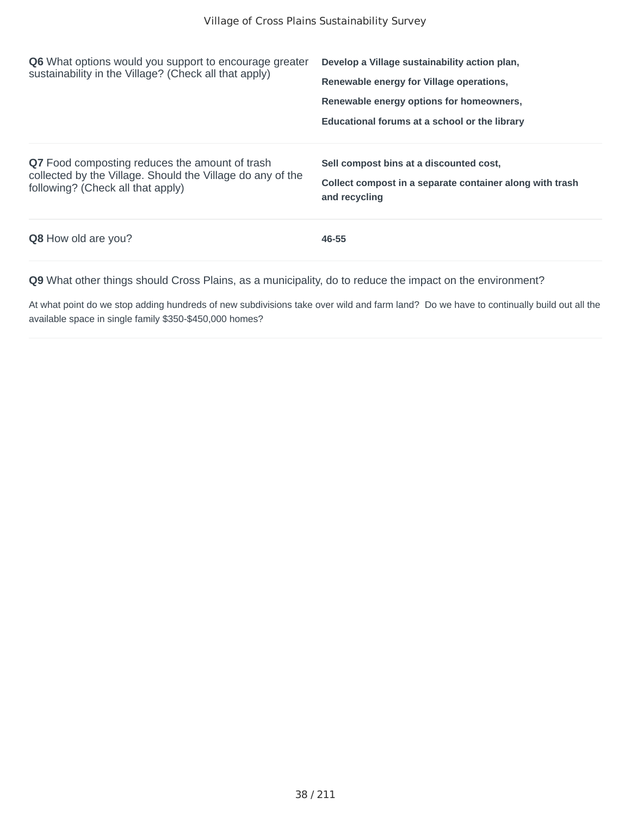| <b>Q6</b> What options would you support to encourage greater<br>sustainability in the Village? (Check all that apply)                            | Develop a Village sustainability action plan,<br>Renewable energy for Village operations,<br>Renewable energy options for homeowners,<br>Educational forums at a school or the library |
|---------------------------------------------------------------------------------------------------------------------------------------------------|----------------------------------------------------------------------------------------------------------------------------------------------------------------------------------------|
| Q7 Food composting reduces the amount of trash<br>collected by the Village. Should the Village do any of the<br>following? (Check all that apply) | Sell compost bins at a discounted cost,<br>Collect compost in a separate container along with trash<br>and recycling                                                                   |
| <b>Q8</b> How old are you?                                                                                                                        | 46-55                                                                                                                                                                                  |

At what point do we stop adding hundreds of new subdivisions take over wild and farm land? Do we have to continually build out all the available space in single family \$350-\$450,000 homes?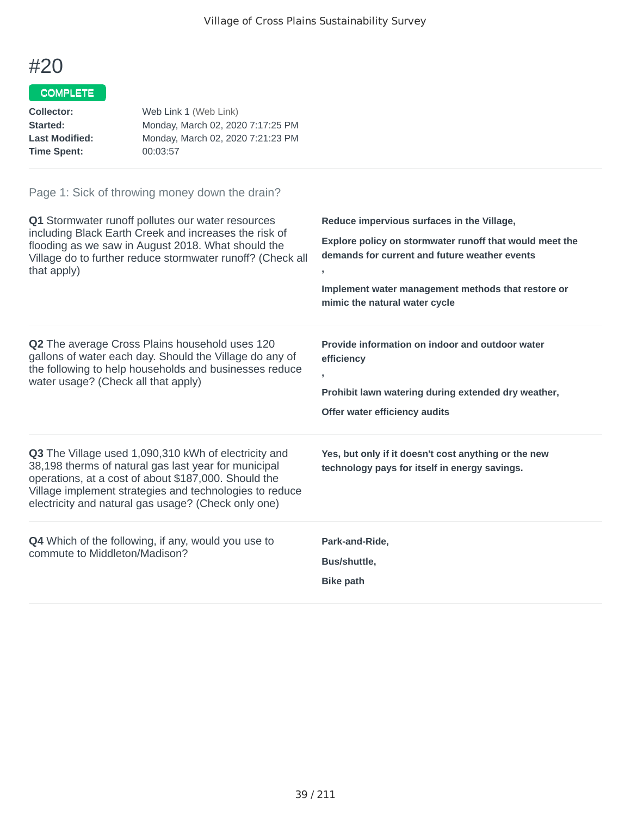## COMPLETE

| Collector:            | Web Link 1 (Web Link)             |
|-----------------------|-----------------------------------|
| Started:              | Monday, March 02, 2020 7:17:25 PM |
| <b>Last Modified:</b> | Monday, March 02, 2020 7:21:23 PM |
| <b>Time Spent:</b>    | 00:03:57                          |

| Q1 Stormwater runoff pollutes our water resources<br>including Black Earth Creek and increases the risk of<br>flooding as we saw in August 2018. What should the<br>Village do to further reduce stormwater runoff? (Check all<br>that apply)                                                 | Reduce impervious surfaces in the Village,<br>Explore policy on stormwater runoff that would meet the<br>demands for current and future weather events<br>J.<br>Implement water management methods that restore or<br>mimic the natural water cycle |
|-----------------------------------------------------------------------------------------------------------------------------------------------------------------------------------------------------------------------------------------------------------------------------------------------|-----------------------------------------------------------------------------------------------------------------------------------------------------------------------------------------------------------------------------------------------------|
| <b>Q2</b> The average Cross Plains household uses 120<br>gallons of water each day. Should the Village do any of<br>the following to help households and businesses reduce<br>water usage? (Check all that apply)                                                                             | Provide information on indoor and outdoor water<br>efficiency<br>J.<br>Prohibit lawn watering during extended dry weather,<br>Offer water efficiency audits                                                                                         |
| <b>Q3</b> The Village used 1,090,310 kWh of electricity and<br>38,198 therms of natural gas last year for municipal<br>operations, at a cost of about \$187,000. Should the<br>Village implement strategies and technologies to reduce<br>electricity and natural gas usage? (Check only one) | Yes, but only if it doesn't cost anything or the new<br>technology pays for itself in energy savings.                                                                                                                                               |
| <b>Q4</b> Which of the following, if any, would you use to<br>commute to Middleton/Madison?                                                                                                                                                                                                   | Park-and-Ride,<br>Bus/shuttle,<br><b>Bike path</b>                                                                                                                                                                                                  |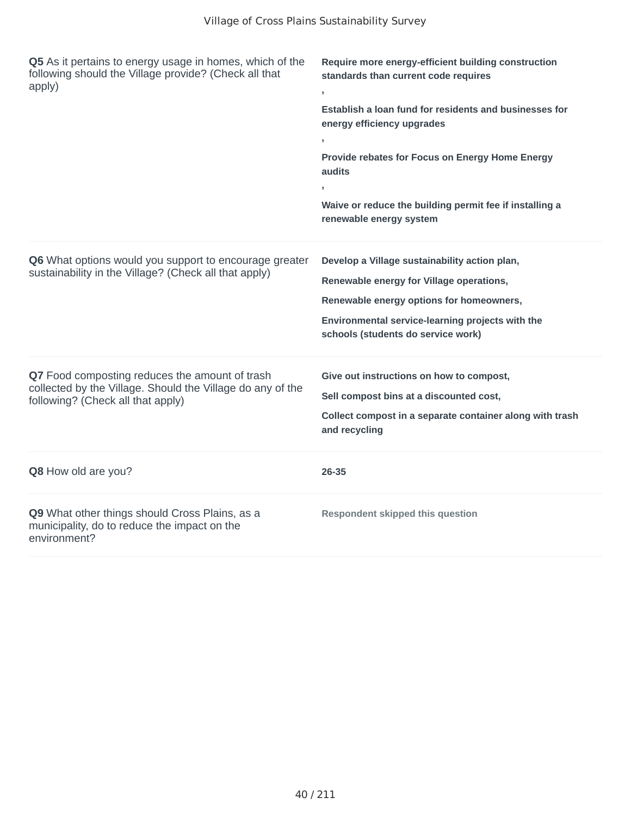| Q5 As it pertains to energy usage in homes, which of the<br>following should the Village provide? (Check all that<br>apply)                       | Require more energy-efficient building construction<br>standards than current code requires<br><b>Establish a loan fund for residents and businesses for</b><br>energy efficiency upgrades<br>Provide rebates for Focus on Energy Home Energy<br>audits<br>Waive or reduce the building permit fee if installing a |
|---------------------------------------------------------------------------------------------------------------------------------------------------|--------------------------------------------------------------------------------------------------------------------------------------------------------------------------------------------------------------------------------------------------------------------------------------------------------------------|
|                                                                                                                                                   | renewable energy system                                                                                                                                                                                                                                                                                            |
| Q6 What options would you support to encourage greater<br>sustainability in the Village? (Check all that apply)                                   | Develop a Village sustainability action plan,<br>Renewable energy for Village operations,<br>Renewable energy options for homeowners,<br>Environmental service-learning projects with the<br>schools (students do service work)                                                                                    |
| Q7 Food composting reduces the amount of trash<br>collected by the Village. Should the Village do any of the<br>following? (Check all that apply) | Give out instructions on how to compost,<br>Sell compost bins at a discounted cost,<br>Collect compost in a separate container along with trash<br>and recycling                                                                                                                                                   |
| Q8 How old are you?                                                                                                                               | 26-35                                                                                                                                                                                                                                                                                                              |
| Q9 What other things should Cross Plains, as a<br>municipality, do to reduce the impact on the<br>environment?                                    | <b>Respondent skipped this question</b>                                                                                                                                                                                                                                                                            |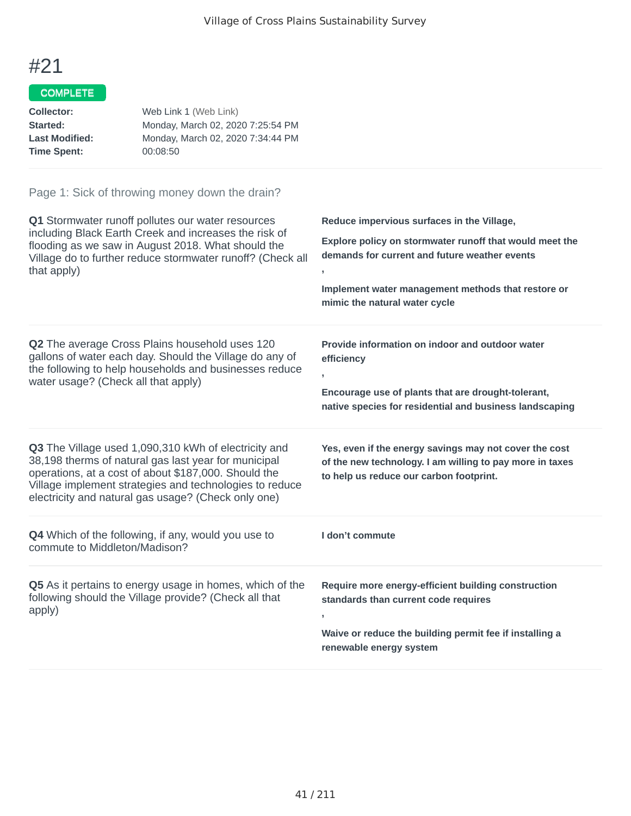## COMPLETE

| Collector:            | Web Link 1 (Web Link)             |
|-----------------------|-----------------------------------|
| Started:              | Monday, March 02, 2020 7:25:54 PM |
| <b>Last Modified:</b> | Monday, March 02, 2020 7:34:44 PM |
| <b>Time Spent:</b>    | 00:08:50                          |

| Q1 Stormwater runoff pollutes our water resources<br>including Black Earth Creek and increases the risk of<br>flooding as we saw in August 2018. What should the                                                                                                                              | Reduce impervious surfaces in the Village,<br>Explore policy on stormwater runoff that would meet the                                                         |
|-----------------------------------------------------------------------------------------------------------------------------------------------------------------------------------------------------------------------------------------------------------------------------------------------|---------------------------------------------------------------------------------------------------------------------------------------------------------------|
| Village do to further reduce stormwater runoff? (Check all<br>that apply)                                                                                                                                                                                                                     | demands for current and future weather events                                                                                                                 |
|                                                                                                                                                                                                                                                                                               | Implement water management methods that restore or<br>mimic the natural water cycle                                                                           |
| Q2 The average Cross Plains household uses 120<br>gallons of water each day. Should the Village do any of<br>the following to help households and businesses reduce                                                                                                                           | Provide information on indoor and outdoor water<br>efficiency                                                                                                 |
| water usage? (Check all that apply)                                                                                                                                                                                                                                                           | Encourage use of plants that are drought-tolerant,<br>native species for residential and business landscaping                                                 |
| <b>Q3</b> The Village used 1,090,310 kWh of electricity and<br>38,198 therms of natural gas last year for municipal<br>operations, at a cost of about \$187,000. Should the<br>Village implement strategies and technologies to reduce<br>electricity and natural gas usage? (Check only one) | Yes, even if the energy savings may not cover the cost<br>of the new technology. I am willing to pay more in taxes<br>to help us reduce our carbon footprint. |
| <b>Q4</b> Which of the following, if any, would you use to<br>commute to Middleton/Madison?                                                                                                                                                                                                   | I don't commute                                                                                                                                               |
| Q5 As it pertains to energy usage in homes, which of the<br>following should the Village provide? (Check all that<br>apply)                                                                                                                                                                   | Require more energy-efficient building construction<br>standards than current code requires                                                                   |
|                                                                                                                                                                                                                                                                                               | Waive or reduce the building permit fee if installing a<br>renewable energy system                                                                            |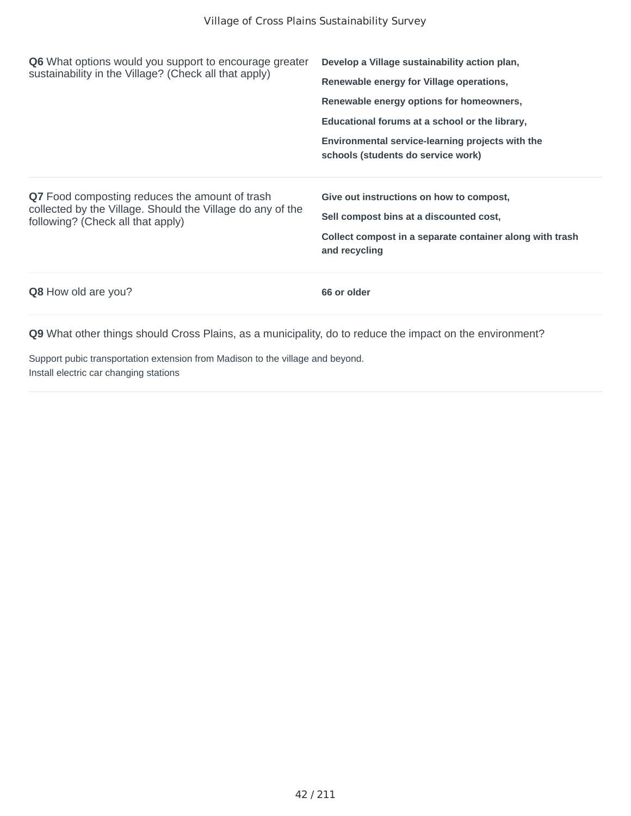| <b>Q6</b> What options would you support to encourage greater<br>sustainability in the Village? (Check all that apply)                                   | Develop a Village sustainability action plan,<br>Renewable energy for Village operations,<br>Renewable energy options for homeowners,<br>Educational forums at a school or the library,<br>Environmental service-learning projects with the<br>schools (students do service work) |
|----------------------------------------------------------------------------------------------------------------------------------------------------------|-----------------------------------------------------------------------------------------------------------------------------------------------------------------------------------------------------------------------------------------------------------------------------------|
| <b>Q7</b> Food composting reduces the amount of trash<br>collected by the Village. Should the Village do any of the<br>following? (Check all that apply) | Give out instructions on how to compost,<br>Sell compost bins at a discounted cost,<br>Collect compost in a separate container along with trash<br>and recycling                                                                                                                  |
| <b>Q8</b> How old are you?                                                                                                                               | 66 or older                                                                                                                                                                                                                                                                       |

Support pubic transportation extension from Madison to the village and beyond. Install electric car changing stations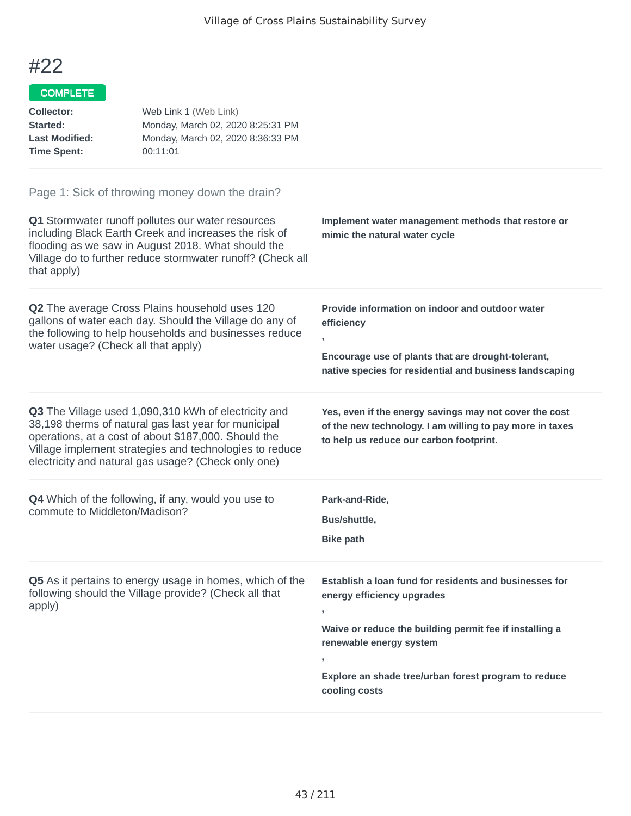| <b>Collector:</b><br>Started:<br><b>Last Modified:</b><br><b>Time Spent:</b> | Web Link 1 (Web Link)<br>Monday, March 02, 2020 8:25:31 PM<br>Monday, March 02, 2020 8:36:33 PM<br>00:11:01                                                                                                                                                                            |                                                                                                                                                                                                                                                                |
|------------------------------------------------------------------------------|----------------------------------------------------------------------------------------------------------------------------------------------------------------------------------------------------------------------------------------------------------------------------------------|----------------------------------------------------------------------------------------------------------------------------------------------------------------------------------------------------------------------------------------------------------------|
| that apply)                                                                  | Page 1: Sick of throwing money down the drain?<br>Q1 Stormwater runoff pollutes our water resources<br>including Black Earth Creek and increases the risk of<br>flooding as we saw in August 2018. What should the<br>Village do to further reduce stormwater runoff? (Check all       | Implement water management methods that restore or<br>mimic the natural water cycle                                                                                                                                                                            |
| water usage? (Check all that apply)                                          | Q2 The average Cross Plains household uses 120<br>gallons of water each day. Should the Village do any of<br>the following to help households and businesses reduce                                                                                                                    | Provide information on indoor and outdoor water<br>efficiency<br>$\overline{1}$<br>Encourage use of plants that are drought-tolerant,<br>native species for residential and business landscaping                                                               |
|                                                                              | Q3 The Village used 1,090,310 kWh of electricity and<br>38,198 therms of natural gas last year for municipal<br>operations, at a cost of about \$187,000. Should the<br>Village implement strategies and technologies to reduce<br>electricity and natural gas usage? (Check only one) | Yes, even if the energy savings may not cover the cost<br>of the new technology. I am willing to pay more in taxes<br>to help us reduce our carbon footprint.                                                                                                  |
| commute to Middleton/Madison?                                                | <b>Q4</b> Which of the following, if any, would you use to                                                                                                                                                                                                                             | Park-and-Ride,<br>Bus/shuttle,<br><b>Bike path</b>                                                                                                                                                                                                             |
| apply)                                                                       | <b>Q5</b> As it pertains to energy usage in homes, which of the<br>following should the Village provide? (Check all that                                                                                                                                                               | Establish a loan fund for residents and businesses for<br>energy efficiency upgrades<br>y<br>Waive or reduce the building permit fee if installing a<br>renewable energy system<br>J.<br>Explore an shade tree/urban forest program to reduce<br>cooling costs |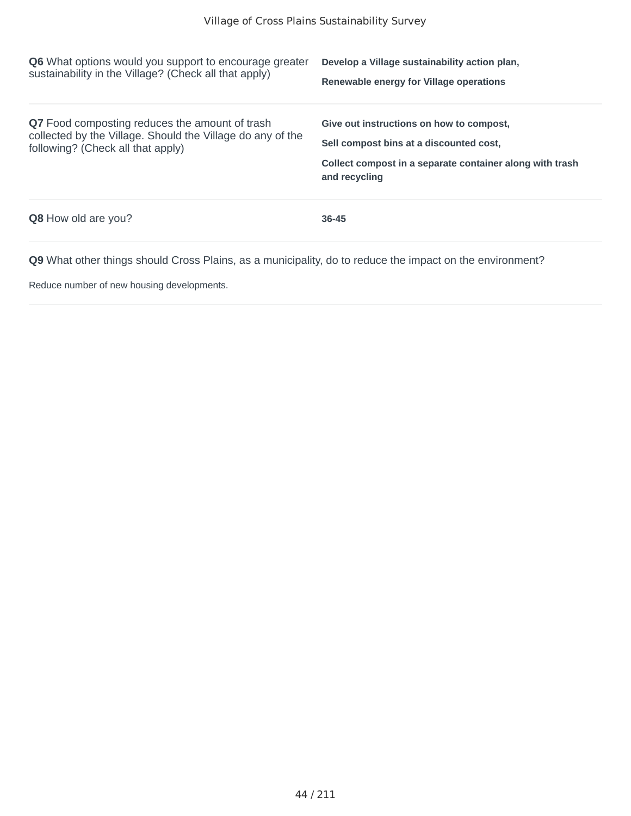| <b>Q6</b> What options would you support to encourage greater<br>sustainability in the Village? (Check all that apply)                                   | Develop a Village sustainability action plan,<br>Renewable energy for Village operations                                                                         |
|----------------------------------------------------------------------------------------------------------------------------------------------------------|------------------------------------------------------------------------------------------------------------------------------------------------------------------|
| <b>Q7</b> Food composting reduces the amount of trash<br>collected by the Village. Should the Village do any of the<br>following? (Check all that apply) | Give out instructions on how to compost,<br>Sell compost bins at a discounted cost.<br>Collect compost in a separate container along with trash<br>and recycling |
| <b>Q8</b> How old are you?                                                                                                                               | $36 - 45$                                                                                                                                                        |

Reduce number of new housing developments.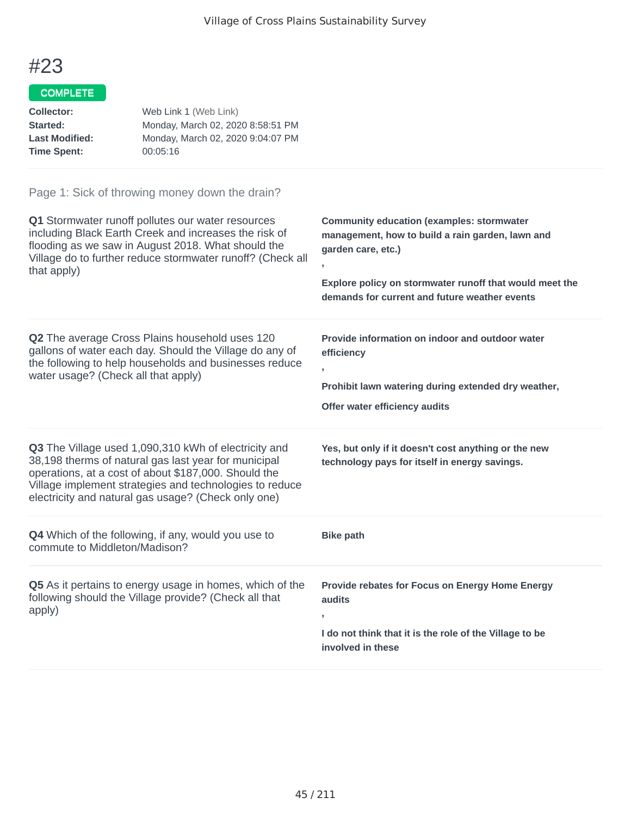## COMPLETE

| Web Link 1 (Web Link)             |
|-----------------------------------|
| Monday, March 02, 2020 8:58:51 PM |
| Monday, March 02, 2020 9:04:07 PM |
| 00:05:16                          |
|                                   |

| Q1 Stormwater runoff pollutes our water resources<br>including Black Earth Creek and increases the risk of<br>flooding as we saw in August 2018. What should the<br>Village do to further reduce stormwater runoff? (Check all<br>that apply)                                          | <b>Community education (examples: stormwater</b><br>management, how to build a rain garden, lawn and<br>garden care, etc.)<br>Explore policy on stormwater runoff that would meet the<br>demands for current and future weather events |
|----------------------------------------------------------------------------------------------------------------------------------------------------------------------------------------------------------------------------------------------------------------------------------------|----------------------------------------------------------------------------------------------------------------------------------------------------------------------------------------------------------------------------------------|
| <b>Q2</b> The average Cross Plains household uses 120<br>gallons of water each day. Should the Village do any of<br>the following to help households and businesses reduce<br>water usage? (Check all that apply)                                                                      | Provide information on indoor and outdoor water<br>efficiency<br>y<br>Prohibit lawn watering during extended dry weather,<br>Offer water efficiency audits                                                                             |
| Q3 The Village used 1,090,310 kWh of electricity and<br>38,198 therms of natural gas last year for municipal<br>operations, at a cost of about \$187,000. Should the<br>Village implement strategies and technologies to reduce<br>electricity and natural gas usage? (Check only one) | Yes, but only if it doesn't cost anything or the new<br>technology pays for itself in energy savings.                                                                                                                                  |
| Q4 Which of the following, if any, would you use to<br>commute to Middleton/Madison?                                                                                                                                                                                                   | <b>Bike path</b>                                                                                                                                                                                                                       |
| Q5 As it pertains to energy usage in homes, which of the<br>following should the Village provide? (Check all that<br>apply)                                                                                                                                                            | Provide rebates for Focus on Energy Home Energy<br>audits<br>y.<br>I do not think that it is the role of the Village to be<br>involved in these                                                                                        |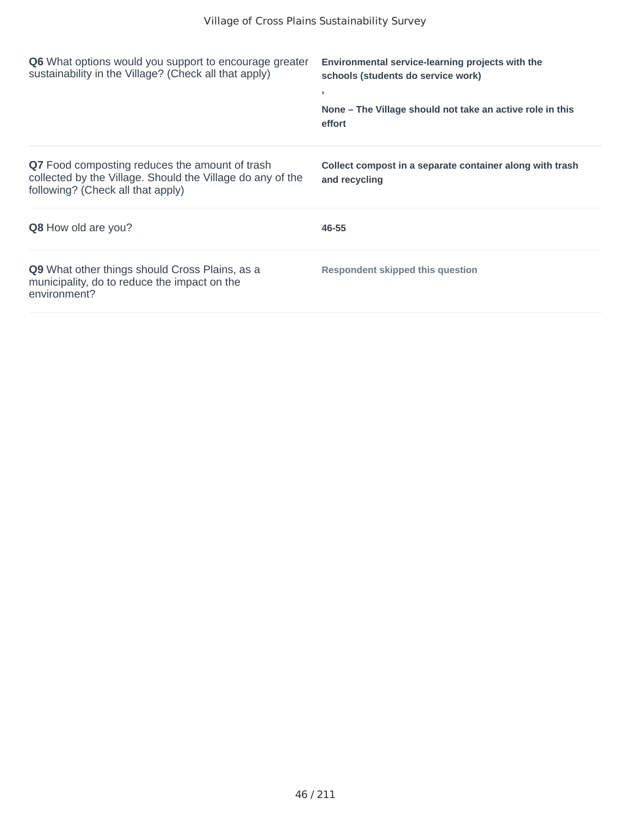| <b>Q6</b> What options would you support to encourage greater<br>sustainability in the Village? (Check all that apply)                                   | Environmental service-learning projects with the<br>schools (students do service work)<br>э.<br>None – The Village should not take an active role in this<br>effort |
|----------------------------------------------------------------------------------------------------------------------------------------------------------|---------------------------------------------------------------------------------------------------------------------------------------------------------------------|
| <b>Q7</b> Food composting reduces the amount of trash<br>collected by the Village. Should the Village do any of the<br>following? (Check all that apply) | Collect compost in a separate container along with trash<br>and recycling                                                                                           |
| <b>Q8</b> How old are you?                                                                                                                               | 46-55                                                                                                                                                               |
| <b>Q9</b> What other things should Cross Plains, as a<br>municipality, do to reduce the impact on the<br>environment?                                    | <b>Respondent skipped this question</b>                                                                                                                             |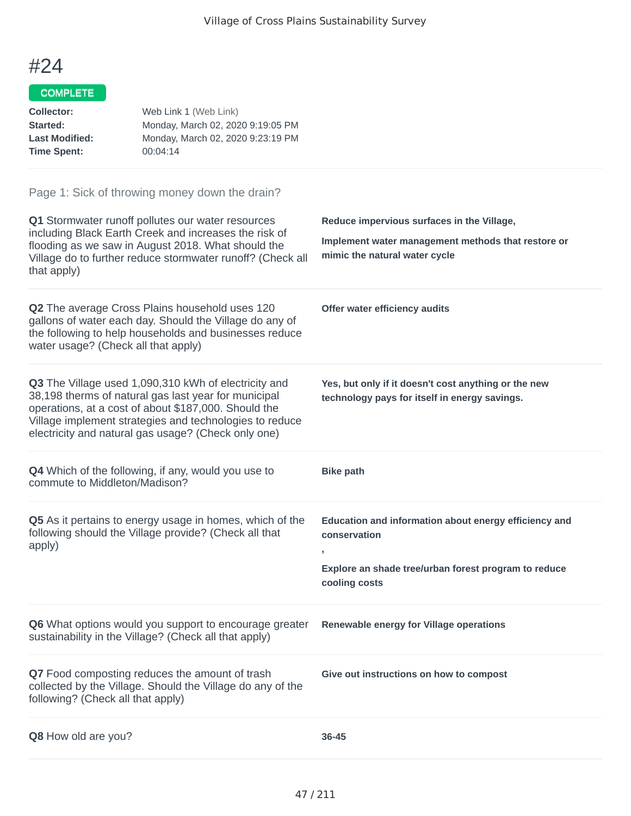| <b>Collector:</b><br>Started:<br><b>Last Modified:</b><br><b>Time Spent:</b> | Web Link 1 (Web Link)<br>Monday, March 02, 2020 9:19:05 PM<br>Monday, March 02, 2020 9:23:19 PM<br>00:04:14                                                                                                                                                                            |                                                                                                                                     |
|------------------------------------------------------------------------------|----------------------------------------------------------------------------------------------------------------------------------------------------------------------------------------------------------------------------------------------------------------------------------------|-------------------------------------------------------------------------------------------------------------------------------------|
|                                                                              | Page 1: Sick of throwing money down the drain?<br>Q1 Stormwater runoff pollutes our water resources                                                                                                                                                                                    | Reduce impervious surfaces in the Village,                                                                                          |
| that apply)                                                                  | including Black Earth Creek and increases the risk of<br>flooding as we saw in August 2018. What should the<br>Village do to further reduce stormwater runoff? (Check all                                                                                                              | Implement water management methods that restore or<br>mimic the natural water cycle                                                 |
| water usage? (Check all that apply)                                          | <b>Q2</b> The average Cross Plains household uses 120<br>gallons of water each day. Should the Village do any of<br>the following to help households and businesses reduce                                                                                                             | Offer water efficiency audits                                                                                                       |
|                                                                              | Q3 The Village used 1,090,310 kWh of electricity and<br>38,198 therms of natural gas last year for municipal<br>operations, at a cost of about \$187,000. Should the<br>Village implement strategies and technologies to reduce<br>electricity and natural gas usage? (Check only one) | Yes, but only if it doesn't cost anything or the new<br>technology pays for itself in energy savings.                               |
| commute to Middleton/Madison?                                                | <b>Q4</b> Which of the following, if any, would you use to                                                                                                                                                                                                                             | <b>Bike path</b>                                                                                                                    |
| apply)                                                                       | Q5 As it pertains to energy usage in homes, which of the<br>following should the Village provide? (Check all that                                                                                                                                                                      | Education and information about energy efficiency and<br>conservation<br>J.<br>Explore an shade tree/urban forest program to reduce |
|                                                                              |                                                                                                                                                                                                                                                                                        | cooling costs                                                                                                                       |
|                                                                              | Q6 What options would you support to encourage greater<br>sustainability in the Village? (Check all that apply)                                                                                                                                                                        | Renewable energy for Village operations                                                                                             |
| following? (Check all that apply)                                            | Q7 Food composting reduces the amount of trash<br>collected by the Village. Should the Village do any of the                                                                                                                                                                           | Give out instructions on how to compost                                                                                             |
| Q8 How old are you?                                                          |                                                                                                                                                                                                                                                                                        | 36-45                                                                                                                               |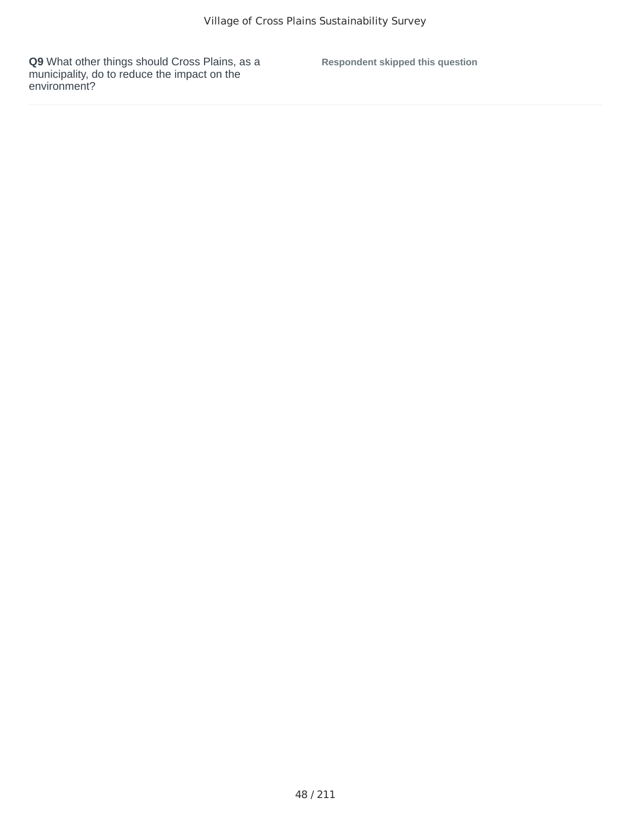**Respondent skipped this question**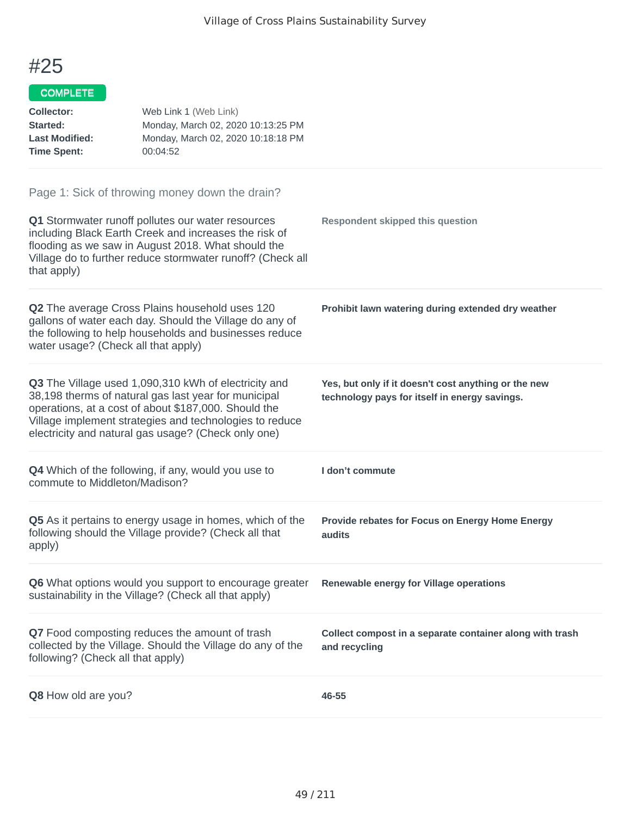| <b>Collector:</b><br>Started:<br><b>Last Modified:</b><br><b>Time Spent:</b> | Web Link 1 (Web Link)<br>Monday, March 02, 2020 10:13:25 PM<br>Monday, March 02, 2020 10:18:18 PM<br>00:04:52                                                                                                                                                                          |                                                                                                       |
|------------------------------------------------------------------------------|----------------------------------------------------------------------------------------------------------------------------------------------------------------------------------------------------------------------------------------------------------------------------------------|-------------------------------------------------------------------------------------------------------|
| that apply)                                                                  | Page 1: Sick of throwing money down the drain?<br>Q1 Stormwater runoff pollutes our water resources<br>including Black Earth Creek and increases the risk of<br>flooding as we saw in August 2018. What should the<br>Village do to further reduce stormwater runoff? (Check all       | <b>Respondent skipped this question</b>                                                               |
| water usage? (Check all that apply)                                          | Q2 The average Cross Plains household uses 120<br>gallons of water each day. Should the Village do any of<br>the following to help households and businesses reduce                                                                                                                    | Prohibit lawn watering during extended dry weather                                                    |
|                                                                              | Q3 The Village used 1,090,310 kWh of electricity and<br>38,198 therms of natural gas last year for municipal<br>operations, at a cost of about \$187,000. Should the<br>Village implement strategies and technologies to reduce<br>electricity and natural gas usage? (Check only one) | Yes, but only if it doesn't cost anything or the new<br>technology pays for itself in energy savings. |
| commute to Middleton/Madison?                                                | Q4 Which of the following, if any, would you use to                                                                                                                                                                                                                                    | I don't commute                                                                                       |
| apply)                                                                       | Q5 As it pertains to energy usage in homes, which of the<br>following should the Village provide? (Check all that                                                                                                                                                                      | Provide rebates for Focus on Energy Home Energy<br>audits                                             |
|                                                                              | <b>Q6</b> What options would you support to encourage greater<br>sustainability in the Village? (Check all that apply)                                                                                                                                                                 | Renewable energy for Village operations                                                               |
| following? (Check all that apply)                                            | Q7 Food composting reduces the amount of trash<br>collected by the Village. Should the Village do any of the                                                                                                                                                                           | Collect compost in a separate container along with trash<br>and recycling                             |
| Q8 How old are you?                                                          |                                                                                                                                                                                                                                                                                        | 46-55                                                                                                 |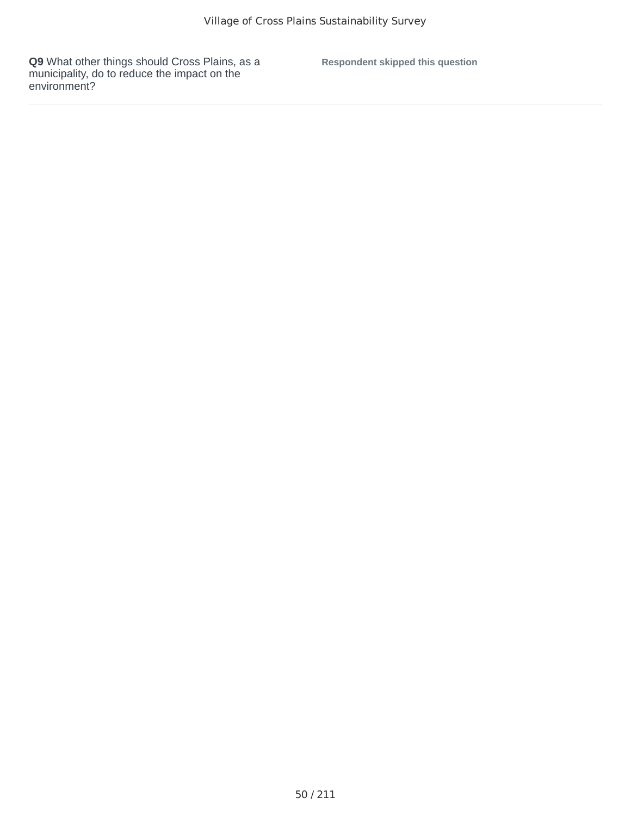**Respondent skipped this question**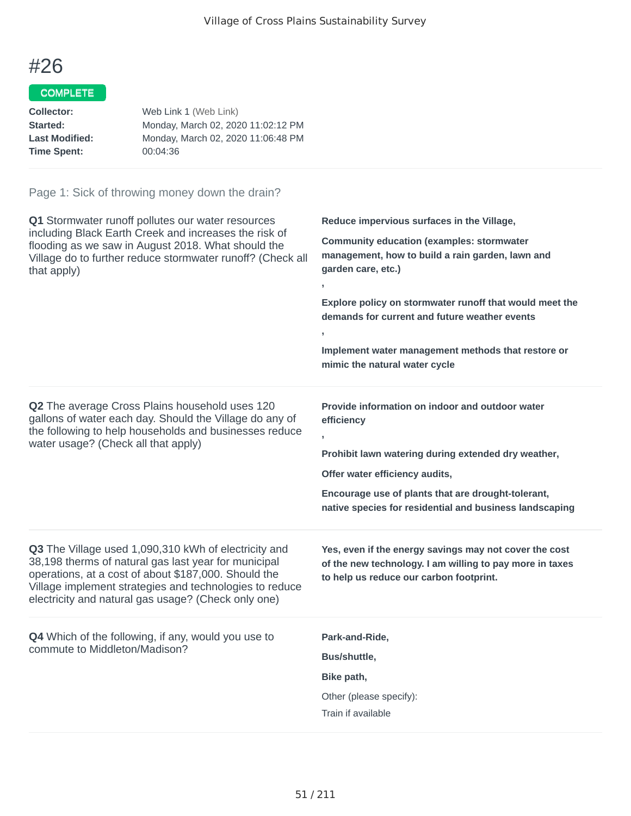## COMPLETE

| Collector:            | Web Link 1 (Web Link)              |
|-----------------------|------------------------------------|
| Started:              | Monday, March 02, 2020 11:02:12 PM |
| <b>Last Modified:</b> | Monday, March 02, 2020 11:06:48 PM |
| <b>Time Spent:</b>    | 00:04:36                           |
|                       |                                    |

| Q1 Stormwater runoff pollutes our water resources<br>including Black Earth Creek and increases the risk of<br>flooding as we saw in August 2018. What should the<br>Village do to further reduce stormwater runoff? (Check all<br>that apply)                                          | Reduce impervious surfaces in the Village,<br><b>Community education (examples: stormwater</b><br>management, how to build a rain garden, lawn and<br>garden care, etc.)<br>$\mathbf{r}$<br>Explore policy on stormwater runoff that would meet the<br>demands for current and future weather events<br>y.<br>Implement water management methods that restore or<br>mimic the natural water cycle |
|----------------------------------------------------------------------------------------------------------------------------------------------------------------------------------------------------------------------------------------------------------------------------------------|---------------------------------------------------------------------------------------------------------------------------------------------------------------------------------------------------------------------------------------------------------------------------------------------------------------------------------------------------------------------------------------------------|
| Q2 The average Cross Plains household uses 120<br>gallons of water each day. Should the Village do any of<br>the following to help households and businesses reduce<br>water usage? (Check all that apply)                                                                             | Provide information on indoor and outdoor water<br>efficiency<br>$\mathbf{r}$<br>Prohibit lawn watering during extended dry weather,<br>Offer water efficiency audits,<br>Encourage use of plants that are drought-tolerant,<br>native species for residential and business landscaping                                                                                                           |
| Q3 The Village used 1,090,310 kWh of electricity and<br>38,198 therms of natural gas last year for municipal<br>operations, at a cost of about \$187,000. Should the<br>Village implement strategies and technologies to reduce<br>electricity and natural gas usage? (Check only one) | Yes, even if the energy savings may not cover the cost<br>of the new technology. I am willing to pay more in taxes<br>to help us reduce our carbon footprint.                                                                                                                                                                                                                                     |
| <b>Q4</b> Which of the following, if any, would you use to<br>commute to Middleton/Madison?                                                                                                                                                                                            | Park-and-Ride,<br>Bus/shuttle,<br>Bike path,<br>Other (please specify):<br>Train if available                                                                                                                                                                                                                                                                                                     |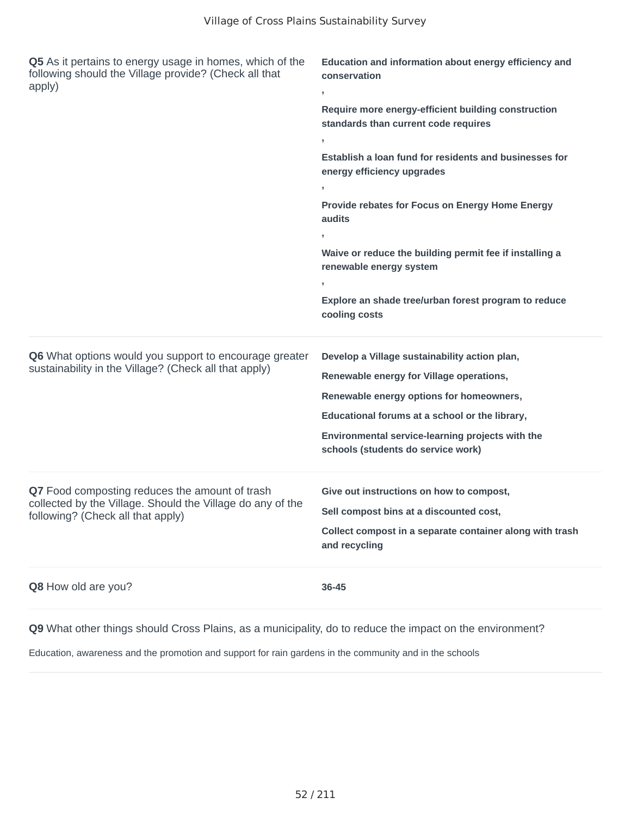| Q5 As it pertains to energy usage in homes, which of the<br>following should the Village provide? (Check all that<br>apply)                       | Education and information about energy efficiency and<br>conservation<br>У.                                                                                                                                                                                                       |  |
|---------------------------------------------------------------------------------------------------------------------------------------------------|-----------------------------------------------------------------------------------------------------------------------------------------------------------------------------------------------------------------------------------------------------------------------------------|--|
|                                                                                                                                                   | Require more energy-efficient building construction<br>standards than current code requires<br>$\mathbf{I}$                                                                                                                                                                       |  |
|                                                                                                                                                   | Establish a loan fund for residents and businesses for<br>energy efficiency upgrades                                                                                                                                                                                              |  |
|                                                                                                                                                   | Provide rebates for Focus on Energy Home Energy<br>audits                                                                                                                                                                                                                         |  |
|                                                                                                                                                   | Waive or reduce the building permit fee if installing a<br>renewable energy system                                                                                                                                                                                                |  |
|                                                                                                                                                   | Explore an shade tree/urban forest program to reduce<br>cooling costs                                                                                                                                                                                                             |  |
| Q6 What options would you support to encourage greater<br>sustainability in the Village? (Check all that apply)                                   | Develop a Village sustainability action plan,<br>Renewable energy for Village operations,<br>Renewable energy options for homeowners,<br>Educational forums at a school or the library,<br>Environmental service-learning projects with the<br>schools (students do service work) |  |
| Q7 Food composting reduces the amount of trash<br>collected by the Village. Should the Village do any of the<br>following? (Check all that apply) | Give out instructions on how to compost,<br>Sell compost bins at a discounted cost,<br>Collect compost in a separate container along with trash<br>and recycling                                                                                                                  |  |
| Q8 How old are you?                                                                                                                               | 36-45                                                                                                                                                                                                                                                                             |  |

Education, awareness and the promotion and support for rain gardens in the community and in the schools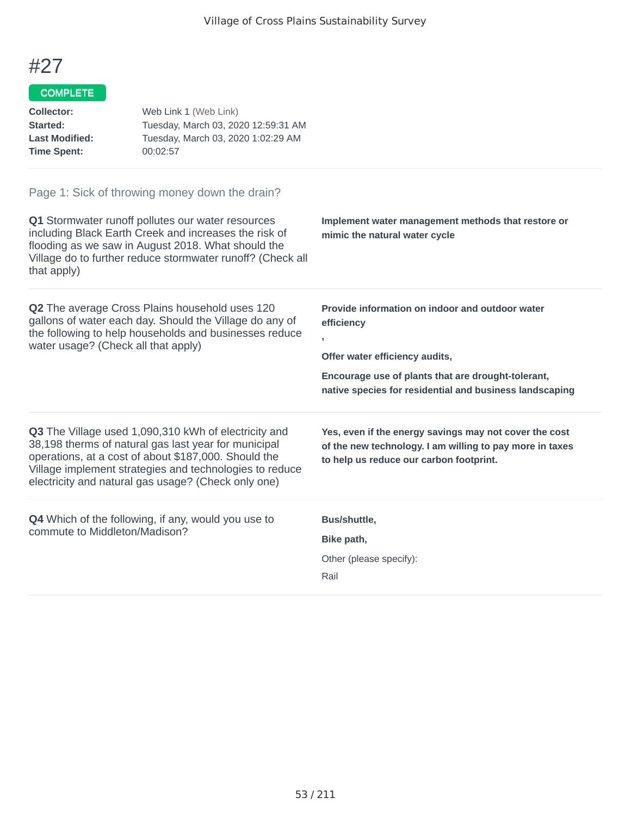| <b>Collector:</b><br>Started:<br><b>Last Modified:</b><br><b>Time Spent:</b> | Web Link 1 (Web Link)<br>Tuesday, March 03, 2020 12:59:31 AM<br>Tuesday, March 03, 2020 1:02:29 AM<br>00:02:57                                                                                                                                                                         |                                                                                                                                                                                                                       |
|------------------------------------------------------------------------------|----------------------------------------------------------------------------------------------------------------------------------------------------------------------------------------------------------------------------------------------------------------------------------------|-----------------------------------------------------------------------------------------------------------------------------------------------------------------------------------------------------------------------|
|                                                                              | Page 1: Sick of throwing money down the drain?                                                                                                                                                                                                                                         |                                                                                                                                                                                                                       |
| that apply)                                                                  | Q1 Stormwater runoff pollutes our water resources<br>including Black Earth Creek and increases the risk of<br>flooding as we saw in August 2018. What should the<br>Village do to further reduce stormwater runoff? (Check all                                                         | Implement water management methods that restore or<br>mimic the natural water cycle                                                                                                                                   |
| water usage? (Check all that apply)                                          | <b>Q2</b> The average Cross Plains household uses 120<br>gallons of water each day. Should the Village do any of<br>the following to help households and businesses reduce                                                                                                             | Provide information on indoor and outdoor water<br>efficiency<br>y<br>Offer water efficiency audits,<br>Encourage use of plants that are drought-tolerant,<br>native species for residential and business landscaping |
|                                                                              | Q3 The Village used 1,090,310 kWh of electricity and<br>38,198 therms of natural gas last year for municipal<br>operations, at a cost of about \$187,000. Should the<br>Village implement strategies and technologies to reduce<br>electricity and natural gas usage? (Check only one) | Yes, even if the energy savings may not cover the cost<br>of the new technology. I am willing to pay more in taxes<br>to help us reduce our carbon footprint.                                                         |
|                                                                              | <b>Q4</b> Which of the following, if any, would you use to                                                                                                                                                                                                                             | Bus/shuttle,                                                                                                                                                                                                          |
|                                                                              | commute to Middleton/Madison?                                                                                                                                                                                                                                                          | Bike path,                                                                                                                                                                                                            |
|                                                                              |                                                                                                                                                                                                                                                                                        | Other (please specify):                                                                                                                                                                                               |
|                                                                              |                                                                                                                                                                                                                                                                                        | Rail                                                                                                                                                                                                                  |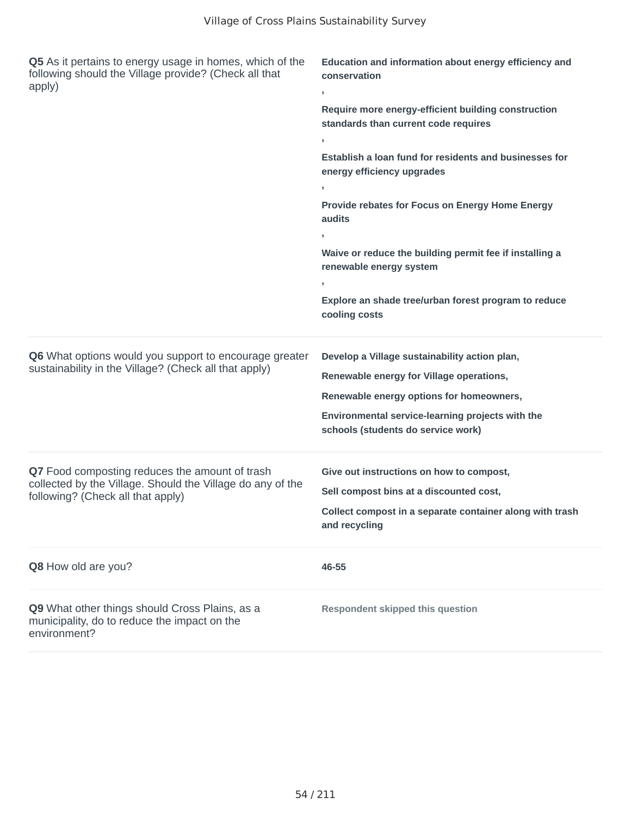| Q5 As it pertains to energy usage in homes, which of the<br>following should the Village provide? (Check all that<br>apply)                       | Education and information about energy efficiency and<br>conservation<br>,<br>Require more energy-efficient building construction<br>standards than current code requires<br>Establish a loan fund for residents and businesses for<br>energy efficiency upgrades<br>Provide rebates for Focus on Energy Home Energy<br>audits<br>Waive or reduce the building permit fee if installing a<br>renewable energy system<br>Explore an shade tree/urban forest program to reduce<br>cooling costs |
|---------------------------------------------------------------------------------------------------------------------------------------------------|-----------------------------------------------------------------------------------------------------------------------------------------------------------------------------------------------------------------------------------------------------------------------------------------------------------------------------------------------------------------------------------------------------------------------------------------------------------------------------------------------|
| Q6 What options would you support to encourage greater<br>sustainability in the Village? (Check all that apply)                                   | Develop a Village sustainability action plan,<br>Renewable energy for Village operations,<br>Renewable energy options for homeowners,<br>Environmental service-learning projects with the<br>schools (students do service work)                                                                                                                                                                                                                                                               |
| Q7 Food composting reduces the amount of trash<br>collected by the Village. Should the Village do any of the<br>following? (Check all that apply) | Give out instructions on how to compost,<br>Sell compost bins at a discounted cost,<br>Collect compost in a separate container along with trash<br>and recycling                                                                                                                                                                                                                                                                                                                              |
| Q8 How old are you?                                                                                                                               | 46-55                                                                                                                                                                                                                                                                                                                                                                                                                                                                                         |
| Q9 What other things should Cross Plains, as a<br>municipality, do to reduce the impact on the<br>environment?                                    | <b>Respondent skipped this question</b>                                                                                                                                                                                                                                                                                                                                                                                                                                                       |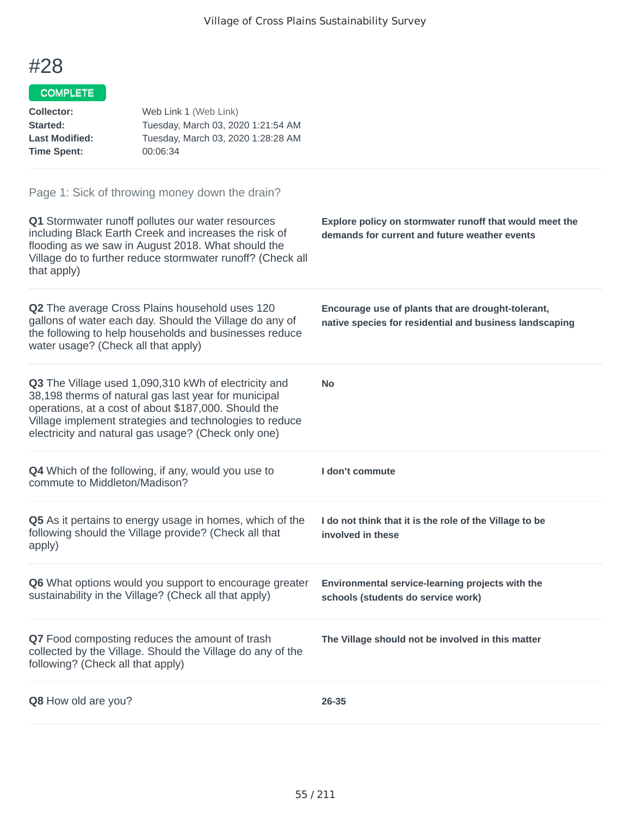| <b>Collector:</b><br>Started:<br><b>Last Modified:</b><br><b>Time Spent:</b> | Web Link 1 (Web Link)<br>Tuesday, March 03, 2020 1:21:54 AM<br>Tuesday, March 03, 2020 1:28:28 AM<br>00:06:34                                                                                                                                                                          |                                                                                                               |
|------------------------------------------------------------------------------|----------------------------------------------------------------------------------------------------------------------------------------------------------------------------------------------------------------------------------------------------------------------------------------|---------------------------------------------------------------------------------------------------------------|
|                                                                              | Page 1: Sick of throwing money down the drain?                                                                                                                                                                                                                                         |                                                                                                               |
| that apply)                                                                  | Q1 Stormwater runoff pollutes our water resources<br>including Black Earth Creek and increases the risk of<br>flooding as we saw in August 2018. What should the<br>Village do to further reduce stormwater runoff? (Check all                                                         | Explore policy on stormwater runoff that would meet the<br>demands for current and future weather events      |
| water usage? (Check all that apply)                                          | Q2 The average Cross Plains household uses 120<br>gallons of water each day. Should the Village do any of<br>the following to help households and businesses reduce                                                                                                                    | Encourage use of plants that are drought-tolerant,<br>native species for residential and business landscaping |
|                                                                              | Q3 The Village used 1,090,310 kWh of electricity and<br>38,198 therms of natural gas last year for municipal<br>operations, at a cost of about \$187,000. Should the<br>Village implement strategies and technologies to reduce<br>electricity and natural gas usage? (Check only one) | <b>No</b>                                                                                                     |
| commute to Middleton/Madison?                                                | <b>Q4</b> Which of the following, if any, would you use to                                                                                                                                                                                                                             | I don't commute                                                                                               |
| apply)                                                                       | Q5 As it pertains to energy usage in homes, which of the<br>following should the Village provide? (Check all that                                                                                                                                                                      | I do not think that it is the role of the Village to be<br>involved in these                                  |
|                                                                              | Q6 What options would you support to encourage greater<br>sustainability in the Village? (Check all that apply)                                                                                                                                                                        | Environmental service-learning projects with the<br>schools (students do service work)                        |
| following? (Check all that apply)                                            | Q7 Food composting reduces the amount of trash<br>collected by the Village. Should the Village do any of the                                                                                                                                                                           | The Village should not be involved in this matter                                                             |
| Q8 How old are you?                                                          |                                                                                                                                                                                                                                                                                        | 26-35                                                                                                         |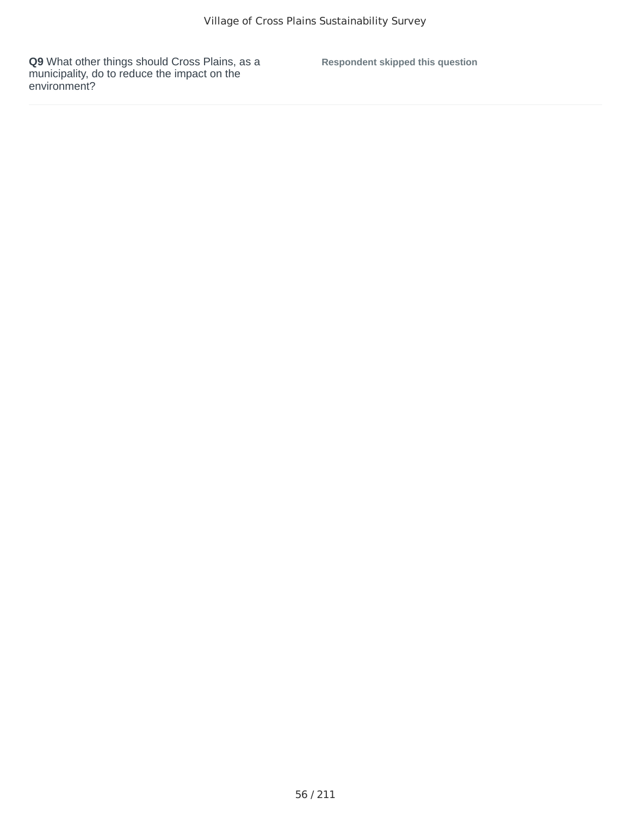**Respondent skipped this question**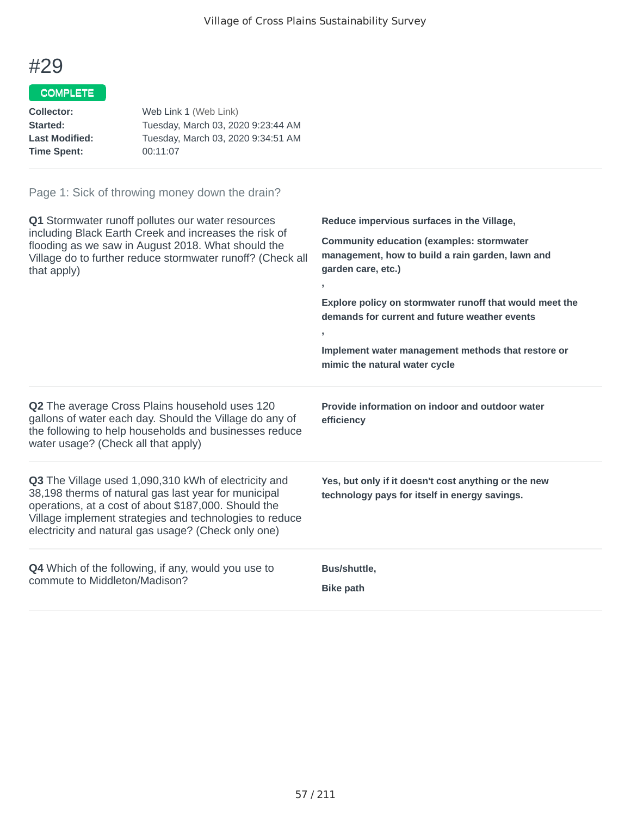## COMPLETE

| Web Link 1 (Web Link)              |
|------------------------------------|
| Tuesday, March 03, 2020 9:23:44 AM |
| Tuesday, March 03, 2020 9:34:51 AM |
| 00:11:07                           |
|                                    |

| Q1 Stormwater runoff pollutes our water resources<br>including Black Earth Creek and increases the risk of<br>flooding as we saw in August 2018. What should the<br>Village do to further reduce stormwater runoff? (Check all<br>that apply)                                          | Reduce impervious surfaces in the Village,<br><b>Community education (examples: stormwater</b><br>management, how to build a rain garden, lawn and<br>garden care, etc.)<br>$\overline{1}$<br>Explore policy on stormwater runoff that would meet the<br>demands for current and future weather events<br>Implement water management methods that restore or<br>mimic the natural water cycle |
|----------------------------------------------------------------------------------------------------------------------------------------------------------------------------------------------------------------------------------------------------------------------------------------|-----------------------------------------------------------------------------------------------------------------------------------------------------------------------------------------------------------------------------------------------------------------------------------------------------------------------------------------------------------------------------------------------|
| <b>Q2</b> The average Cross Plains household uses 120<br>gallons of water each day. Should the Village do any of<br>the following to help households and businesses reduce<br>water usage? (Check all that apply)                                                                      | Provide information on indoor and outdoor water<br>efficiency                                                                                                                                                                                                                                                                                                                                 |
| Q3 The Village used 1,090,310 kWh of electricity and<br>38,198 therms of natural gas last year for municipal<br>operations, at a cost of about \$187,000. Should the<br>Village implement strategies and technologies to reduce<br>electricity and natural gas usage? (Check only one) | Yes, but only if it doesn't cost anything or the new<br>technology pays for itself in energy savings.                                                                                                                                                                                                                                                                                         |
| <b>Q4</b> Which of the following, if any, would you use to<br>commute to Middleton/Madison?                                                                                                                                                                                            | Bus/shuttle,<br><b>Bike path</b>                                                                                                                                                                                                                                                                                                                                                              |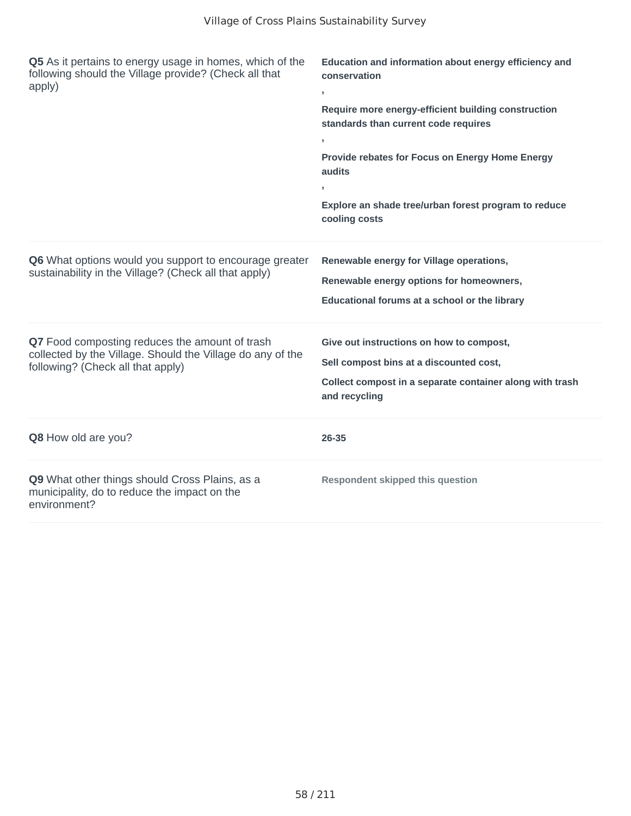| Q5 As it pertains to energy usage in homes, which of the<br>following should the Village provide? (Check all that<br>apply)                       | Education and information about energy efficiency and<br>conservation<br>y.<br>Require more energy-efficient building construction<br>standards than current code requires<br>y.<br>Provide rebates for Focus on Energy Home Energy<br>audits<br>J.<br>Explore an shade tree/urban forest program to reduce<br>cooling costs |
|---------------------------------------------------------------------------------------------------------------------------------------------------|------------------------------------------------------------------------------------------------------------------------------------------------------------------------------------------------------------------------------------------------------------------------------------------------------------------------------|
| Q6 What options would you support to encourage greater<br>sustainability in the Village? (Check all that apply)                                   | Renewable energy for Village operations,<br>Renewable energy options for homeowners,<br>Educational forums at a school or the library                                                                                                                                                                                        |
| Q7 Food composting reduces the amount of trash<br>collected by the Village. Should the Village do any of the<br>following? (Check all that apply) | Give out instructions on how to compost,<br>Sell compost bins at a discounted cost,<br>Collect compost in a separate container along with trash<br>and recycling                                                                                                                                                             |
| Q8 How old are you?                                                                                                                               | 26-35                                                                                                                                                                                                                                                                                                                        |
| Q9 What other things should Cross Plains, as a<br>municipality, do to reduce the impact on the<br>environment?                                    | <b>Respondent skipped this question</b>                                                                                                                                                                                                                                                                                      |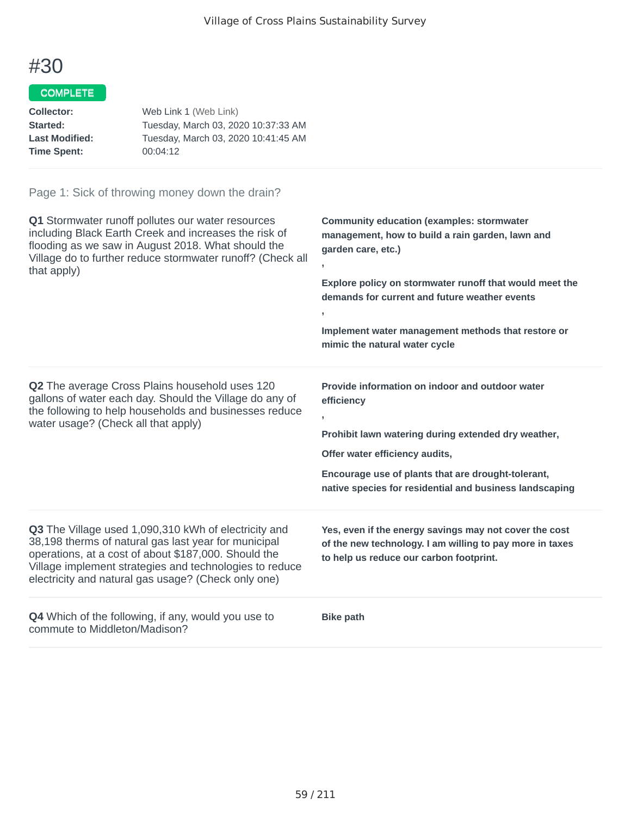### COMPLETE

| Collector:            | Web Link 1 (Web Link)               |
|-----------------------|-------------------------------------|
| Started:              | Tuesday, March 03, 2020 10:37:33 AM |
| <b>Last Modified:</b> | Tuesday, March 03, 2020 10:41:45 AM |
| <b>Time Spent:</b>    | 00:04:12                            |

| Q1 Stormwater runoff pollutes our water resources<br>including Black Earth Creek and increases the risk of<br>flooding as we saw in August 2018. What should the<br>Village do to further reduce stormwater runoff? (Check all<br>that apply)                                          | <b>Community education (examples: stormwater</b><br>management, how to build a rain garden, lawn and<br>garden care, etc.)<br>Explore policy on stormwater runoff that would meet the<br>demands for current and future weather events<br>y.<br>Implement water management methods that restore or<br>mimic the natural water cycle |
|----------------------------------------------------------------------------------------------------------------------------------------------------------------------------------------------------------------------------------------------------------------------------------------|-------------------------------------------------------------------------------------------------------------------------------------------------------------------------------------------------------------------------------------------------------------------------------------------------------------------------------------|
| <b>Q2</b> The average Cross Plains household uses 120<br>gallons of water each day. Should the Village do any of<br>the following to help households and businesses reduce<br>water usage? (Check all that apply)                                                                      | Provide information on indoor and outdoor water<br>efficiency<br>$\overline{1}$<br>Prohibit lawn watering during extended dry weather,<br>Offer water efficiency audits,<br>Encourage use of plants that are drought-tolerant,<br>native species for residential and business landscaping                                           |
| Q3 The Village used 1,090,310 kWh of electricity and<br>38,198 therms of natural gas last year for municipal<br>operations, at a cost of about \$187,000. Should the<br>Village implement strategies and technologies to reduce<br>electricity and natural gas usage? (Check only one) | Yes, even if the energy savings may not cover the cost<br>of the new technology. I am willing to pay more in taxes<br>to help us reduce our carbon footprint.                                                                                                                                                                       |
| <b>Q4</b> Which of the following, if any, would you use to<br>commute to Middleton/Madison?                                                                                                                                                                                            | <b>Bike path</b>                                                                                                                                                                                                                                                                                                                    |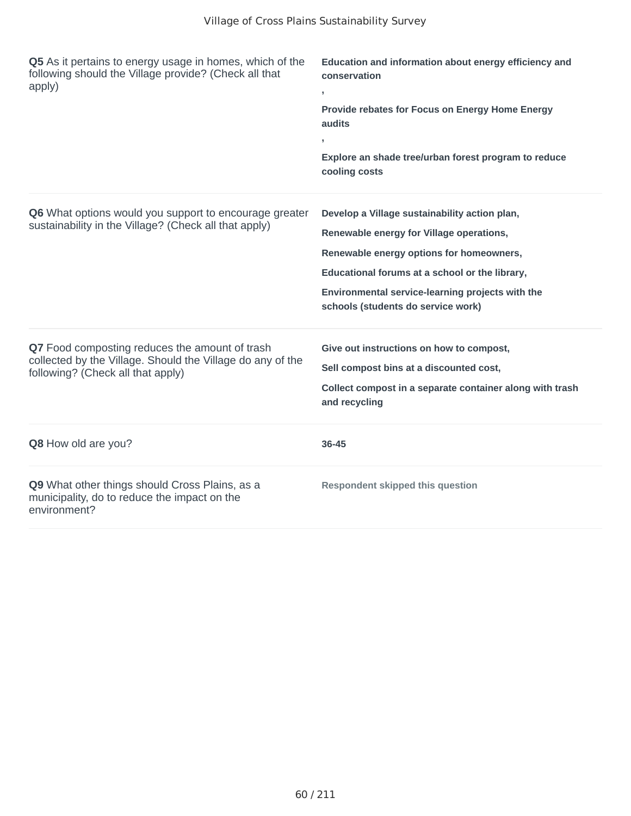| Q5 As it pertains to energy usage in homes, which of the<br>following should the Village provide? (Check all that<br>apply)                       | Education and information about energy efficiency and<br>conservation<br>y.<br>Provide rebates for Focus on Energy Home Energy<br>audits<br>Explore an shade tree/urban forest program to reduce<br>cooling costs                                                                 |
|---------------------------------------------------------------------------------------------------------------------------------------------------|-----------------------------------------------------------------------------------------------------------------------------------------------------------------------------------------------------------------------------------------------------------------------------------|
| Q6 What options would you support to encourage greater<br>sustainability in the Village? (Check all that apply)                                   | Develop a Village sustainability action plan,<br>Renewable energy for Village operations,<br>Renewable energy options for homeowners,<br>Educational forums at a school or the library,<br>Environmental service-learning projects with the<br>schools (students do service work) |
| Q7 Food composting reduces the amount of trash<br>collected by the Village. Should the Village do any of the<br>following? (Check all that apply) | Give out instructions on how to compost,<br>Sell compost bins at a discounted cost,<br>Collect compost in a separate container along with trash<br>and recycling                                                                                                                  |
| Q8 How old are you?                                                                                                                               | 36-45                                                                                                                                                                                                                                                                             |
| Q9 What other things should Cross Plains, as a<br>municipality, do to reduce the impact on the<br>environment?                                    | <b>Respondent skipped this question</b>                                                                                                                                                                                                                                           |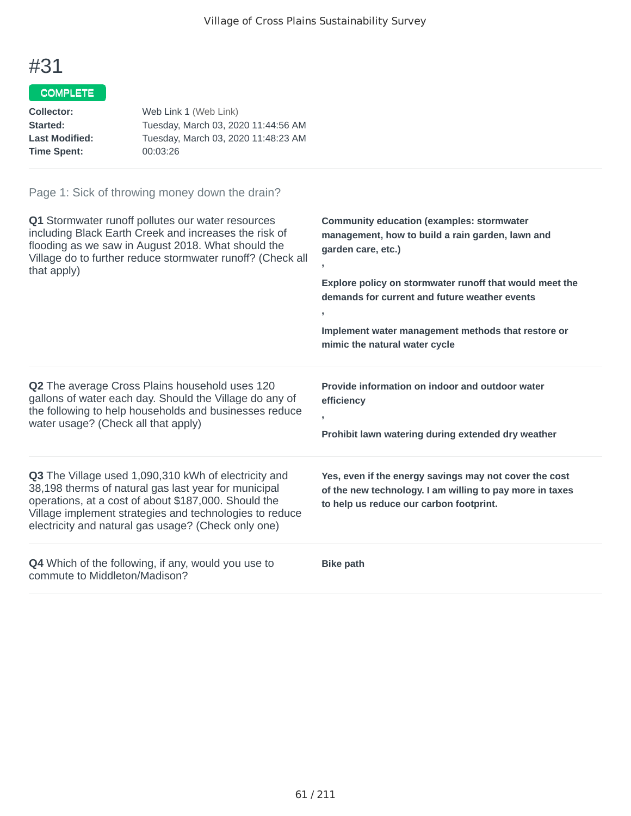## COMPLETE

| Collector:            | Web Link 1 (Web Link)               |
|-----------------------|-------------------------------------|
| <b>Started:</b>       | Tuesday, March 03, 2020 11:44:56 AM |
| <b>Last Modified:</b> | Tuesday, March 03, 2020 11:48:23 AM |
| <b>Time Spent:</b>    | 00:03:26                            |
|                       |                                     |

| Q1 Stormwater runoff pollutes our water resources<br>including Black Earth Creek and increases the risk of<br>flooding as we saw in August 2018. What should the<br>Village do to further reduce stormwater runoff? (Check all<br>that apply)                                          | <b>Community education (examples: stormwater</b><br>management, how to build a rain garden, lawn and<br>garden care, etc.)<br>Explore policy on stormwater runoff that would meet the<br>demands for current and future weather events<br>У.<br>Implement water management methods that restore or<br>mimic the natural water cycle |
|----------------------------------------------------------------------------------------------------------------------------------------------------------------------------------------------------------------------------------------------------------------------------------------|-------------------------------------------------------------------------------------------------------------------------------------------------------------------------------------------------------------------------------------------------------------------------------------------------------------------------------------|
| Q2 The average Cross Plains household uses 120<br>gallons of water each day. Should the Village do any of<br>the following to help households and businesses reduce<br>water usage? (Check all that apply)                                                                             | Provide information on indoor and outdoor water<br>efficiency<br>y.<br>Prohibit lawn watering during extended dry weather                                                                                                                                                                                                           |
| Q3 The Village used 1,090,310 kWh of electricity and<br>38,198 therms of natural gas last year for municipal<br>operations, at a cost of about \$187,000. Should the<br>Village implement strategies and technologies to reduce<br>electricity and natural gas usage? (Check only one) | Yes, even if the energy savings may not cover the cost<br>of the new technology. I am willing to pay more in taxes<br>to help us reduce our carbon footprint.                                                                                                                                                                       |
| Q4 Which of the following, if any, would you use to<br>commute to Middleton/Madison?                                                                                                                                                                                                   | <b>Bike path</b>                                                                                                                                                                                                                                                                                                                    |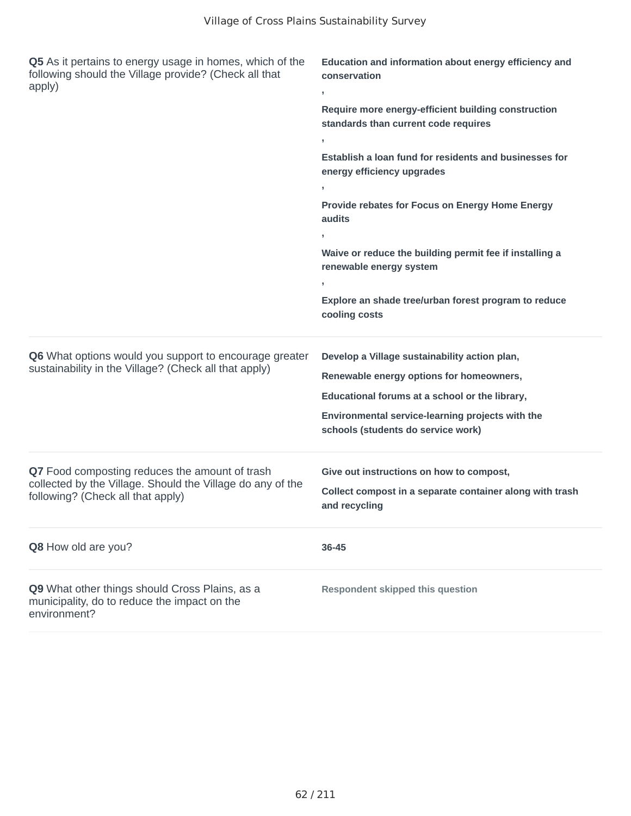| Q5 As it pertains to energy usage in homes, which of the<br>following should the Village provide? (Check all that<br>apply)                       | Education and information about energy efficiency and<br>conservation<br>J.                 |  |
|---------------------------------------------------------------------------------------------------------------------------------------------------|---------------------------------------------------------------------------------------------|--|
|                                                                                                                                                   | Require more energy-efficient building construction<br>standards than current code requires |  |
|                                                                                                                                                   |                                                                                             |  |
|                                                                                                                                                   | Establish a loan fund for residents and businesses for<br>energy efficiency upgrades        |  |
|                                                                                                                                                   |                                                                                             |  |
|                                                                                                                                                   | Provide rebates for Focus on Energy Home Energy<br>audits                                   |  |
|                                                                                                                                                   |                                                                                             |  |
|                                                                                                                                                   | Waive or reduce the building permit fee if installing a<br>renewable energy system          |  |
|                                                                                                                                                   | J.                                                                                          |  |
|                                                                                                                                                   | Explore an shade tree/urban forest program to reduce<br>cooling costs                       |  |
| Q6 What options would you support to encourage greater                                                                                            | Develop a Village sustainability action plan,                                               |  |
| sustainability in the Village? (Check all that apply)                                                                                             | Renewable energy options for homeowners,                                                    |  |
|                                                                                                                                                   | Educational forums at a school or the library,                                              |  |
|                                                                                                                                                   | Environmental service-learning projects with the<br>schools (students do service work)      |  |
| Q7 Food composting reduces the amount of trash<br>collected by the Village. Should the Village do any of the<br>following? (Check all that apply) | Give out instructions on how to compost,                                                    |  |
|                                                                                                                                                   | Collect compost in a separate container along with trash<br>and recycling                   |  |
| Q8 How old are you?                                                                                                                               | 36-45                                                                                       |  |
| Q9 What other things should Cross Plains, as a<br>municipality, do to reduce the impact on the<br>environment?                                    | <b>Respondent skipped this question</b>                                                     |  |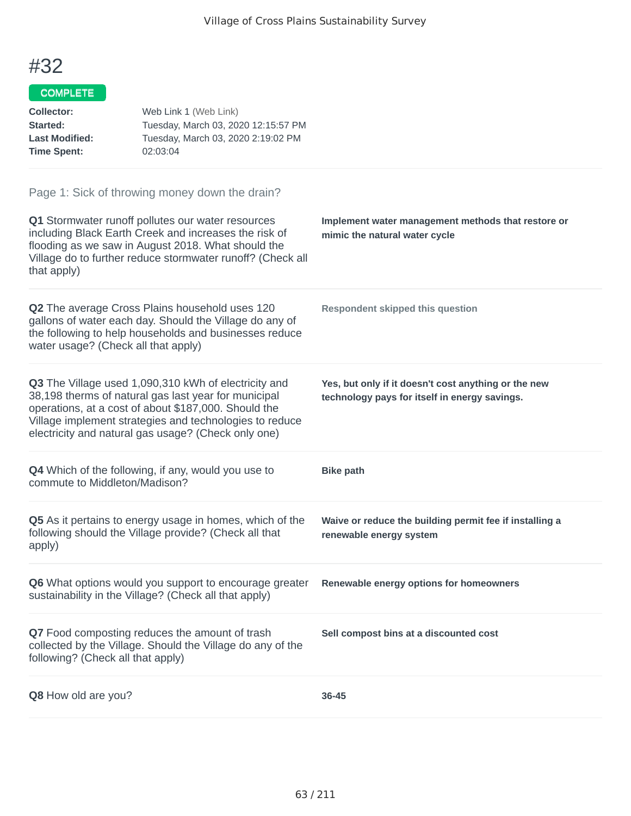| <b>Collector:</b><br>Started:<br><b>Last Modified:</b><br><b>Time Spent:</b> | Web Link 1 (Web Link)<br>Tuesday, March 03, 2020 12:15:57 PM<br>Tuesday, March 03, 2020 2:19:02 PM<br>02:03:04                                                                                                                                                                         |                                                                                                       |
|------------------------------------------------------------------------------|----------------------------------------------------------------------------------------------------------------------------------------------------------------------------------------------------------------------------------------------------------------------------------------|-------------------------------------------------------------------------------------------------------|
| that apply)                                                                  | Page 1: Sick of throwing money down the drain?<br>Q1 Stormwater runoff pollutes our water resources<br>including Black Earth Creek and increases the risk of<br>flooding as we saw in August 2018. What should the<br>Village do to further reduce stormwater runoff? (Check all       | Implement water management methods that restore or<br>mimic the natural water cycle                   |
| water usage? (Check all that apply)                                          | Q2 The average Cross Plains household uses 120<br>gallons of water each day. Should the Village do any of<br>the following to help households and businesses reduce                                                                                                                    | <b>Respondent skipped this question</b>                                                               |
|                                                                              | Q3 The Village used 1,090,310 kWh of electricity and<br>38,198 therms of natural gas last year for municipal<br>operations, at a cost of about \$187,000. Should the<br>Village implement strategies and technologies to reduce<br>electricity and natural gas usage? (Check only one) | Yes, but only if it doesn't cost anything or the new<br>technology pays for itself in energy savings. |
| commute to Middleton/Madison?                                                | <b>Q4</b> Which of the following, if any, would you use to                                                                                                                                                                                                                             | <b>Bike path</b>                                                                                      |
| apply)                                                                       | Q5 As it pertains to energy usage in homes, which of the<br>following should the Village provide? (Check all that                                                                                                                                                                      | Waive or reduce the building permit fee if installing a<br>renewable energy system                    |
|                                                                              | Q6 What options would you support to encourage greater<br>sustainability in the Village? (Check all that apply)                                                                                                                                                                        | Renewable energy options for homeowners                                                               |
| following? (Check all that apply)                                            | Q7 Food composting reduces the amount of trash<br>collected by the Village. Should the Village do any of the                                                                                                                                                                           | Sell compost bins at a discounted cost                                                                |
| Q8 How old are you?                                                          |                                                                                                                                                                                                                                                                                        | 36-45                                                                                                 |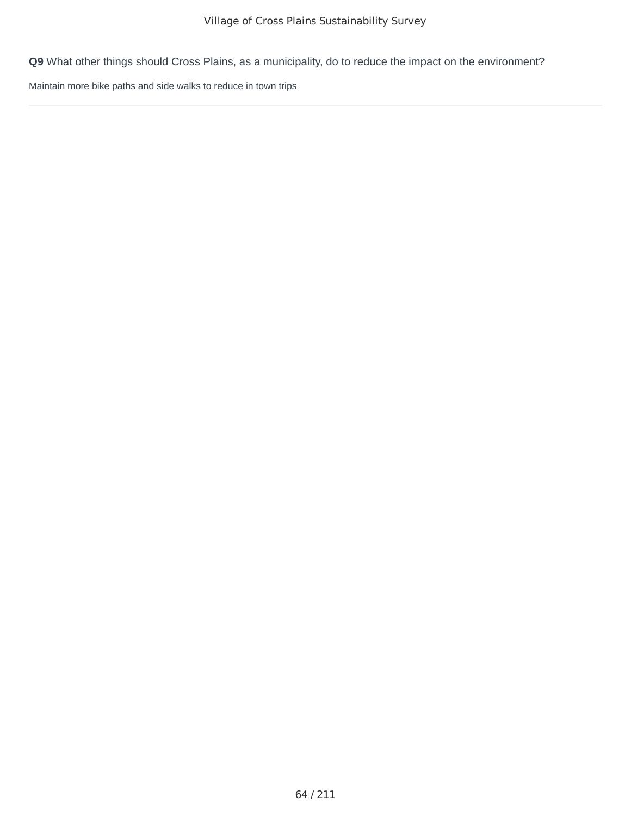Maintain more bike paths and side walks to reduce in town trips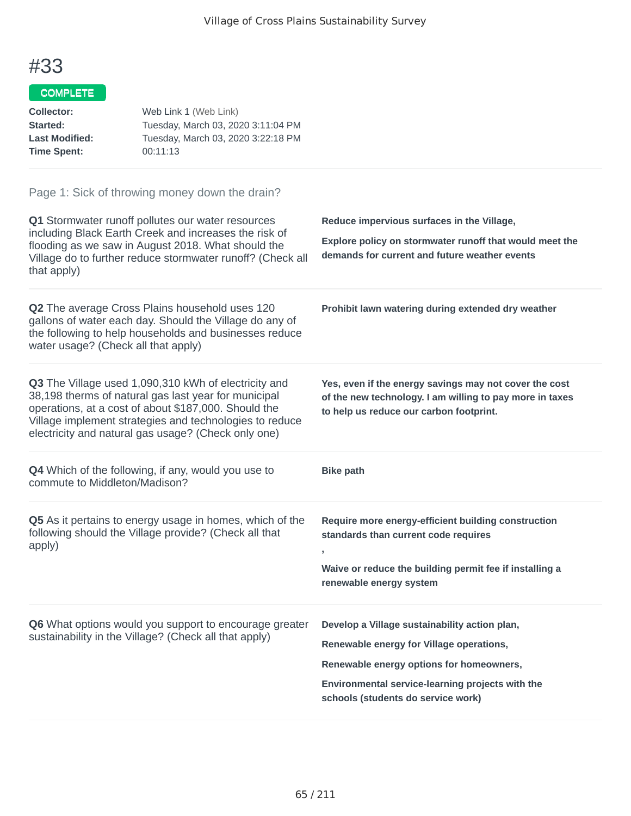#### COMPLETE

| <b>Collector:</b><br>Started:<br><b>Last Modified:</b><br><b>Time Spent:</b> | Web Link 1 (Web Link)<br>Tuesday, March 03, 2020 3:11:04 PM<br>Tuesday, March 03, 2020 3:22:18 PM<br>00:11:13                                                                                                                                                                          |                                                                                                                                                                                   |
|------------------------------------------------------------------------------|----------------------------------------------------------------------------------------------------------------------------------------------------------------------------------------------------------------------------------------------------------------------------------------|-----------------------------------------------------------------------------------------------------------------------------------------------------------------------------------|
|                                                                              | Page 1: Sick of throwing money down the drain?                                                                                                                                                                                                                                         |                                                                                                                                                                                   |
| that apply)                                                                  | Q1 Stormwater runoff pollutes our water resources<br>including Black Earth Creek and increases the risk of<br>flooding as we saw in August 2018. What should the<br>Village do to further reduce stormwater runoff? (Check all                                                         | Reduce impervious surfaces in the Village,<br>Explore policy on stormwater runoff that would meet the<br>demands for current and future weather events                            |
| water usage? (Check all that apply)                                          | Q2 The average Cross Plains household uses 120<br>gallons of water each day. Should the Village do any of<br>the following to help households and businesses reduce                                                                                                                    | Prohibit lawn watering during extended dry weather                                                                                                                                |
|                                                                              | Q3 The Village used 1,090,310 kWh of electricity and<br>38,198 therms of natural gas last year for municipal<br>operations, at a cost of about \$187,000. Should the<br>Village implement strategies and technologies to reduce<br>electricity and natural gas usage? (Check only one) | Yes, even if the energy savings may not cover the cost<br>of the new technology. I am willing to pay more in taxes<br>to help us reduce our carbon footprint.                     |
| commute to Middleton/Madison?                                                | <b>Q4</b> Which of the following, if any, would you use to                                                                                                                                                                                                                             | <b>Bike path</b>                                                                                                                                                                  |
| apply)                                                                       | Q5 As it pertains to energy usage in homes, which of the<br>following should the Village provide? (Check all that                                                                                                                                                                      | Require more energy-efficient building construction<br>standards than current code requires<br>Waive or reduce the building permit fee if installing a<br>renewable energy system |

**Q6** What options would you support to encourage greater sustainability in the Village? (Check all that apply)

**Renewable energy for Village operations,**

**Renewable energy options for homeowners,**

**Develop a Village sustainability action plan,**

**Environmental service-learning projects with the schools (students do service work)**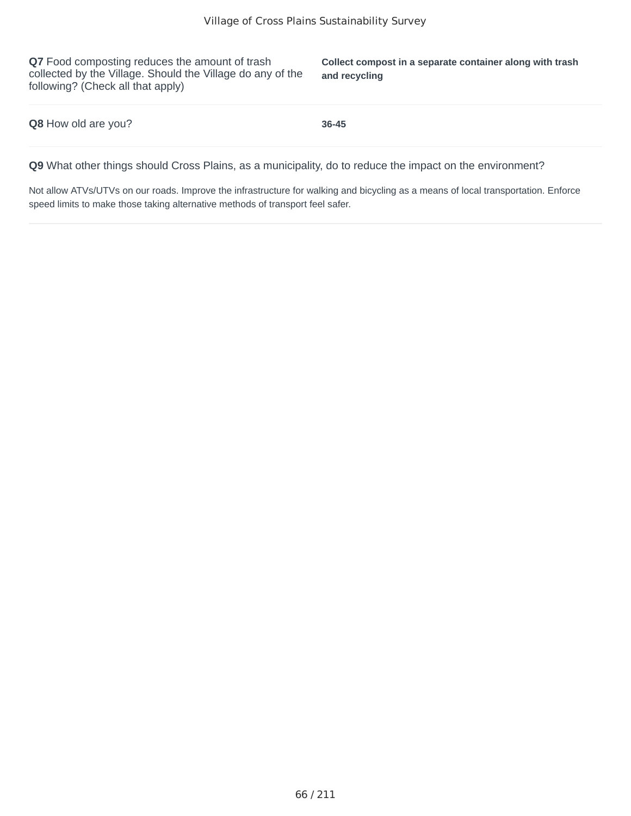**Q7** Food composting reduces the amount of trash collected by the Village. Should the Village do any of the following? (Check all that apply)

**Collect compost in a separate container along with trash and recycling**

| Q8 How old are you? | 36-45 |
|---------------------|-------|
|---------------------|-------|

**Q9** What other things should Cross Plains, as a municipality, do to reduce the impact on the environment?

Not allow ATVs/UTVs on our roads. Improve the infrastructure for walking and bicycling as a means of local transportation. Enforce speed limits to make those taking alternative methods of transport feel safer.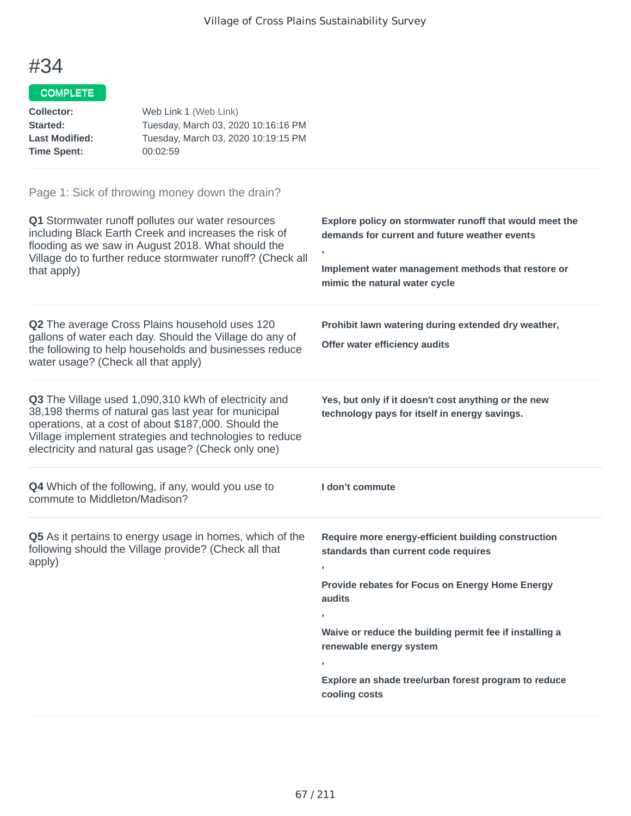## COMPLETE

| Web Link 1 (Web Link)               |
|-------------------------------------|
| Tuesday, March 03, 2020 10:16:16 PM |
| Tuesday, March 03, 2020 10:19:15 PM |
| 00:02:59                            |
|                                     |

| Q1 Stormwater runoff pollutes our water resources<br>including Black Earth Creek and increases the risk of<br>flooding as we saw in August 2018. What should the<br>Village do to further reduce stormwater runoff? (Check all<br>that apply)                                          | Explore policy on stormwater runoff that would meet the<br>demands for current and future weather events<br>,<br>Implement water management methods that restore or<br>mimic the natural water cycle                                                                                                                                                        |
|----------------------------------------------------------------------------------------------------------------------------------------------------------------------------------------------------------------------------------------------------------------------------------------|-------------------------------------------------------------------------------------------------------------------------------------------------------------------------------------------------------------------------------------------------------------------------------------------------------------------------------------------------------------|
| Q2 The average Cross Plains household uses 120<br>gallons of water each day. Should the Village do any of<br>the following to help households and businesses reduce<br>water usage? (Check all that apply)                                                                             | Prohibit lawn watering during extended dry weather,<br>Offer water efficiency audits                                                                                                                                                                                                                                                                        |
| Q3 The Village used 1,090,310 kWh of electricity and<br>38,198 therms of natural gas last year for municipal<br>operations, at a cost of about \$187,000. Should the<br>Village implement strategies and technologies to reduce<br>electricity and natural gas usage? (Check only one) | Yes, but only if it doesn't cost anything or the new<br>technology pays for itself in energy savings.                                                                                                                                                                                                                                                       |
| Q4 Which of the following, if any, would you use to<br>commute to Middleton/Madison?                                                                                                                                                                                                   | I don't commute                                                                                                                                                                                                                                                                                                                                             |
| Q5 As it pertains to energy usage in homes, which of the<br>following should the Village provide? (Check all that<br>apply)                                                                                                                                                            | Require more energy-efficient building construction<br>standards than current code requires<br>$\overline{1}$<br>Provide rebates for Focus on Energy Home Energy<br>audits<br>Waive or reduce the building permit fee if installing a<br>renewable energy system<br>$\overline{1}$<br>Explore an shade tree/urban forest program to reduce<br>cooling costs |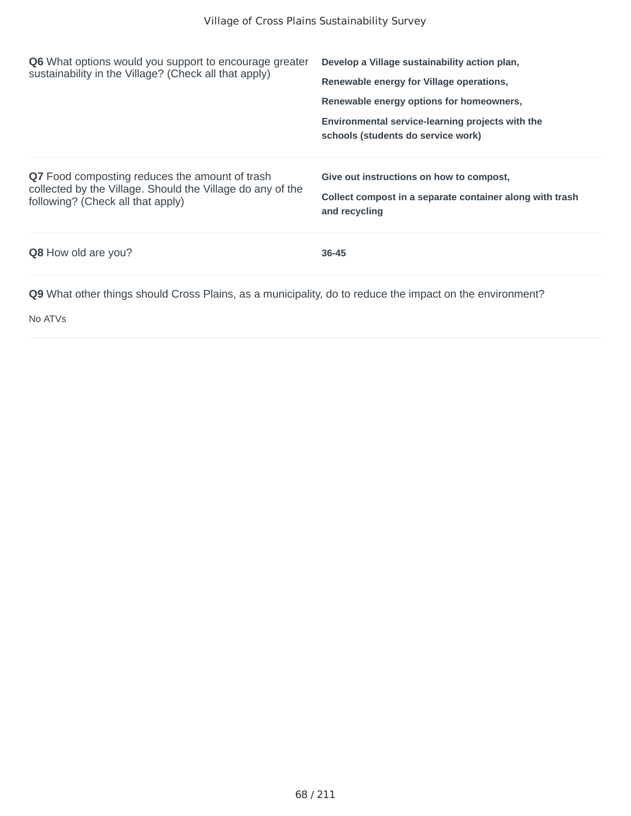| <b>Q6</b> What options would you support to encourage greater<br>sustainability in the Village? (Check all that apply)                            | Develop a Village sustainability action plan,<br>Renewable energy for Village operations,<br>Renewable energy options for homeowners,<br>Environmental service-learning projects with the<br>schools (students do service work) |
|---------------------------------------------------------------------------------------------------------------------------------------------------|---------------------------------------------------------------------------------------------------------------------------------------------------------------------------------------------------------------------------------|
| Q7 Food composting reduces the amount of trash<br>collected by the Village. Should the Village do any of the<br>following? (Check all that apply) | Give out instructions on how to compost,<br>Collect compost in a separate container along with trash<br>and recycling                                                                                                           |
| <b>Q8</b> How old are you?                                                                                                                        | 36-45                                                                                                                                                                                                                           |
|                                                                                                                                                   |                                                                                                                                                                                                                                 |

No ATVs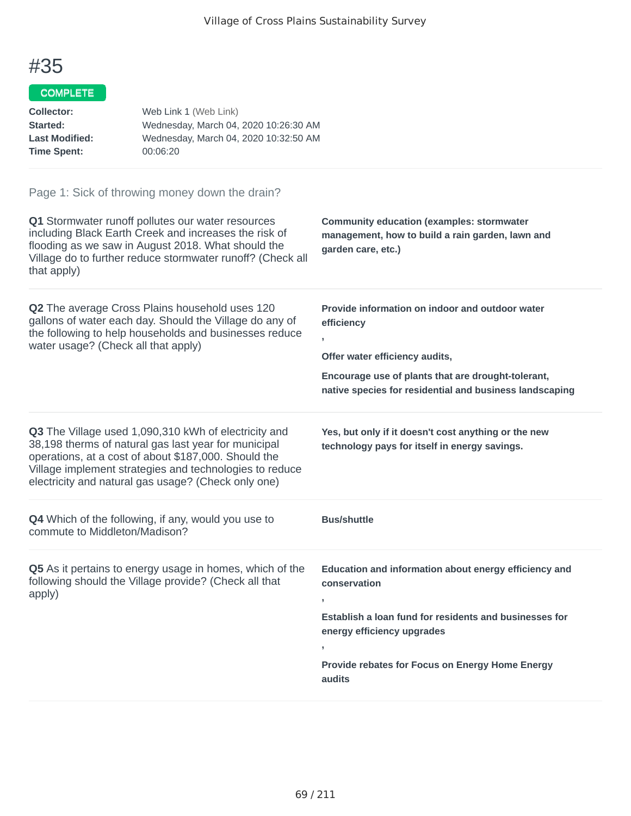### COMPLETE

| <b>Collector:</b>     | Web Link 1 (Web Link)                 |
|-----------------------|---------------------------------------|
| <b>Started:</b>       | Wednesday, March 04, 2020 10:26:30 AM |
| <b>Last Modified:</b> | Wednesday, March 04, 2020 10:32:50 AM |
| Time Spent:           | 00:06:20                              |

| Q1 Stormwater runoff pollutes our water resources<br>including Black Earth Creek and increases the risk of<br>flooding as we saw in August 2018. What should the<br>Village do to further reduce stormwater runoff? (Check all<br>that apply)                                          | <b>Community education (examples: stormwater</b><br>management, how to build a rain garden, lawn and<br>garden care, etc.)                                                                                                       |
|----------------------------------------------------------------------------------------------------------------------------------------------------------------------------------------------------------------------------------------------------------------------------------------|----------------------------------------------------------------------------------------------------------------------------------------------------------------------------------------------------------------------------------|
| Q2 The average Cross Plains household uses 120<br>gallons of water each day. Should the Village do any of<br>the following to help households and businesses reduce<br>water usage? (Check all that apply)                                                                             | Provide information on indoor and outdoor water<br>efficiency<br>Offer water efficiency audits,<br>Encourage use of plants that are drought-tolerant,<br>native species for residential and business landscaping                 |
| Q3 The Village used 1,090,310 kWh of electricity and<br>38,198 therms of natural gas last year for municipal<br>operations, at a cost of about \$187,000. Should the<br>Village implement strategies and technologies to reduce<br>electricity and natural gas usage? (Check only one) | Yes, but only if it doesn't cost anything or the new<br>technology pays for itself in energy savings.                                                                                                                            |
| Q4 Which of the following, if any, would you use to<br>commute to Middleton/Madison?                                                                                                                                                                                                   | <b>Bus/shuttle</b>                                                                                                                                                                                                               |
| Q5 As it pertains to energy usage in homes, which of the<br>following should the Village provide? (Check all that<br>apply)                                                                                                                                                            | Education and information about energy efficiency and<br>conservation<br>Establish a loan fund for residents and businesses for<br>energy efficiency upgrades<br>y.<br>Provide rebates for Focus on Energy Home Energy<br>audits |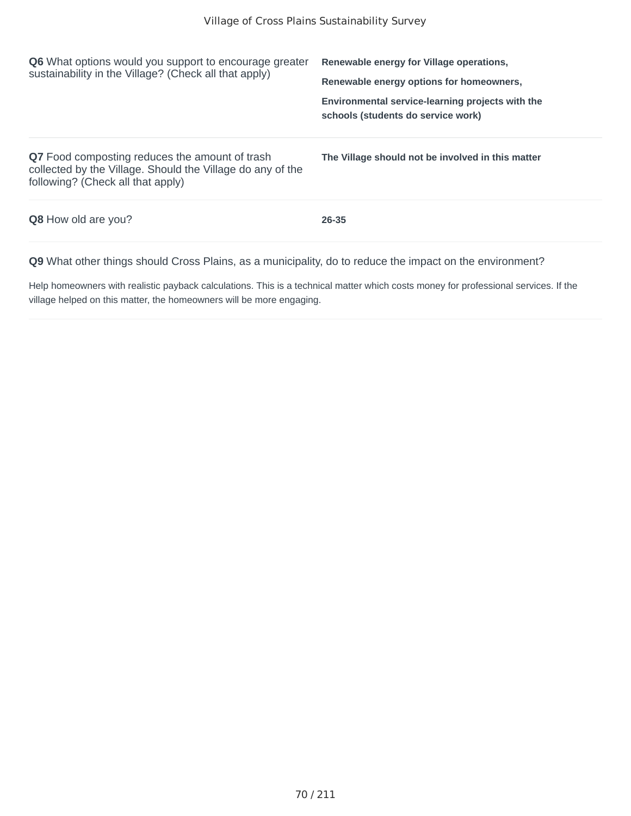| <b>Q6</b> What options would you support to encourage greater<br>sustainability in the Village? (Check all that apply)                                   | Renewable energy for Village operations,<br>Renewable energy options for homeowners,   |  |
|----------------------------------------------------------------------------------------------------------------------------------------------------------|----------------------------------------------------------------------------------------|--|
|                                                                                                                                                          | Environmental service-learning projects with the<br>schools (students do service work) |  |
| <b>Q7</b> Food composting reduces the amount of trash<br>collected by the Village. Should the Village do any of the<br>following? (Check all that apply) | The Village should not be involved in this matter                                      |  |
| <b>Q8</b> How old are you?                                                                                                                               | 26-35                                                                                  |  |
|                                                                                                                                                          |                                                                                        |  |

Help homeowners with realistic payback calculations. This is a technical matter which costs money for professional services. If the village helped on this matter, the homeowners will be more engaging.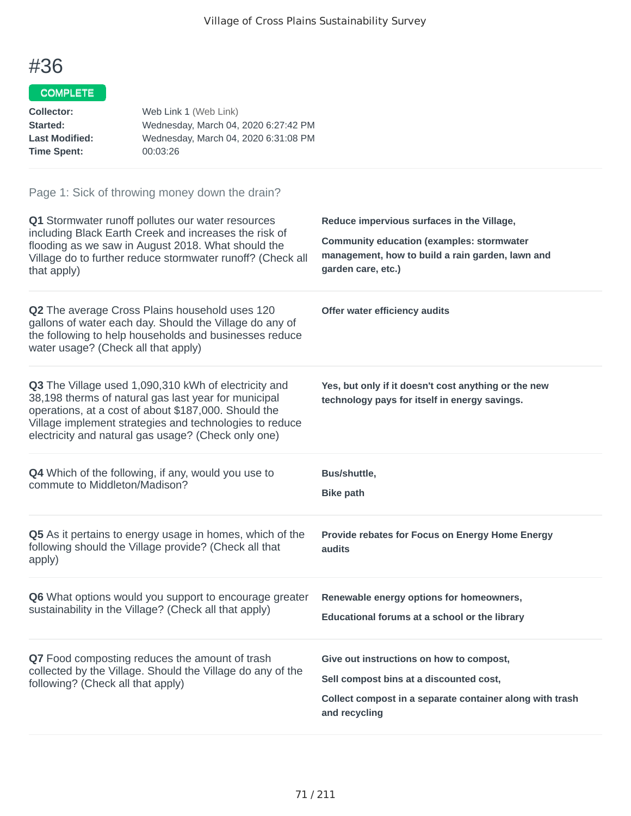## COMPLETE

| <b>Collector:</b>     | Web Link 1 (Web Link)                |
|-----------------------|--------------------------------------|
| <b>Started:</b>       | Wednesday, March 04, 2020 6:27:42 PM |
| <b>Last Modified:</b> | Wednesday, March 04, 2020 6:31:08 PM |
| Time Spent:           | 00:03:26                             |

| Q1 Stormwater runoff pollutes our water resources<br>including Black Earth Creek and increases the risk of<br>flooding as we saw in August 2018. What should the<br>Village do to further reduce stormwater runoff? (Check all<br>that apply)                                          | Reduce impervious surfaces in the Village,<br><b>Community education (examples: stormwater</b><br>management, how to build a rain garden, lawn and<br>garden care, etc.) |
|----------------------------------------------------------------------------------------------------------------------------------------------------------------------------------------------------------------------------------------------------------------------------------------|--------------------------------------------------------------------------------------------------------------------------------------------------------------------------|
| Q2 The average Cross Plains household uses 120<br>gallons of water each day. Should the Village do any of<br>the following to help households and businesses reduce<br>water usage? (Check all that apply)                                                                             | Offer water efficiency audits                                                                                                                                            |
| Q3 The Village used 1,090,310 kWh of electricity and<br>38,198 therms of natural gas last year for municipal<br>operations, at a cost of about \$187,000. Should the<br>Village implement strategies and technologies to reduce<br>electricity and natural gas usage? (Check only one) | Yes, but only if it doesn't cost anything or the new<br>technology pays for itself in energy savings.                                                                    |
| <b>Q4</b> Which of the following, if any, would you use to<br>commute to Middleton/Madison?                                                                                                                                                                                            | Bus/shuttle,<br><b>Bike path</b>                                                                                                                                         |
| Q5 As it pertains to energy usage in homes, which of the<br>following should the Village provide? (Check all that<br>apply)                                                                                                                                                            | Provide rebates for Focus on Energy Home Energy<br>audits                                                                                                                |
| Q6 What options would you support to encourage greater<br>sustainability in the Village? (Check all that apply)                                                                                                                                                                        | Renewable energy options for homeowners,<br>Educational forums at a school or the library                                                                                |
| Q7 Food composting reduces the amount of trash<br>collected by the Village. Should the Village do any of the<br>following? (Check all that apply)                                                                                                                                      | Give out instructions on how to compost,<br>Sell compost bins at a discounted cost,<br>Collect compost in a separate container along with trash<br>and recycling         |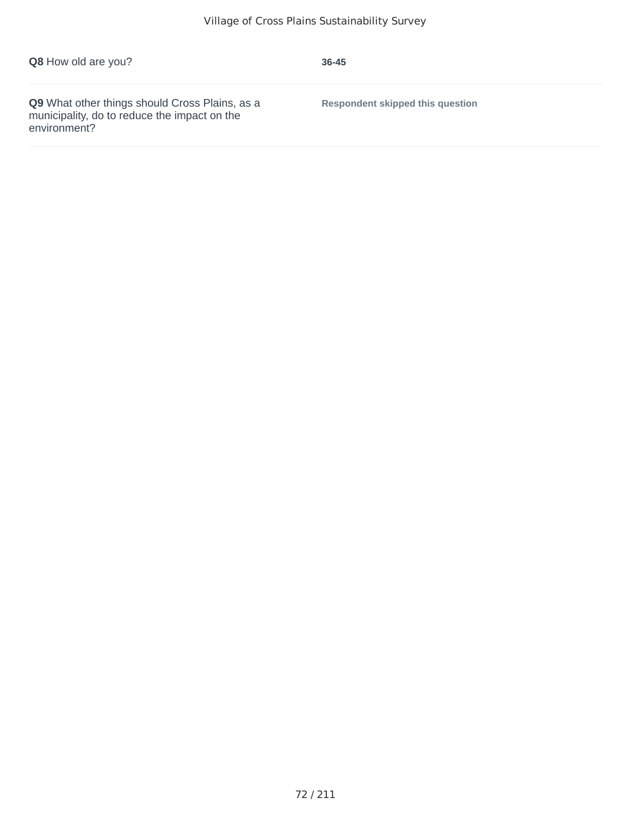| Q9 What other things should Cross Plains, as a<br><b>Respondent skipped this question</b><br>municipality, do to reduce the impact on the<br>environment? |  |
|-----------------------------------------------------------------------------------------------------------------------------------------------------------|--|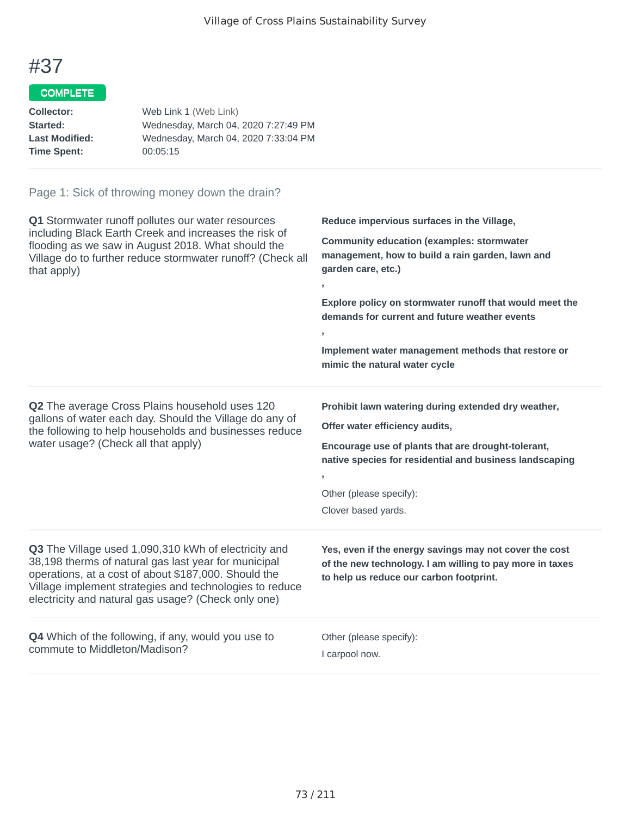## COMPLETE

| Web Link 1 (Web Link)                |
|--------------------------------------|
| Wednesday, March 04, 2020 7:27:49 PM |
| Wednesday, March 04, 2020 7:33:04 PM |
| 00:05:15                             |
|                                      |

| Q1 Stormwater runoff pollutes our water resources<br>including Black Earth Creek and increases the risk of<br>flooding as we saw in August 2018. What should the<br>Village do to further reduce stormwater runoff? (Check all<br>that apply)                                                 | Reduce impervious surfaces in the Village,<br><b>Community education (examples: stormwater</b><br>management, how to build a rain garden, lawn and<br>garden care, etc.)<br>$\overline{1}$<br>Explore policy on stormwater runoff that would meet the<br>demands for current and future weather events<br>$\mathbf{I}$<br>Implement water management methods that restore or<br>mimic the natural water cycle |
|-----------------------------------------------------------------------------------------------------------------------------------------------------------------------------------------------------------------------------------------------------------------------------------------------|---------------------------------------------------------------------------------------------------------------------------------------------------------------------------------------------------------------------------------------------------------------------------------------------------------------------------------------------------------------------------------------------------------------|
| Q2 The average Cross Plains household uses 120<br>gallons of water each day. Should the Village do any of<br>the following to help households and businesses reduce<br>water usage? (Check all that apply)                                                                                    | Prohibit lawn watering during extended dry weather,<br>Offer water efficiency audits,<br>Encourage use of plants that are drought-tolerant,<br>native species for residential and business landscaping<br>$\overline{ }$<br>Other (please specify):<br>Clover based yards.                                                                                                                                    |
| <b>Q3</b> The Village used 1,090,310 kWh of electricity and<br>38,198 therms of natural gas last year for municipal<br>operations, at a cost of about \$187,000. Should the<br>Village implement strategies and technologies to reduce<br>electricity and natural gas usage? (Check only one) | Yes, even if the energy savings may not cover the cost<br>of the new technology. I am willing to pay more in taxes<br>to help us reduce our carbon footprint.                                                                                                                                                                                                                                                 |
| Q4 Which of the following, if any, would you use to<br>commute to Middleton/Madison?                                                                                                                                                                                                          | Other (please specify):<br>I carpool now.                                                                                                                                                                                                                                                                                                                                                                     |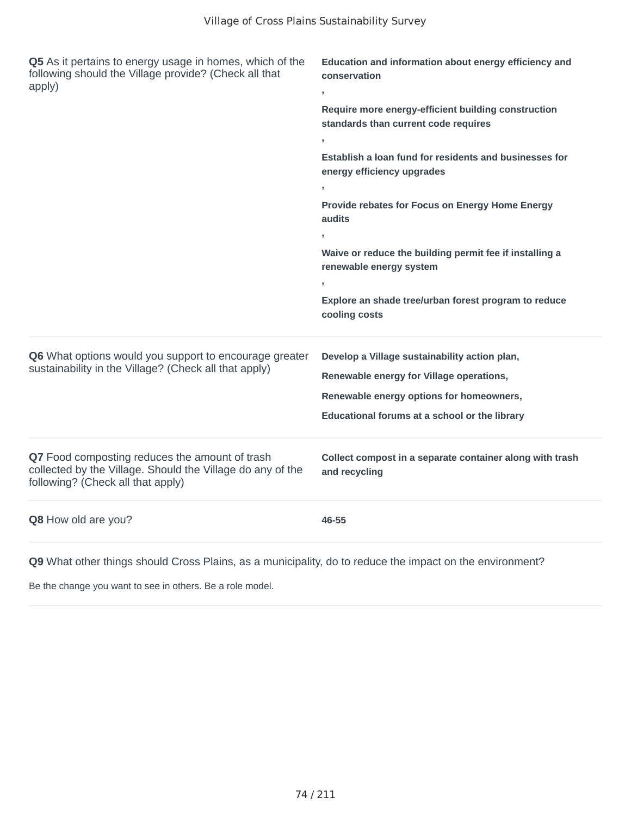| Q5 As it pertains to energy usage in homes, which of the<br>following should the Village provide? (Check all that<br>apply)                       | Education and information about energy efficiency and<br>conservation<br>У.                 |
|---------------------------------------------------------------------------------------------------------------------------------------------------|---------------------------------------------------------------------------------------------|
|                                                                                                                                                   | Require more energy-efficient building construction<br>standards than current code requires |
|                                                                                                                                                   | $\mathbf{I}$                                                                                |
|                                                                                                                                                   | Establish a loan fund for residents and businesses for<br>energy efficiency upgrades        |
|                                                                                                                                                   | $\mathbf{y}$                                                                                |
|                                                                                                                                                   | Provide rebates for Focus on Energy Home Energy<br>audits                                   |
|                                                                                                                                                   |                                                                                             |
|                                                                                                                                                   | Waive or reduce the building permit fee if installing a<br>renewable energy system          |
|                                                                                                                                                   |                                                                                             |
|                                                                                                                                                   | Explore an shade tree/urban forest program to reduce<br>cooling costs                       |
| Q6 What options would you support to encourage greater                                                                                            | Develop a Village sustainability action plan,                                               |
| sustainability in the Village? (Check all that apply)                                                                                             | Renewable energy for Village operations,                                                    |
|                                                                                                                                                   | Renewable energy options for homeowners,                                                    |
|                                                                                                                                                   | Educational forums at a school or the library                                               |
| Q7 Food composting reduces the amount of trash<br>collected by the Village. Should the Village do any of the<br>following? (Check all that apply) | Collect compost in a separate container along with trash<br>and recycling                   |
| Q8 How old are you?                                                                                                                               | 46-55                                                                                       |

Be the change you want to see in others. Be a role model.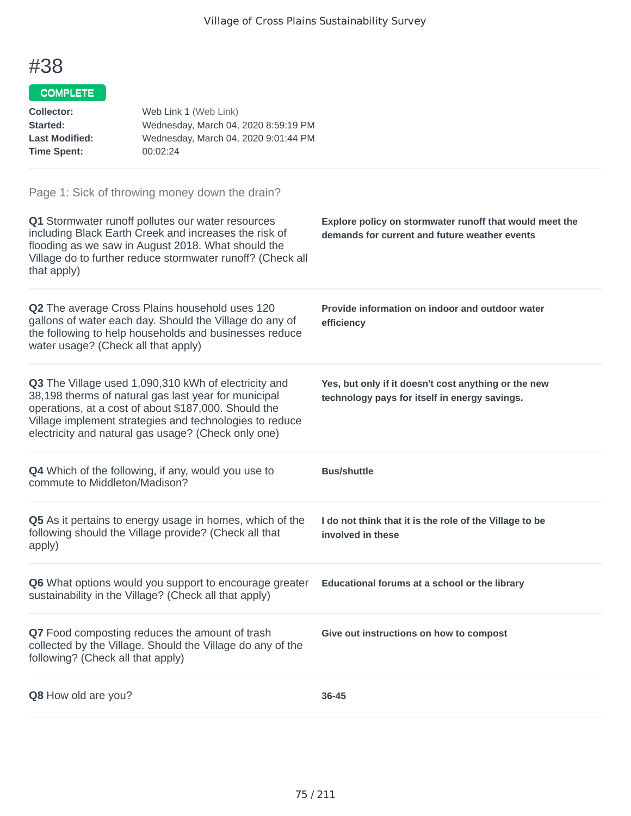## COMPLETE

| <b>Collector:</b>     | Web Link 1 (Web Link)                |
|-----------------------|--------------------------------------|
| <b>Started:</b>       | Wednesday, March 04, 2020 8:59:19 PM |
| <b>Last Modified:</b> | Wednesday, March 04, 2020 9:01:44 PM |
| Time Spent:           | 00:02:24                             |

| Q1 Stormwater runoff pollutes our water resources<br>including Black Earth Creek and increases the risk of<br>flooding as we saw in August 2018. What should the<br>Village do to further reduce stormwater runoff? (Check all<br>that apply)                                          | Explore policy on stormwater runoff that would meet the<br>demands for current and future weather events |
|----------------------------------------------------------------------------------------------------------------------------------------------------------------------------------------------------------------------------------------------------------------------------------------|----------------------------------------------------------------------------------------------------------|
| Q2 The average Cross Plains household uses 120<br>gallons of water each day. Should the Village do any of<br>the following to help households and businesses reduce<br>water usage? (Check all that apply)                                                                             | Provide information on indoor and outdoor water<br>efficiency                                            |
| Q3 The Village used 1,090,310 kWh of electricity and<br>38,198 therms of natural gas last year for municipal<br>operations, at a cost of about \$187,000. Should the<br>Village implement strategies and technologies to reduce<br>electricity and natural gas usage? (Check only one) | Yes, but only if it doesn't cost anything or the new<br>technology pays for itself in energy savings.    |
| Q4 Which of the following, if any, would you use to<br>commute to Middleton/Madison?                                                                                                                                                                                                   | <b>Bus/shuttle</b>                                                                                       |
| Q5 As it pertains to energy usage in homes, which of the<br>following should the Village provide? (Check all that<br>apply)                                                                                                                                                            | I do not think that it is the role of the Village to be<br>involved in these                             |
| Q6 What options would you support to encourage greater<br>sustainability in the Village? (Check all that apply)                                                                                                                                                                        | Educational forums at a school or the library                                                            |
| Q7 Food composting reduces the amount of trash<br>collected by the Village. Should the Village do any of the<br>following? (Check all that apply)                                                                                                                                      | Give out instructions on how to compost                                                                  |
| Q8 How old are you?                                                                                                                                                                                                                                                                    | 36-45                                                                                                    |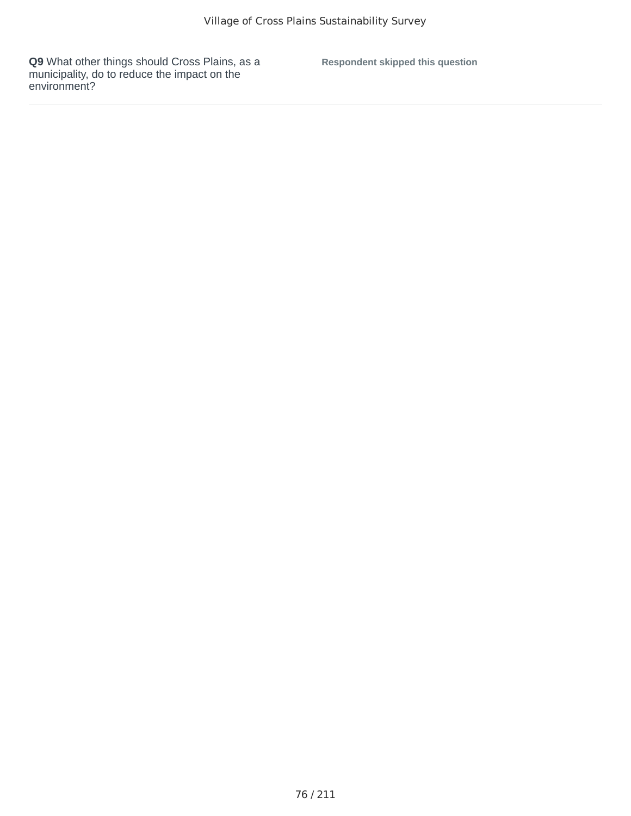**Respondent skipped this question**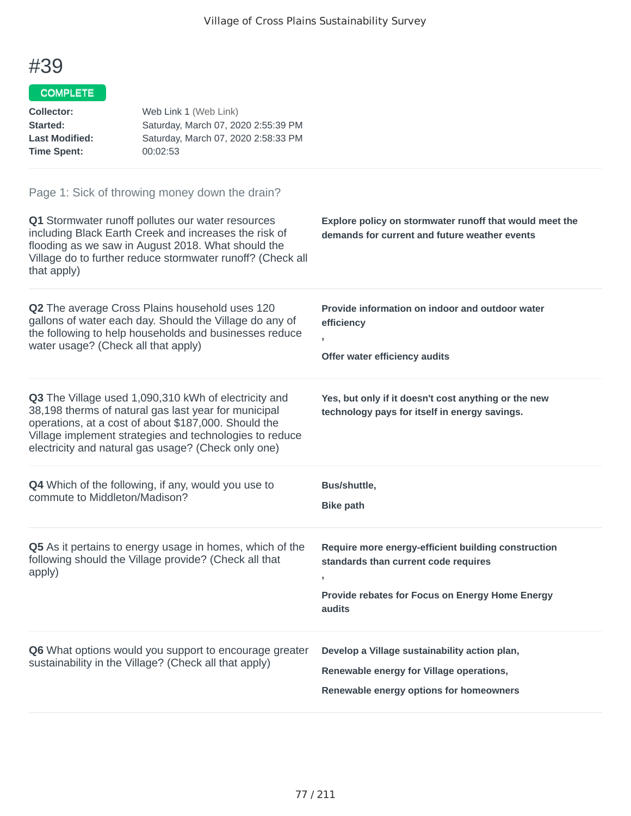## COMPLETE

| <b>Collector:</b><br>Started:<br><b>Last Modified:</b><br><b>Time Spent:</b> | Web Link 1 (Web Link)<br>Saturday, March 07, 2020 2:55:39 PM<br>Saturday, March 07, 2020 2:58:33 PM<br>00:02:53                                                                                                                                                                        |                                                                                                                                                                |
|------------------------------------------------------------------------------|----------------------------------------------------------------------------------------------------------------------------------------------------------------------------------------------------------------------------------------------------------------------------------------|----------------------------------------------------------------------------------------------------------------------------------------------------------------|
| that apply)                                                                  | Page 1: Sick of throwing money down the drain?<br>Q1 Stormwater runoff pollutes our water resources<br>including Black Earth Creek and increases the risk of<br>flooding as we saw in August 2018. What should the<br>Village do to further reduce stormwater runoff? (Check all       | Explore policy on stormwater runoff that would meet the<br>demands for current and future weather events                                                       |
| water usage? (Check all that apply)                                          | Q2 The average Cross Plains household uses 120<br>gallons of water each day. Should the Village do any of<br>the following to help households and businesses reduce                                                                                                                    | Provide information on indoor and outdoor water<br>efficiency<br>y.<br>Offer water efficiency audits                                                           |
|                                                                              | Q3 The Village used 1,090,310 kWh of electricity and<br>38,198 therms of natural gas last year for municipal<br>operations, at a cost of about \$187,000. Should the<br>Village implement strategies and technologies to reduce<br>electricity and natural gas usage? (Check only one) | Yes, but only if it doesn't cost anything or the new<br>technology pays for itself in energy savings.                                                          |
| commute to Middleton/Madison?                                                | Q4 Which of the following, if any, would you use to                                                                                                                                                                                                                                    | Bus/shuttle,<br><b>Bike path</b>                                                                                                                               |
| apply)                                                                       | Q5 As it pertains to energy usage in homes, which of the<br>following should the Village provide? (Check all that                                                                                                                                                                      | Require more energy-efficient building construction<br>standards than current code requires<br>л.<br>Provide rebates for Focus on Energy Home Energy<br>audits |
|                                                                              | Q6 What options would you support to encourage greater<br>sustainability in the Village? (Check all that apply)                                                                                                                                                                        | Develop a Village sustainability action plan,<br>Renewable energy for Village operations,<br>Renewable energy options for homeowners                           |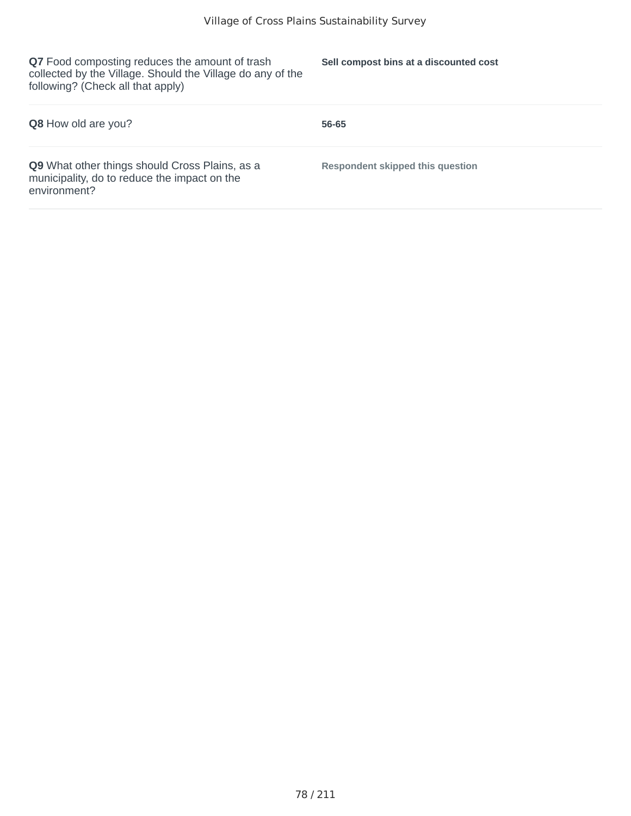**Q7** Food composting reduces the amount of trash collected by the Village. Should the Village do any of the following? (Check all that apply)

**Sell compost bins at a discounted cost**

| <b>Q8</b> How old are you?                                                                                     | 56-65                                   |
|----------------------------------------------------------------------------------------------------------------|-----------------------------------------|
| Q9 What other things should Cross Plains, as a<br>municipality, do to reduce the impact on the<br>environment? | <b>Respondent skipped this question</b> |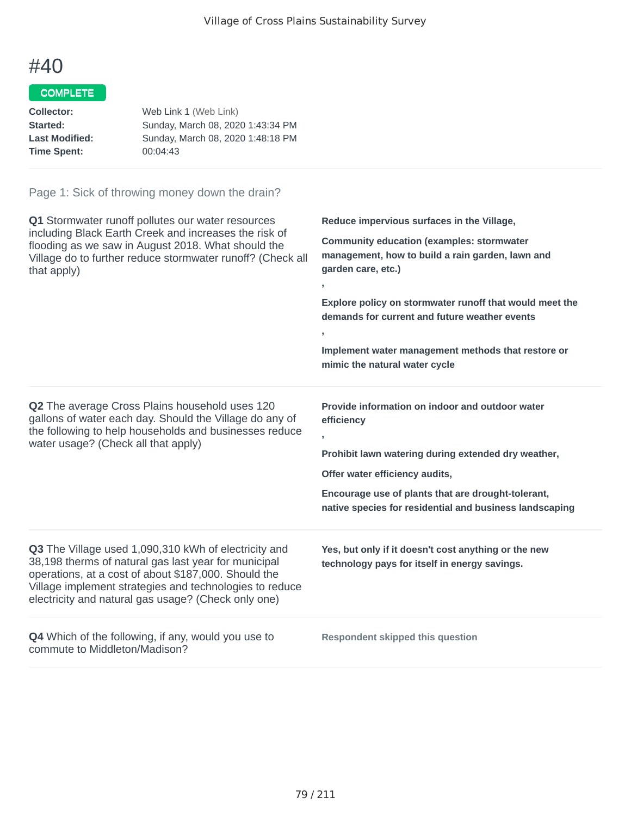## COMPLETE

| Collector:            | Web Link 1 (Web Link)             |
|-----------------------|-----------------------------------|
| Started:              | Sunday, March 08, 2020 1:43:34 PM |
| <b>Last Modified:</b> | Sunday, March 08, 2020 1:48:18 PM |
| <b>Time Spent:</b>    | 00:04:43                          |

| <b>Q1</b> Stormwater runoff pollutes our water resources<br>including Black Earth Creek and increases the risk of<br>flooding as we saw in August 2018. What should the<br>Village do to further reduce stormwater runoff? (Check all<br>that apply)                                   | Reduce impervious surfaces in the Village,<br><b>Community education (examples: stormwater</b><br>management, how to build a rain garden, lawn and<br>garden care, etc.)<br>$\mathbf{r}$<br>Explore policy on stormwater runoff that would meet the<br>demands for current and future weather events<br>$\mathbf{I}$<br>Implement water management methods that restore or<br>mimic the natural water cycle |
|----------------------------------------------------------------------------------------------------------------------------------------------------------------------------------------------------------------------------------------------------------------------------------------|-------------------------------------------------------------------------------------------------------------------------------------------------------------------------------------------------------------------------------------------------------------------------------------------------------------------------------------------------------------------------------------------------------------|
| <b>Q2</b> The average Cross Plains household uses 120<br>gallons of water each day. Should the Village do any of<br>the following to help households and businesses reduce<br>water usage? (Check all that apply)                                                                      | Provide information on indoor and outdoor water<br>efficiency<br>$\overline{1}$<br>Prohibit lawn watering during extended dry weather,<br>Offer water efficiency audits,<br>Encourage use of plants that are drought-tolerant,<br>native species for residential and business landscaping                                                                                                                   |
| Q3 The Village used 1,090,310 kWh of electricity and<br>38,198 therms of natural gas last year for municipal<br>operations, at a cost of about \$187,000. Should the<br>Village implement strategies and technologies to reduce<br>electricity and natural gas usage? (Check only one) | Yes, but only if it doesn't cost anything or the new<br>technology pays for itself in energy savings.                                                                                                                                                                                                                                                                                                       |
| <b>Q4</b> Which of the following, if any, would you use to<br>commute to Middleton/Madison?                                                                                                                                                                                            | <b>Respondent skipped this question</b>                                                                                                                                                                                                                                                                                                                                                                     |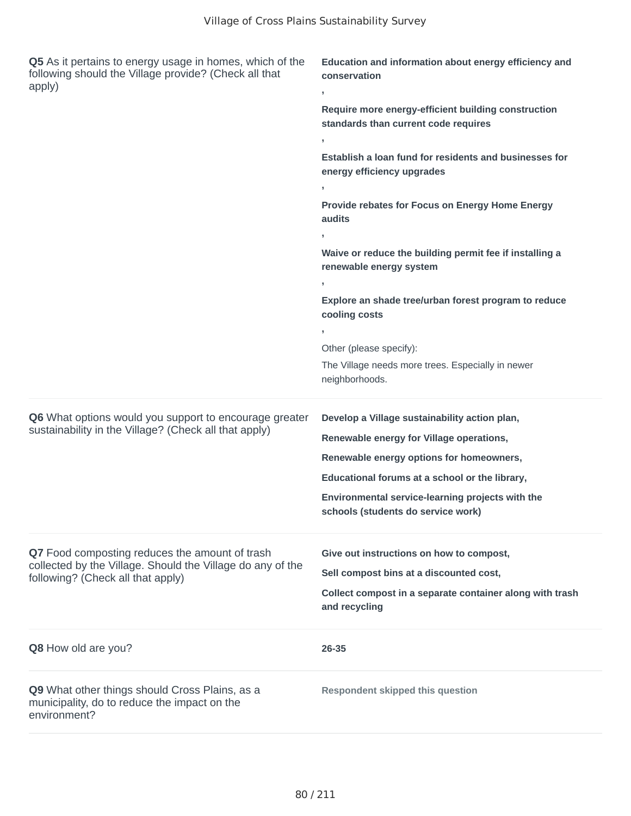| Q5 As it pertains to energy usage in homes, which of the<br>following should the Village provide? (Check all that<br>apply) | Education and information about energy efficiency and<br>conservation<br>э.                 |
|-----------------------------------------------------------------------------------------------------------------------------|---------------------------------------------------------------------------------------------|
|                                                                                                                             | Require more energy-efficient building construction<br>standards than current code requires |
|                                                                                                                             | э.                                                                                          |
|                                                                                                                             | Establish a loan fund for residents and businesses for<br>energy efficiency upgrades        |
|                                                                                                                             | y                                                                                           |
|                                                                                                                             | Provide rebates for Focus on Energy Home Energy<br>audits                                   |
|                                                                                                                             | J                                                                                           |
|                                                                                                                             | Waive or reduce the building permit fee if installing a<br>renewable energy system          |
|                                                                                                                             | $\mathbf{r}$                                                                                |
|                                                                                                                             | Explore an shade tree/urban forest program to reduce<br>cooling costs                       |
|                                                                                                                             | J                                                                                           |
|                                                                                                                             | Other (please specify):                                                                     |
|                                                                                                                             | The Village needs more trees. Especially in newer<br>neighborhoods.                         |
|                                                                                                                             |                                                                                             |
| Q6 What options would you support to encourage greater                                                                      | Develop a Village sustainability action plan,                                               |
| sustainability in the Village? (Check all that apply)                                                                       | Renewable energy for Village operations,                                                    |
|                                                                                                                             | Renewable energy options for homeowners,                                                    |
|                                                                                                                             | Educational forums at a school or the library,                                              |
|                                                                                                                             | Environmental service-learning projects with the<br>schools (students do service work)      |
| Q7 Food composting reduces the amount of trash                                                                              | Give out instructions on how to compost,                                                    |
| collected by the Village. Should the Village do any of the                                                                  | Sell compost bins at a discounted cost,                                                     |
| following? (Check all that apply)                                                                                           |                                                                                             |
|                                                                                                                             | Collect compost in a separate container along with trash<br>and recycling                   |
| Q8 How old are you?                                                                                                         | 26-35                                                                                       |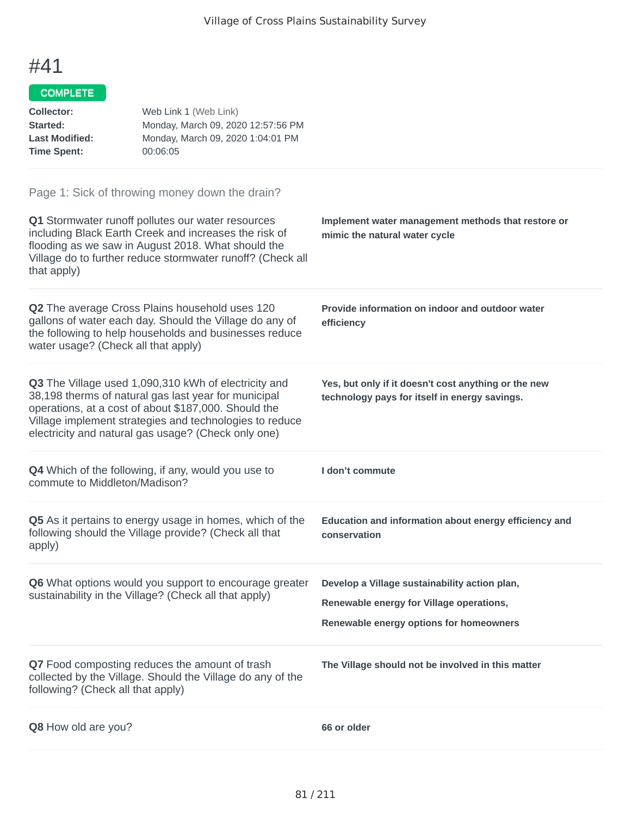#### COMPLETE

| <b>Collector:</b><br>Started:<br><b>Last Modified:</b><br><b>Time Spent:</b> | Web Link 1 (Web Link)<br>Monday, March 09, 2020 12:57:56 PM<br>Monday, March 09, 2020 1:04:01 PM<br>00:06:05                                                                                                                                                                           |                                                                                                                                      |
|------------------------------------------------------------------------------|----------------------------------------------------------------------------------------------------------------------------------------------------------------------------------------------------------------------------------------------------------------------------------------|--------------------------------------------------------------------------------------------------------------------------------------|
| that apply)                                                                  | Page 1: Sick of throwing money down the drain?<br>Q1 Stormwater runoff pollutes our water resources<br>including Black Earth Creek and increases the risk of<br>flooding as we saw in August 2018. What should the<br>Village do to further reduce stormwater runoff? (Check all       | Implement water management methods that restore or<br>mimic the natural water cycle                                                  |
| water usage? (Check all that apply)                                          | <b>Q2</b> The average Cross Plains household uses 120<br>gallons of water each day. Should the Village do any of<br>the following to help households and businesses reduce                                                                                                             | Provide information on indoor and outdoor water<br>efficiency                                                                        |
|                                                                              | Q3 The Village used 1,090,310 kWh of electricity and<br>38,198 therms of natural gas last year for municipal<br>operations, at a cost of about \$187,000. Should the<br>Village implement strategies and technologies to reduce<br>electricity and natural gas usage? (Check only one) | Yes, but only if it doesn't cost anything or the new<br>technology pays for itself in energy savings.                                |
| commute to Middleton/Madison?                                                | <b>Q4</b> Which of the following, if any, would you use to                                                                                                                                                                                                                             | I don't commute                                                                                                                      |
| apply)                                                                       | Q5 As it pertains to energy usage in homes, which of the<br>following should the Village provide? (Check all that                                                                                                                                                                      | Education and information about energy efficiency and<br>conservation                                                                |
|                                                                              | Q6 What options would you support to encourage greater<br>sustainability in the Village? (Check all that apply)                                                                                                                                                                        | Develop a Village sustainability action plan,<br>Renewable energy for Village operations,<br>Renewable energy options for homeowners |
| following? (Check all that apply)                                            | Q7 Food composting reduces the amount of trash<br>collected by the Village. Should the Village do any of the                                                                                                                                                                           | The Village should not be involved in this matter                                                                                    |
| Q8 How old are you?                                                          |                                                                                                                                                                                                                                                                                        | 66 or older                                                                                                                          |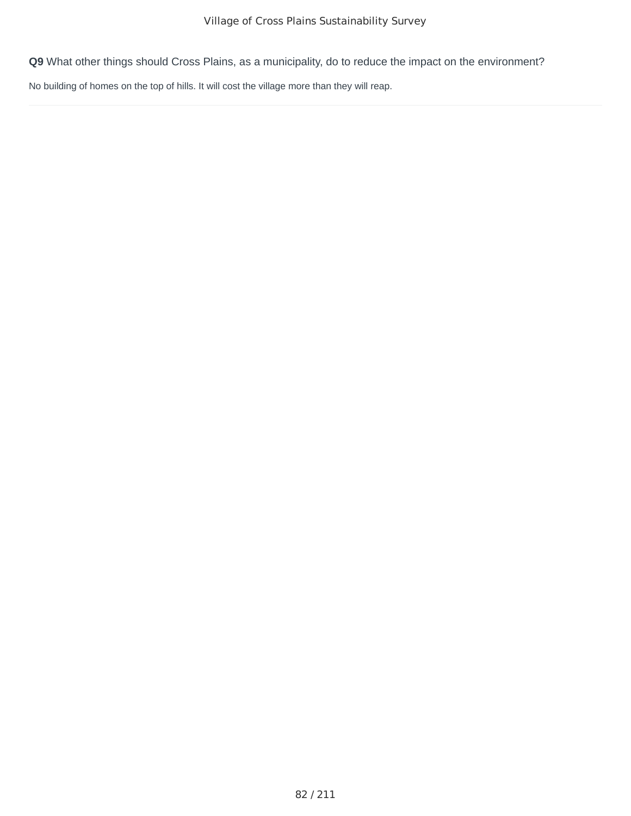No building of homes on the top of hills. It will cost the village more than they will reap.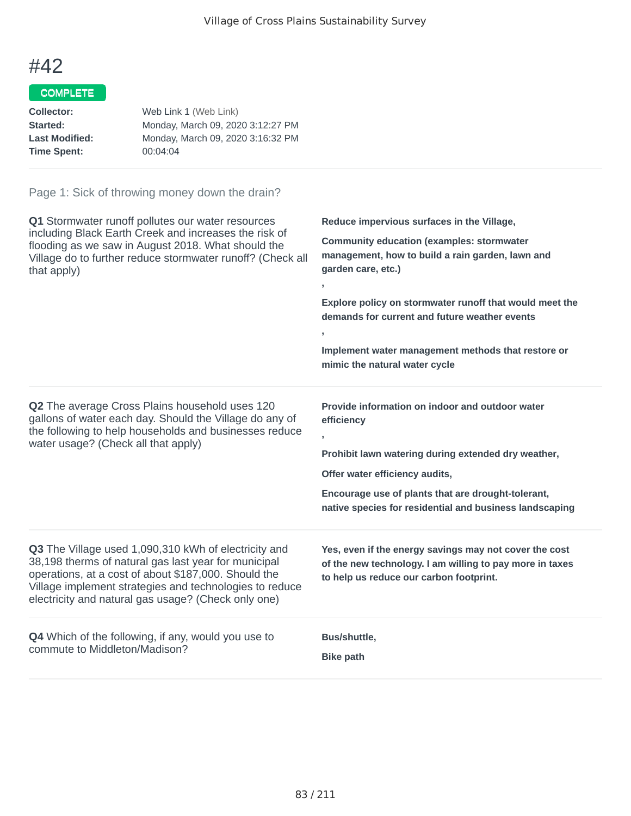## COMPLETE

| Collector:            | Web Link 1 (Web Link)             |
|-----------------------|-----------------------------------|
| Started:              | Monday, March 09, 2020 3:12:27 PM |
| <b>Last Modified:</b> | Monday, March 09, 2020 3:16:32 PM |
| <b>Time Spent:</b>    | 00:04:04                          |
|                       |                                   |

| Q1 Stormwater runoff pollutes our water resources<br>including Black Earth Creek and increases the risk of<br>flooding as we saw in August 2018. What should the<br>Village do to further reduce stormwater runoff? (Check all<br>that apply)                                          | Reduce impervious surfaces in the Village,<br><b>Community education (examples: stormwater</b><br>management, how to build a rain garden, lawn and<br>garden care, etc.)<br>y.<br>Explore policy on stormwater runoff that would meet the<br>demands for current and future weather events<br>э.<br>Implement water management methods that restore or<br>mimic the natural water cycle |
|----------------------------------------------------------------------------------------------------------------------------------------------------------------------------------------------------------------------------------------------------------------------------------------|-----------------------------------------------------------------------------------------------------------------------------------------------------------------------------------------------------------------------------------------------------------------------------------------------------------------------------------------------------------------------------------------|
| Q2 The average Cross Plains household uses 120<br>gallons of water each day. Should the Village do any of<br>the following to help households and businesses reduce<br>water usage? (Check all that apply)                                                                             | Provide information on indoor and outdoor water<br>efficiency<br>$\mathbf{r}$<br>Prohibit lawn watering during extended dry weather,<br>Offer water efficiency audits,<br>Encourage use of plants that are drought-tolerant,<br>native species for residential and business landscaping                                                                                                 |
| Q3 The Village used 1,090,310 kWh of electricity and<br>38,198 therms of natural gas last year for municipal<br>operations, at a cost of about \$187,000. Should the<br>Village implement strategies and technologies to reduce<br>electricity and natural gas usage? (Check only one) | Yes, even if the energy savings may not cover the cost<br>of the new technology. I am willing to pay more in taxes<br>to help us reduce our carbon footprint.                                                                                                                                                                                                                           |
| <b>Q4</b> Which of the following, if any, would you use to<br>commute to Middleton/Madison?                                                                                                                                                                                            | Bus/shuttle,<br><b>Bike path</b>                                                                                                                                                                                                                                                                                                                                                        |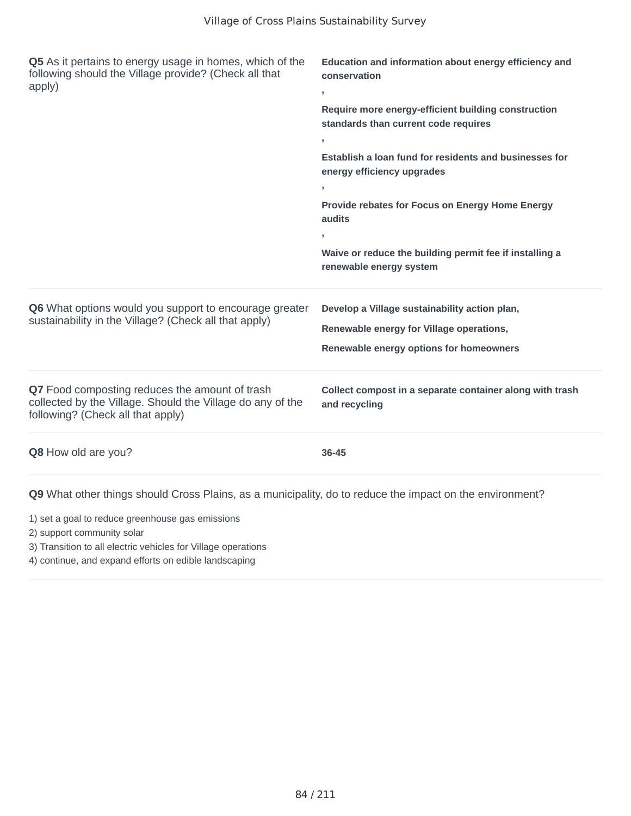| Q5 As it pertains to energy usage in homes, which of the<br>following should the Village provide? (Check all that<br>apply)                       | Education and information about energy efficiency and<br>conservation<br>$\mathbf{I}$       |
|---------------------------------------------------------------------------------------------------------------------------------------------------|---------------------------------------------------------------------------------------------|
|                                                                                                                                                   | Require more energy-efficient building construction<br>standards than current code requires |
|                                                                                                                                                   | $\overline{1}$                                                                              |
|                                                                                                                                                   | Establish a loan fund for residents and businesses for<br>energy efficiency upgrades        |
|                                                                                                                                                   | $\mathbf{I}$                                                                                |
|                                                                                                                                                   | Provide rebates for Focus on Energy Home Energy<br>audits<br>$\mathbf{I}$                   |
|                                                                                                                                                   | Waive or reduce the building permit fee if installing a<br>renewable energy system          |
| Q6 What options would you support to encourage greater                                                                                            | Develop a Village sustainability action plan,                                               |
| sustainability in the Village? (Check all that apply)                                                                                             | Renewable energy for Village operations,                                                    |
|                                                                                                                                                   | Renewable energy options for homeowners                                                     |
| Q7 Food composting reduces the amount of trash<br>collected by the Village. Should the Village do any of the<br>following? (Check all that apply) | Collect compost in a separate container along with trash<br>and recycling                   |
| Q8 How old are you?                                                                                                                               | 36-45                                                                                       |

- 1) set a goal to reduce greenhouse gas emissions
- 2) support community solar
- 3) Transition to all electric vehicles for Village operations
- 4) continue, and expand efforts on edible landscaping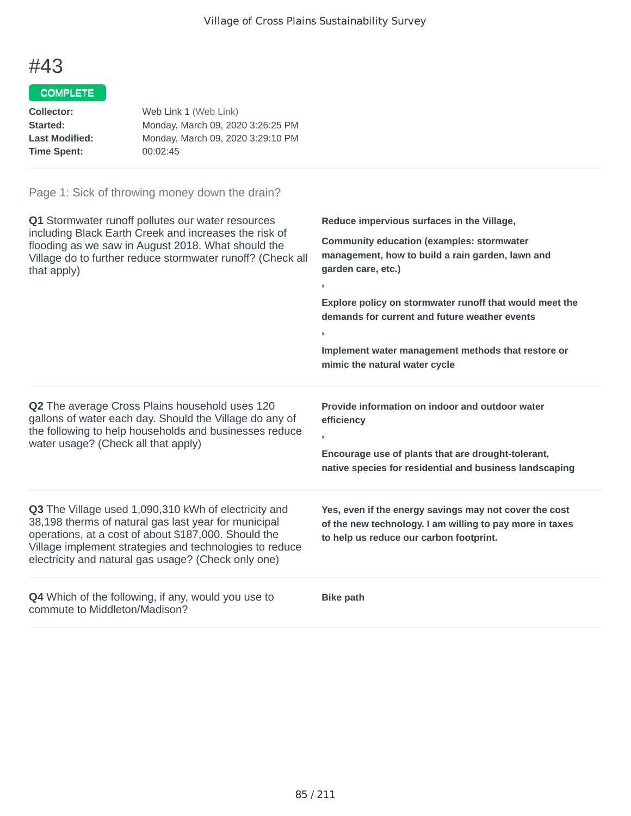## COMPLETE

| Web Link 1 (Web Link)             |
|-----------------------------------|
| Monday, March 09, 2020 3:26:25 PM |
| Monday, March 09, 2020 3:29:10 PM |
| 00:02:45                          |
|                                   |

| Q1 Stormwater runoff pollutes our water resources<br>including Black Earth Creek and increases the risk of<br>flooding as we saw in August 2018. What should the<br>Village do to further reduce stormwater runoff? (Check all<br>that apply)                                          | Reduce impervious surfaces in the Village,<br><b>Community education (examples: stormwater</b><br>management, how to build a rain garden, lawn and<br>garden care, etc.)<br>Explore policy on stormwater runoff that would meet the<br>demands for current and future weather events<br>У.<br>Implement water management methods that restore or<br>mimic the natural water cycle |
|----------------------------------------------------------------------------------------------------------------------------------------------------------------------------------------------------------------------------------------------------------------------------------------|-----------------------------------------------------------------------------------------------------------------------------------------------------------------------------------------------------------------------------------------------------------------------------------------------------------------------------------------------------------------------------------|
| Q2 The average Cross Plains household uses 120<br>gallons of water each day. Should the Village do any of<br>the following to help households and businesses reduce<br>water usage? (Check all that apply)                                                                             | Provide information on indoor and outdoor water<br>efficiency<br>$\overline{1}$<br>Encourage use of plants that are drought-tolerant,<br>native species for residential and business landscaping                                                                                                                                                                                  |
| Q3 The Village used 1,090,310 kWh of electricity and<br>38,198 therms of natural gas last year for municipal<br>operations, at a cost of about \$187,000. Should the<br>Village implement strategies and technologies to reduce<br>electricity and natural gas usage? (Check only one) | Yes, even if the energy savings may not cover the cost<br>of the new technology. I am willing to pay more in taxes<br>to help us reduce our carbon footprint.                                                                                                                                                                                                                     |
| <b>Q4</b> Which of the following, if any, would you use to<br>commute to Middleton/Madison?                                                                                                                                                                                            | <b>Bike path</b>                                                                                                                                                                                                                                                                                                                                                                  |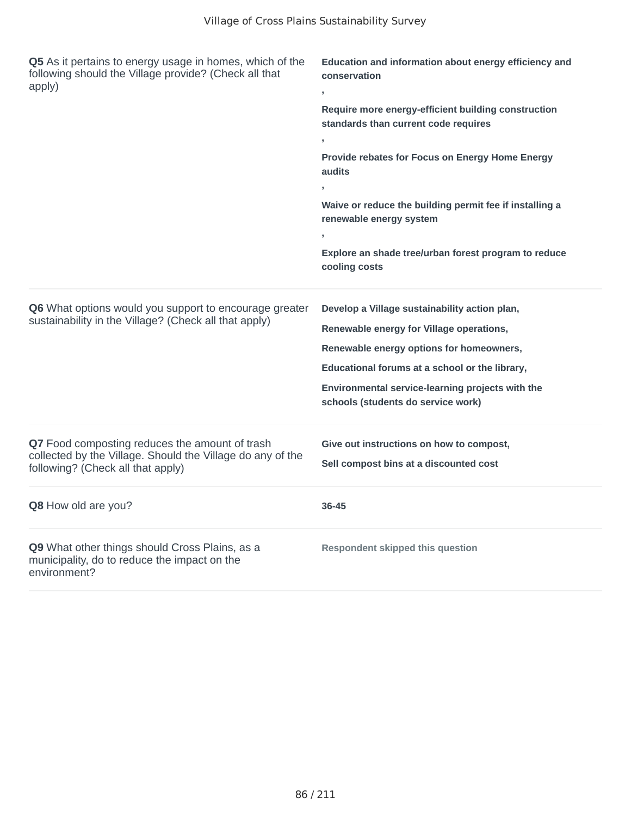| Q5 As it pertains to energy usage in homes, which of the<br>following should the Village provide? (Check all that<br>apply)                       | Education and information about energy efficiency and<br>conservation<br>Require more energy-efficient building construction<br>standards than current code requires<br>Provide rebates for Focus on Energy Home Energy<br>audits<br>Waive or reduce the building permit fee if installing a<br>renewable energy system<br>Explore an shade tree/urban forest program to reduce<br>cooling costs |
|---------------------------------------------------------------------------------------------------------------------------------------------------|--------------------------------------------------------------------------------------------------------------------------------------------------------------------------------------------------------------------------------------------------------------------------------------------------------------------------------------------------------------------------------------------------|
| Q6 What options would you support to encourage greater<br>sustainability in the Village? (Check all that apply)                                   | Develop a Village sustainability action plan,<br>Renewable energy for Village operations,<br>Renewable energy options for homeowners,<br>Educational forums at a school or the library,<br>Environmental service-learning projects with the<br>schools (students do service work)                                                                                                                |
| Q7 Food composting reduces the amount of trash<br>collected by the Village. Should the Village do any of the<br>following? (Check all that apply) | Give out instructions on how to compost,<br>Sell compost bins at a discounted cost                                                                                                                                                                                                                                                                                                               |
| Q8 How old are you?                                                                                                                               | 36-45                                                                                                                                                                                                                                                                                                                                                                                            |
| Q9 What other things should Cross Plains, as a<br>municipality, do to reduce the impact on the<br>environment?                                    | <b>Respondent skipped this question</b>                                                                                                                                                                                                                                                                                                                                                          |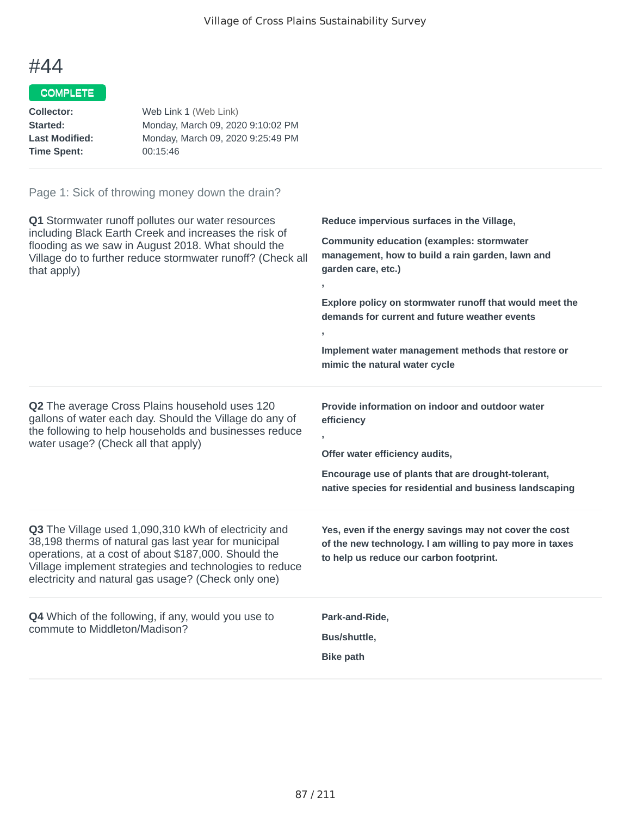## COMPLETE

| Web Link 1 (Web Link)             |
|-----------------------------------|
| Monday, March 09, 2020 9:10:02 PM |
| Monday, March 09, 2020 9:25:49 PM |
| 00:15:46                          |
|                                   |

| Q1 Stormwater runoff pollutes our water resources<br>including Black Earth Creek and increases the risk of<br>flooding as we saw in August 2018. What should the<br>Village do to further reduce stormwater runoff? (Check all<br>that apply)                                          | Reduce impervious surfaces in the Village,<br><b>Community education (examples: stormwater</b><br>management, how to build a rain garden, lawn and<br>garden care, etc.)<br>$\overline{1}$<br>Explore policy on stormwater runoff that would meet the<br>demands for current and future weather events<br>$\overline{1}$<br>Implement water management methods that restore or<br>mimic the natural water cycle |
|----------------------------------------------------------------------------------------------------------------------------------------------------------------------------------------------------------------------------------------------------------------------------------------|-----------------------------------------------------------------------------------------------------------------------------------------------------------------------------------------------------------------------------------------------------------------------------------------------------------------------------------------------------------------------------------------------------------------|
| <b>Q2</b> The average Cross Plains household uses 120<br>gallons of water each day. Should the Village do any of<br>the following to help households and businesses reduce<br>water usage? (Check all that apply)                                                                      | Provide information on indoor and outdoor water<br>efficiency<br>Offer water efficiency audits,<br>Encourage use of plants that are drought-tolerant,<br>native species for residential and business landscaping                                                                                                                                                                                                |
| Q3 The Village used 1,090,310 kWh of electricity and<br>38,198 therms of natural gas last year for municipal<br>operations, at a cost of about \$187,000. Should the<br>Village implement strategies and technologies to reduce<br>electricity and natural gas usage? (Check only one) | Yes, even if the energy savings may not cover the cost<br>of the new technology. I am willing to pay more in taxes<br>to help us reduce our carbon footprint.                                                                                                                                                                                                                                                   |
| Q4 Which of the following, if any, would you use to<br>commute to Middleton/Madison?                                                                                                                                                                                                   | Park-and-Ride,<br>Bus/shuttle,<br><b>Bike path</b>                                                                                                                                                                                                                                                                                                                                                              |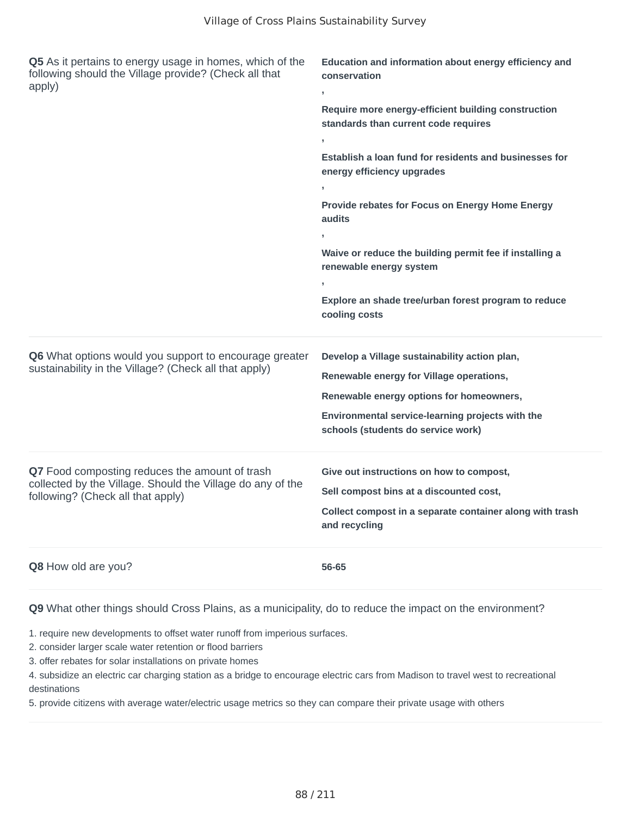| Q5 As it pertains to energy usage in homes, which of the<br>following should the Village provide? (Check all that<br>apply) | Education and information about energy efficiency and<br>conservation                       |  |
|-----------------------------------------------------------------------------------------------------------------------------|---------------------------------------------------------------------------------------------|--|
|                                                                                                                             | Require more energy-efficient building construction<br>standards than current code requires |  |
|                                                                                                                             |                                                                                             |  |
|                                                                                                                             | Establish a loan fund for residents and businesses for<br>energy efficiency upgrades        |  |
|                                                                                                                             |                                                                                             |  |
|                                                                                                                             | Provide rebates for Focus on Energy Home Energy<br>audits                                   |  |
|                                                                                                                             |                                                                                             |  |
|                                                                                                                             | Waive or reduce the building permit fee if installing a<br>renewable energy system          |  |
|                                                                                                                             |                                                                                             |  |
|                                                                                                                             | Explore an shade tree/urban forest program to reduce<br>cooling costs                       |  |
| Q6 What options would you support to encourage greater                                                                      | Develop a Village sustainability action plan,                                               |  |
| sustainability in the Village? (Check all that apply)                                                                       | Renewable energy for Village operations,                                                    |  |
|                                                                                                                             | Renewable energy options for homeowners,                                                    |  |
|                                                                                                                             | Environmental service-learning projects with the<br>schools (students do service work)      |  |
| Q7 Food composting reduces the amount of trash                                                                              | Give out instructions on how to compost,                                                    |  |
| collected by the Village. Should the Village do any of the<br>following? (Check all that apply)                             | Sell compost bins at a discounted cost,                                                     |  |
|                                                                                                                             | Collect compost in a separate container along with trash<br>and recycling                   |  |
| <b>Q8</b> How old are you?                                                                                                  | 56-65                                                                                       |  |

1. require new developments to offset water runoff from imperious surfaces.

2. consider larger scale water retention or flood barriers

3. offer rebates for solar installations on private homes

4. subsidize an electric car charging station as a bridge to encourage electric cars from Madison to travel west to recreational destinations

5. provide citizens with average water/electric usage metrics so they can compare their private usage with others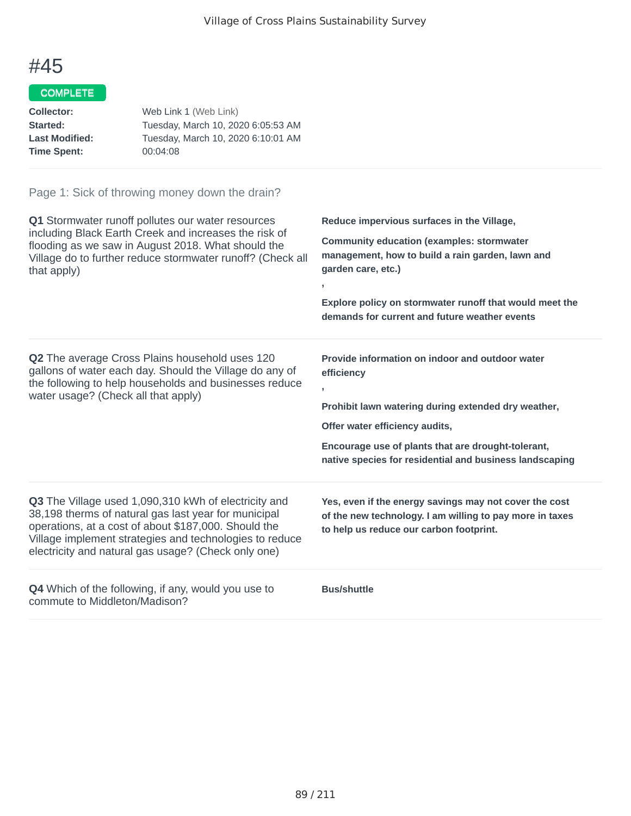## COMPLETE

| Collector:            | Web Link 1 (Web Link)              |
|-----------------------|------------------------------------|
| <b>Started:</b>       | Tuesday, March 10, 2020 6:05:53 AM |
| <b>Last Modified:</b> | Tuesday, March 10, 2020 6:10:01 AM |
| Time Spent:           | 00:04:08                           |
|                       |                                    |

| Q1 Stormwater runoff pollutes our water resources<br>including Black Earth Creek and increases the risk of<br>flooding as we saw in August 2018. What should the<br>Village do to further reduce stormwater runoff? (Check all<br>that apply)                                          | Reduce impervious surfaces in the Village,<br><b>Community education (examples: stormwater</b><br>management, how to build a rain garden, lawn and<br>garden care, etc.)<br>$\mathbf{I}$<br>Explore policy on stormwater runoff that would meet the<br>demands for current and future weather events |
|----------------------------------------------------------------------------------------------------------------------------------------------------------------------------------------------------------------------------------------------------------------------------------------|------------------------------------------------------------------------------------------------------------------------------------------------------------------------------------------------------------------------------------------------------------------------------------------------------|
| <b>Q2</b> The average Cross Plains household uses 120<br>gallons of water each day. Should the Village do any of<br>the following to help households and businesses reduce<br>water usage? (Check all that apply)                                                                      | Provide information on indoor and outdoor water<br>efficiency<br>$\mathbf{I}$<br>Prohibit lawn watering during extended dry weather,<br>Offer water efficiency audits,<br>Encourage use of plants that are drought-tolerant,<br>native species for residential and business landscaping              |
| Q3 The Village used 1,090,310 kWh of electricity and<br>38,198 therms of natural gas last year for municipal<br>operations, at a cost of about \$187,000. Should the<br>Village implement strategies and technologies to reduce<br>electricity and natural gas usage? (Check only one) | Yes, even if the energy savings may not cover the cost<br>of the new technology. I am willing to pay more in taxes<br>to help us reduce our carbon footprint.                                                                                                                                        |
| <b>Q4</b> Which of the following, if any, would you use to<br>commute to Middleton/Madison?                                                                                                                                                                                            | <b>Bus/shuttle</b>                                                                                                                                                                                                                                                                                   |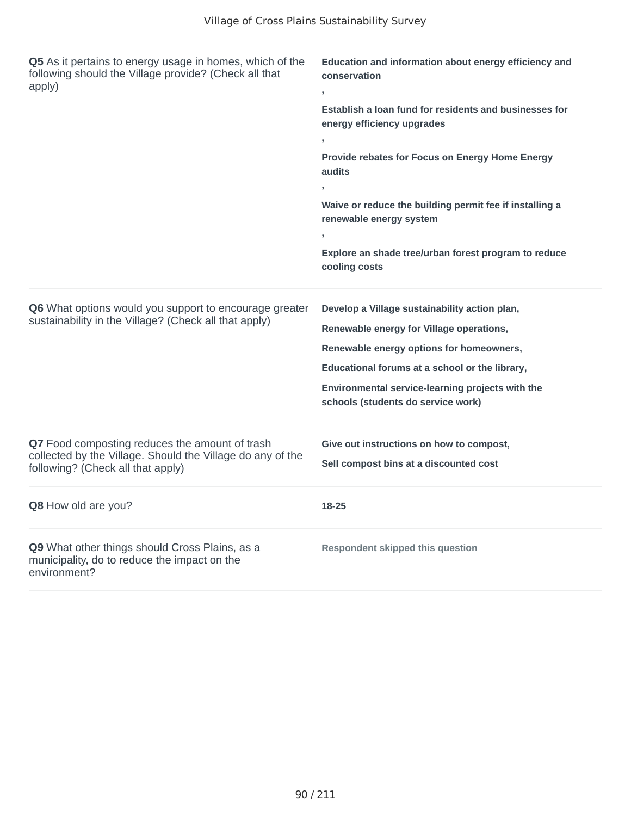| Q5 As it pertains to energy usage in homes, which of the<br>following should the Village provide? (Check all that<br>apply)                       | Education and information about energy efficiency and<br>conservation<br>Establish a loan fund for residents and businesses for<br>energy efficiency upgrades<br>Provide rebates for Focus on Energy Home Energy<br>audits<br>Waive or reduce the building permit fee if installing a<br>renewable energy system<br>Explore an shade tree/urban forest program to reduce<br>cooling costs |
|---------------------------------------------------------------------------------------------------------------------------------------------------|-------------------------------------------------------------------------------------------------------------------------------------------------------------------------------------------------------------------------------------------------------------------------------------------------------------------------------------------------------------------------------------------|
| Q6 What options would you support to encourage greater<br>sustainability in the Village? (Check all that apply)                                   | Develop a Village sustainability action plan,<br>Renewable energy for Village operations,<br>Renewable energy options for homeowners,<br>Educational forums at a school or the library,<br>Environmental service-learning projects with the<br>schools (students do service work)                                                                                                         |
| Q7 Food composting reduces the amount of trash<br>collected by the Village. Should the Village do any of the<br>following? (Check all that apply) | Give out instructions on how to compost,<br>Sell compost bins at a discounted cost                                                                                                                                                                                                                                                                                                        |
| Q8 How old are you?                                                                                                                               | 18-25                                                                                                                                                                                                                                                                                                                                                                                     |
| Q9 What other things should Cross Plains, as a<br>municipality, do to reduce the impact on the<br>environment?                                    | <b>Respondent skipped this question</b>                                                                                                                                                                                                                                                                                                                                                   |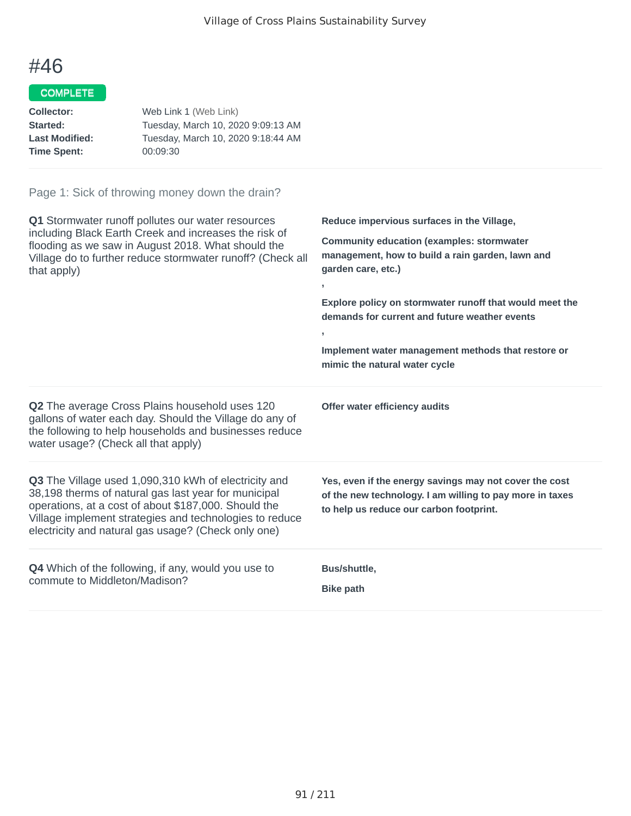#### COMPLETE

| Web Link 1 (Web Link)              |
|------------------------------------|
| Tuesday, March 10, 2020 9:09:13 AM |
| Tuesday, March 10, 2020 9:18:44 AM |
| 00:09:30                           |
|                                    |

#### Page 1: Sick of throwing money down the drain?

**Q1** Stormwater runoff pollutes our water resources including Black Earth Creek and increases the risk of flooding as we saw in August 2018. What should the Village do to further reduce stormwater runoff? (Check all that apply) **Reduce impervious surfaces in the Village, Community education (examples: stormwater management, how to build a rain garden, lawn and garden care, etc.) , Explore policy on stormwater runoff that would meet the demands for current and future weather events , Implement water management methods that restore or mimic the natural water cycle Q2** The average Cross Plains household uses 120 gallons of water each day. Should the Village do any of the following to help households and businesses reduce water usage? (Check all that apply) **Offer water efficiency audits Q3** The Village used 1,090,310 kWh of electricity and 38,198 therms of natural gas last year for municipal operations, at a cost of about \$187,000. Should the Village implement strategies and technologies to reduce electricity and natural gas usage? (Check only one) **Yes, even if the energy savings may not cover the cost of the new technology. I am willing to pay more in taxes to help us reduce our carbon footprint. Q4** Which of the following, if any, would you use to commute to Middleton/Madison? **Bus/shuttle, Bike path**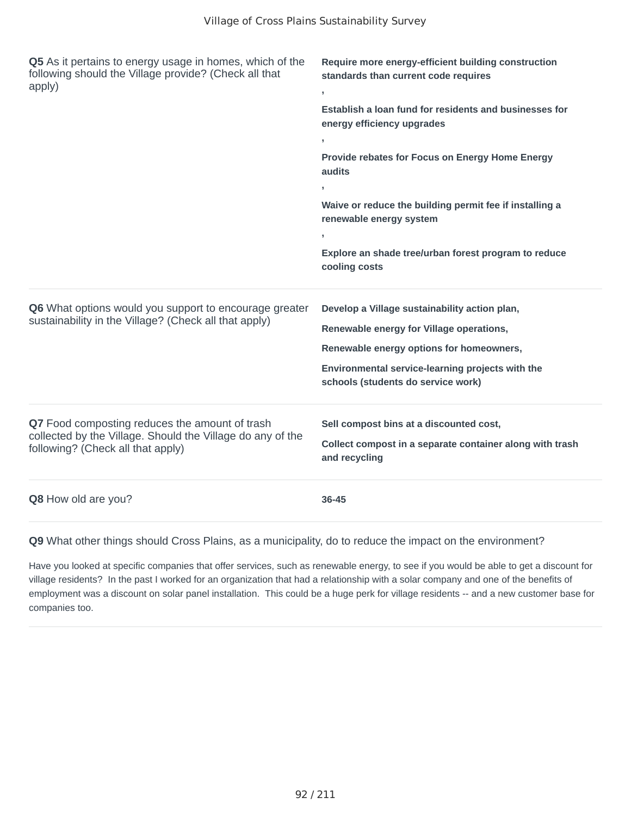| Q5 As it pertains to energy usage in homes, which of the<br>following should the Village provide? (Check all that<br>apply)                       | Require more energy-efficient building construction<br>standards than current code requires<br>y.<br>Establish a loan fund for residents and businesses for<br>energy efficiency upgrades<br>Provide rebates for Focus on Energy Home Energy |
|---------------------------------------------------------------------------------------------------------------------------------------------------|----------------------------------------------------------------------------------------------------------------------------------------------------------------------------------------------------------------------------------------------|
|                                                                                                                                                   | audits<br>Waive or reduce the building permit fee if installing a<br>renewable energy system<br>Explore an shade tree/urban forest program to reduce<br>cooling costs                                                                        |
| Q6 What options would you support to encourage greater<br>sustainability in the Village? (Check all that apply)                                   | Develop a Village sustainability action plan,<br>Renewable energy for Village operations,<br>Renewable energy options for homeowners,<br>Environmental service-learning projects with the<br>schools (students do service work)              |
| Q7 Food composting reduces the amount of trash<br>collected by the Village. Should the Village do any of the<br>following? (Check all that apply) | Sell compost bins at a discounted cost,<br>Collect compost in a separate container along with trash<br>and recycling                                                                                                                         |
| Q8 How old are you?                                                                                                                               | 36-45                                                                                                                                                                                                                                        |

Have you looked at specific companies that offer services, such as renewable energy, to see if you would be able to get a discount for village residents? In the past I worked for an organization that had a relationship with a solar company and one of the benefits of employment was a discount on solar panel installation. This could be a huge perk for village residents -- and a new customer base for companies too.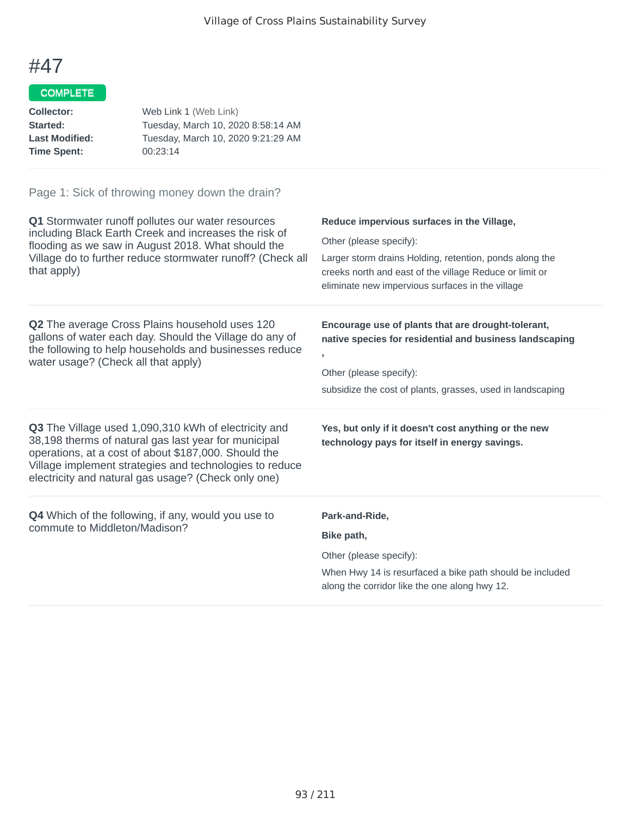## COMPLETE

| Collector:            | Web Link 1 (Web Link)              |
|-----------------------|------------------------------------|
| <b>Started:</b>       | Tuesday, March 10, 2020 8:58:14 AM |
| <b>Last Modified:</b> | Tuesday, March 10, 2020 9:21:29 AM |
| Time Spent:           | 00:23:14                           |

| Q1 Stormwater runoff pollutes our water resources<br>including Black Earth Creek and increases the risk of<br>flooding as we saw in August 2018. What should the<br>Village do to further reduce stormwater runoff? (Check all<br>that apply)                                                 | Reduce impervious surfaces in the Village,<br>Other (please specify):<br>Larger storm drains Holding, retention, ponds along the<br>creeks north and east of the village Reduce or limit or<br>eliminate new impervious surfaces in the village |
|-----------------------------------------------------------------------------------------------------------------------------------------------------------------------------------------------------------------------------------------------------------------------------------------------|-------------------------------------------------------------------------------------------------------------------------------------------------------------------------------------------------------------------------------------------------|
| <b>Q2</b> The average Cross Plains household uses 120<br>gallons of water each day. Should the Village do any of<br>the following to help households and businesses reduce<br>water usage? (Check all that apply)                                                                             | Encourage use of plants that are drought-tolerant,<br>native species for residential and business landscaping<br>$\overline{1}$<br>Other (please specify):<br>subsidize the cost of plants, grasses, used in landscaping                        |
| <b>Q3</b> The Village used 1,090,310 kWh of electricity and<br>38,198 therms of natural gas last year for municipal<br>operations, at a cost of about \$187,000. Should the<br>Village implement strategies and technologies to reduce<br>electricity and natural gas usage? (Check only one) | Yes, but only if it doesn't cost anything or the new<br>technology pays for itself in energy savings.                                                                                                                                           |
| <b>Q4</b> Which of the following, if any, would you use to<br>commute to Middleton/Madison?                                                                                                                                                                                                   | Park-and-Ride,<br>Bike path,<br>Other (please specify):<br>When Hwy 14 is resurfaced a bike path should be included<br>along the corridor like the one along hwy 12.                                                                            |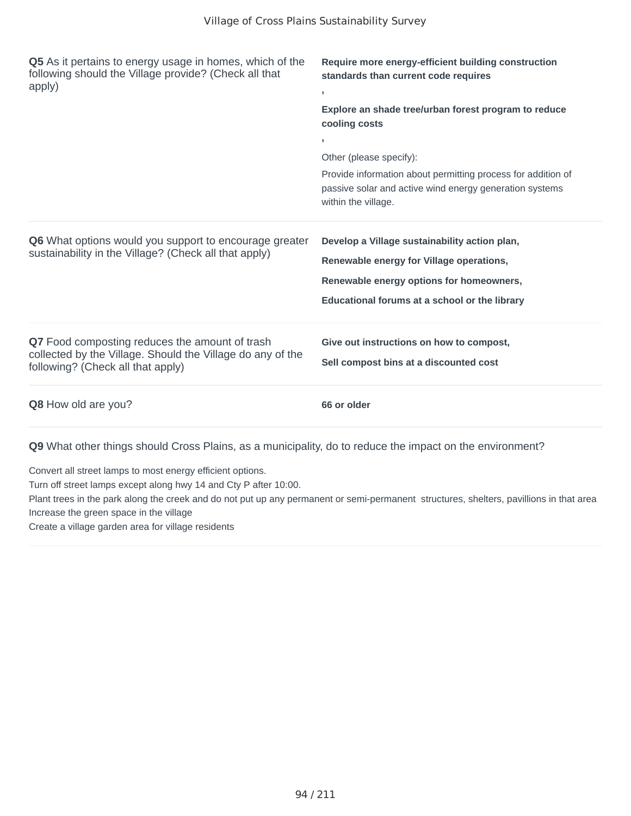| Q5 As it pertains to energy usage in homes, which of the<br>following should the Village provide? (Check all that<br>apply)                       | Require more energy-efficient building construction<br>standards than current code requires<br>y.<br>Explore an shade tree/urban forest program to reduce<br>cooling costs<br>Other (please specify):<br>Provide information about permitting process for addition of<br>passive solar and active wind energy generation systems<br>within the village. |
|---------------------------------------------------------------------------------------------------------------------------------------------------|---------------------------------------------------------------------------------------------------------------------------------------------------------------------------------------------------------------------------------------------------------------------------------------------------------------------------------------------------------|
| Q6 What options would you support to encourage greater<br>sustainability in the Village? (Check all that apply)                                   | Develop a Village sustainability action plan,<br>Renewable energy for Village operations,<br>Renewable energy options for homeowners,<br>Educational forums at a school or the library                                                                                                                                                                  |
| Q7 Food composting reduces the amount of trash<br>collected by the Village. Should the Village do any of the<br>following? (Check all that apply) | Give out instructions on how to compost,<br>Sell compost bins at a discounted cost                                                                                                                                                                                                                                                                      |
| Q8 How old are you?                                                                                                                               | 66 or older                                                                                                                                                                                                                                                                                                                                             |

Convert all street lamps to most energy efficient options.

Turn off street lamps except along hwy 14 and Cty P after 10:00.

Plant trees in the park along the creek and do not put up any permanent or semi-permanent structures, shelters, pavillions in that area Increase the green space in the village

Create a village garden area for village residents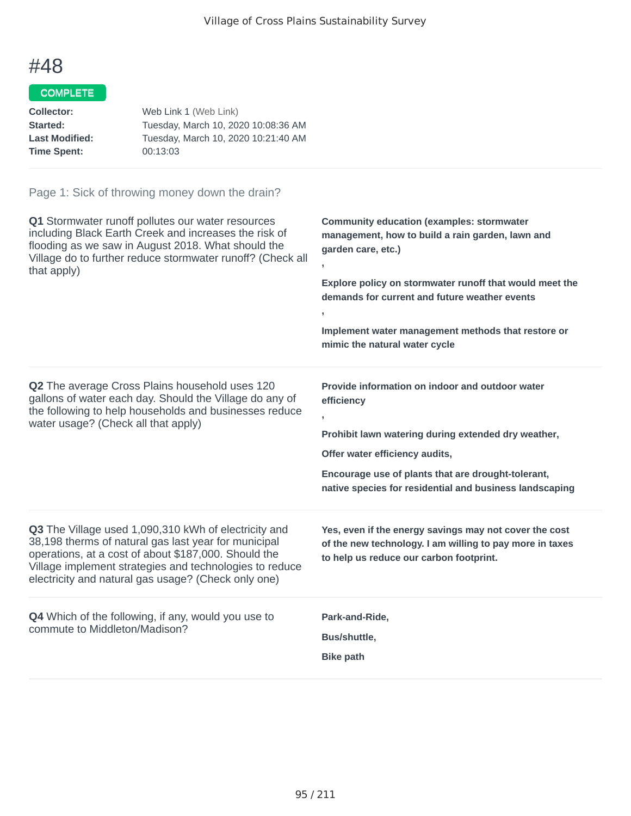## COMPLETE

| Tuesday, March 10, 2020 10:08:36 AM |
|-------------------------------------|
| Tuesday, March 10, 2020 10:21:40 AM |
|                                     |
|                                     |

| Q1 Stormwater runoff pollutes our water resources<br>including Black Earth Creek and increases the risk of<br>flooding as we saw in August 2018. What should the<br>Village do to further reduce stormwater runoff? (Check all<br>that apply)                                          | <b>Community education (examples: stormwater</b><br>management, how to build a rain garden, lawn and<br>garden care, etc.)<br>Explore policy on stormwater runoff that would meet the<br>demands for current and future weather events<br>$\mathbf{r}$<br>Implement water management methods that restore or<br>mimic the natural water cycle |
|----------------------------------------------------------------------------------------------------------------------------------------------------------------------------------------------------------------------------------------------------------------------------------------|-----------------------------------------------------------------------------------------------------------------------------------------------------------------------------------------------------------------------------------------------------------------------------------------------------------------------------------------------|
| <b>Q2</b> The average Cross Plains household uses 120<br>gallons of water each day. Should the Village do any of<br>the following to help households and businesses reduce<br>water usage? (Check all that apply)                                                                      | Provide information on indoor and outdoor water<br>efficiency<br>Prohibit lawn watering during extended dry weather,<br>Offer water efficiency audits,<br>Encourage use of plants that are drought-tolerant,<br>native species for residential and business landscaping                                                                       |
| Q3 The Village used 1,090,310 kWh of electricity and<br>38,198 therms of natural gas last year for municipal<br>operations, at a cost of about \$187,000. Should the<br>Village implement strategies and technologies to reduce<br>electricity and natural gas usage? (Check only one) | Yes, even if the energy savings may not cover the cost<br>of the new technology. I am willing to pay more in taxes<br>to help us reduce our carbon footprint.                                                                                                                                                                                 |
| <b>Q4</b> Which of the following, if any, would you use to<br>commute to Middleton/Madison?                                                                                                                                                                                            | Park-and-Ride,<br>Bus/shuttle,<br><b>Bike path</b>                                                                                                                                                                                                                                                                                            |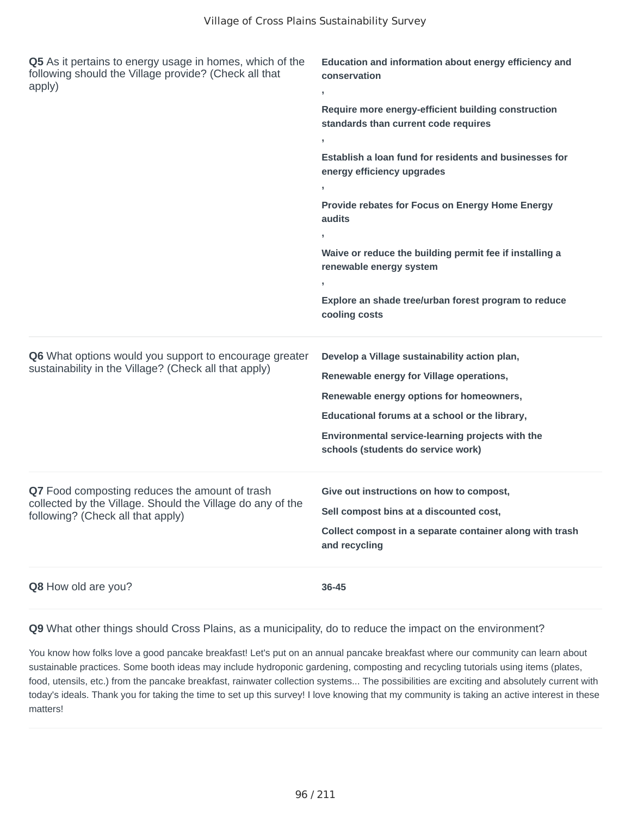| Q5 As it pertains to energy usage in homes, which of the<br>following should the Village provide? (Check all that<br>apply)                       | Education and information about energy efficiency and<br>conservation<br>,                                                                                                                                                                                                        |
|---------------------------------------------------------------------------------------------------------------------------------------------------|-----------------------------------------------------------------------------------------------------------------------------------------------------------------------------------------------------------------------------------------------------------------------------------|
|                                                                                                                                                   | Require more energy-efficient building construction<br>standards than current code requires<br>y.                                                                                                                                                                                 |
|                                                                                                                                                   | Establish a loan fund for residents and businesses for<br>energy efficiency upgrades<br>J.<br>Provide rebates for Focus on Energy Home Energy<br>audits<br>$\overline{1}$<br>Waive or reduce the building permit fee if installing a<br>renewable energy system                   |
|                                                                                                                                                   | Explore an shade tree/urban forest program to reduce<br>cooling costs                                                                                                                                                                                                             |
| Q6 What options would you support to encourage greater<br>sustainability in the Village? (Check all that apply)                                   | Develop a Village sustainability action plan,<br>Renewable energy for Village operations,<br>Renewable energy options for homeowners,<br>Educational forums at a school or the library,<br>Environmental service-learning projects with the<br>schools (students do service work) |
| Q7 Food composting reduces the amount of trash<br>collected by the Village. Should the Village do any of the<br>following? (Check all that apply) | Give out instructions on how to compost,<br>Sell compost bins at a discounted cost,<br>Collect compost in a separate container along with trash<br>and recycling                                                                                                                  |
| Q8 How old are you?                                                                                                                               | 36-45                                                                                                                                                                                                                                                                             |

You know how folks love a good pancake breakfast! Let's put on an annual pancake breakfast where our community can learn about sustainable practices. Some booth ideas may include hydroponic gardening, composting and recycling tutorials using items (plates, food, utensils, etc.) from the pancake breakfast, rainwater collection systems... The possibilities are exciting and absolutely current with today's ideals. Thank you for taking the time to set up this survey! I love knowing that my community is taking an active interest in these matters!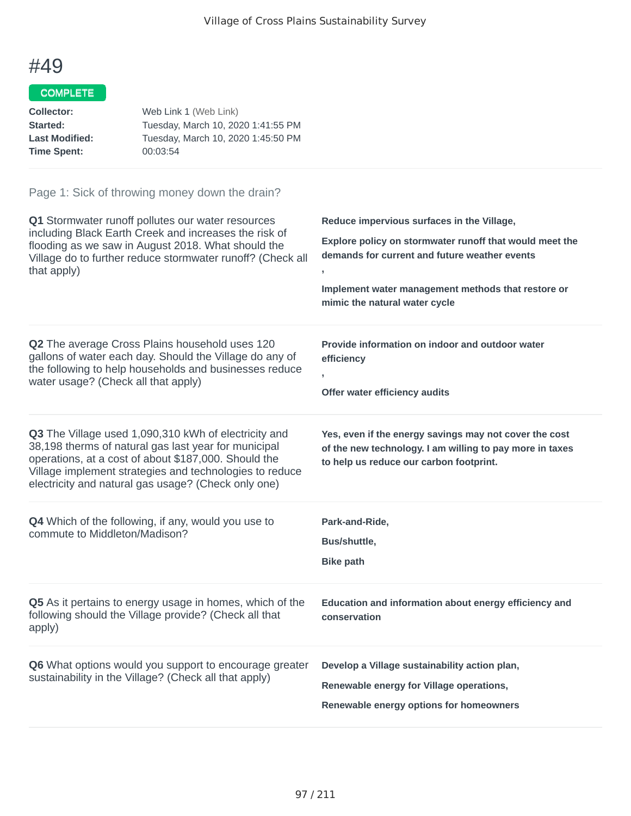## COMPLETE

| Web Link 1 (Web Link)              |
|------------------------------------|
| Tuesday, March 10, 2020 1:41:55 PM |
| Tuesday, March 10, 2020 1:45:50 PM |
| 00:03:54                           |
|                                    |

| Q1 Stormwater runoff pollutes our water resources<br>including Black Earth Creek and increases the risk of<br>flooding as we saw in August 2018. What should the<br>Village do to further reduce stormwater runoff? (Check all<br>that apply)                                          | Reduce impervious surfaces in the Village,<br>Explore policy on stormwater runoff that would meet the<br>demands for current and future weather events<br>Implement water management methods that restore or<br>mimic the natural water cycle |
|----------------------------------------------------------------------------------------------------------------------------------------------------------------------------------------------------------------------------------------------------------------------------------------|-----------------------------------------------------------------------------------------------------------------------------------------------------------------------------------------------------------------------------------------------|
| Q2 The average Cross Plains household uses 120<br>gallons of water each day. Should the Village do any of<br>the following to help households and businesses reduce<br>water usage? (Check all that apply)                                                                             | Provide information on indoor and outdoor water<br>efficiency<br>$\overline{1}$<br>Offer water efficiency audits                                                                                                                              |
| Q3 The Village used 1,090,310 kWh of electricity and<br>38,198 therms of natural gas last year for municipal<br>operations, at a cost of about \$187,000. Should the<br>Village implement strategies and technologies to reduce<br>electricity and natural gas usage? (Check only one) | Yes, even if the energy savings may not cover the cost<br>of the new technology. I am willing to pay more in taxes<br>to help us reduce our carbon footprint.                                                                                 |
| Q4 Which of the following, if any, would you use to<br>commute to Middleton/Madison?                                                                                                                                                                                                   | Park-and-Ride,<br>Bus/shuttle,<br><b>Bike path</b>                                                                                                                                                                                            |
| Q5 As it pertains to energy usage in homes, which of the<br>following should the Village provide? (Check all that<br>apply)                                                                                                                                                            | Education and information about energy efficiency and<br>conservation                                                                                                                                                                         |
| Q6 What options would you support to encourage greater<br>sustainability in the Village? (Check all that apply)                                                                                                                                                                        | Develop a Village sustainability action plan,<br>Renewable energy for Village operations,<br>Renewable energy options for homeowners                                                                                                          |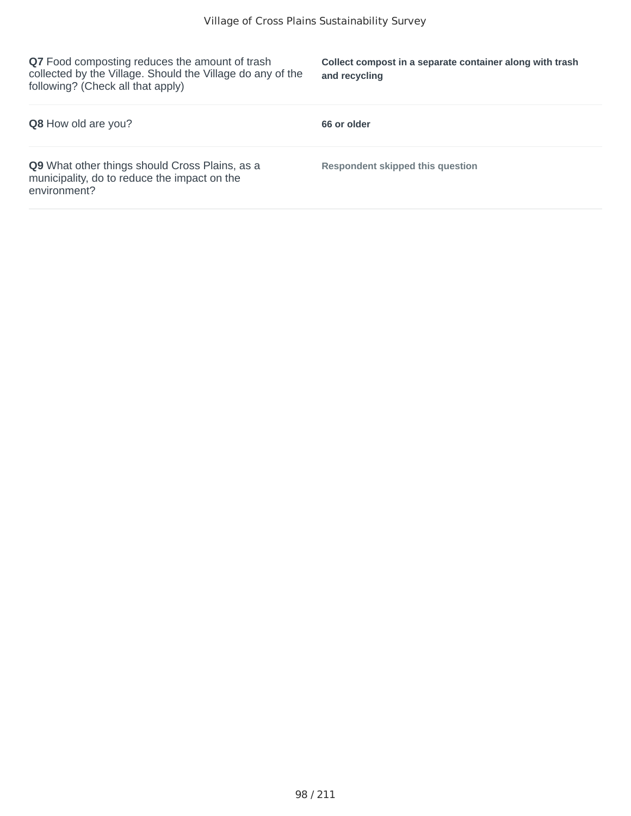**Q7** Food composting reduces the amount of trash collected by the Village. Should the Village do any of the following? (Check all that apply)

**Collect compost in a separate container along with trash and recycling**

| Q8 How old are you?                                                                                            | 66 or older                      |
|----------------------------------------------------------------------------------------------------------------|----------------------------------|
| Q9 What other things should Cross Plains, as a<br>municipality, do to reduce the impact on the<br>environment? | Respondent skipped this question |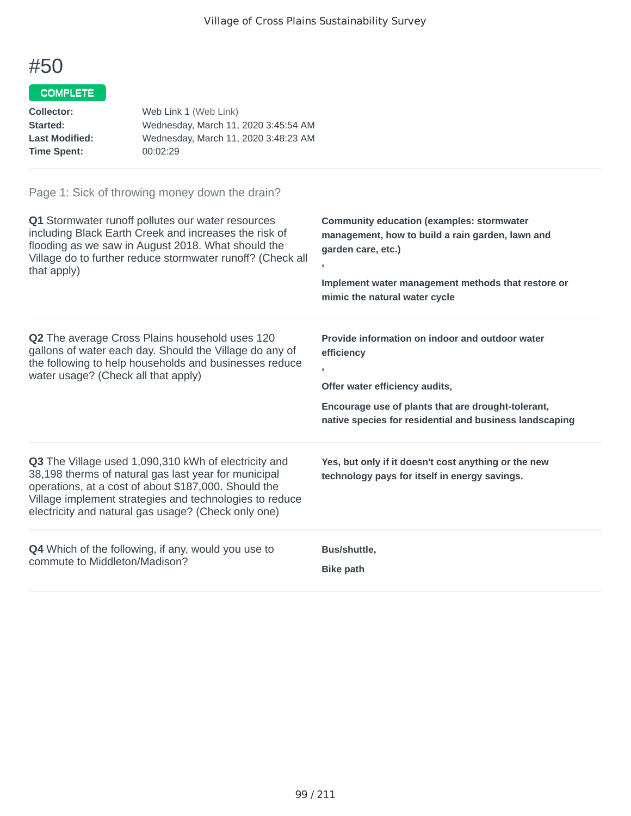## COMPLETE

| Web Link 1 (Web Link)                |
|--------------------------------------|
| Wednesday, March 11, 2020 3:45:54 AM |
| Wednesday, March 11, 2020 3:48:23 AM |
| 00:02:29                             |
|                                      |

| Q1 Stormwater runoff pollutes our water resources                                                                                                                                                                                                                                             | <b>Community education (examples: stormwater</b>                                                                                                                                                                                   |
|-----------------------------------------------------------------------------------------------------------------------------------------------------------------------------------------------------------------------------------------------------------------------------------------------|------------------------------------------------------------------------------------------------------------------------------------------------------------------------------------------------------------------------------------|
| including Black Earth Creek and increases the risk of                                                                                                                                                                                                                                         | management, how to build a rain garden, lawn and                                                                                                                                                                                   |
| flooding as we saw in August 2018. What should the                                                                                                                                                                                                                                            | garden care, etc.)                                                                                                                                                                                                                 |
| Village do to further reduce stormwater runoff? (Check all                                                                                                                                                                                                                                    | Implement water management methods that restore or                                                                                                                                                                                 |
| that apply)                                                                                                                                                                                                                                                                                   | mimic the natural water cycle                                                                                                                                                                                                      |
| <b>Q2</b> The average Cross Plains household uses 120<br>gallons of water each day. Should the Village do any of<br>the following to help households and businesses reduce<br>water usage? (Check all that apply)                                                                             | Provide information on indoor and outdoor water<br>efficiency<br>$\overline{1}$<br>Offer water efficiency audits,<br>Encourage use of plants that are drought-tolerant,<br>native species for residential and business landscaping |
| <b>Q3</b> The Village used 1,090,310 kWh of electricity and<br>38,198 therms of natural gas last year for municipal<br>operations, at a cost of about \$187,000. Should the<br>Village implement strategies and technologies to reduce<br>electricity and natural gas usage? (Check only one) | Yes, but only if it doesn't cost anything or the new<br>technology pays for itself in energy savings.                                                                                                                              |
| <b>Q4</b> Which of the following, if any, would you use to                                                                                                                                                                                                                                    | Bus/shuttle,                                                                                                                                                                                                                       |
| commute to Middleton/Madison?                                                                                                                                                                                                                                                                 | <b>Bike path</b>                                                                                                                                                                                                                   |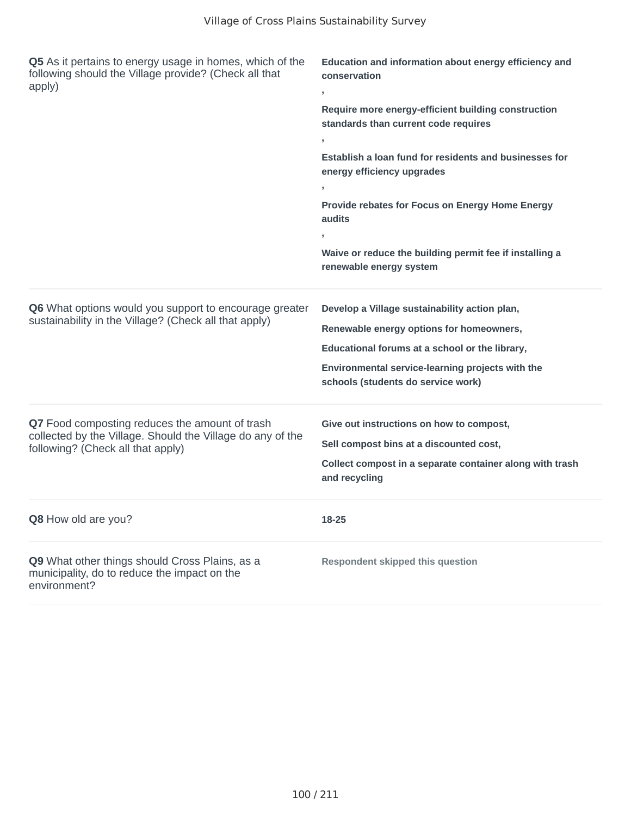| Q5 As it pertains to energy usage in homes, which of the<br>following should the Village provide? (Check all that<br>apply)                       | Education and information about energy efficiency and<br>conservation<br>,<br>Require more energy-efficient building construction<br>standards than current code requires<br>Establish a loan fund for residents and businesses for<br>energy efficiency upgrades<br>У.<br>Provide rebates for Focus on Energy Home Energy<br>audits<br>Waive or reduce the building permit fee if installing a<br>renewable energy system |
|---------------------------------------------------------------------------------------------------------------------------------------------------|----------------------------------------------------------------------------------------------------------------------------------------------------------------------------------------------------------------------------------------------------------------------------------------------------------------------------------------------------------------------------------------------------------------------------|
| Q6 What options would you support to encourage greater<br>sustainability in the Village? (Check all that apply)                                   | Develop a Village sustainability action plan,<br>Renewable energy options for homeowners,<br>Educational forums at a school or the library,<br>Environmental service-learning projects with the<br>schools (students do service work)                                                                                                                                                                                      |
| Q7 Food composting reduces the amount of trash<br>collected by the Village. Should the Village do any of the<br>following? (Check all that apply) | Give out instructions on how to compost,<br>Sell compost bins at a discounted cost,<br>Collect compost in a separate container along with trash<br>and recycling                                                                                                                                                                                                                                                           |
| Q8 How old are you?                                                                                                                               | 18-25                                                                                                                                                                                                                                                                                                                                                                                                                      |
| Q9 What other things should Cross Plains, as a<br>municipality, do to reduce the impact on the<br>environment?                                    | <b>Respondent skipped this question</b>                                                                                                                                                                                                                                                                                                                                                                                    |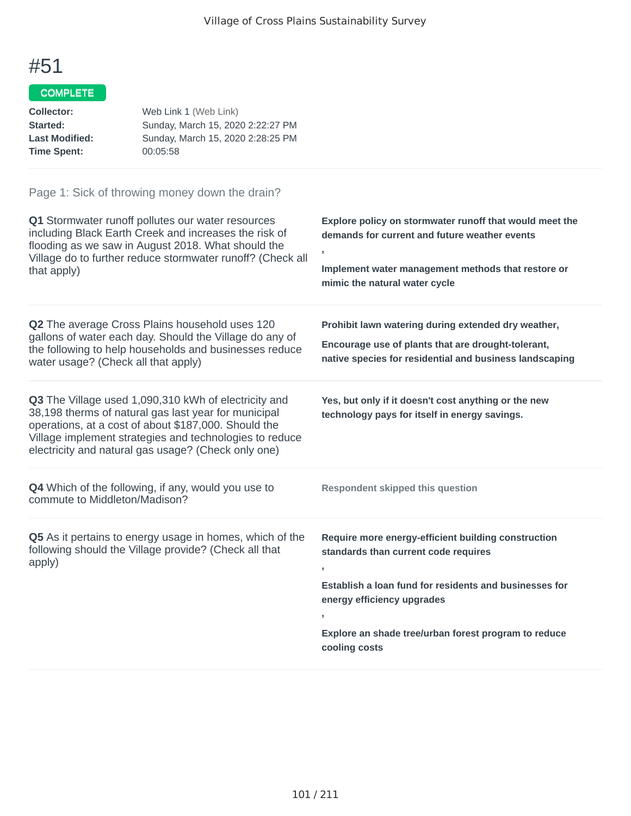## COMPLETE

| Collector:            | Web Link 1 (Web Link)             |
|-----------------------|-----------------------------------|
| Started:              | Sunday, March 15, 2020 2:22:27 PM |
| <b>Last Modified:</b> | Sunday, March 15, 2020 2:28:25 PM |
| <b>Time Spent:</b>    | 00:05:58                          |

| Q1 Stormwater runoff pollutes our water resources<br>including Black Earth Creek and increases the risk of<br>flooding as we saw in August 2018. What should the<br>Village do to further reduce stormwater runoff? (Check all<br>that apply)                                          | Explore policy on stormwater runoff that would meet the<br>demands for current and future weather events<br>$\,$<br>Implement water management methods that restore or<br>mimic the natural water cycle                                                                      |
|----------------------------------------------------------------------------------------------------------------------------------------------------------------------------------------------------------------------------------------------------------------------------------------|------------------------------------------------------------------------------------------------------------------------------------------------------------------------------------------------------------------------------------------------------------------------------|
| <b>Q2</b> The average Cross Plains household uses 120<br>gallons of water each day. Should the Village do any of<br>the following to help households and businesses reduce<br>water usage? (Check all that apply)                                                                      | Prohibit lawn watering during extended dry weather,<br>Encourage use of plants that are drought-tolerant,<br>native species for residential and business landscaping                                                                                                         |
| Q3 The Village used 1,090,310 kWh of electricity and<br>38,198 therms of natural gas last year for municipal<br>operations, at a cost of about \$187,000. Should the<br>Village implement strategies and technologies to reduce<br>electricity and natural gas usage? (Check only one) | Yes, but only if it doesn't cost anything or the new<br>technology pays for itself in energy savings.                                                                                                                                                                        |
| Q4 Which of the following, if any, would you use to<br>commute to Middleton/Madison?                                                                                                                                                                                                   | <b>Respondent skipped this question</b>                                                                                                                                                                                                                                      |
| Q5 As it pertains to energy usage in homes, which of the<br>following should the Village provide? (Check all that<br>apply)                                                                                                                                                            | Require more energy-efficient building construction<br>standards than current code requires<br>Establish a loan fund for residents and businesses for<br>energy efficiency upgrades<br>$\mathbf{I}$<br>Explore an shade tree/urban forest program to reduce<br>cooling costs |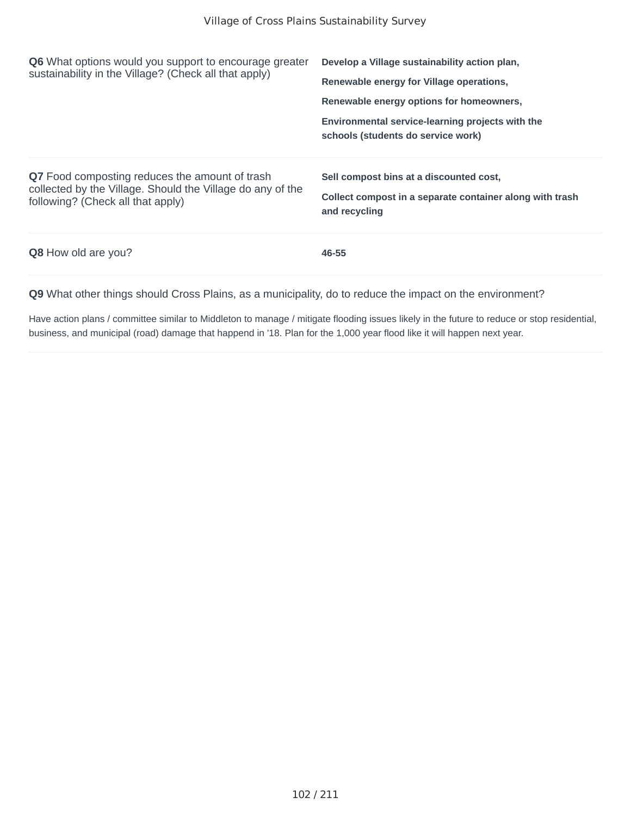| <b>Q6</b> What options would you support to encourage greater<br>sustainability in the Village? (Check all that apply)                            | Develop a Village sustainability action plan,<br>Renewable energy for Village operations,<br>Renewable energy options for homeowners,<br>Environmental service-learning projects with the<br>schools (students do service work) |
|---------------------------------------------------------------------------------------------------------------------------------------------------|---------------------------------------------------------------------------------------------------------------------------------------------------------------------------------------------------------------------------------|
| Q7 Food composting reduces the amount of trash<br>collected by the Village. Should the Village do any of the<br>following? (Check all that apply) | Sell compost bins at a discounted cost,<br>Collect compost in a separate container along with trash<br>and recycling                                                                                                            |
| <b>Q8</b> How old are you?                                                                                                                        | 46-55                                                                                                                                                                                                                           |

Have action plans / committee similar to Middleton to manage / mitigate flooding issues likely in the future to reduce or stop residential, business, and municipal (road) damage that happend in '18. Plan for the 1,000 year flood like it will happen next year.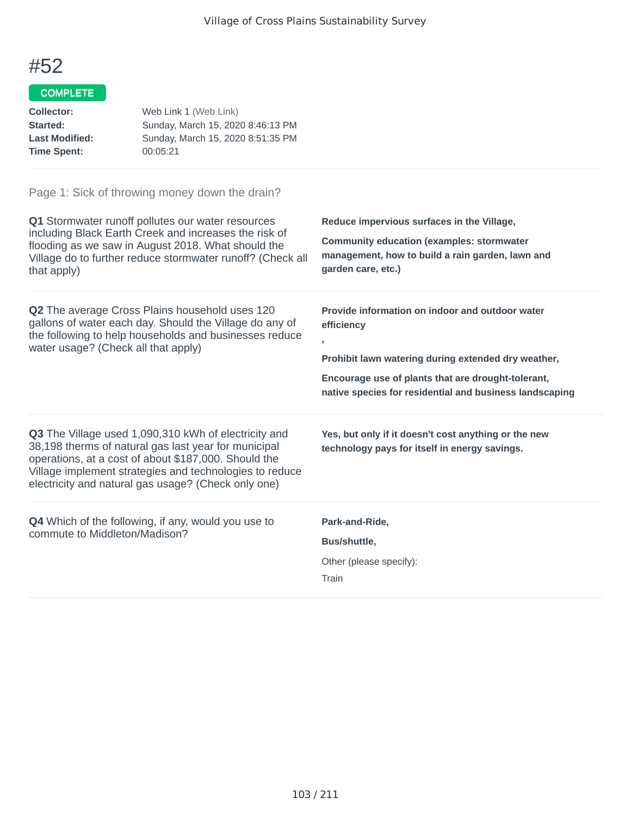## COMPLETE

| <b>Collector:</b><br>Started:<br><b>Last Modified:</b><br><b>Time Spent:</b>                                                                                                             | Web Link 1 (Web Link)<br>Sunday, March 15, 2020 8:46:13 PM<br>Sunday, March 15, 2020 8:51:35 PM<br>00:05:21                                                                                                                                                                            |                                                                                                                                                                                                                                            |
|------------------------------------------------------------------------------------------------------------------------------------------------------------------------------------------|----------------------------------------------------------------------------------------------------------------------------------------------------------------------------------------------------------------------------------------------------------------------------------------|--------------------------------------------------------------------------------------------------------------------------------------------------------------------------------------------------------------------------------------------|
|                                                                                                                                                                                          | Page 1: Sick of throwing money down the drain?<br>Q1 Stormwater runoff pollutes our water resources                                                                                                                                                                                    | Reduce impervious surfaces in the Village,                                                                                                                                                                                                 |
| including Black Earth Creek and increases the risk of<br>flooding as we saw in August 2018. What should the<br>Village do to further reduce stormwater runoff? (Check all<br>that apply) |                                                                                                                                                                                                                                                                                        | <b>Community education (examples: stormwater</b><br>management, how to build a rain garden, lawn and<br>garden care, etc.)                                                                                                                 |
| water usage? (Check all that apply)                                                                                                                                                      | Q2 The average Cross Plains household uses 120<br>gallons of water each day. Should the Village do any of<br>the following to help households and businesses reduce                                                                                                                    | Provide information on indoor and outdoor water<br>efficiency<br>y<br>Prohibit lawn watering during extended dry weather,<br>Encourage use of plants that are drought-tolerant,<br>native species for residential and business landscaping |
|                                                                                                                                                                                          | Q3 The Village used 1,090,310 kWh of electricity and<br>38,198 therms of natural gas last year for municipal<br>operations, at a cost of about \$187,000. Should the<br>Village implement strategies and technologies to reduce<br>electricity and natural gas usage? (Check only one) | Yes, but only if it doesn't cost anything or the new<br>technology pays for itself in energy savings.                                                                                                                                      |
| commute to Middleton/Madison?                                                                                                                                                            | Q4 Which of the following, if any, would you use to                                                                                                                                                                                                                                    | Park-and-Ride,<br>Bus/shuttle,<br>Other (please specify):<br>Train                                                                                                                                                                         |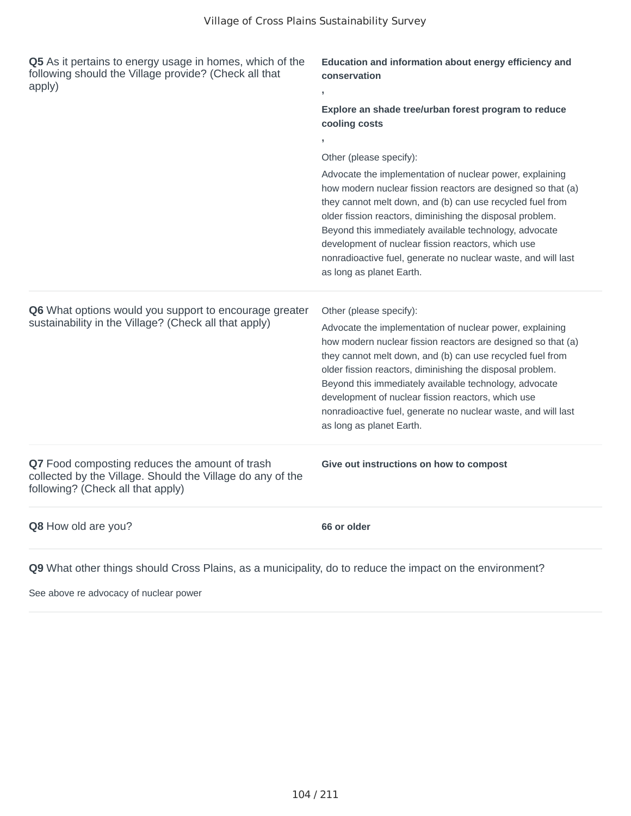| Q5 As it pertains to energy usage in homes, which of the<br>following should the Village provide? (Check all that<br>apply)                       | Education and information about energy efficiency and<br>conservation<br>y.<br>Explore an shade tree/urban forest program to reduce<br>cooling costs<br>Other (please specify):<br>Advocate the implementation of nuclear power, explaining<br>how modern nuclear fission reactors are designed so that (a)<br>they cannot melt down, and (b) can use recycled fuel from<br>older fission reactors, diminishing the disposal problem.<br>Beyond this immediately available technology, advocate<br>development of nuclear fission reactors, which use<br>nonradioactive fuel, generate no nuclear waste, and will last |
|---------------------------------------------------------------------------------------------------------------------------------------------------|------------------------------------------------------------------------------------------------------------------------------------------------------------------------------------------------------------------------------------------------------------------------------------------------------------------------------------------------------------------------------------------------------------------------------------------------------------------------------------------------------------------------------------------------------------------------------------------------------------------------|
|                                                                                                                                                   | as long as planet Earth.                                                                                                                                                                                                                                                                                                                                                                                                                                                                                                                                                                                               |
| <b>Q6</b> What options would you support to encourage greater<br>sustainability in the Village? (Check all that apply)                            | Other (please specify):<br>Advocate the implementation of nuclear power, explaining<br>how modern nuclear fission reactors are designed so that (a)<br>they cannot melt down, and (b) can use recycled fuel from<br>older fission reactors, diminishing the disposal problem.<br>Beyond this immediately available technology, advocate<br>development of nuclear fission reactors, which use<br>nonradioactive fuel, generate no nuclear waste, and will last<br>as long as planet Earth.                                                                                                                             |
| Q7 Food composting reduces the amount of trash<br>collected by the Village. Should the Village do any of the<br>following? (Check all that apply) | Give out instructions on how to compost                                                                                                                                                                                                                                                                                                                                                                                                                                                                                                                                                                                |
| Q8 How old are you?                                                                                                                               | 66 or older                                                                                                                                                                                                                                                                                                                                                                                                                                                                                                                                                                                                            |

See above re advocacy of nuclear power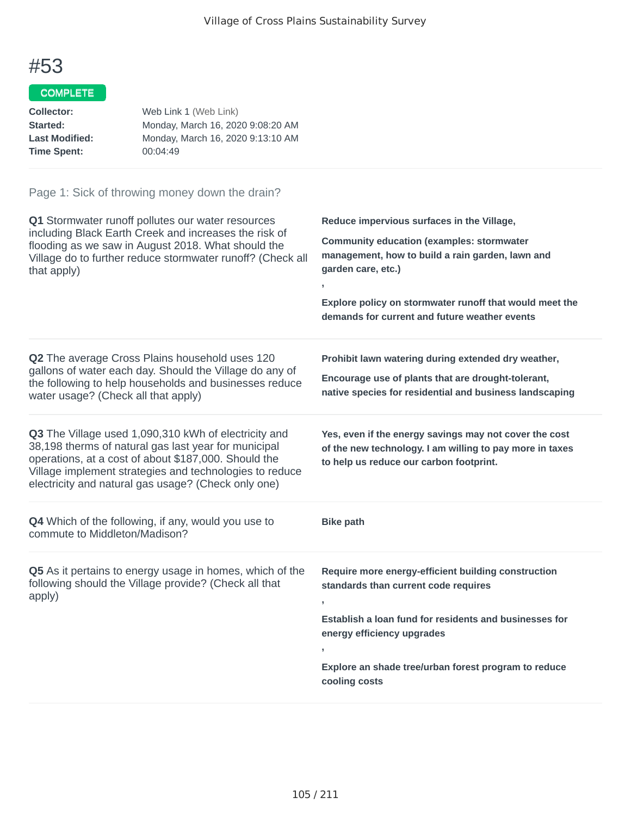## COMPLETE

| Collector:            | Web Link 1 (Web Link)             |
|-----------------------|-----------------------------------|
| Started:              | Monday, March 16, 2020 9:08:20 AM |
| <b>Last Modified:</b> | Monday, March 16, 2020 9:13:10 AM |
| <b>Time Spent:</b>    | 00:04:49                          |

| Q1 Stormwater runoff pollutes our water resources<br>including Black Earth Creek and increases the risk of<br>flooding as we saw in August 2018. What should the<br>Village do to further reduce stormwater runoff? (Check all<br>that apply)                                          | Reduce impervious surfaces in the Village,<br><b>Community education (examples: stormwater</b><br>management, how to build a rain garden, lawn and<br>garden care, etc.)<br>Explore policy on stormwater runoff that would meet the<br>demands for current and future weather events |
|----------------------------------------------------------------------------------------------------------------------------------------------------------------------------------------------------------------------------------------------------------------------------------------|--------------------------------------------------------------------------------------------------------------------------------------------------------------------------------------------------------------------------------------------------------------------------------------|
| Q2 The average Cross Plains household uses 120<br>gallons of water each day. Should the Village do any of<br>the following to help households and businesses reduce<br>water usage? (Check all that apply)                                                                             | Prohibit lawn watering during extended dry weather,<br>Encourage use of plants that are drought-tolerant,<br>native species for residential and business landscaping                                                                                                                 |
| Q3 The Village used 1,090,310 kWh of electricity and<br>38,198 therms of natural gas last year for municipal<br>operations, at a cost of about \$187,000. Should the<br>Village implement strategies and technologies to reduce<br>electricity and natural gas usage? (Check only one) | Yes, even if the energy savings may not cover the cost<br>of the new technology. I am willing to pay more in taxes<br>to help us reduce our carbon footprint.                                                                                                                        |
| Q4 Which of the following, if any, would you use to<br>commute to Middleton/Madison?                                                                                                                                                                                                   | <b>Bike path</b>                                                                                                                                                                                                                                                                     |
| Q5 As it pertains to energy usage in homes, which of the<br>following should the Village provide? (Check all that<br>apply)                                                                                                                                                            | Require more energy-efficient building construction<br>standards than current code requires<br>Establish a loan fund for residents and businesses for<br>energy efficiency upgrades<br>Explore an shade tree/urban forest program to reduce<br>cooling costs                         |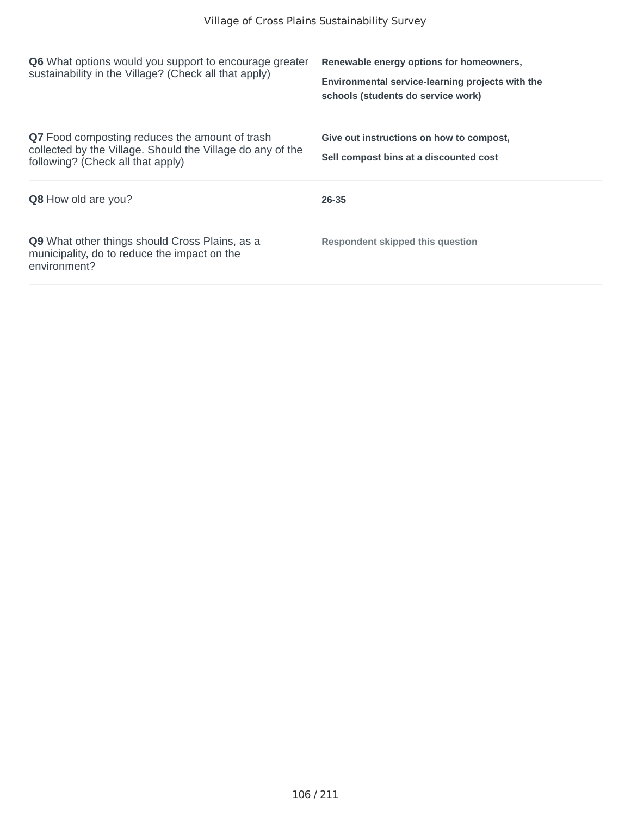| <b>Q6</b> What options would you support to encourage greater<br>sustainability in the Village? (Check all that apply)                            | Renewable energy options for homeowners,<br>Environmental service-learning projects with the<br>schools (students do service work) |
|---------------------------------------------------------------------------------------------------------------------------------------------------|------------------------------------------------------------------------------------------------------------------------------------|
| Q7 Food composting reduces the amount of trash<br>collected by the Village. Should the Village do any of the<br>following? (Check all that apply) | Give out instructions on how to compost,<br>Sell compost bins at a discounted cost                                                 |
| <b>Q8</b> How old are you?                                                                                                                        | 26-35                                                                                                                              |
| <b>Q9</b> What other things should Cross Plains, as a<br>municipality, do to reduce the impact on the<br>environment?                             | <b>Respondent skipped this question</b>                                                                                            |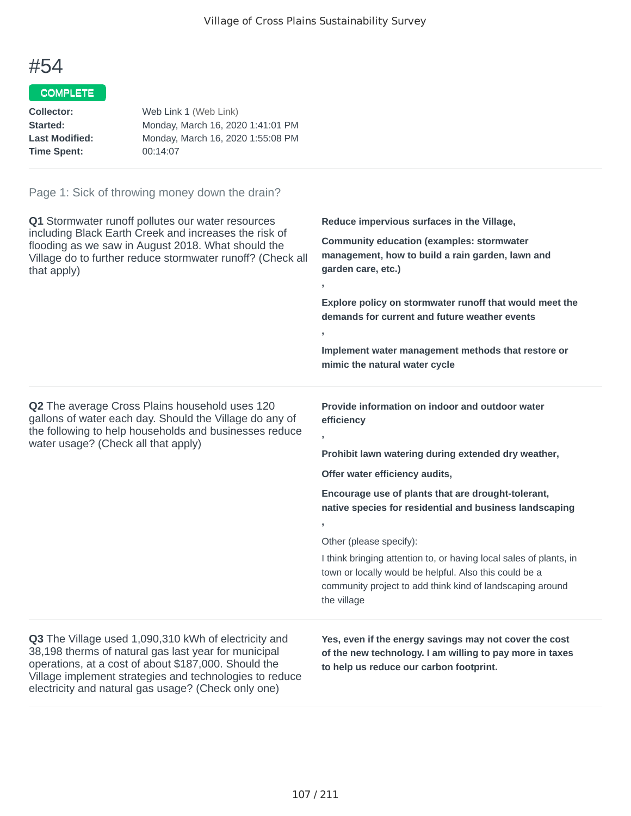#### COMPLETE

| Collector:            | Web Link 1 (Web Link)             |
|-----------------------|-----------------------------------|
| Started:              | Monday, March 16, 2020 1:41:01 PM |
| <b>Last Modified:</b> | Monday, March 16, 2020 1:55:08 PM |
| <b>Time Spent:</b>    | 00:14:07                          |

#### Page 1: Sick of throwing money down the drain?

**Q1** Stormwater runoff pollutes our water resources including Black Earth Creek and increases the risk of flooding as we saw in August 2018. What should the Village do to further reduce stormwater runoff? (Check all that apply) **Reduce impervious surfaces in the Village, Community education (examples: stormwater management, how to build a rain garden, lawn and garden care, etc.) , Explore policy on stormwater runoff that would meet the demands for current and future weather events , Implement water management methods that restore or mimic the natural water cycle Q2** The average Cross Plains household uses 120 gallons of water each day. Should the Village do any of the following to help households and businesses reduce water usage? (Check all that apply) **Provide information on indoor and outdoor water efficiency , Prohibit lawn watering during extended dry weather, Offer water efficiency audits, Encourage use of plants that are drought-tolerant, native species for residential and business landscaping ,** Other (please specify): I think bringing attention to, or having local sales of plants, in town or locally would be helpful. Also this could be a community project to add think kind of landscaping around the village **Q3** The Village used 1,090,310 kWh of electricity and 38,198 therms of natural gas last year for municipal operations, at a cost of about \$187,000. Should the Village implement strategies and technologies to reduce electricity and natural gas usage? (Check only one) **Yes, even if the energy savings may not cover the cost of the new technology. I am willing to pay more in taxes to help us reduce our carbon footprint.**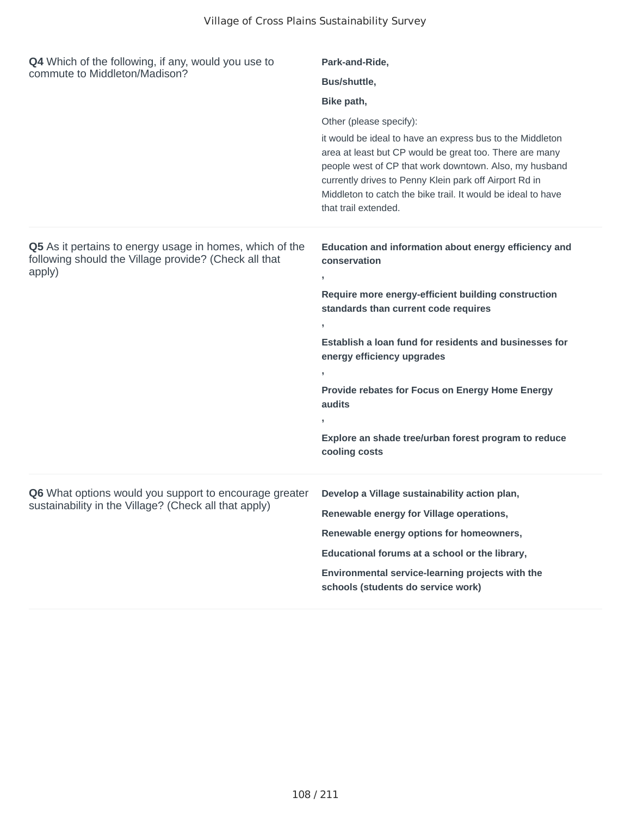| <b>Q4</b> Which of the following, if any, would you use to<br>commute to Middleton/Madison?                                 | Park-and-Ride,                                                                                                                                                                                                                                                                                                                   |
|-----------------------------------------------------------------------------------------------------------------------------|----------------------------------------------------------------------------------------------------------------------------------------------------------------------------------------------------------------------------------------------------------------------------------------------------------------------------------|
|                                                                                                                             | Bus/shuttle,                                                                                                                                                                                                                                                                                                                     |
|                                                                                                                             | Bike path,                                                                                                                                                                                                                                                                                                                       |
|                                                                                                                             | Other (please specify):                                                                                                                                                                                                                                                                                                          |
|                                                                                                                             | it would be ideal to have an express bus to the Middleton<br>area at least but CP would be great too. There are many<br>people west of CP that work downtown. Also, my husband<br>currently drives to Penny Klein park off Airport Rd in<br>Middleton to catch the bike trail. It would be ideal to have<br>that trail extended. |
| Q5 As it pertains to energy usage in homes, which of the<br>following should the Village provide? (Check all that<br>apply) | Education and information about energy efficiency and<br>conservation<br>У.                                                                                                                                                                                                                                                      |
|                                                                                                                             | Require more energy-efficient building construction<br>standards than current code requires                                                                                                                                                                                                                                      |
|                                                                                                                             | У.<br>Establish a loan fund for residents and businesses for<br>energy efficiency upgrades                                                                                                                                                                                                                                       |
|                                                                                                                             | Provide rebates for Focus on Energy Home Energy<br>audits                                                                                                                                                                                                                                                                        |
|                                                                                                                             | У.                                                                                                                                                                                                                                                                                                                               |
|                                                                                                                             | Explore an shade tree/urban forest program to reduce<br>cooling costs                                                                                                                                                                                                                                                            |
| Q6 What options would you support to encourage greater<br>sustainability in the Village? (Check all that apply)             | Develop a Village sustainability action plan,                                                                                                                                                                                                                                                                                    |
|                                                                                                                             | Renewable energy for Village operations,                                                                                                                                                                                                                                                                                         |
|                                                                                                                             | Renewable energy options for homeowners,                                                                                                                                                                                                                                                                                         |
|                                                                                                                             | Educational forums at a school or the library,                                                                                                                                                                                                                                                                                   |
|                                                                                                                             | Environmental service-learning projects with the<br>schools (students do service work)                                                                                                                                                                                                                                           |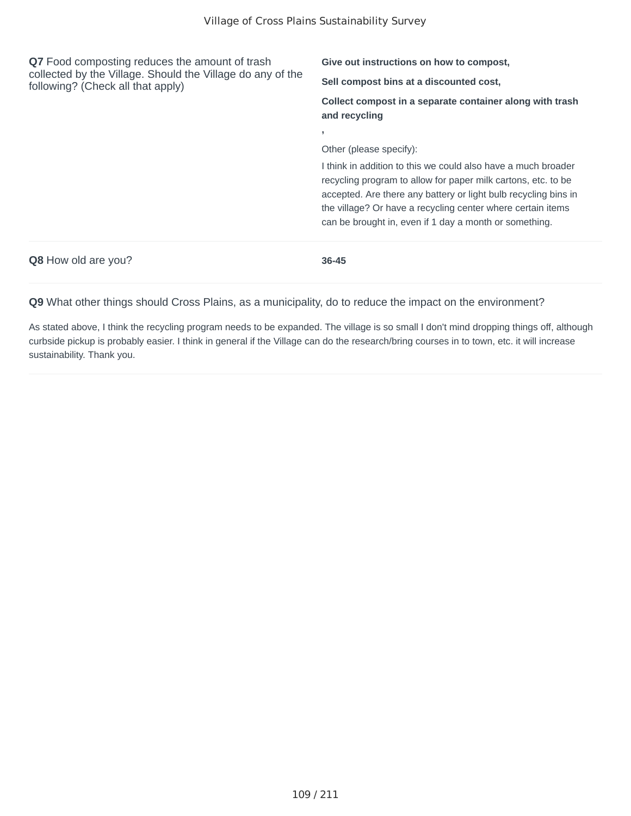| Q7 Food composting reduces the amount of trash<br>collected by the Village. Should the Village do any of the<br>following? (Check all that apply) | Give out instructions on how to compost,                                                                                                                                                                                                                                                                                   |  |
|---------------------------------------------------------------------------------------------------------------------------------------------------|----------------------------------------------------------------------------------------------------------------------------------------------------------------------------------------------------------------------------------------------------------------------------------------------------------------------------|--|
|                                                                                                                                                   | Sell compost bins at a discounted cost,                                                                                                                                                                                                                                                                                    |  |
|                                                                                                                                                   | Collect compost in a separate container along with trash<br>and recycling                                                                                                                                                                                                                                                  |  |
|                                                                                                                                                   | $\overline{\phantom{a}}$<br>Other (please specify):                                                                                                                                                                                                                                                                        |  |
|                                                                                                                                                   |                                                                                                                                                                                                                                                                                                                            |  |
|                                                                                                                                                   | I think in addition to this we could also have a much broader<br>recycling program to allow for paper milk cartons, etc. to be<br>accepted. Are there any battery or light bulb recycling bins in<br>the village? Or have a recycling center where certain items<br>can be brought in, even if 1 day a month or something. |  |
| <b>Q8</b> How old are you?                                                                                                                        | 36-45                                                                                                                                                                                                                                                                                                                      |  |

As stated above, I think the recycling program needs to be expanded. The village is so small I don't mind dropping things off, although curbside pickup is probably easier. I think in general if the Village can do the research/bring courses in to town, etc. it will increase sustainability. Thank you.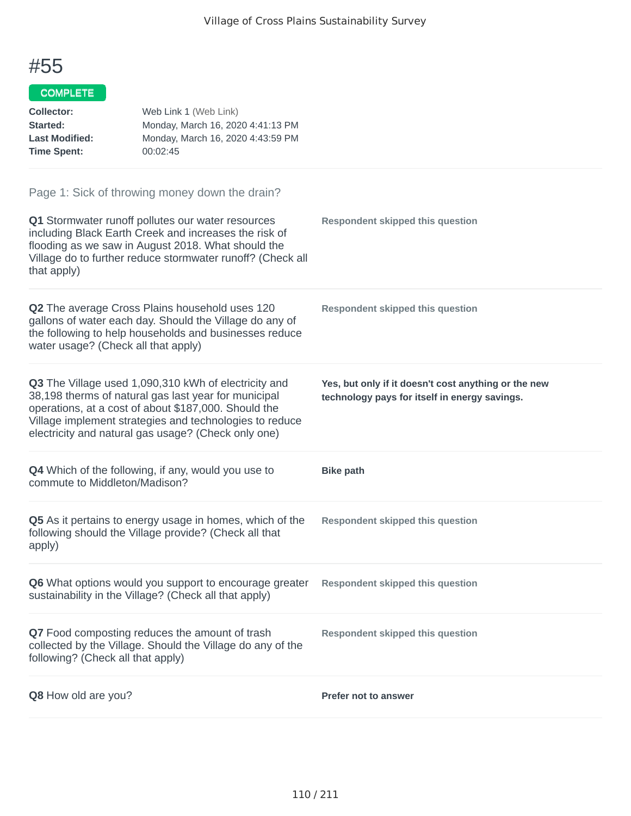#### COMPLETE

| <b>Collector:</b><br>Started:<br><b>Last Modified:</b><br><b>Time Spent:</b> | Web Link 1 (Web Link)<br>Monday, March 16, 2020 4:41:13 PM<br>Monday, March 16, 2020 4:43:59 PM<br>00:02:45                                                                                                                                                                            |                                                                                                       |
|------------------------------------------------------------------------------|----------------------------------------------------------------------------------------------------------------------------------------------------------------------------------------------------------------------------------------------------------------------------------------|-------------------------------------------------------------------------------------------------------|
|                                                                              | Page 1: Sick of throwing money down the drain?                                                                                                                                                                                                                                         |                                                                                                       |
| that apply)                                                                  | Q1 Stormwater runoff pollutes our water resources<br>including Black Earth Creek and increases the risk of<br>flooding as we saw in August 2018. What should the<br>Village do to further reduce stormwater runoff? (Check all                                                         | <b>Respondent skipped this question</b>                                                               |
| water usage? (Check all that apply)                                          | Q2 The average Cross Plains household uses 120<br>gallons of water each day. Should the Village do any of<br>the following to help households and businesses reduce                                                                                                                    | <b>Respondent skipped this question</b>                                                               |
|                                                                              | Q3 The Village used 1,090,310 kWh of electricity and<br>38,198 therms of natural gas last year for municipal<br>operations, at a cost of about \$187,000. Should the<br>Village implement strategies and technologies to reduce<br>electricity and natural gas usage? (Check only one) | Yes, but only if it doesn't cost anything or the new<br>technology pays for itself in energy savings. |
| commute to Middleton/Madison?                                                | <b>Q4</b> Which of the following, if any, would you use to                                                                                                                                                                                                                             | <b>Bike path</b>                                                                                      |
| apply)                                                                       | Q5 As it pertains to energy usage in homes, which of the<br>following should the Village provide? (Check all that                                                                                                                                                                      | <b>Respondent skipped this question</b>                                                               |
|                                                                              | Q6 What options would you support to encourage greater<br>sustainability in the Village? (Check all that apply)                                                                                                                                                                        | <b>Respondent skipped this question</b>                                                               |
| following? (Check all that apply)                                            | Q7 Food composting reduces the amount of trash<br>collected by the Village. Should the Village do any of the                                                                                                                                                                           | <b>Respondent skipped this question</b>                                                               |
| Q8 How old are you?                                                          |                                                                                                                                                                                                                                                                                        | <b>Prefer not to answer</b>                                                                           |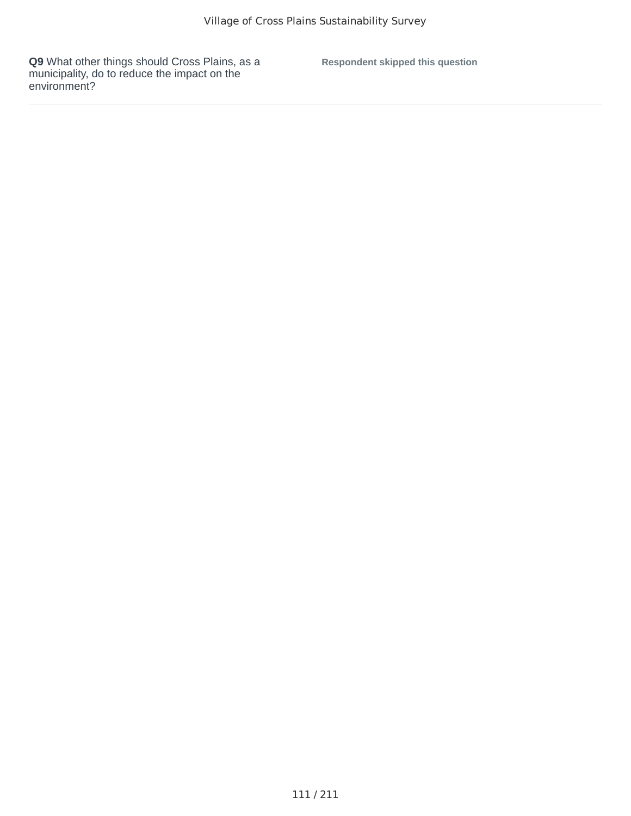**Respondent skipped this question**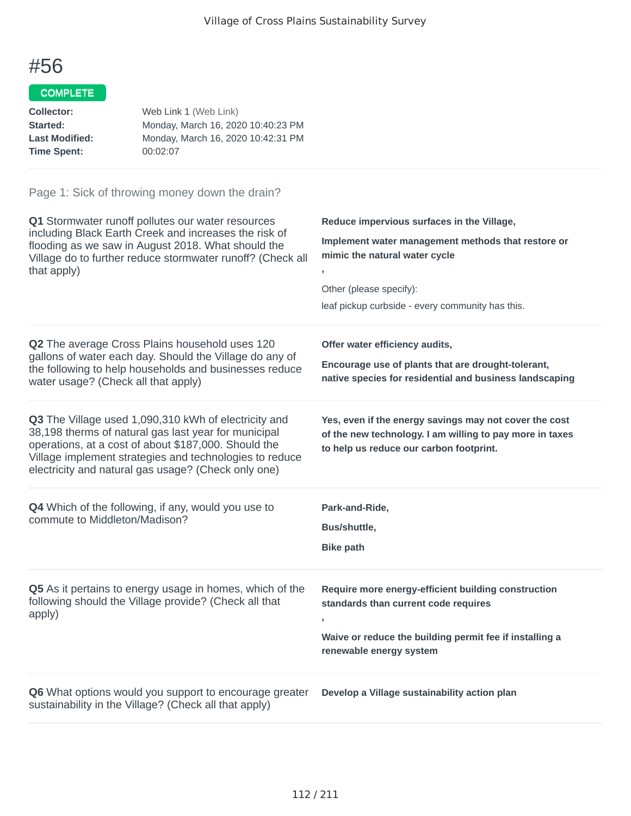### COMPLETE

| Collector:            | Web Link 1 (Web Link)              |
|-----------------------|------------------------------------|
| Started:              | Monday, March 16, 2020 10:40:23 PM |
| <b>Last Modified:</b> | Monday, March 16, 2020 10:42:31 PM |
| <b>Time Spent:</b>    | 00:02:07                           |

| Q1 Stormwater runoff pollutes our water resources<br>including Black Earth Creek and increases the risk of<br>flooding as we saw in August 2018. What should the<br>Village do to further reduce stormwater runoff? (Check all<br>that apply)                                          | Reduce impervious surfaces in the Village,<br>Implement water management methods that restore or<br>mimic the natural water cycle<br>Other (please specify):<br>leaf pickup curbside - every community has this. |
|----------------------------------------------------------------------------------------------------------------------------------------------------------------------------------------------------------------------------------------------------------------------------------------|------------------------------------------------------------------------------------------------------------------------------------------------------------------------------------------------------------------|
| Q2 The average Cross Plains household uses 120<br>gallons of water each day. Should the Village do any of<br>the following to help households and businesses reduce<br>water usage? (Check all that apply)                                                                             | Offer water efficiency audits,<br>Encourage use of plants that are drought-tolerant,<br>native species for residential and business landscaping                                                                  |
| Q3 The Village used 1,090,310 kWh of electricity and<br>38,198 therms of natural gas last year for municipal<br>operations, at a cost of about \$187,000. Should the<br>Village implement strategies and technologies to reduce<br>electricity and natural gas usage? (Check only one) | Yes, even if the energy savings may not cover the cost<br>of the new technology. I am willing to pay more in taxes<br>to help us reduce our carbon footprint.                                                    |
| Q4 Which of the following, if any, would you use to<br>commute to Middleton/Madison?                                                                                                                                                                                                   | Park-and-Ride,<br>Bus/shuttle,<br><b>Bike path</b>                                                                                                                                                               |
| Q5 As it pertains to energy usage in homes, which of the<br>following should the Village provide? (Check all that<br>apply)                                                                                                                                                            | Require more energy-efficient building construction<br>standards than current code requires<br>y.<br>Waive or reduce the building permit fee if installing a<br>renewable energy system                          |
| Q6 What options would you support to encourage greater<br>sustainability in the Village? (Check all that apply)                                                                                                                                                                        | Develop a Village sustainability action plan                                                                                                                                                                     |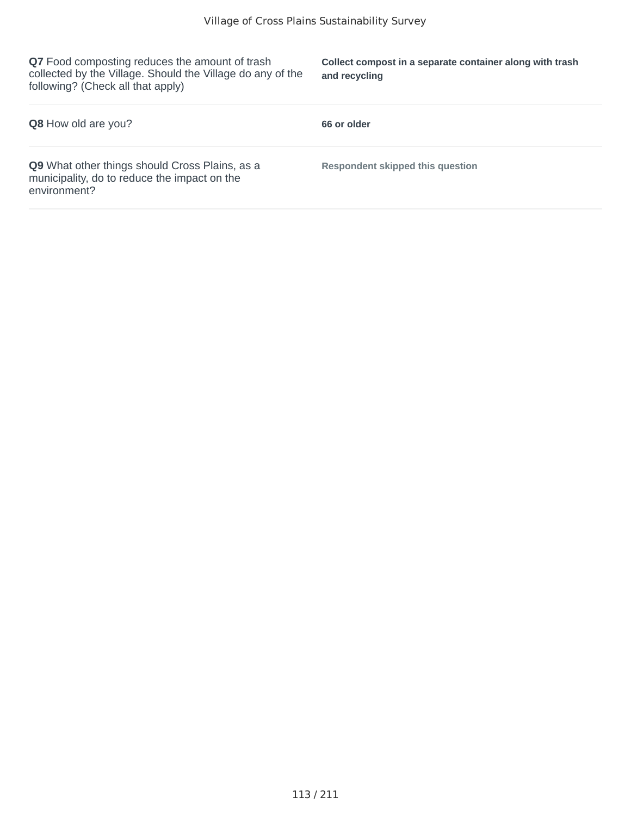**Q7** Food composting reduces the amount of trash collected by the Village. Should the Village do any of the following? (Check all that apply)

**Collect compost in a separate container along with trash and recycling**

| <b>Q8</b> How old are you?                                                                                            | 66 or older                             |
|-----------------------------------------------------------------------------------------------------------------------|-----------------------------------------|
| <b>Q9</b> What other things should Cross Plains, as a<br>municipality, do to reduce the impact on the<br>environment? | <b>Respondent skipped this question</b> |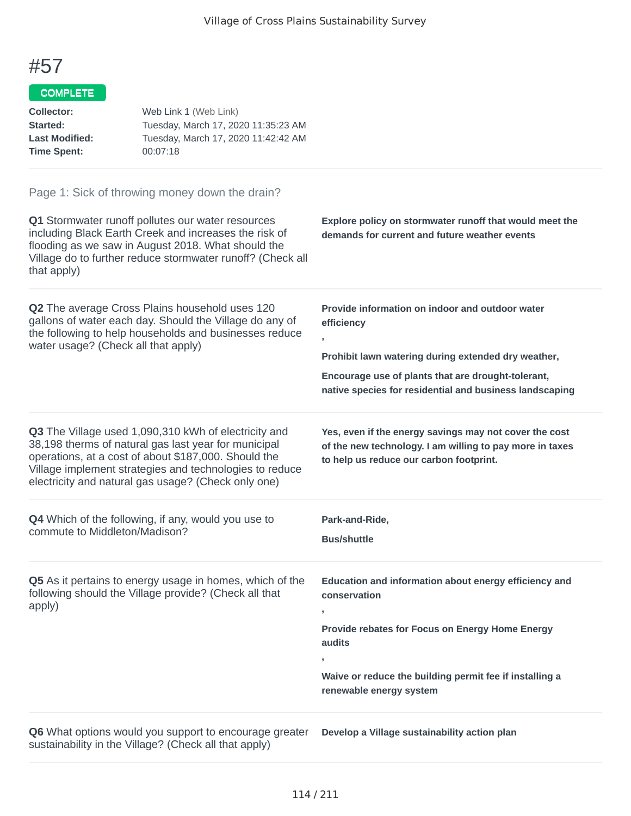#### COMPLETE

| Collector:<br>Started:<br><b>Last Modified:</b><br><b>Time Spent:</b> | Web Link 1 (Web Link)<br>Tuesday, March 17, 2020 11:35:23 AM<br>Tuesday, March 17, 2020 11:42:42 AM<br>00:07:18                                                                                                                                                                        |                                                                                                                                                                                                                                                |
|-----------------------------------------------------------------------|----------------------------------------------------------------------------------------------------------------------------------------------------------------------------------------------------------------------------------------------------------------------------------------|------------------------------------------------------------------------------------------------------------------------------------------------------------------------------------------------------------------------------------------------|
| that apply)                                                           | Page 1: Sick of throwing money down the drain?<br>Q1 Stormwater runoff pollutes our water resources<br>including Black Earth Creek and increases the risk of<br>flooding as we saw in August 2018. What should the<br>Village do to further reduce stormwater runoff? (Check all       | Explore policy on stormwater runoff that would meet the<br>demands for current and future weather events                                                                                                                                       |
| water usage? (Check all that apply)                                   | Q2 The average Cross Plains household uses 120<br>gallons of water each day. Should the Village do any of<br>the following to help households and businesses reduce                                                                                                                    | Provide information on indoor and outdoor water<br>efficiency<br>Prohibit lawn watering during extended dry weather,<br>Encourage use of plants that are drought-tolerant,<br>native species for residential and business landscaping          |
|                                                                       | Q3 The Village used 1,090,310 kWh of electricity and<br>38,198 therms of natural gas last year for municipal<br>operations, at a cost of about \$187,000. Should the<br>Village implement strategies and technologies to reduce<br>electricity and natural gas usage? (Check only one) | Yes, even if the energy savings may not cover the cost<br>of the new technology. I am willing to pay more in taxes<br>to help us reduce our carbon footprint.                                                                                  |
| commute to Middleton/Madison?                                         | Q4 Which of the following, if any, would you use to                                                                                                                                                                                                                                    | Park-and-Ride,<br><b>Bus/shuttle</b>                                                                                                                                                                                                           |
| apply)                                                                | Q5 As it pertains to energy usage in homes, which of the<br>following should the Village provide? (Check all that                                                                                                                                                                      | Education and information about energy efficiency and<br>conservation<br>$\mathbf{I}$<br>Provide rebates for Focus on Energy Home Energy<br>audits<br>У.<br>Waive or reduce the building permit fee if installing a<br>renewable energy system |

**Q6** What options would you support to encourage greater sustainability in the Village? (Check all that apply)

**Develop a Village sustainability action plan**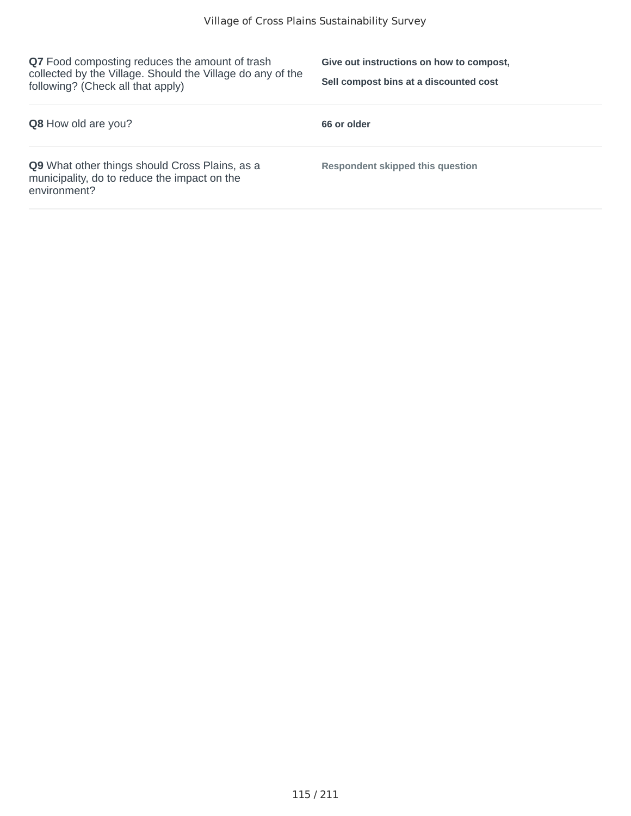**Q7** Food composting reduces the amount of trash collected by the Village. Should the Village do any of the following? (Check all that apply)

**Give out instructions on how to compost, Sell compost bins at a discounted cost**

| <b>Q8</b> How old are you?                                                                                     | 66 or older                             |
|----------------------------------------------------------------------------------------------------------------|-----------------------------------------|
| Q9 What other things should Cross Plains, as a<br>municipality, do to reduce the impact on the<br>environment? | <b>Respondent skipped this question</b> |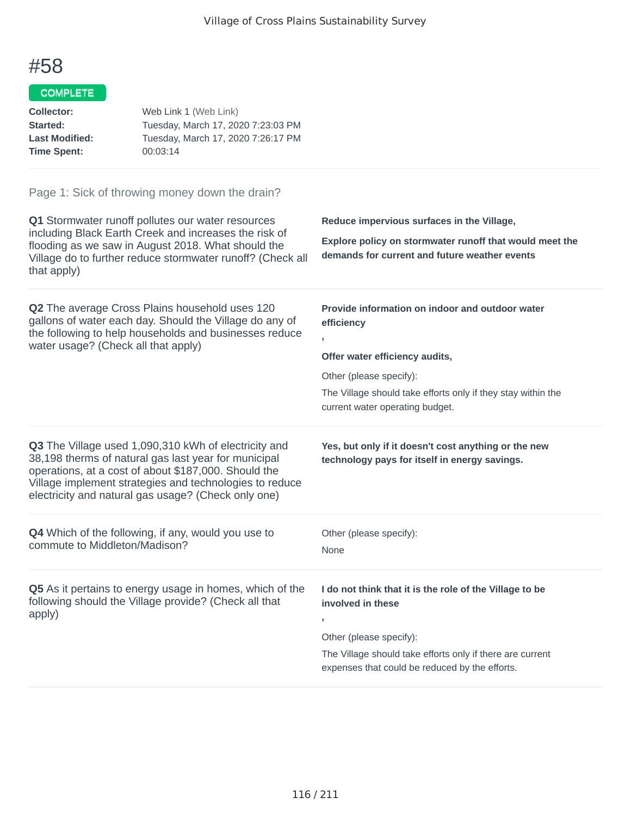#### COMPLETE

| Collector:                                                                                                                                                                               | Web Link 1 (Web Link)                                                                                            |                                                                                                          |  |
|------------------------------------------------------------------------------------------------------------------------------------------------------------------------------------------|------------------------------------------------------------------------------------------------------------------|----------------------------------------------------------------------------------------------------------|--|
| Started:                                                                                                                                                                                 | Tuesday, March 17, 2020 7:23:03 PM                                                                               |                                                                                                          |  |
| <b>Last Modified:</b>                                                                                                                                                                    | Tuesday, March 17, 2020 7:26:17 PM                                                                               |                                                                                                          |  |
| <b>Time Spent:</b>                                                                                                                                                                       | 00:03:14                                                                                                         |                                                                                                          |  |
|                                                                                                                                                                                          | Page 1: Sick of throwing money down the drain?                                                                   |                                                                                                          |  |
| Q1 Stormwater runoff pollutes our water resources                                                                                                                                        |                                                                                                                  | Reduce impervious surfaces in the Village,                                                               |  |
| including Black Earth Creek and increases the risk of<br>flooding as we saw in August 2018. What should the<br>Village do to further reduce stormwater runoff? (Check all<br>that apply) |                                                                                                                  | Explore policy on stormwater runoff that would meet the<br>demands for current and future weather events |  |
|                                                                                                                                                                                          | <b>Q2</b> The average Cross Plains household uses 120<br>gallons of water each day. Should the Village do any of | Provide information on indoor and outdoor water<br>efficiency                                            |  |
| the following to help households and businesses reduce                                                                                                                                   |                                                                                                                  | ŋ                                                                                                        |  |
| water usage? (Check all that apply)                                                                                                                                                      |                                                                                                                  | Offer water efficiency audits,                                                                           |  |
|                                                                                                                                                                                          |                                                                                                                  |                                                                                                          |  |

Other (please specify):

The Village should take efforts only if they stay within the current water operating budget.

**Q3** The Village used 1,090,310 kWh of electricity and 38,198 therms of natural gas last year for municipal operations, at a cost of about \$187,000. Should the Village implement strategies and technologies to reduce electricity and natural gas usage? (Check only one)

**Q4** Which of the following, if any, would you use to commute to Middleton/Madison?

**Q5** As it pertains to energy usage in homes, which of the following should the Village provide? (Check all that apply)

**Yes, but only if it doesn't cost anything or the new technology pays for itself in energy savings.**

**I do not think that it is the role of the Village to be**

**,**

Other (please specify):

**involved in these**

Other (please specify):

None

The Village should take efforts only if there are current expenses that could be reduced by the efforts.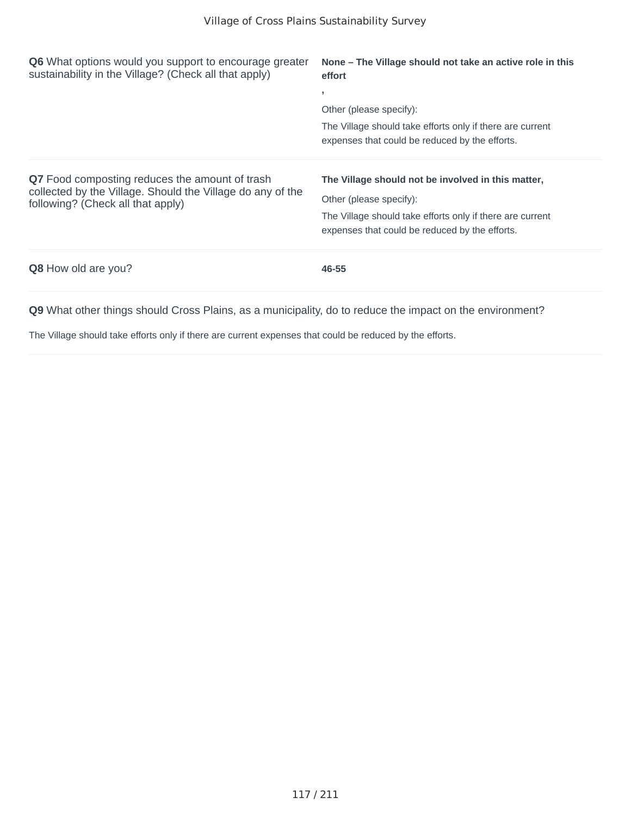| <b>Q6</b> What options would you support to encourage greater<br>sustainability in the Village? (Check all that apply)                                   | None – The Village should not take an active role in this<br>effort<br>э.                                                                                                                    |  |
|----------------------------------------------------------------------------------------------------------------------------------------------------------|----------------------------------------------------------------------------------------------------------------------------------------------------------------------------------------------|--|
|                                                                                                                                                          | Other (please specify):<br>The Village should take efforts only if there are current<br>expenses that could be reduced by the efforts.                                                       |  |
| <b>Q7</b> Food composting reduces the amount of trash<br>collected by the Village. Should the Village do any of the<br>following? (Check all that apply) | The Village should not be involved in this matter,<br>Other (please specify):<br>The Village should take efforts only if there are current<br>expenses that could be reduced by the efforts. |  |
| Q8 How old are you?                                                                                                                                      | 46-55                                                                                                                                                                                        |  |

The Village should take efforts only if there are current expenses that could be reduced by the efforts.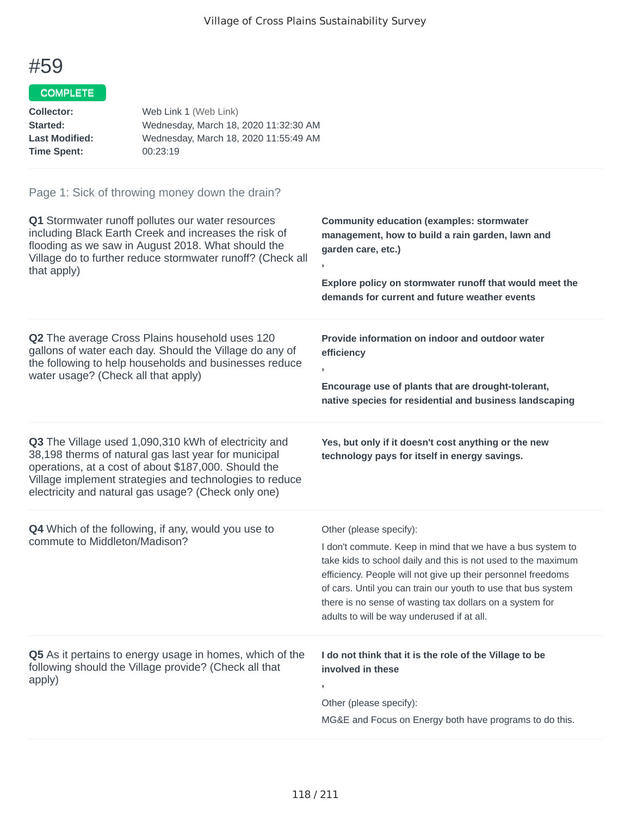#### COMPLETE

| Web Link 1 (Web Link)                 |
|---------------------------------------|
| Wednesday, March 18, 2020 11:32:30 AM |
| Wednesday, March 18, 2020 11:55:49 AM |
| 00:23:19                              |
|                                       |

| Q1 Stormwater runoff pollutes our water resources<br>including Black Earth Creek and increases the risk of<br>flooding as we saw in August 2018. What should the<br>Village do to further reduce stormwater runoff? (Check all<br>that apply)                                          | <b>Community education (examples: stormwater</b><br>management, how to build a rain garden, lawn and<br>garden care, etc.)<br>$\mathbf{r}$<br>Explore policy on stormwater runoff that would meet the<br>demands for current and future weather events                                                                                                                                            |
|----------------------------------------------------------------------------------------------------------------------------------------------------------------------------------------------------------------------------------------------------------------------------------------|---------------------------------------------------------------------------------------------------------------------------------------------------------------------------------------------------------------------------------------------------------------------------------------------------------------------------------------------------------------------------------------------------|
| Q2 The average Cross Plains household uses 120<br>gallons of water each day. Should the Village do any of<br>the following to help households and businesses reduce<br>water usage? (Check all that apply)                                                                             | Provide information on indoor and outdoor water<br>efficiency<br>Encourage use of plants that are drought-tolerant,<br>native species for residential and business landscaping                                                                                                                                                                                                                    |
| Q3 The Village used 1,090,310 kWh of electricity and<br>38,198 therms of natural gas last year for municipal<br>operations, at a cost of about \$187,000. Should the<br>Village implement strategies and technologies to reduce<br>electricity and natural gas usage? (Check only one) | Yes, but only if it doesn't cost anything or the new<br>technology pays for itself in energy savings.                                                                                                                                                                                                                                                                                             |
| Q4 Which of the following, if any, would you use to<br>commute to Middleton/Madison?                                                                                                                                                                                                   | Other (please specify):<br>I don't commute. Keep in mind that we have a bus system to<br>take kids to school daily and this is not used to the maximum<br>efficiency. People will not give up their personnel freedoms<br>of cars. Until you can train our youth to use that bus system<br>there is no sense of wasting tax dollars on a system for<br>adults to will be way underused if at all. |
| Q5 As it pertains to energy usage in homes, which of the<br>following should the Village provide? (Check all that<br>apply)                                                                                                                                                            | I do not think that it is the role of the Village to be<br>involved in these<br>Other (please specify):<br>MG&E and Focus on Energy both have programs to do this.                                                                                                                                                                                                                                |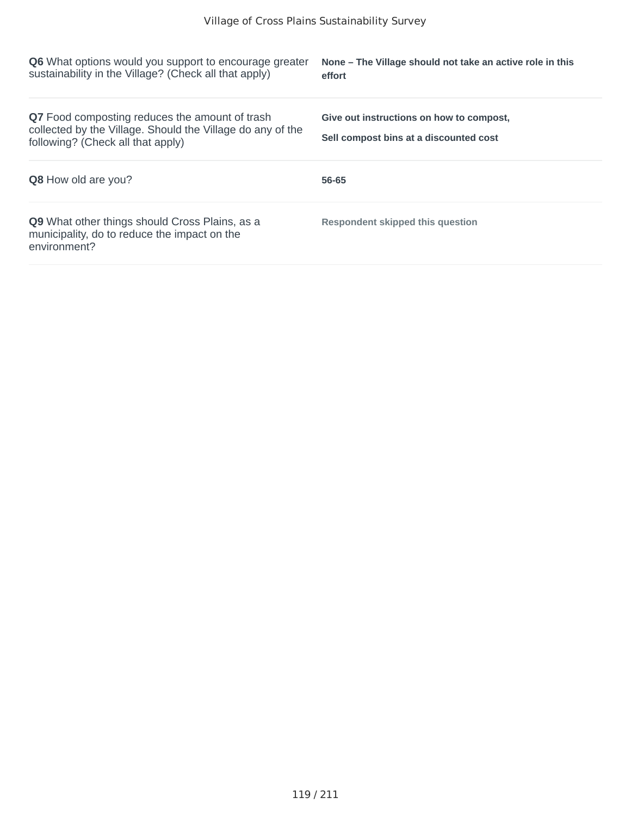| <b>Q6</b> What options would you support to encourage greater<br>sustainability in the Village? (Check all that apply)                            | None – The Village should not take an active role in this<br>effort                |
|---------------------------------------------------------------------------------------------------------------------------------------------------|------------------------------------------------------------------------------------|
| Q7 Food composting reduces the amount of trash<br>collected by the Village. Should the Village do any of the<br>following? (Check all that apply) | Give out instructions on how to compost.<br>Sell compost bins at a discounted cost |
| <b>Q8</b> How old are you?                                                                                                                        | 56-65                                                                              |
| <b>Q9</b> What other things should Cross Plains, as a<br>municipality, do to reduce the impact on the<br>environment?                             | <b>Respondent skipped this question</b>                                            |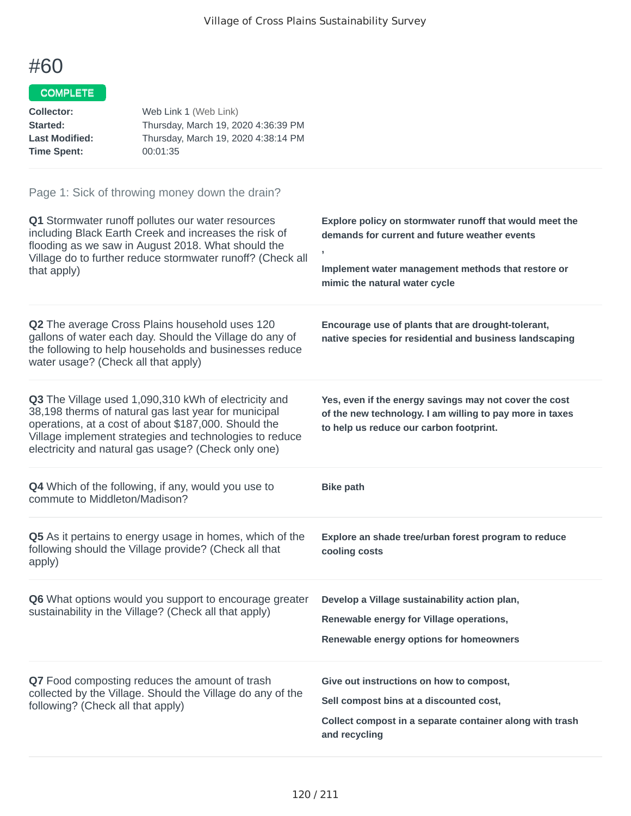#### COMPLETE

| Collector:            | Web Link 1 (Web Link)               |
|-----------------------|-------------------------------------|
| <b>Started:</b>       | Thursday, March 19, 2020 4:36:39 PM |
| <b>Last Modified:</b> | Thursday, March 19, 2020 4:38:14 PM |
| Time Spent:           | 00:01:35                            |
|                       |                                     |

| Q1 Stormwater runoff pollutes our water resources<br>including Black Earth Creek and increases the risk of<br>flooding as we saw in August 2018. What should the<br>Village do to further reduce stormwater runoff? (Check all<br>that apply)                                          | Explore policy on stormwater runoff that would meet the<br>demands for current and future weather events<br>Implement water management methods that restore or<br>mimic the natural water cycle |
|----------------------------------------------------------------------------------------------------------------------------------------------------------------------------------------------------------------------------------------------------------------------------------------|-------------------------------------------------------------------------------------------------------------------------------------------------------------------------------------------------|
| Q2 The average Cross Plains household uses 120<br>gallons of water each day. Should the Village do any of<br>the following to help households and businesses reduce<br>water usage? (Check all that apply)                                                                             | Encourage use of plants that are drought-tolerant,<br>native species for residential and business landscaping                                                                                   |
| Q3 The Village used 1,090,310 kWh of electricity and<br>38,198 therms of natural gas last year for municipal<br>operations, at a cost of about \$187,000. Should the<br>Village implement strategies and technologies to reduce<br>electricity and natural gas usage? (Check only one) | Yes, even if the energy savings may not cover the cost<br>of the new technology. I am willing to pay more in taxes<br>to help us reduce our carbon footprint.                                   |
| Q4 Which of the following, if any, would you use to<br>commute to Middleton/Madison?                                                                                                                                                                                                   | <b>Bike path</b>                                                                                                                                                                                |
| Q5 As it pertains to energy usage in homes, which of the<br>following should the Village provide? (Check all that<br>apply)                                                                                                                                                            | Explore an shade tree/urban forest program to reduce<br>cooling costs                                                                                                                           |
| Q6 What options would you support to encourage greater<br>sustainability in the Village? (Check all that apply)                                                                                                                                                                        | Develop a Village sustainability action plan,<br>Renewable energy for Village operations,<br>Renewable energy options for homeowners                                                            |
| Q7 Food composting reduces the amount of trash<br>collected by the Village. Should the Village do any of the<br>following? (Check all that apply)                                                                                                                                      | Give out instructions on how to compost,<br>Sell compost bins at a discounted cost,<br>Collect compost in a separate container along with trash<br>and recycling                                |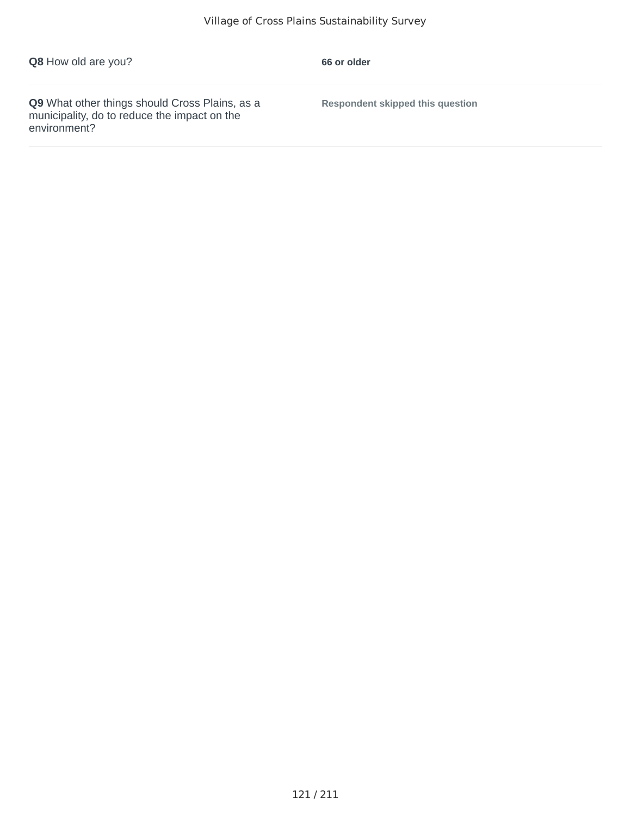| Q8 How old are you? |  |  |  |
|---------------------|--|--|--|
|---------------------|--|--|--|

**66 or older** 

**Q9** What other things should Cross Plains, as a municipality, do to reduce the impact on the environment?

**Respondent skipped this question**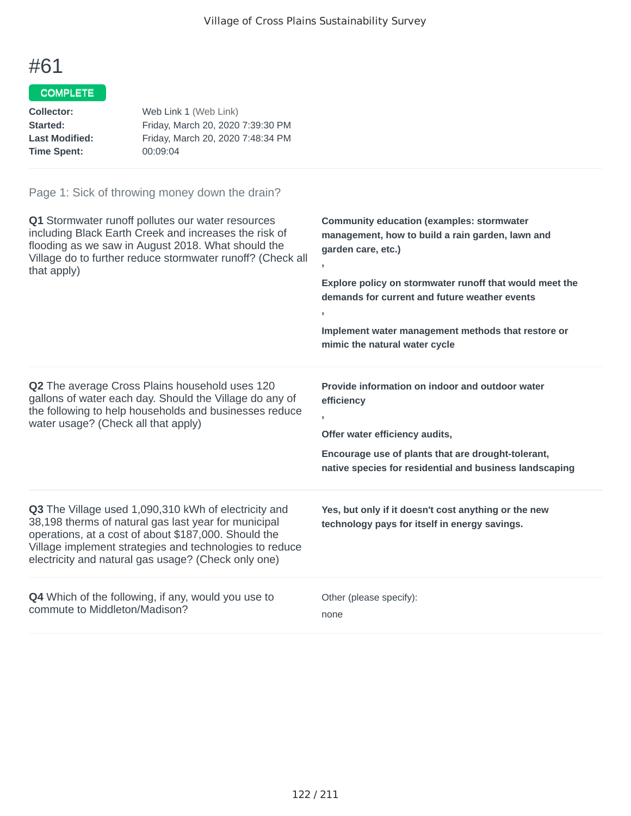### COMPLETE

| Web Link 1 (Web Link)             |
|-----------------------------------|
| Friday, March 20, 2020 7:39:30 PM |
| Friday, March 20, 2020 7:48:34 PM |
| 00:09:04                          |
|                                   |

| Q1 Stormwater runoff pollutes our water resources<br>including Black Earth Creek and increases the risk of<br>flooding as we saw in August 2018. What should the<br>Village do to further reduce stormwater runoff? (Check all<br>that apply)                                                 | <b>Community education (examples: stormwater</b><br>management, how to build a rain garden, lawn and<br>garden care, etc.)<br>Explore policy on stormwater runoff that would meet the<br>demands for current and future weather events<br>y.<br>Implement water management methods that restore or<br>mimic the natural water cycle |
|-----------------------------------------------------------------------------------------------------------------------------------------------------------------------------------------------------------------------------------------------------------------------------------------------|-------------------------------------------------------------------------------------------------------------------------------------------------------------------------------------------------------------------------------------------------------------------------------------------------------------------------------------|
| <b>Q2</b> The average Cross Plains household uses 120<br>gallons of water each day. Should the Village do any of<br>the following to help households and businesses reduce<br>water usage? (Check all that apply)                                                                             | Provide information on indoor and outdoor water<br>efficiency<br>Offer water efficiency audits,<br>Encourage use of plants that are drought-tolerant,<br>native species for residential and business landscaping                                                                                                                    |
| <b>Q3</b> The Village used 1,090,310 kWh of electricity and<br>38,198 therms of natural gas last year for municipal<br>operations, at a cost of about \$187,000. Should the<br>Village implement strategies and technologies to reduce<br>electricity and natural gas usage? (Check only one) | Yes, but only if it doesn't cost anything or the new<br>technology pays for itself in energy savings.                                                                                                                                                                                                                               |
| <b>Q4</b> Which of the following, if any, would you use to<br>commute to Middleton/Madison?                                                                                                                                                                                                   | Other (please specify):<br>none                                                                                                                                                                                                                                                                                                     |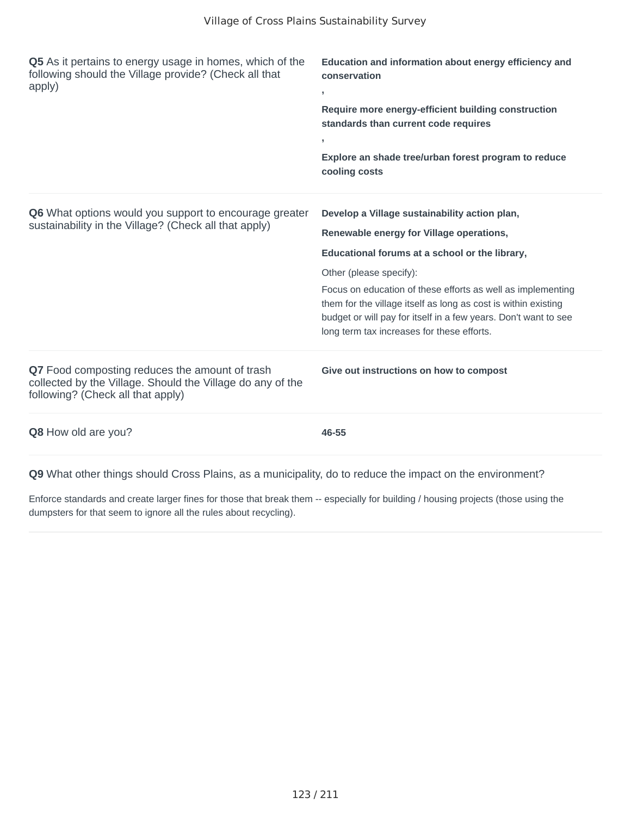| Q5 As it pertains to energy usage in homes, which of the<br>following should the Village provide? (Check all that<br>apply)                       | Education and information about energy efficiency and<br>conservation<br>У.<br>Require more energy-efficient building construction<br>standards than current code requires<br>У.<br>Explore an shade tree/urban forest program to reduce<br>cooling costs                                                                                                                                                                |
|---------------------------------------------------------------------------------------------------------------------------------------------------|--------------------------------------------------------------------------------------------------------------------------------------------------------------------------------------------------------------------------------------------------------------------------------------------------------------------------------------------------------------------------------------------------------------------------|
| Q6 What options would you support to encourage greater<br>sustainability in the Village? (Check all that apply)                                   | Develop a Village sustainability action plan,<br>Renewable energy for Village operations,<br>Educational forums at a school or the library,<br>Other (please specify):<br>Focus on education of these efforts as well as implementing<br>them for the village itself as long as cost is within existing<br>budget or will pay for itself in a few years. Don't want to see<br>long term tax increases for these efforts. |
| Q7 Food composting reduces the amount of trash<br>collected by the Village. Should the Village do any of the<br>following? (Check all that apply) | Give out instructions on how to compost                                                                                                                                                                                                                                                                                                                                                                                  |
| Q8 How old are you?                                                                                                                               | 46-55                                                                                                                                                                                                                                                                                                                                                                                                                    |

Enforce standards and create larger fines for those that break them -- especially for building / housing projects (those using the dumpsters for that seem to ignore all the rules about recycling).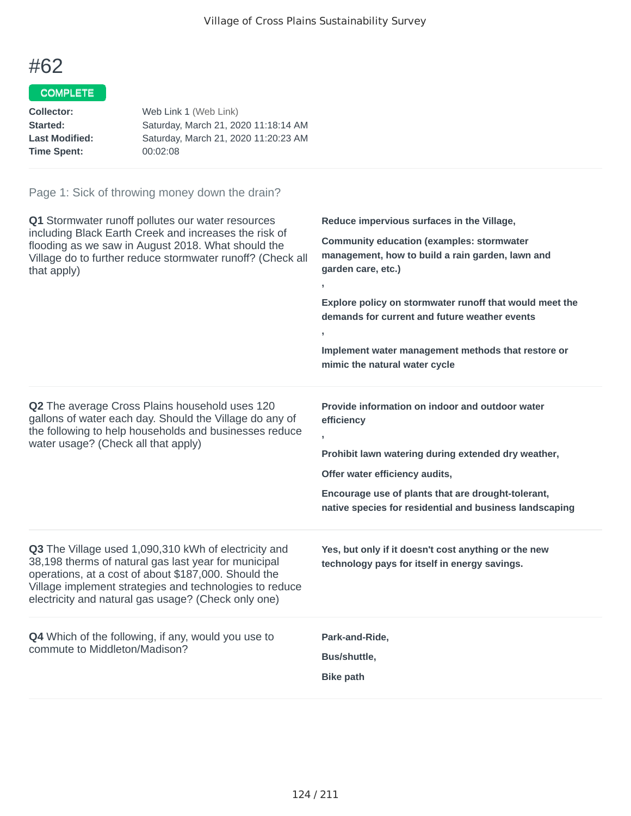### COMPLETE

| Collector:            | Web Link 1 (Web Link)                |
|-----------------------|--------------------------------------|
| <b>Started:</b>       | Saturday, March 21, 2020 11:18:14 AM |
| <b>Last Modified:</b> | Saturday, March 21, 2020 11:20:23 AM |
| Time Spent:           | 00:02:08                             |
|                       |                                      |

| Q1 Stormwater runoff pollutes our water resources<br>including Black Earth Creek and increases the risk of<br>flooding as we saw in August 2018. What should the<br>Village do to further reduce stormwater runoff? (Check all<br>that apply)                                          | Reduce impervious surfaces in the Village,<br><b>Community education (examples: stormwater</b><br>management, how to build a rain garden, lawn and<br>garden care, etc.)<br>У.<br>Explore policy on stormwater runoff that would meet the<br>demands for current and future weather events<br>$\mathbf{r}$<br>Implement water management methods that restore or<br>mimic the natural water cycle |
|----------------------------------------------------------------------------------------------------------------------------------------------------------------------------------------------------------------------------------------------------------------------------------------|---------------------------------------------------------------------------------------------------------------------------------------------------------------------------------------------------------------------------------------------------------------------------------------------------------------------------------------------------------------------------------------------------|
| Q2 The average Cross Plains household uses 120<br>gallons of water each day. Should the Village do any of<br>the following to help households and businesses reduce<br>water usage? (Check all that apply)                                                                             | Provide information on indoor and outdoor water<br>efficiency<br>$\overline{1}$<br>Prohibit lawn watering during extended dry weather,<br>Offer water efficiency audits,<br>Encourage use of plants that are drought-tolerant,<br>native species for residential and business landscaping                                                                                                         |
| Q3 The Village used 1,090,310 kWh of electricity and<br>38,198 therms of natural gas last year for municipal<br>operations, at a cost of about \$187,000. Should the<br>Village implement strategies and technologies to reduce<br>electricity and natural gas usage? (Check only one) | Yes, but only if it doesn't cost anything or the new<br>technology pays for itself in energy savings.                                                                                                                                                                                                                                                                                             |
| Q4 Which of the following, if any, would you use to<br>commute to Middleton/Madison?                                                                                                                                                                                                   | Park-and-Ride,<br>Bus/shuttle,<br><b>Bike path</b>                                                                                                                                                                                                                                                                                                                                                |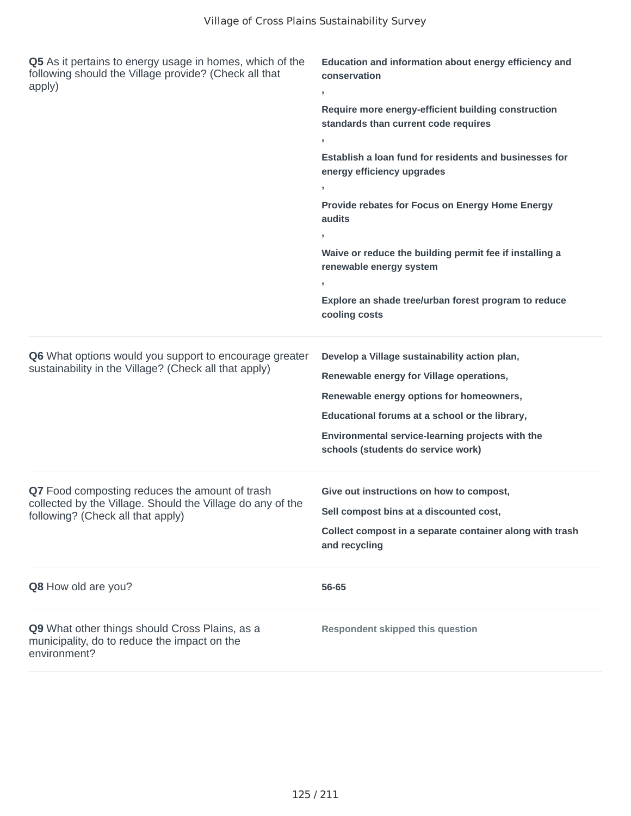| Q5 As it pertains to energy usage in homes, which of the<br>following should the Village provide? (Check all that<br>apply)                       | Education and information about energy efficiency and<br>conservation<br>,<br>Require more energy-efficient building construction<br>standards than current code requires<br>Establish a loan fund for residents and businesses for<br>energy efficiency upgrades<br>$\overline{1}$<br>Provide rebates for Focus on Energy Home Energy<br>audits<br>Waive or reduce the building permit fee if installing a<br>renewable energy system<br>Explore an shade tree/urban forest program to reduce<br>cooling costs |
|---------------------------------------------------------------------------------------------------------------------------------------------------|-----------------------------------------------------------------------------------------------------------------------------------------------------------------------------------------------------------------------------------------------------------------------------------------------------------------------------------------------------------------------------------------------------------------------------------------------------------------------------------------------------------------|
| Q6 What options would you support to encourage greater<br>sustainability in the Village? (Check all that apply)                                   | Develop a Village sustainability action plan,<br>Renewable energy for Village operations,<br>Renewable energy options for homeowners,<br>Educational forums at a school or the library,<br>Environmental service-learning projects with the<br>schools (students do service work)                                                                                                                                                                                                                               |
| Q7 Food composting reduces the amount of trash<br>collected by the Village. Should the Village do any of the<br>following? (Check all that apply) | Give out instructions on how to compost,<br>Sell compost bins at a discounted cost,<br>Collect compost in a separate container along with trash<br>and recycling                                                                                                                                                                                                                                                                                                                                                |
| Q8 How old are you?                                                                                                                               | 56-65                                                                                                                                                                                                                                                                                                                                                                                                                                                                                                           |
| Q9 What other things should Cross Plains, as a<br>municipality, do to reduce the impact on the<br>environment?                                    | <b>Respondent skipped this question</b>                                                                                                                                                                                                                                                                                                                                                                                                                                                                         |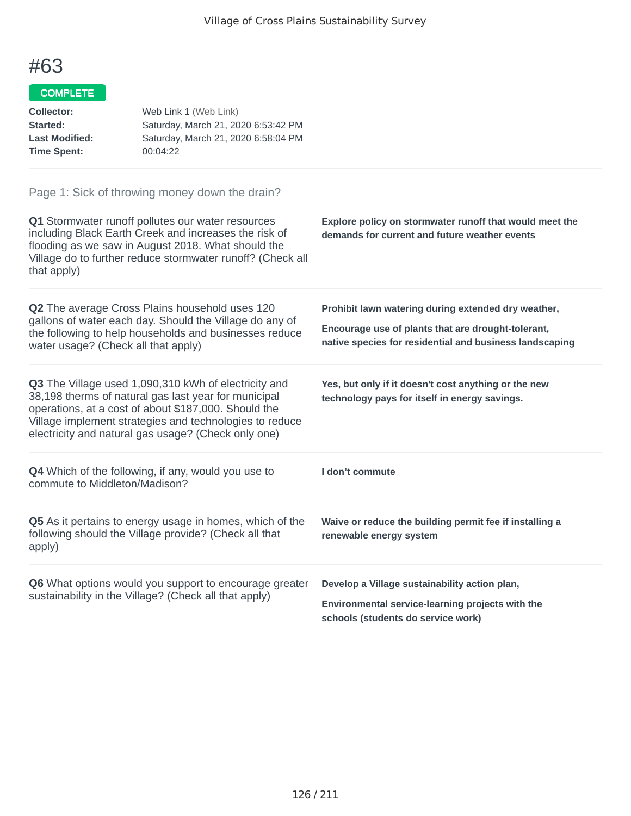#### COMPLETE

| <b>Collector:</b><br>Started:<br><b>Last Modified:</b><br><b>Time Spent:</b> | Web Link 1 (Web Link)<br>Saturday, March 21, 2020 6:53:42 PM<br>Saturday, March 21, 2020 6:58:04 PM<br>00:04:22                                                                                                                                                                        |                                                                                                                                                                      |
|------------------------------------------------------------------------------|----------------------------------------------------------------------------------------------------------------------------------------------------------------------------------------------------------------------------------------------------------------------------------------|----------------------------------------------------------------------------------------------------------------------------------------------------------------------|
| that apply)                                                                  | Page 1: Sick of throwing money down the drain?<br>Q1 Stormwater runoff pollutes our water resources<br>including Black Earth Creek and increases the risk of<br>flooding as we saw in August 2018. What should the<br>Village do to further reduce stormwater runoff? (Check all       | Explore policy on stormwater runoff that would meet the<br>demands for current and future weather events                                                             |
| water usage? (Check all that apply)                                          | Q2 The average Cross Plains household uses 120<br>gallons of water each day. Should the Village do any of<br>the following to help households and businesses reduce                                                                                                                    | Prohibit lawn watering during extended dry weather,<br>Encourage use of plants that are drought-tolerant,<br>native species for residential and business landscaping |
|                                                                              | Q3 The Village used 1,090,310 kWh of electricity and<br>38,198 therms of natural gas last year for municipal<br>operations, at a cost of about \$187,000. Should the<br>Village implement strategies and technologies to reduce<br>electricity and natural gas usage? (Check only one) | Yes, but only if it doesn't cost anything or the new<br>technology pays for itself in energy savings.                                                                |
| commute to Middleton/Madison?                                                | <b>Q4</b> Which of the following, if any, would you use to                                                                                                                                                                                                                             | I don't commute                                                                                                                                                      |
| apply)                                                                       | Q5 As it pertains to energy usage in homes, which of the<br>following should the Village provide? (Check all that                                                                                                                                                                      | Waive or reduce the building permit fee if installing a<br>renewable energy system                                                                                   |
|                                                                              | Q6 What options would you support to encourage greater<br>sustainability in the Village? (Check all that apply)                                                                                                                                                                        | Develop a Village sustainability action plan,<br>Environmental service-learning projects with the                                                                    |

**schools (students do service work)**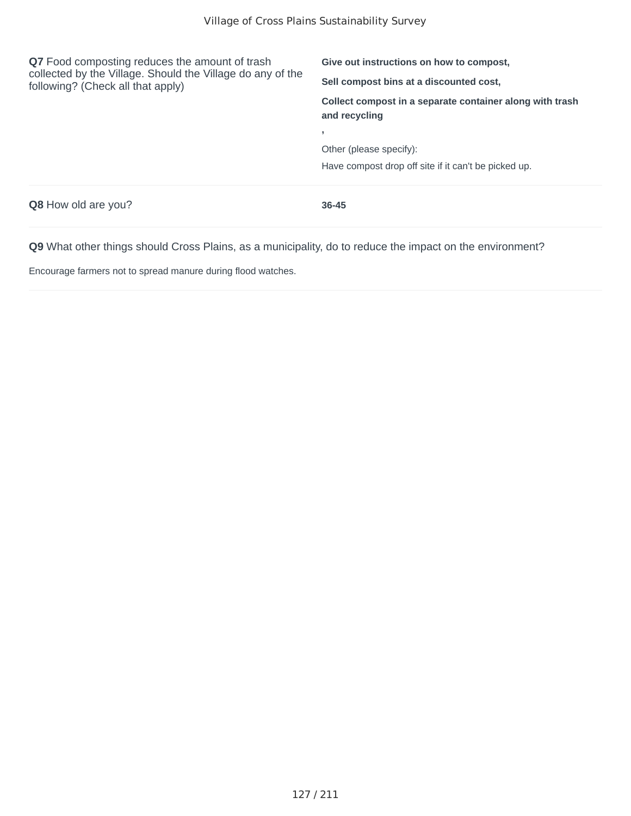| Q7 Food composting reduces the amount of trash<br>collected by the Village. Should the Village do any of the<br>following? (Check all that apply) | Give out instructions on how to compost.<br>Sell compost bins at a discounted cost, |  |
|---------------------------------------------------------------------------------------------------------------------------------------------------|-------------------------------------------------------------------------------------|--|
|                                                                                                                                                   | Collect compost in a separate container along with trash<br>and recycling           |  |
|                                                                                                                                                   |                                                                                     |  |
|                                                                                                                                                   | Other (please specify):                                                             |  |
|                                                                                                                                                   | Have compost drop off site if it can't be picked up.                                |  |
| <b>Q8</b> How old are you?                                                                                                                        | $36 - 45$                                                                           |  |

Encourage farmers not to spread manure during flood watches.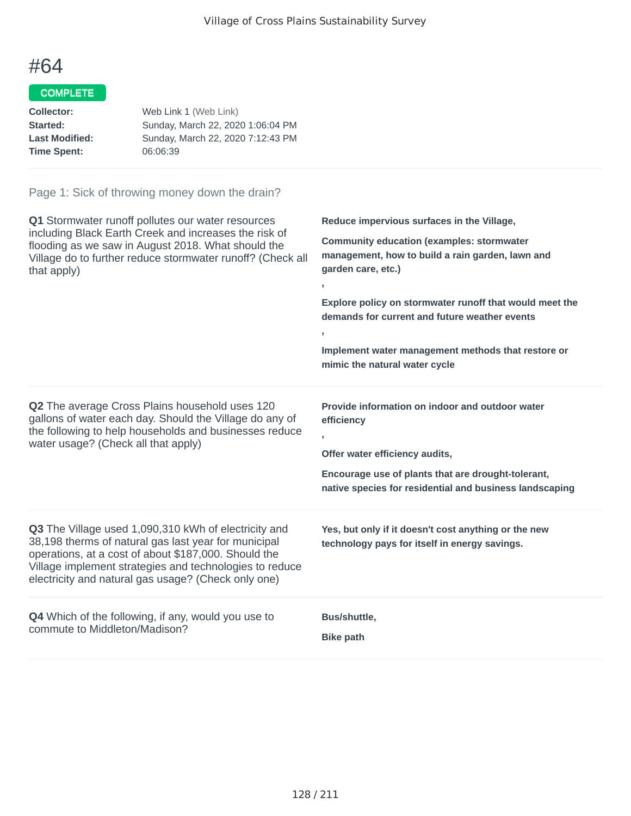### COMPLETE

| Collector:            | Web Link 1 (Web Link)             |
|-----------------------|-----------------------------------|
| Started:              | Sunday, March 22, 2020 1:06:04 PM |
| <b>Last Modified:</b> | Sunday, March 22, 2020 7:12:43 PM |
| <b>Time Spent:</b>    | 06:06:39                          |

| Q1 Stormwater runoff pollutes our water resources<br>including Black Earth Creek and increases the risk of<br>flooding as we saw in August 2018. What should the<br>Village do to further reduce stormwater runoff? (Check all<br>that apply)                                          | Reduce impervious surfaces in the Village,<br><b>Community education (examples: stormwater</b><br>management, how to build a rain garden, lawn and<br>garden care, etc.)<br>J.<br>Explore policy on stormwater runoff that would meet the<br>demands for current and future weather events<br>Implement water management methods that restore or<br>mimic the natural water cycle |
|----------------------------------------------------------------------------------------------------------------------------------------------------------------------------------------------------------------------------------------------------------------------------------------|-----------------------------------------------------------------------------------------------------------------------------------------------------------------------------------------------------------------------------------------------------------------------------------------------------------------------------------------------------------------------------------|
| Q2 The average Cross Plains household uses 120<br>gallons of water each day. Should the Village do any of<br>the following to help households and businesses reduce<br>water usage? (Check all that apply)                                                                             | Provide information on indoor and outdoor water<br>efficiency<br>Offer water efficiency audits,<br>Encourage use of plants that are drought-tolerant,<br>native species for residential and business landscaping                                                                                                                                                                  |
| Q3 The Village used 1,090,310 kWh of electricity and<br>38,198 therms of natural gas last year for municipal<br>operations, at a cost of about \$187,000. Should the<br>Village implement strategies and technologies to reduce<br>electricity and natural gas usage? (Check only one) | Yes, but only if it doesn't cost anything or the new<br>technology pays for itself in energy savings.                                                                                                                                                                                                                                                                             |
| <b>Q4</b> Which of the following, if any, would you use to<br>commute to Middleton/Madison?                                                                                                                                                                                            | Bus/shuttle,<br><b>Bike path</b>                                                                                                                                                                                                                                                                                                                                                  |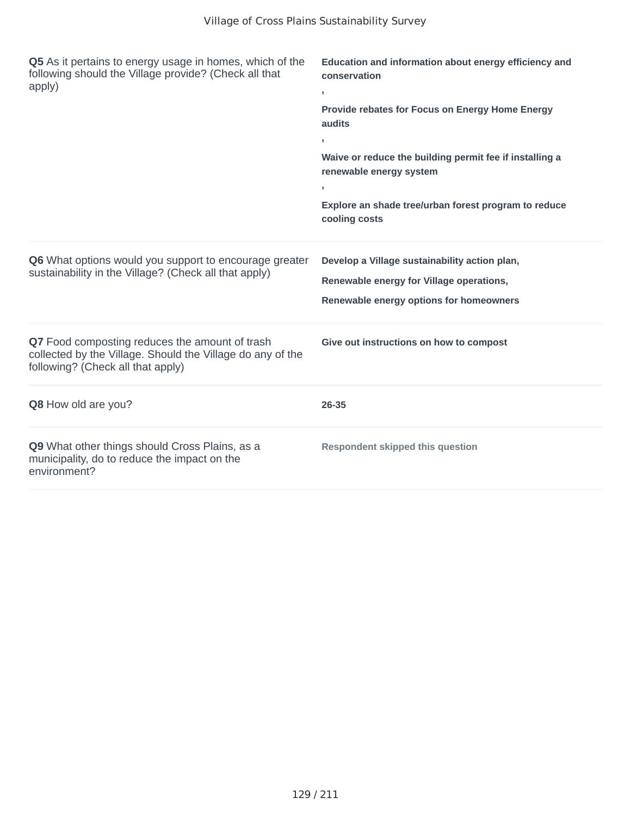| Q5 As it pertains to energy usage in homes, which of the<br>following should the Village provide? (Check all that<br>apply)                       | Education and information about energy efficiency and<br>conservation<br>$\,$<br>Provide rebates for Focus on Energy Home Energy<br>audits<br>×<br>Waive or reduce the building permit fee if installing a<br>renewable energy system<br>$\overline{1}$<br>Explore an shade tree/urban forest program to reduce<br>cooling costs |
|---------------------------------------------------------------------------------------------------------------------------------------------------|----------------------------------------------------------------------------------------------------------------------------------------------------------------------------------------------------------------------------------------------------------------------------------------------------------------------------------|
| Q6 What options would you support to encourage greater<br>sustainability in the Village? (Check all that apply)                                   | Develop a Village sustainability action plan,<br>Renewable energy for Village operations,<br>Renewable energy options for homeowners                                                                                                                                                                                             |
| Q7 Food composting reduces the amount of trash<br>collected by the Village. Should the Village do any of the<br>following? (Check all that apply) | Give out instructions on how to compost                                                                                                                                                                                                                                                                                          |
| Q8 How old are you?                                                                                                                               | 26-35                                                                                                                                                                                                                                                                                                                            |
| Q9 What other things should Cross Plains, as a<br>municipality, do to reduce the impact on the<br>environment?                                    | <b>Respondent skipped this question</b>                                                                                                                                                                                                                                                                                          |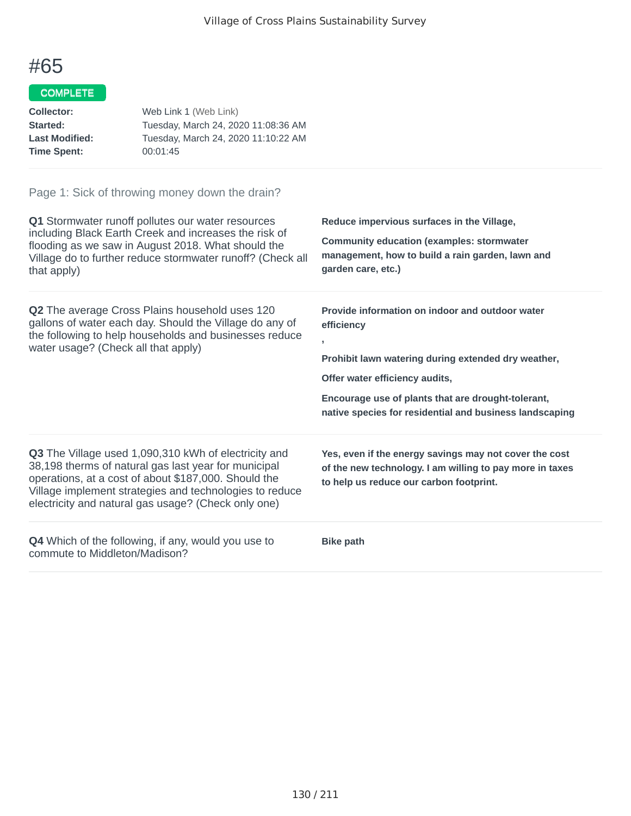#### COMPLETE

| Collector:<br>Started:<br><b>Last Modified:</b><br><b>Time Spent:</b> | Web Link 1 (Web Link)<br>Tuesday, March 24, 2020 11:08:36 AM<br>Tuesday, March 24, 2020 11:10:22 AM<br>00:01:45                                                            |                                                                                                                            |
|-----------------------------------------------------------------------|----------------------------------------------------------------------------------------------------------------------------------------------------------------------------|----------------------------------------------------------------------------------------------------------------------------|
|                                                                       | Page 1: Sick of throwing money down the drain?                                                                                                                             |                                                                                                                            |
|                                                                       | Q1 Stormwater runoff pollutes our water resources                                                                                                                          | Reduce impervious surfaces in the Village,                                                                                 |
| that apply)                                                           | including Black Earth Creek and increases the risk of<br>flooding as we saw in August 2018. What should the<br>Village do to further reduce stormwater runoff? (Check all  | <b>Community education (examples: stormwater</b><br>management, how to build a rain garden, lawn and<br>garden care, etc.) |
| water usage? (Check all that apply)                                   | <b>Q2</b> The average Cross Plains household uses 120<br>gallons of water each day. Should the Village do any of<br>the following to help households and businesses reduce | Provide information on indoor and outdoor water<br>efficiency<br>٠<br>Prohibit lawn watering during extended dry weather,  |

**Q4** Which of the following, if any, would you use to commute to Middleton/Madison?

**Q3** The Village used 1,090,310 kWh of electricity and 38,198 therms of natural gas last year for municipal operations, at a cost of about \$187,000. Should the Village implement strategies and technologies to reduce electricity and natural gas usage? (Check only one)

**Bike path**

**Offer water efficiency audits,**

**Encourage use of plants that are drought-tolerant, native species for residential and business landscaping**

**Yes, even if the energy savings may not cover the cost of the new technology. I am willing to pay more in taxes**

**to help us reduce our carbon footprint.**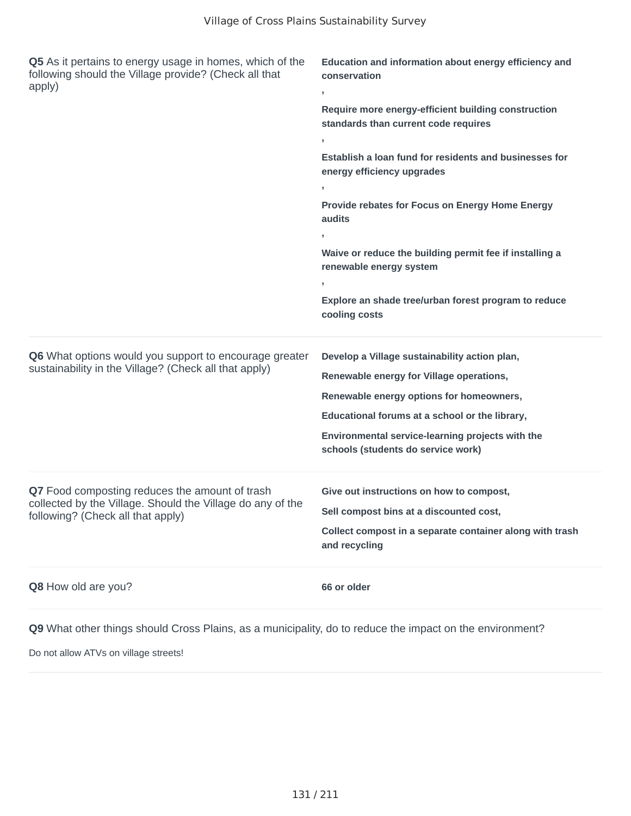| Q5 As it pertains to energy usage in homes, which of the<br>following should the Village provide? (Check all that<br>apply)                       | Education and information about energy efficiency and<br>conservation<br>$\mathbf{r}$<br>Require more energy-efficient building construction<br>standards than current code requires<br>$\overline{1}$<br>Establish a loan fund for residents and businesses for<br>energy efficiency upgrades<br>Provide rebates for Focus on Energy Home Energy<br>audits<br>Waive or reduce the building permit fee if installing a<br>renewable energy system<br>Explore an shade tree/urban forest program to reduce<br>cooling costs |
|---------------------------------------------------------------------------------------------------------------------------------------------------|----------------------------------------------------------------------------------------------------------------------------------------------------------------------------------------------------------------------------------------------------------------------------------------------------------------------------------------------------------------------------------------------------------------------------------------------------------------------------------------------------------------------------|
| Q6 What options would you support to encourage greater<br>sustainability in the Village? (Check all that apply)                                   | Develop a Village sustainability action plan,<br>Renewable energy for Village operations,<br>Renewable energy options for homeowners,<br>Educational forums at a school or the library,<br>Environmental service-learning projects with the<br>schools (students do service work)                                                                                                                                                                                                                                          |
| Q7 Food composting reduces the amount of trash<br>collected by the Village. Should the Village do any of the<br>following? (Check all that apply) | Give out instructions on how to compost,<br>Sell compost bins at a discounted cost,<br>Collect compost in a separate container along with trash<br>and recycling                                                                                                                                                                                                                                                                                                                                                           |
| Q8 How old are you?                                                                                                                               | 66 or older                                                                                                                                                                                                                                                                                                                                                                                                                                                                                                                |

Do not allow ATVs on village streets!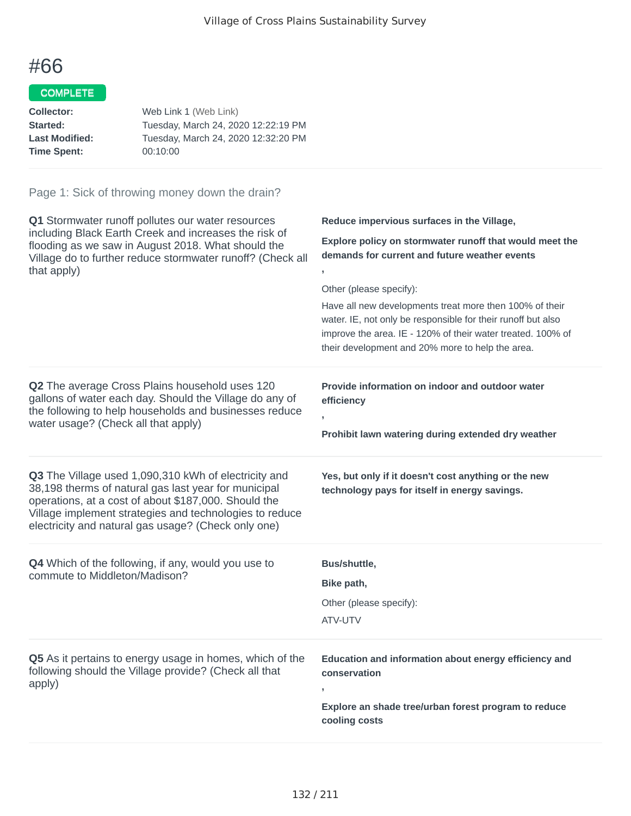### COMPLETE

| Collector:            | Web Link 1 (Web Link)               |
|-----------------------|-------------------------------------|
| <b>Started:</b>       | Tuesday, March 24, 2020 12:22:19 PM |
| <b>Last Modified:</b> | Tuesday, March 24, 2020 12:32:20 PM |
| Time Spent:           | 00:10:00                            |
|                       |                                     |

| Q1 Stormwater runoff pollutes our water resources<br>including Black Earth Creek and increases the risk of<br>flooding as we saw in August 2018. What should the<br>Village do to further reduce stormwater runoff? (Check all<br>that apply)                                          | Reduce impervious surfaces in the Village,<br>Explore policy on stormwater runoff that would meet the<br>demands for current and future weather events<br>Other (please specify):<br>Have all new developments treat more then 100% of their<br>water. IE, not only be responsible for their runoff but also<br>improve the area. IE - 120% of their water treated. 100% of<br>their development and 20% more to help the area. |
|----------------------------------------------------------------------------------------------------------------------------------------------------------------------------------------------------------------------------------------------------------------------------------------|---------------------------------------------------------------------------------------------------------------------------------------------------------------------------------------------------------------------------------------------------------------------------------------------------------------------------------------------------------------------------------------------------------------------------------|
| Q2 The average Cross Plains household uses 120<br>gallons of water each day. Should the Village do any of<br>the following to help households and businesses reduce<br>water usage? (Check all that apply)                                                                             | Provide information on indoor and outdoor water<br>efficiency<br>Prohibit lawn watering during extended dry weather                                                                                                                                                                                                                                                                                                             |
| Q3 The Village used 1,090,310 kWh of electricity and<br>38,198 therms of natural gas last year for municipal<br>operations, at a cost of about \$187,000. Should the<br>Village implement strategies and technologies to reduce<br>electricity and natural gas usage? (Check only one) | Yes, but only if it doesn't cost anything or the new<br>technology pays for itself in energy savings.                                                                                                                                                                                                                                                                                                                           |
| <b>Q4</b> Which of the following, if any, would you use to<br>commute to Middleton/Madison?                                                                                                                                                                                            | Bus/shuttle,<br>Bike path,<br>Other (please specify):<br>ATV-UTV                                                                                                                                                                                                                                                                                                                                                                |
| Q5 As it pertains to energy usage in homes, which of the<br>following should the Village provide? (Check all that<br>apply)                                                                                                                                                            | Education and information about energy efficiency and<br>conservation<br>Explore an shade tree/urban forest program to reduce<br>cooling costs                                                                                                                                                                                                                                                                                  |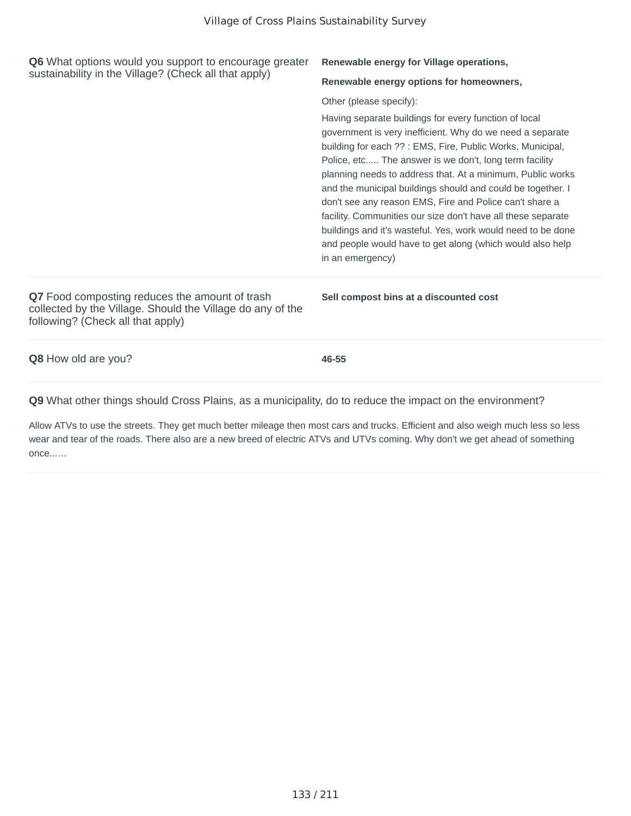| <b>Q6</b> What options would you support to encourage greater<br>sustainability in the Village? (Check all that apply)                            | Renewable energy for Village operations,<br>Renewable energy options for homeowners,<br>Other (please specify):<br>Having separate buildings for every function of local<br>government is very inefficient. Why do we need a separate<br>building for each ?? : EMS, Fire, Public Works, Municipal,                                                                                                                                                             |
|---------------------------------------------------------------------------------------------------------------------------------------------------|-----------------------------------------------------------------------------------------------------------------------------------------------------------------------------------------------------------------------------------------------------------------------------------------------------------------------------------------------------------------------------------------------------------------------------------------------------------------|
|                                                                                                                                                   | Police, etc The answer is we don't, long term facility<br>planning needs to address that. At a minimum, Public works<br>and the municipal buildings should and could be together. I<br>don't see any reason EMS, Fire and Police can't share a<br>facility. Communities our size don't have all these separate<br>buildings and it's wasteful. Yes, work would need to be done<br>and people would have to get along (which would also help<br>in an emergency) |
| Q7 Food composting reduces the amount of trash<br>collected by the Village. Should the Village do any of the<br>following? (Check all that apply) | Sell compost bins at a discounted cost                                                                                                                                                                                                                                                                                                                                                                                                                          |
| Q8 How old are you?                                                                                                                               | 46-55                                                                                                                                                                                                                                                                                                                                                                                                                                                           |
| Q9 What other things should Cross Plains, as a municipality, do to reduce the impact on the environment?                                          |                                                                                                                                                                                                                                                                                                                                                                                                                                                                 |

Allow ATVs to use the streets. They get much better mileage then most cars and trucks. Efficient and also weigh much less so less wear and tear of the roads. There also are a new breed of electric ATVs and UTVs coming. Why don't we get ahead of something once...…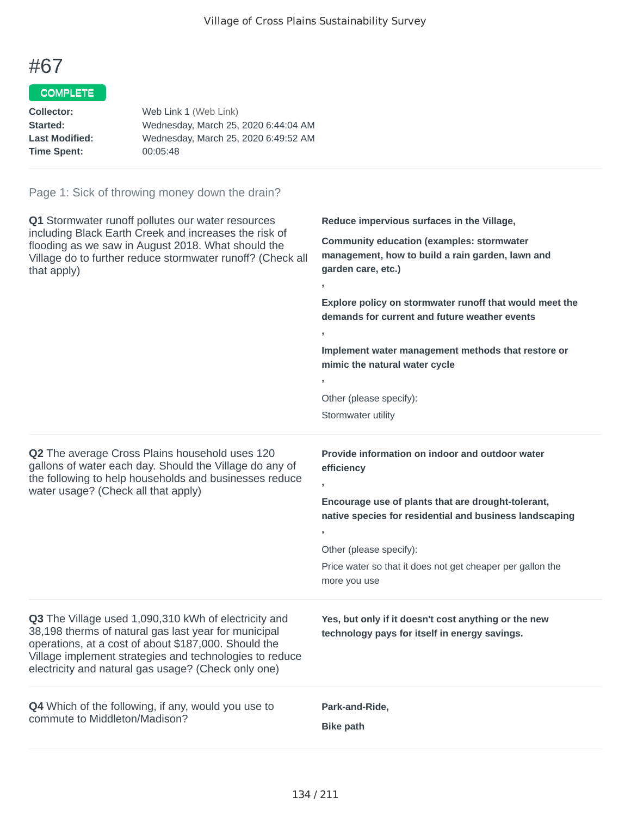**,**

**,**

**,**

**,**

**,**

### #67

#### COMPLETE

| Collector:            | Web Link 1 (Web Link)                |
|-----------------------|--------------------------------------|
| Started:              | Wednesday, March 25, 2020 6:44:04 AM |
| <b>Last Modified:</b> | Wednesday, March 25, 2020 6:49:52 AM |
| <b>Time Spent:</b>    | 00:05:48                             |
|                       |                                      |

#### Page 1: Sick of throwing money down the drain?

**Q1** Stormwater runoff pollutes our water resources including Black Earth Creek and increases the risk of flooding as we saw in August 2018. What should the Village do to further reduce stormwater runoff? (Check all that apply)

**Reduce impervious surfaces in the Village,**

**Community education (examples: stormwater management, how to build a rain garden, lawn and garden care, etc.)**

**Explore policy on stormwater runoff that would meet the demands for current and future weather events**

**Implement water management methods that restore or mimic the natural water cycle**

Other (please specify):

Stormwater utility

**efficiency**

**Q2** The average Cross Plains household uses 120 gallons of water each day. Should the Village do any of the following to help households and businesses reduce water usage? (Check all that apply)

**Encourage use of plants that are drought-tolerant, native species for residential and business landscaping**

**Provide information on indoor and outdoor water**

Other (please specify):

Price water so that it does not get cheaper per gallon the more you use

**Q3** The Village used 1,090,310 kWh of electricity and 38,198 therms of natural gas last year for municipal operations, at a cost of about \$187,000. Should the Village implement strategies and technologies to reduce electricity and natural gas usage? (Check only one)

**Q4** Which of the following, if any, would you use to commute to Middleton/Madison?

**Yes, but only if it doesn't cost anything or the new technology pays for itself in energy savings.**

**Park-and-Ride,**

**Bike path**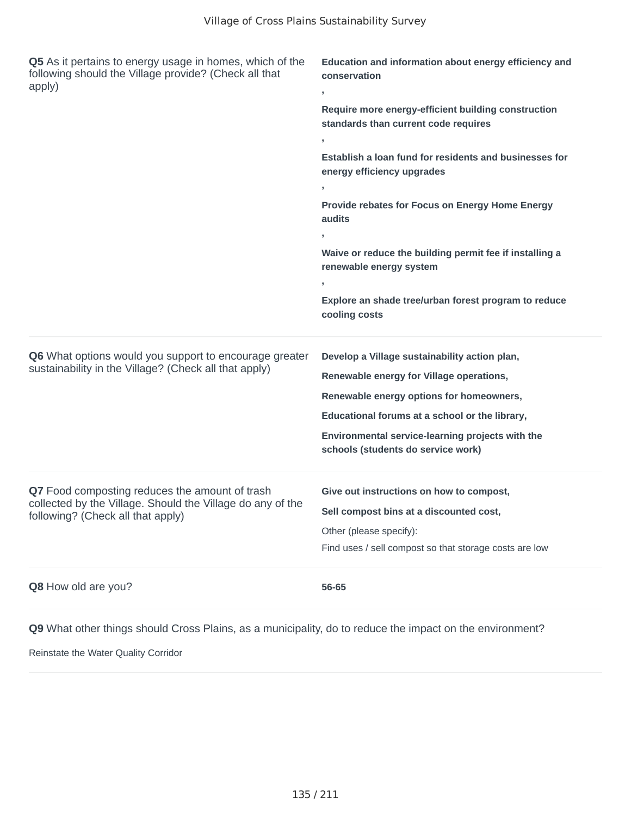| Q5 As it pertains to energy usage in homes, which of the<br>following should the Village provide? (Check all that<br>apply) | Education and information about energy efficiency and<br>conservation<br>,                        |  |
|-----------------------------------------------------------------------------------------------------------------------------|---------------------------------------------------------------------------------------------------|--|
|                                                                                                                             | Require more energy-efficient building construction<br>standards than current code requires<br>У. |  |
|                                                                                                                             | Establish a loan fund for residents and businesses for<br>energy efficiency upgrades              |  |
|                                                                                                                             | У.                                                                                                |  |
|                                                                                                                             | Provide rebates for Focus on Energy Home Energy<br>audits                                         |  |
|                                                                                                                             | $\overline{1}$                                                                                    |  |
|                                                                                                                             | Waive or reduce the building permit fee if installing a<br>renewable energy system                |  |
|                                                                                                                             | y.<br>Explore an shade tree/urban forest program to reduce<br>cooling costs                       |  |
| Q6 What options would you support to encourage greater                                                                      | Develop a Village sustainability action plan,                                                     |  |
| sustainability in the Village? (Check all that apply)                                                                       | Renewable energy for Village operations,                                                          |  |
|                                                                                                                             | Renewable energy options for homeowners,                                                          |  |
|                                                                                                                             | Educational forums at a school or the library,                                                    |  |
|                                                                                                                             | Environmental service-learning projects with the<br>schools (students do service work)            |  |
| Q7 Food composting reduces the amount of trash                                                                              | Give out instructions on how to compost,                                                          |  |
| collected by the Village. Should the Village do any of the                                                                  | Sell compost bins at a discounted cost,                                                           |  |
| following? (Check all that apply)                                                                                           | Other (please specify):                                                                           |  |
|                                                                                                                             | Find uses / sell compost so that storage costs are low                                            |  |
| Q8 How old are you?                                                                                                         | 56-65                                                                                             |  |

Reinstate the Water Quality Corridor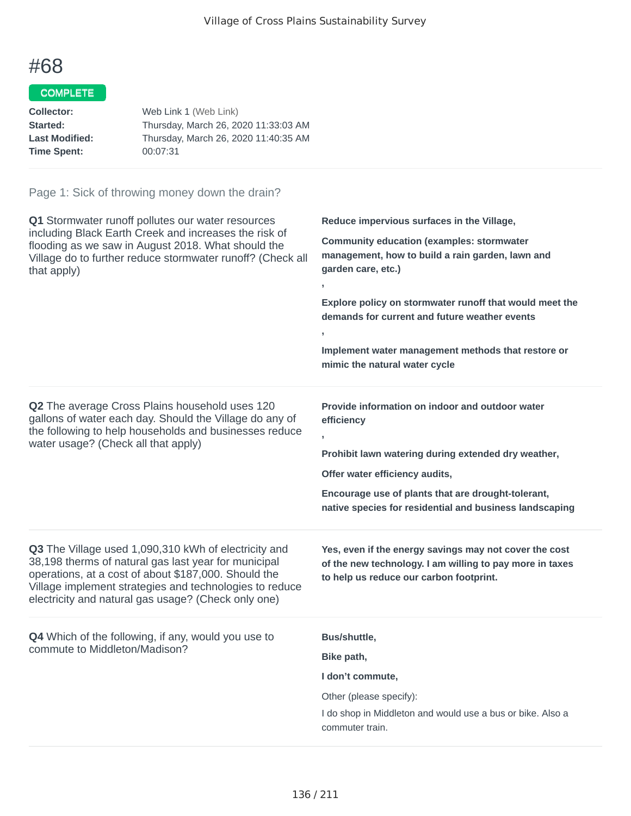### COMPLETE

| Collector:            | Web Link 1 (Web Link)                |
|-----------------------|--------------------------------------|
| <b>Started:</b>       | Thursday, March 26, 2020 11:33:03 AM |
| <b>Last Modified:</b> | Thursday, March 26, 2020 11:40:35 AM |
| <b>Time Spent:</b>    | 00:07:31                             |
|                       |                                      |

| Q1 Stormwater runoff pollutes our water resources<br>including Black Earth Creek and increases the risk of<br>flooding as we saw in August 2018. What should the<br>Village do to further reduce stormwater runoff? (Check all<br>that apply)                                          | Reduce impervious surfaces in the Village,<br><b>Community education (examples: stormwater</b><br>management, how to build a rain garden, lawn and<br>garden care, etc.)<br>y.<br>Explore policy on stormwater runoff that would meet the<br>demands for current and future weather events<br>$\overline{1}$<br>Implement water management methods that restore or<br>mimic the natural water cycle |
|----------------------------------------------------------------------------------------------------------------------------------------------------------------------------------------------------------------------------------------------------------------------------------------|-----------------------------------------------------------------------------------------------------------------------------------------------------------------------------------------------------------------------------------------------------------------------------------------------------------------------------------------------------------------------------------------------------|
| Q2 The average Cross Plains household uses 120<br>gallons of water each day. Should the Village do any of<br>the following to help households and businesses reduce<br>water usage? (Check all that apply)                                                                             | Provide information on indoor and outdoor water<br>efficiency<br>y.<br>Prohibit lawn watering during extended dry weather,<br>Offer water efficiency audits,<br>Encourage use of plants that are drought-tolerant,<br>native species for residential and business landscaping                                                                                                                       |
| Q3 The Village used 1,090,310 kWh of electricity and<br>38,198 therms of natural gas last year for municipal<br>operations, at a cost of about \$187,000. Should the<br>Village implement strategies and technologies to reduce<br>electricity and natural gas usage? (Check only one) | Yes, even if the energy savings may not cover the cost<br>of the new technology. I am willing to pay more in taxes<br>to help us reduce our carbon footprint.                                                                                                                                                                                                                                       |
| Q4 Which of the following, if any, would you use to<br>commute to Middleton/Madison?                                                                                                                                                                                                   | Bus/shuttle,<br>Bike path,<br>I don't commute,<br>Other (please specify):<br>I do shop in Middleton and would use a bus or bike. Also a<br>commuter train.                                                                                                                                                                                                                                          |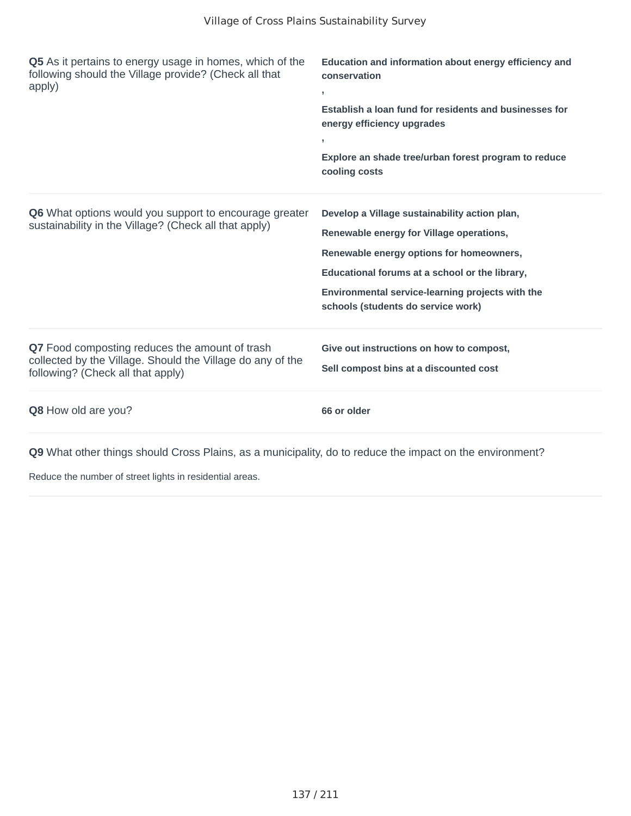| <b>Q5</b> As it pertains to energy usage in homes, which of the<br>following should the Village provide? (Check all that<br>apply)                | Education and information about energy efficiency and<br>conservation<br>y.<br>Establish a loan fund for residents and businesses for<br>energy efficiency upgrades<br>$\mathbf{r}$<br>Explore an shade tree/urban forest program to reduce<br>cooling costs                      |
|---------------------------------------------------------------------------------------------------------------------------------------------------|-----------------------------------------------------------------------------------------------------------------------------------------------------------------------------------------------------------------------------------------------------------------------------------|
| <b>Q6</b> What options would you support to encourage greater<br>sustainability in the Village? (Check all that apply)                            | Develop a Village sustainability action plan,<br>Renewable energy for Village operations,<br>Renewable energy options for homeowners,<br>Educational forums at a school or the library,<br>Environmental service-learning projects with the<br>schools (students do service work) |
| Q7 Food composting reduces the amount of trash<br>collected by the Village. Should the Village do any of the<br>following? (Check all that apply) | Give out instructions on how to compost,<br>Sell compost bins at a discounted cost                                                                                                                                                                                                |
| <b>Q8</b> How old are you?                                                                                                                        | 66 or older                                                                                                                                                                                                                                                                       |

Reduce the number of street lights in residential areas.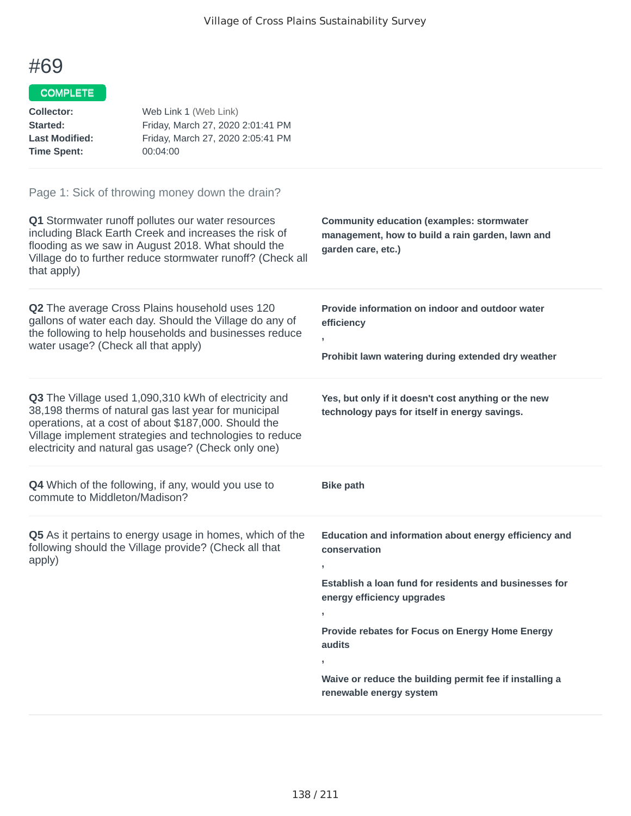#### COMPLETE

| <b>Collector:</b><br>Started:<br><b>Last Modified:</b><br><b>Time Spent:</b> | Web Link 1 (Web Link)<br>Friday, March 27, 2020 2:01:41 PM<br>Friday, March 27, 2020 2:05:41 PM<br>00:04:00                                                                                                                                                                                   |                                                                                                                                                                                                                                                                                                                                                |
|------------------------------------------------------------------------------|-----------------------------------------------------------------------------------------------------------------------------------------------------------------------------------------------------------------------------------------------------------------------------------------------|------------------------------------------------------------------------------------------------------------------------------------------------------------------------------------------------------------------------------------------------------------------------------------------------------------------------------------------------|
| that apply)                                                                  | Page 1: Sick of throwing money down the drain?<br>Q1 Stormwater runoff pollutes our water resources<br>including Black Earth Creek and increases the risk of<br>flooding as we saw in August 2018. What should the<br>Village do to further reduce stormwater runoff? (Check all              | <b>Community education (examples: stormwater</b><br>management, how to build a rain garden, lawn and<br>garden care, etc.)                                                                                                                                                                                                                     |
| water usage? (Check all that apply)                                          | Q2 The average Cross Plains household uses 120<br>gallons of water each day. Should the Village do any of<br>the following to help households and businesses reduce                                                                                                                           | Provide information on indoor and outdoor water<br>efficiency<br>Prohibit lawn watering during extended dry weather                                                                                                                                                                                                                            |
|                                                                              | <b>Q3</b> The Village used 1,090,310 kWh of electricity and<br>38,198 therms of natural gas last year for municipal<br>operations, at a cost of about \$187,000. Should the<br>Village implement strategies and technologies to reduce<br>electricity and natural gas usage? (Check only one) | Yes, but only if it doesn't cost anything or the new<br>technology pays for itself in energy savings.                                                                                                                                                                                                                                          |
| commute to Middleton/Madison?                                                | <b>Q4</b> Which of the following, if any, would you use to                                                                                                                                                                                                                                    | <b>Bike path</b>                                                                                                                                                                                                                                                                                                                               |
| apply)                                                                       | Q5 As it pertains to energy usage in homes, which of the<br>following should the Village provide? (Check all that                                                                                                                                                                             | Education and information about energy efficiency and<br>conservation<br>э.<br>Establish a loan fund for residents and businesses for<br>energy efficiency upgrades<br>$\mathbf{y}$<br>Provide rebates for Focus on Energy Home Energy<br>audits<br>$\,$<br>Waive or reduce the building permit fee if installing a<br>renewable energy system |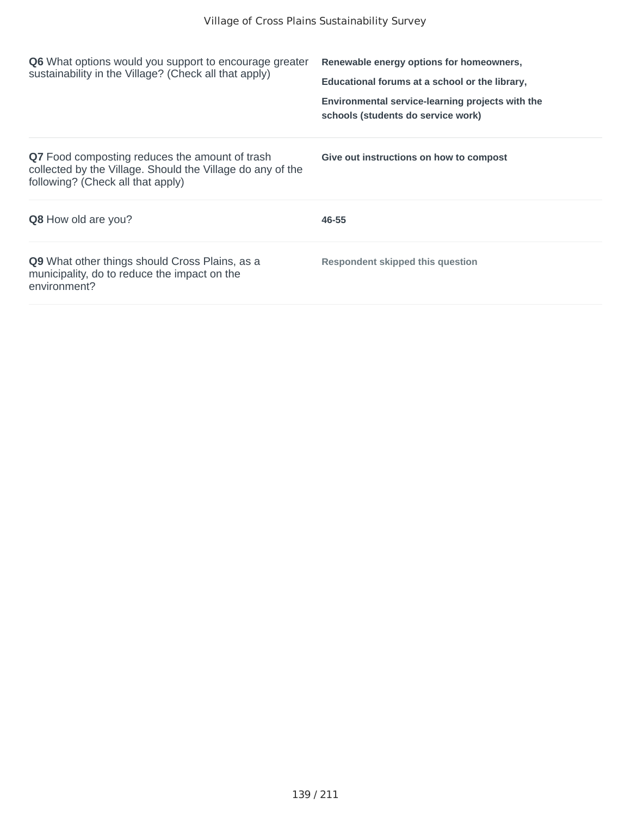| <b>Q6</b> What options would you support to encourage greater<br>sustainability in the Village? (Check all that apply)                            | Renewable energy options for homeowners,<br>Educational forums at a school or the library,<br>Environmental service-learning projects with the<br>schools (students do service work) |
|---------------------------------------------------------------------------------------------------------------------------------------------------|--------------------------------------------------------------------------------------------------------------------------------------------------------------------------------------|
| Q7 Food composting reduces the amount of trash<br>collected by the Village. Should the Village do any of the<br>following? (Check all that apply) | Give out instructions on how to compost                                                                                                                                              |
| <b>Q8</b> How old are you?                                                                                                                        | 46-55                                                                                                                                                                                |
| <b>Q9</b> What other things should Cross Plains, as a<br>municipality, do to reduce the impact on the<br>environment?                             | Respondent skipped this question                                                                                                                                                     |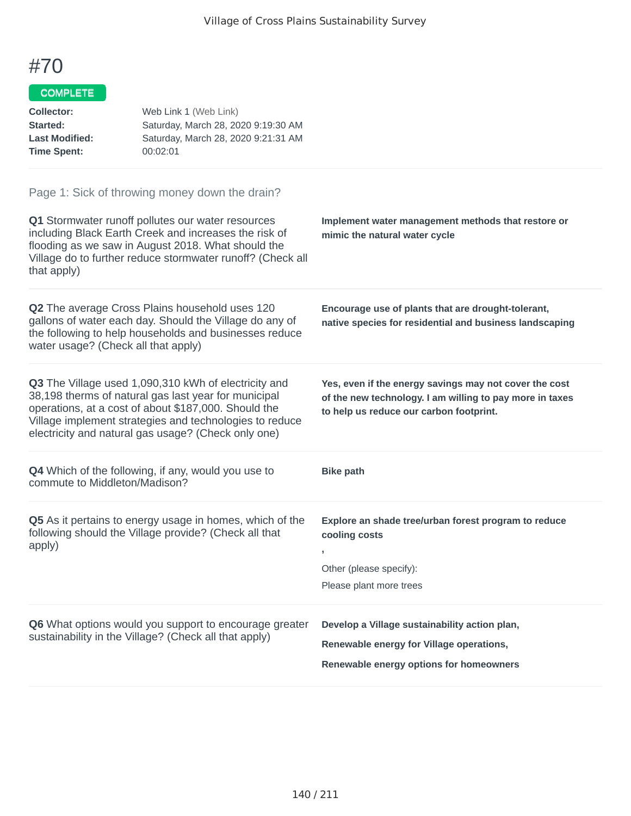#### COMPLETE

| <b>Collector:</b><br>Started:<br><b>Last Modified:</b><br><b>Time Spent:</b>                                                | Web Link 1 (Web Link)<br>Saturday, March 28, 2020 9:19:30 AM<br>Saturday, March 28, 2020 9:21:31 AM<br>00:02:01                                                                                                                                                                        |                                                                                                                                                               |
|-----------------------------------------------------------------------------------------------------------------------------|----------------------------------------------------------------------------------------------------------------------------------------------------------------------------------------------------------------------------------------------------------------------------------------|---------------------------------------------------------------------------------------------------------------------------------------------------------------|
|                                                                                                                             | Page 1: Sick of throwing money down the drain?                                                                                                                                                                                                                                         |                                                                                                                                                               |
| that apply)                                                                                                                 | Q1 Stormwater runoff pollutes our water resources<br>including Black Earth Creek and increases the risk of<br>flooding as we saw in August 2018. What should the<br>Village do to further reduce stormwater runoff? (Check all                                                         | Implement water management methods that restore or<br>mimic the natural water cycle                                                                           |
| water usage? (Check all that apply)                                                                                         | Q2 The average Cross Plains household uses 120<br>gallons of water each day. Should the Village do any of<br>the following to help households and businesses reduce                                                                                                                    | Encourage use of plants that are drought-tolerant,<br>native species for residential and business landscaping                                                 |
|                                                                                                                             | Q3 The Village used 1,090,310 kWh of electricity and<br>38,198 therms of natural gas last year for municipal<br>operations, at a cost of about \$187,000. Should the<br>Village implement strategies and technologies to reduce<br>electricity and natural gas usage? (Check only one) | Yes, even if the energy savings may not cover the cost<br>of the new technology. I am willing to pay more in taxes<br>to help us reduce our carbon footprint. |
| commute to Middleton/Madison?                                                                                               | <b>Q4</b> Which of the following, if any, would you use to                                                                                                                                                                                                                             | <b>Bike path</b>                                                                                                                                              |
| Q5 As it pertains to energy usage in homes, which of the<br>following should the Village provide? (Check all that<br>apply) |                                                                                                                                                                                                                                                                                        | Explore an shade tree/urban forest program to reduce<br>cooling costs<br>,<br>Other (please specify):<br>Please plant more trees                              |
|                                                                                                                             | Q6 What options would you support to encourage greater<br>sustainability in the Village? (Check all that apply)                                                                                                                                                                        | Develop a Village sustainability action plan,<br>Renewable energy for Village operations,<br>Renewable energy options for homeowners                          |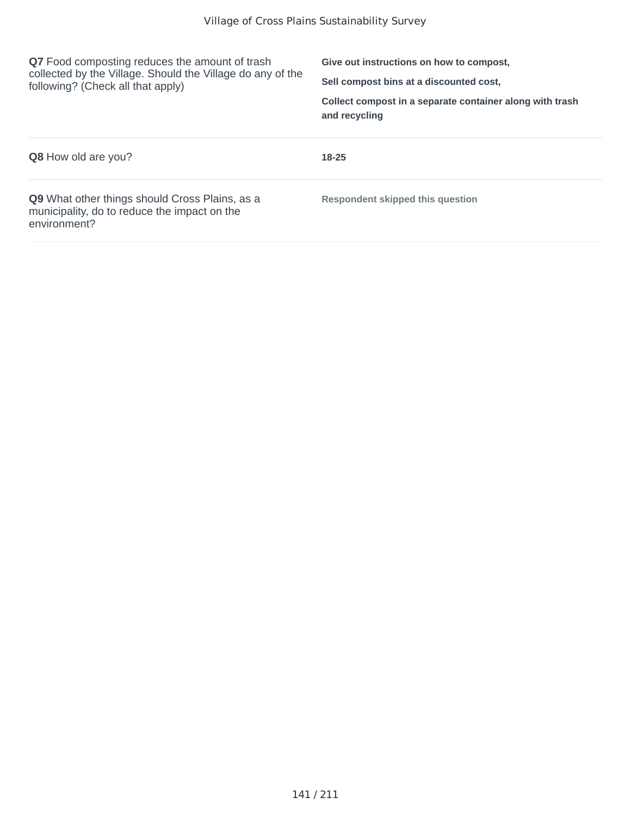| <b>Q7</b> Food composting reduces the amount of trash<br>collected by the Village. Should the Village do any of the<br>following? (Check all that apply) | Give out instructions on how to compost,<br>Sell compost bins at a discounted cost.<br>Collect compost in a separate container along with trash<br>and recycling |
|----------------------------------------------------------------------------------------------------------------------------------------------------------|------------------------------------------------------------------------------------------------------------------------------------------------------------------|
| <b>Q8</b> How old are you?                                                                                                                               | 18-25                                                                                                                                                            |
| <b>Q9</b> What other things should Cross Plains, as a<br>municipality, do to reduce the impact on the<br>environment?                                    | Respondent skipped this question                                                                                                                                 |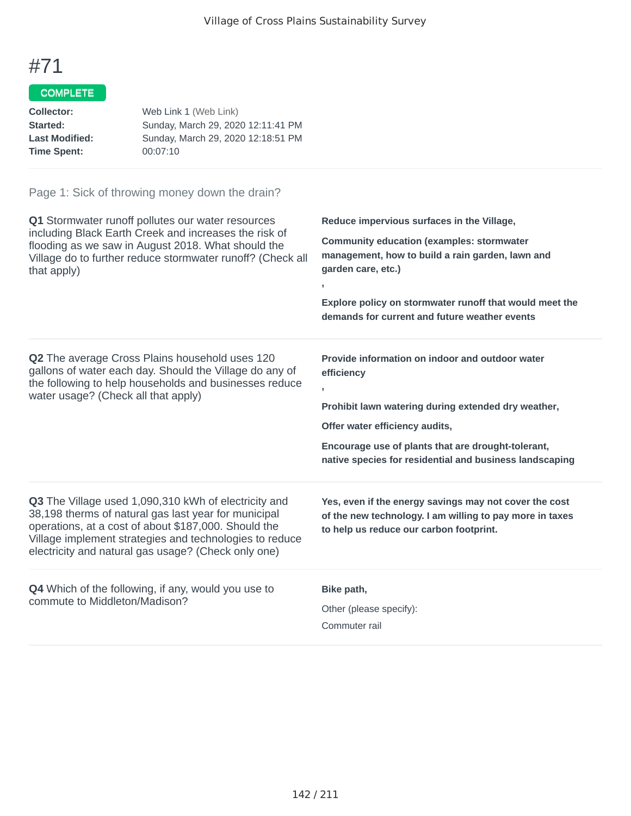### COMPLETE

| Web Link 1 (Web Link)              |
|------------------------------------|
| Sunday, March 29, 2020 12:11:41 PM |
| Sunday, March 29, 2020 12:18:51 PM |
| 00:07:10                           |
|                                    |

| Q1 Stormwater runoff pollutes our water resources<br>including Black Earth Creek and increases the risk of<br>flooding as we saw in August 2018. What should the<br>Village do to further reduce stormwater runoff? (Check all<br>that apply)                                                 | Reduce impervious surfaces in the Village,<br><b>Community education (examples: stormwater</b><br>management, how to build a rain garden, lawn and<br>garden care, etc.)<br>Explore policy on stormwater runoff that would meet the<br>demands for current and future weather events |
|-----------------------------------------------------------------------------------------------------------------------------------------------------------------------------------------------------------------------------------------------------------------------------------------------|--------------------------------------------------------------------------------------------------------------------------------------------------------------------------------------------------------------------------------------------------------------------------------------|
| Q2 The average Cross Plains household uses 120<br>gallons of water each day. Should the Village do any of<br>the following to help households and businesses reduce<br>water usage? (Check all that apply)                                                                                    | Provide information on indoor and outdoor water<br>efficiency<br>ŋ.<br>Prohibit lawn watering during extended dry weather,<br>Offer water efficiency audits,<br>Encourage use of plants that are drought-tolerant,<br>native species for residential and business landscaping        |
| <b>Q3</b> The Village used 1,090,310 kWh of electricity and<br>38,198 therms of natural gas last year for municipal<br>operations, at a cost of about \$187,000. Should the<br>Village implement strategies and technologies to reduce<br>electricity and natural gas usage? (Check only one) | Yes, even if the energy savings may not cover the cost<br>of the new technology. I am willing to pay more in taxes<br>to help us reduce our carbon footprint.                                                                                                                        |
| <b>Q4</b> Which of the following, if any, would you use to<br>commute to Middleton/Madison?                                                                                                                                                                                                   | Bike path,<br>Other (please specify):<br>Commuter rail                                                                                                                                                                                                                               |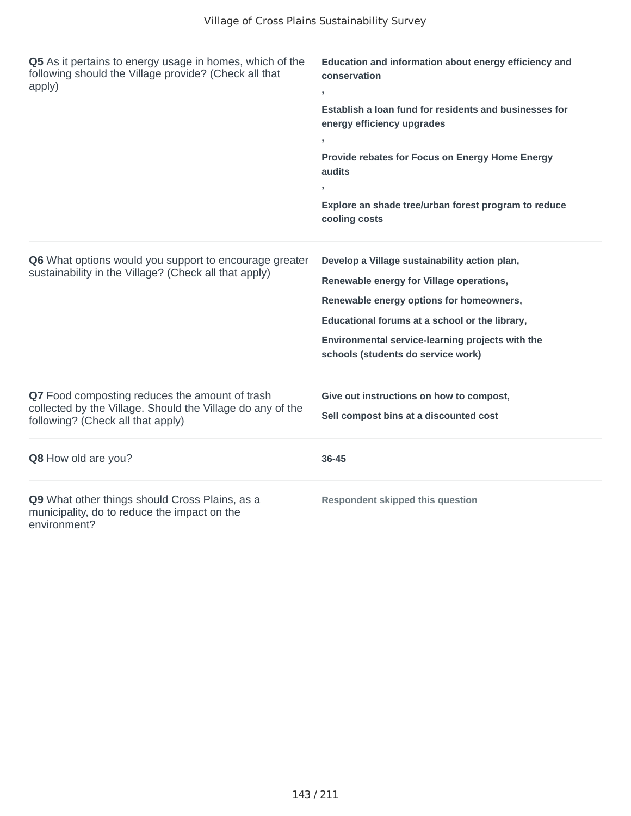| Q5 As it pertains to energy usage in homes, which of the<br>following should the Village provide? (Check all that<br>apply)                       | Education and information about energy efficiency and<br>conservation<br>×.<br>Establish a loan fund for residents and businesses for<br>energy efficiency upgrades<br>Provide rebates for Focus on Energy Home Energy<br>audits<br>Explore an shade tree/urban forest program to reduce<br>cooling costs |
|---------------------------------------------------------------------------------------------------------------------------------------------------|-----------------------------------------------------------------------------------------------------------------------------------------------------------------------------------------------------------------------------------------------------------------------------------------------------------|
| Q6 What options would you support to encourage greater<br>sustainability in the Village? (Check all that apply)                                   | Develop a Village sustainability action plan,<br>Renewable energy for Village operations,<br>Renewable energy options for homeowners,<br>Educational forums at a school or the library,<br>Environmental service-learning projects with the<br>schools (students do service work)                         |
| Q7 Food composting reduces the amount of trash<br>collected by the Village. Should the Village do any of the<br>following? (Check all that apply) | Give out instructions on how to compost,<br>Sell compost bins at a discounted cost                                                                                                                                                                                                                        |
| Q8 How old are you?                                                                                                                               | 36-45                                                                                                                                                                                                                                                                                                     |
| Q9 What other things should Cross Plains, as a<br>municipality, do to reduce the impact on the<br>environment?                                    | <b>Respondent skipped this question</b>                                                                                                                                                                                                                                                                   |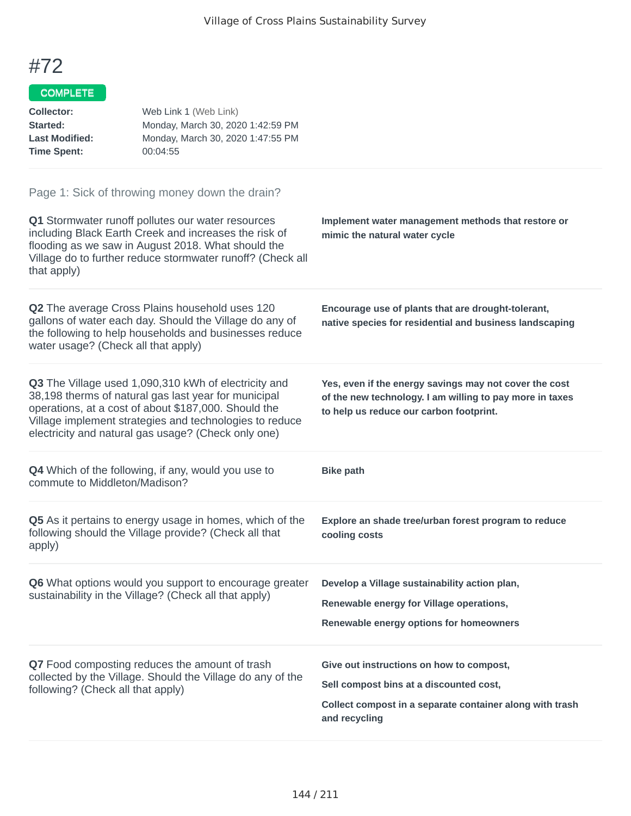#### COMPLETE

| <b>Collector:</b><br>Started:<br><b>Last Modified:</b><br><b>Time Spent:</b>                                                                      | Web Link 1 (Web Link)<br>Monday, March 30, 2020 1:42:59 PM<br>Monday, March 30, 2020 1:47:55 PM<br>00:04:55                                                                                                                                                                            |                                                                                                                                                                  |
|---------------------------------------------------------------------------------------------------------------------------------------------------|----------------------------------------------------------------------------------------------------------------------------------------------------------------------------------------------------------------------------------------------------------------------------------------|------------------------------------------------------------------------------------------------------------------------------------------------------------------|
| that apply)                                                                                                                                       | Page 1: Sick of throwing money down the drain?<br>Q1 Stormwater runoff pollutes our water resources<br>including Black Earth Creek and increases the risk of<br>flooding as we saw in August 2018. What should the<br>Village do to further reduce stormwater runoff? (Check all       | Implement water management methods that restore or<br>mimic the natural water cycle                                                                              |
| water usage? (Check all that apply)                                                                                                               | Q2 The average Cross Plains household uses 120<br>gallons of water each day. Should the Village do any of<br>the following to help households and businesses reduce                                                                                                                    | Encourage use of plants that are drought-tolerant,<br>native species for residential and business landscaping                                                    |
|                                                                                                                                                   | Q3 The Village used 1,090,310 kWh of electricity and<br>38,198 therms of natural gas last year for municipal<br>operations, at a cost of about \$187,000. Should the<br>Village implement strategies and technologies to reduce<br>electricity and natural gas usage? (Check only one) | Yes, even if the energy savings may not cover the cost<br>of the new technology. I am willing to pay more in taxes<br>to help us reduce our carbon footprint.    |
| commute to Middleton/Madison?                                                                                                                     | <b>Q4</b> Which of the following, if any, would you use to                                                                                                                                                                                                                             | <b>Bike path</b>                                                                                                                                                 |
| apply)                                                                                                                                            | Q5 As it pertains to energy usage in homes, which of the<br>following should the Village provide? (Check all that                                                                                                                                                                      | Explore an shade tree/urban forest program to reduce<br>cooling costs                                                                                            |
|                                                                                                                                                   | <b>Q6</b> What options would you support to encourage greater<br>sustainability in the Village? (Check all that apply)                                                                                                                                                                 | Develop a Village sustainability action plan,<br>Renewable energy for Village operations,<br>Renewable energy options for homeowners                             |
| Q7 Food composting reduces the amount of trash<br>collected by the Village. Should the Village do any of the<br>following? (Check all that apply) |                                                                                                                                                                                                                                                                                        | Give out instructions on how to compost,<br>Sell compost bins at a discounted cost,<br>Collect compost in a separate container along with trash<br>and recycling |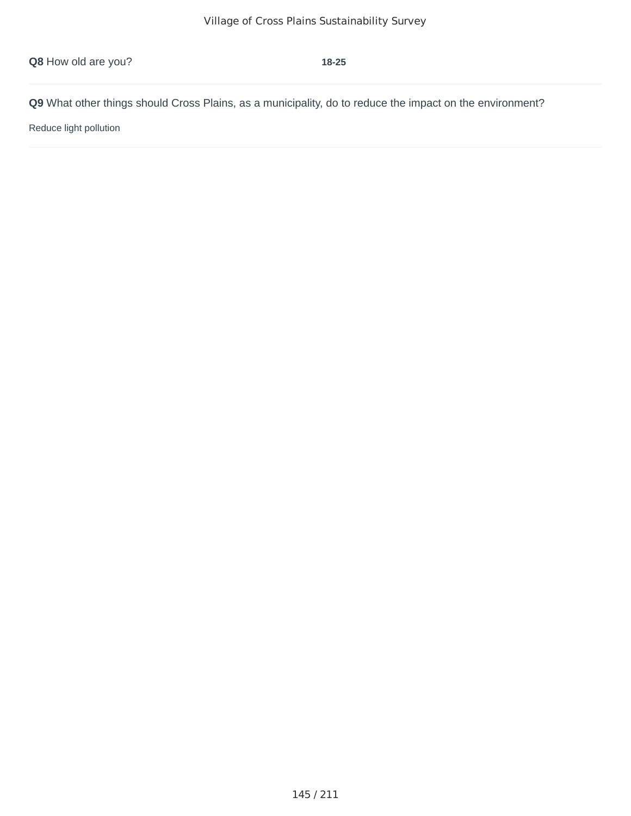Reduce light pollution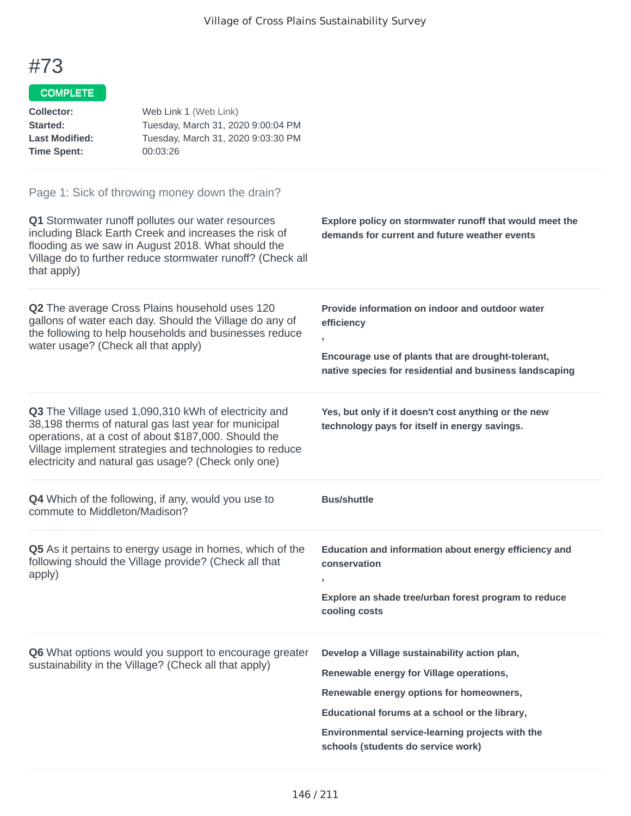#### COMPLETE

| <b>Collector:</b><br>Started:<br><b>Last Modified:</b><br><b>Time Spent:</b>                                                                                                                                                                                                                    | Web Link 1 (Web Link)<br>Tuesday, March 31, 2020 9:00:04 PM<br>Tuesday, March 31, 2020 9:03:30 PM<br>00:03:26                                                                                                                                                                          |                                                                                                                                                                                                                                             |
|-------------------------------------------------------------------------------------------------------------------------------------------------------------------------------------------------------------------------------------------------------------------------------------------------|----------------------------------------------------------------------------------------------------------------------------------------------------------------------------------------------------------------------------------------------------------------------------------------|---------------------------------------------------------------------------------------------------------------------------------------------------------------------------------------------------------------------------------------------|
| Page 1: Sick of throwing money down the drain?<br>Q1 Stormwater runoff pollutes our water resources<br>including Black Earth Creek and increases the risk of<br>flooding as we saw in August 2018. What should the<br>Village do to further reduce stormwater runoff? (Check all<br>that apply) |                                                                                                                                                                                                                                                                                        | Explore policy on stormwater runoff that would meet the<br>demands for current and future weather events                                                                                                                                    |
| water usage? (Check all that apply)                                                                                                                                                                                                                                                             | Q2 The average Cross Plains household uses 120<br>gallons of water each day. Should the Village do any of<br>the following to help households and businesses reduce                                                                                                                    | Provide information on indoor and outdoor water<br>efficiency<br>J.<br>Encourage use of plants that are drought-tolerant,<br>native species for residential and business landscaping                                                        |
|                                                                                                                                                                                                                                                                                                 | Q3 The Village used 1,090,310 kWh of electricity and<br>38,198 therms of natural gas last year for municipal<br>operations, at a cost of about \$187,000. Should the<br>Village implement strategies and technologies to reduce<br>electricity and natural gas usage? (Check only one) | Yes, but only if it doesn't cost anything or the new<br>technology pays for itself in energy savings.                                                                                                                                       |
| commute to Middleton/Madison?                                                                                                                                                                                                                                                                   | <b>Q4</b> Which of the following, if any, would you use to                                                                                                                                                                                                                             | <b>Bus/shuttle</b>                                                                                                                                                                                                                          |
| apply)                                                                                                                                                                                                                                                                                          | Q5 As it pertains to energy usage in homes, which of the<br>following should the Village provide? (Check all that                                                                                                                                                                      | Education and information about energy efficiency and<br>conservation<br>,<br>Explore an shade tree/urban forest program to reduce<br>cooling costs                                                                                         |
|                                                                                                                                                                                                                                                                                                 | Q6 What options would you support to encourage greater<br>sustainability in the Village? (Check all that apply)                                                                                                                                                                        | Develop a Village sustainability action plan,<br>Renewable energy for Village operations,<br>Renewable energy options for homeowners,<br>Educational forums at a school or the library,<br>Environmental service-learning projects with the |

**schools (students do service work)**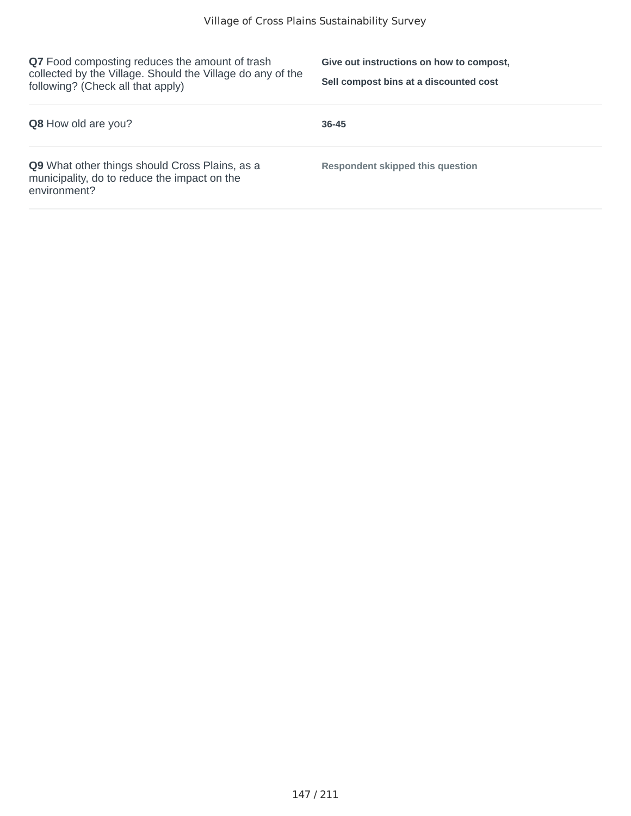**Q7** Food composting reduces the amount of trash collected by the Village. Should the Village do any of the following? (Check all that apply)

**Give out instructions on how to compost, Sell compost bins at a discounted cost**

| <b>Q8</b> How old are you?                                                                                            | $36 - 45$                        |
|-----------------------------------------------------------------------------------------------------------------------|----------------------------------|
| <b>Q9</b> What other things should Cross Plains, as a<br>municipality, do to reduce the impact on the<br>environment? | Respondent skipped this question |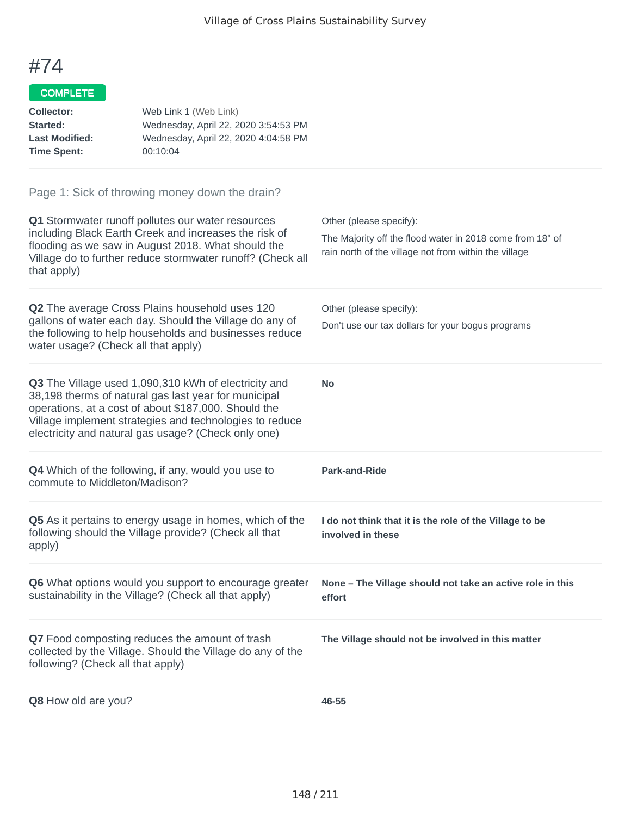## COMPLETE

| Collector:            | Web Link 1 (Web Link)                |
|-----------------------|--------------------------------------|
| Started:              | Wednesday, April 22, 2020 3:54:53 PM |
| <b>Last Modified:</b> | Wednesday, April 22, 2020 4:04:58 PM |
| <b>Time Spent:</b>    | 00:10:04                             |
|                       |                                      |

| Q1 Stormwater runoff pollutes our water resources<br>including Black Earth Creek and increases the risk of<br>flooding as we saw in August 2018. What should the<br>Village do to further reduce stormwater runoff? (Check all<br>that apply)                                          | Other (please specify):<br>The Majority off the flood water in 2018 come from 18" of<br>rain north of the village not from within the village |
|----------------------------------------------------------------------------------------------------------------------------------------------------------------------------------------------------------------------------------------------------------------------------------------|-----------------------------------------------------------------------------------------------------------------------------------------------|
| Q2 The average Cross Plains household uses 120<br>gallons of water each day. Should the Village do any of<br>the following to help households and businesses reduce<br>water usage? (Check all that apply)                                                                             | Other (please specify):<br>Don't use our tax dollars for your bogus programs                                                                  |
| Q3 The Village used 1,090,310 kWh of electricity and<br>38,198 therms of natural gas last year for municipal<br>operations, at a cost of about \$187,000. Should the<br>Village implement strategies and technologies to reduce<br>electricity and natural gas usage? (Check only one) | <b>No</b>                                                                                                                                     |
| Q4 Which of the following, if any, would you use to<br>commute to Middleton/Madison?                                                                                                                                                                                                   | Park-and-Ride                                                                                                                                 |
| Q5 As it pertains to energy usage in homes, which of the<br>following should the Village provide? (Check all that<br>apply)                                                                                                                                                            | I do not think that it is the role of the Village to be<br>involved in these                                                                  |
| Q6 What options would you support to encourage greater<br>sustainability in the Village? (Check all that apply)                                                                                                                                                                        | None - The Village should not take an active role in this<br>effort                                                                           |
| Q7 Food composting reduces the amount of trash<br>collected by the Village. Should the Village do any of the<br>following? (Check all that apply)                                                                                                                                      | The Village should not be involved in this matter                                                                                             |
| Q8 How old are you?                                                                                                                                                                                                                                                                    | 46-55                                                                                                                                         |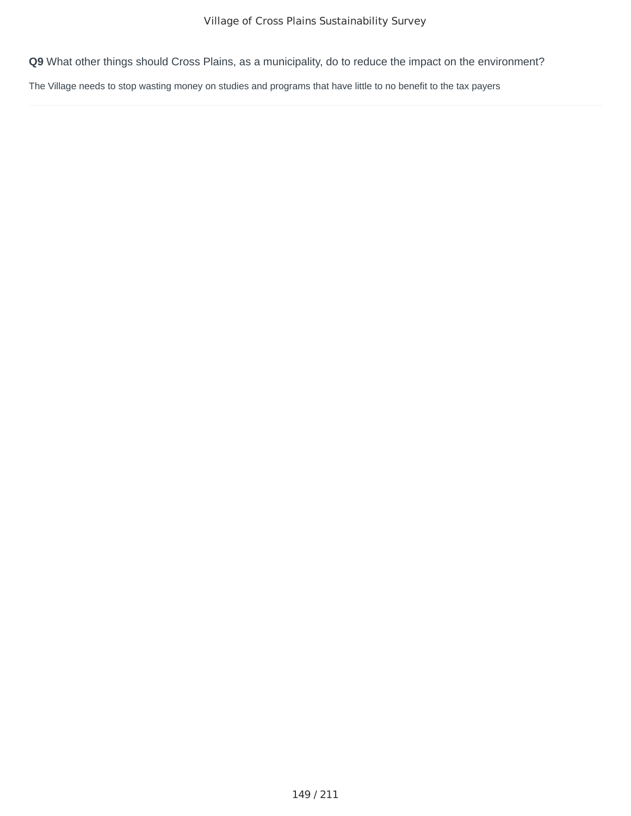The Village needs to stop wasting money on studies and programs that have little to no benefit to the tax payers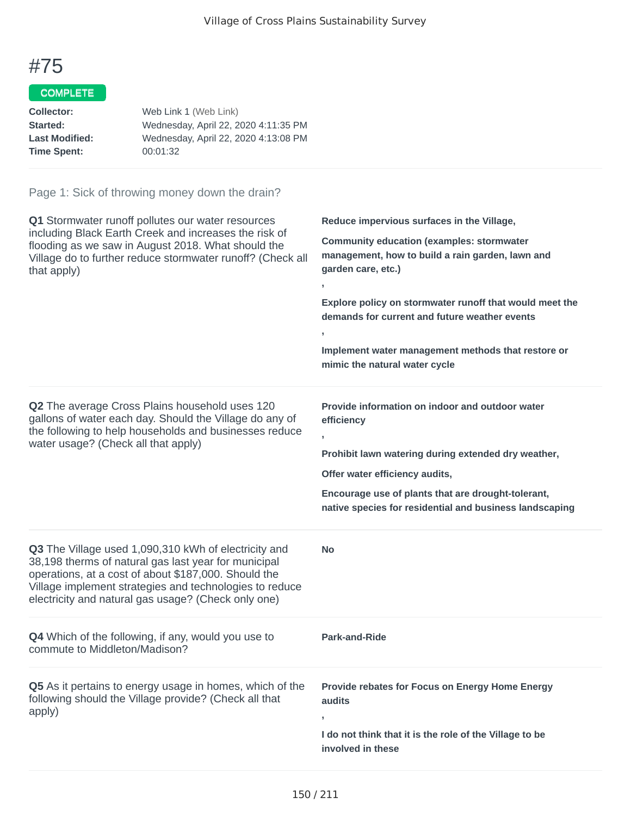#### COMPLETE

| Web Link 1 (Web Link)                |
|--------------------------------------|
| Wednesday, April 22, 2020 4:11:35 PM |
| Wednesday, April 22, 2020 4:13:08 PM |
| 00:01:32                             |
|                                      |

| Q1 Stormwater runoff pollutes our water resources<br>including Black Earth Creek and increases the risk of<br>flooding as we saw in August 2018. What should the<br>Village do to further reduce stormwater runoff? (Check all<br>that apply)                                          | Reduce impervious surfaces in the Village,<br><b>Community education (examples: stormwater</b><br>management, how to build a rain garden, lawn and<br>garden care, etc.)<br>y.<br>Explore policy on stormwater runoff that would meet the<br>demands for current and future weather events<br>У.<br>Implement water management methods that restore or<br>mimic the natural water cycle |
|----------------------------------------------------------------------------------------------------------------------------------------------------------------------------------------------------------------------------------------------------------------------------------------|-----------------------------------------------------------------------------------------------------------------------------------------------------------------------------------------------------------------------------------------------------------------------------------------------------------------------------------------------------------------------------------------|
| Q2 The average Cross Plains household uses 120<br>gallons of water each day. Should the Village do any of<br>the following to help households and businesses reduce<br>water usage? (Check all that apply)                                                                             | Provide information on indoor and outdoor water<br>efficiency<br>y.<br>Prohibit lawn watering during extended dry weather,<br>Offer water efficiency audits,<br>Encourage use of plants that are drought-tolerant,<br>native species for residential and business landscaping                                                                                                           |
| Q3 The Village used 1,090,310 kWh of electricity and<br>38,198 therms of natural gas last year for municipal<br>operations, at a cost of about \$187,000. Should the<br>Village implement strategies and technologies to reduce<br>electricity and natural gas usage? (Check only one) | Νo                                                                                                                                                                                                                                                                                                                                                                                      |
| <b>Q4</b> Which of the following, if any, would you use to<br>commute to Middleton/Madison?                                                                                                                                                                                            | <b>Park-and-Ride</b>                                                                                                                                                                                                                                                                                                                                                                    |
| Q5 As it pertains to energy usage in homes, which of the<br>following should the Village provide? (Check all that<br>apply)                                                                                                                                                            | Provide rebates for Focus on Energy Home Energy<br>audits<br>y.<br>I do not think that it is the role of the Village to be<br>involved in these                                                                                                                                                                                                                                         |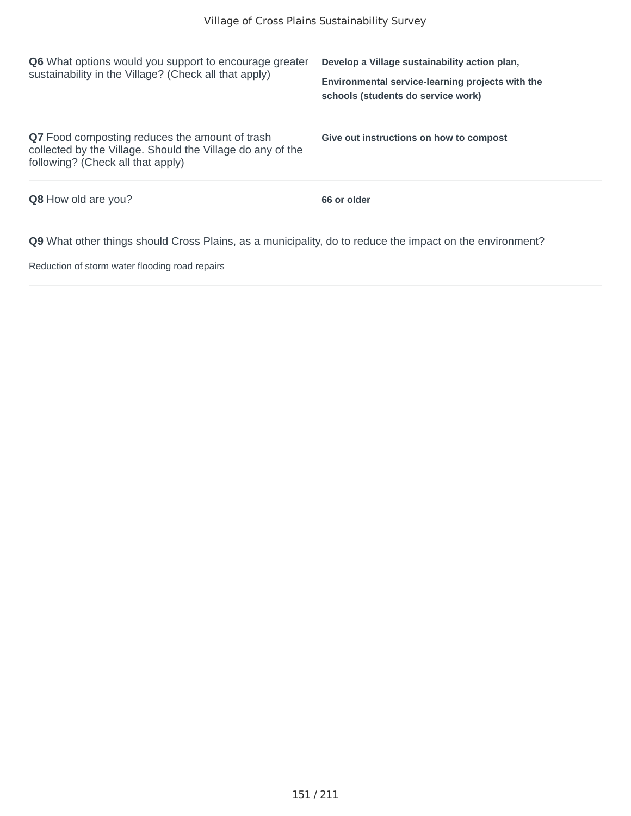| <b>Q6</b> What options would you support to encourage greater<br>sustainability in the Village? (Check all that apply)                                   | Develop a Village sustainability action plan,<br>Environmental service-learning projects with the<br>schools (students do service work) |
|----------------------------------------------------------------------------------------------------------------------------------------------------------|-----------------------------------------------------------------------------------------------------------------------------------------|
| <b>Q7</b> Food composting reduces the amount of trash<br>collected by the Village. Should the Village do any of the<br>following? (Check all that apply) | Give out instructions on how to compost                                                                                                 |
| <b>Q8</b> How old are you?                                                                                                                               | 66 or older                                                                                                                             |
| <b>Q9</b> What other things should Cross Plains, as a municipality, do to reduce the impact on the environment?                                          |                                                                                                                                         |

Reduction of storm water flooding road repairs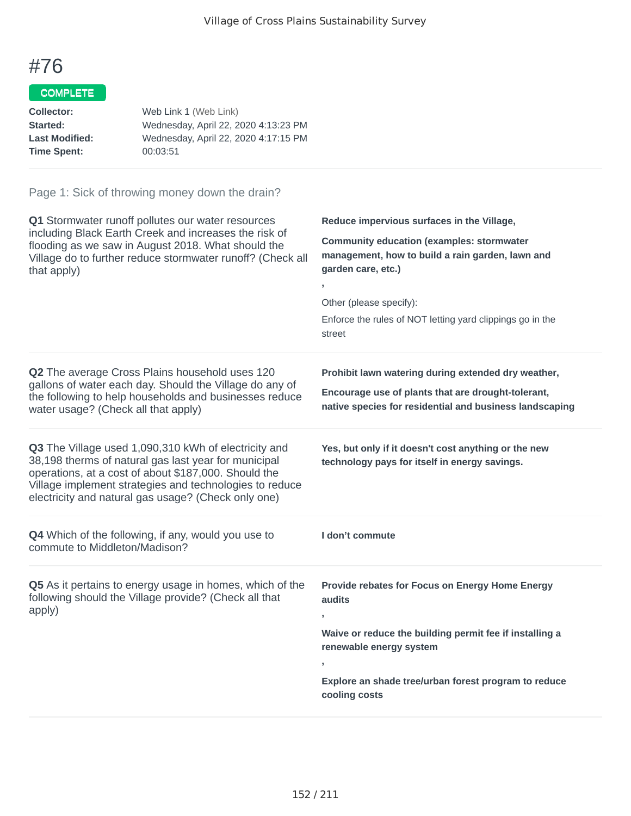## COMPLETE

| Wednesday, April 22, 2020 4:13:23 PM |
|--------------------------------------|
| Wednesday, April 22, 2020 4:17:15 PM |
|                                      |
|                                      |

| Q1 Stormwater runoff pollutes our water resources<br>including Black Earth Creek and increases the risk of<br>flooding as we saw in August 2018. What should the<br>Village do to further reduce stormwater runoff? (Check all<br>that apply)                                          | Reduce impervious surfaces in the Village,<br><b>Community education (examples: stormwater</b><br>management, how to build a rain garden, lawn and<br>garden care, etc.)<br>Other (please specify):<br>Enforce the rules of NOT letting yard clippings go in the<br>street |
|----------------------------------------------------------------------------------------------------------------------------------------------------------------------------------------------------------------------------------------------------------------------------------------|----------------------------------------------------------------------------------------------------------------------------------------------------------------------------------------------------------------------------------------------------------------------------|
| <b>Q2</b> The average Cross Plains household uses 120<br>gallons of water each day. Should the Village do any of<br>the following to help households and businesses reduce<br>water usage? (Check all that apply)                                                                      | Prohibit lawn watering during extended dry weather,<br>Encourage use of plants that are drought-tolerant,<br>native species for residential and business landscaping                                                                                                       |
| Q3 The Village used 1,090,310 kWh of electricity and<br>38,198 therms of natural gas last year for municipal<br>operations, at a cost of about \$187,000. Should the<br>Village implement strategies and technologies to reduce<br>electricity and natural gas usage? (Check only one) | Yes, but only if it doesn't cost anything or the new<br>technology pays for itself in energy savings.                                                                                                                                                                      |
| Q4 Which of the following, if any, would you use to<br>commute to Middleton/Madison?                                                                                                                                                                                                   | I don't commute                                                                                                                                                                                                                                                            |
| Q5 As it pertains to energy usage in homes, which of the<br>following should the Village provide? (Check all that<br>apply)                                                                                                                                                            | Provide rebates for Focus on Energy Home Energy<br>audits<br>Waive or reduce the building permit fee if installing a<br>renewable energy system<br>Explore an shade tree/urban forest program to reduce<br>cooling costs                                                   |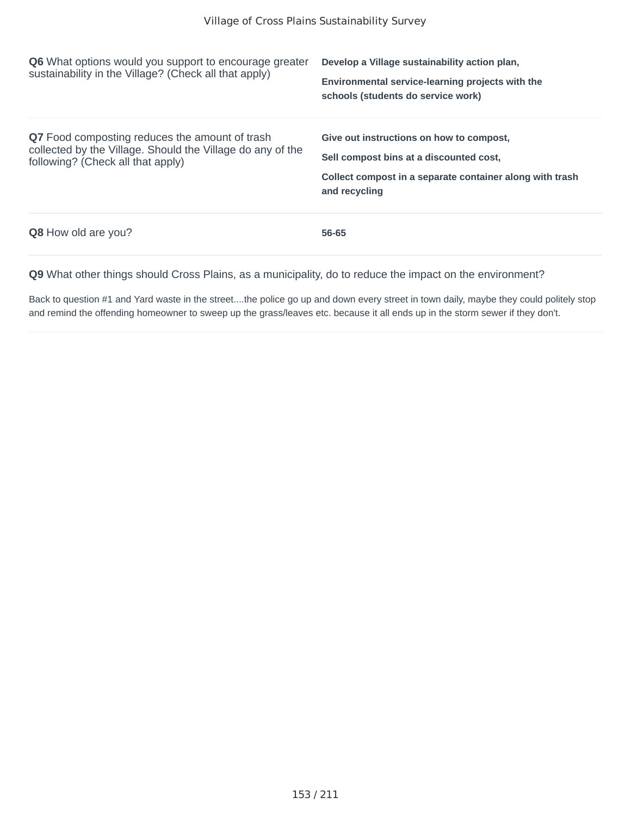| <b>Q6</b> What options would you support to encourage greater<br>sustainability in the Village? (Check all that apply)                            | Develop a Village sustainability action plan,<br>Environmental service-learning projects with the<br>schools (students do service work)                          |
|---------------------------------------------------------------------------------------------------------------------------------------------------|------------------------------------------------------------------------------------------------------------------------------------------------------------------|
| Q7 Food composting reduces the amount of trash<br>collected by the Village. Should the Village do any of the<br>following? (Check all that apply) | Give out instructions on how to compost,<br>Sell compost bins at a discounted cost.<br>Collect compost in a separate container along with trash<br>and recycling |
| <b>Q8</b> How old are you?                                                                                                                        | 56-65                                                                                                                                                            |

Back to question #1 and Yard waste in the street....the police go up and down every street in town daily, maybe they could politely stop and remind the offending homeowner to sweep up the grass/leaves etc. because it all ends up in the storm sewer if they don't.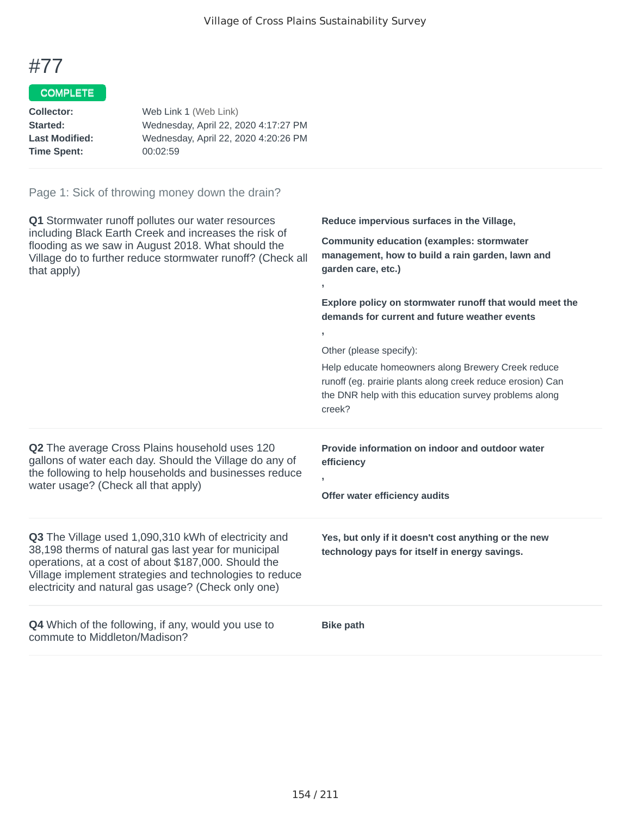#### COMPLETE

| Web Link 1 (Web Link)                |
|--------------------------------------|
| Wednesday, April 22, 2020 4:17:27 PM |
| Wednesday, April 22, 2020 4:20:26 PM |
| 00:02:59                             |
|                                      |

#### Page 1: Sick of throwing money down the drain?

**Q1** Stormwater runoff pollutes our water resources including Black Earth Creek and increases the risk of flooding as we saw in August 2018. What should the Village do to further reduce stormwater runoff? (Check all that apply)

**Reduce impervious surfaces in the Village,**

**Community education (examples: stormwater management, how to build a rain garden, lawn and garden care, etc.)**

**Explore policy on stormwater runoff that would meet the demands for current and future weather events**

Other (please specify):

**Offer water efficiency audits**

**,**

**,**

Help educate homeowners along Brewery Creek reduce runoff (eg. prairie plants along creek reduce erosion) Can the DNR help with this education survey problems along creek?

**Provide information on indoor and outdoor water**

**Yes, but only if it doesn't cost anything or the new technology pays for itself in energy savings.**

**Q2** The average Cross Plains household uses 120 gallons of water each day. Should the Village do any of the following to help households and businesses reduce water usage? (Check all that apply)

**Q3** The Village used 1,090,310 kWh of electricity and 38,198 therms of natural gas last year for municipal operations, at a cost of about \$187,000. Should the Village implement strategies and technologies to reduce electricity and natural gas usage? (Check only one)

**Q4** Which of the following, if any, would you use to commute to Middleton/Madison?

**Bike path**

**efficiency**

**,**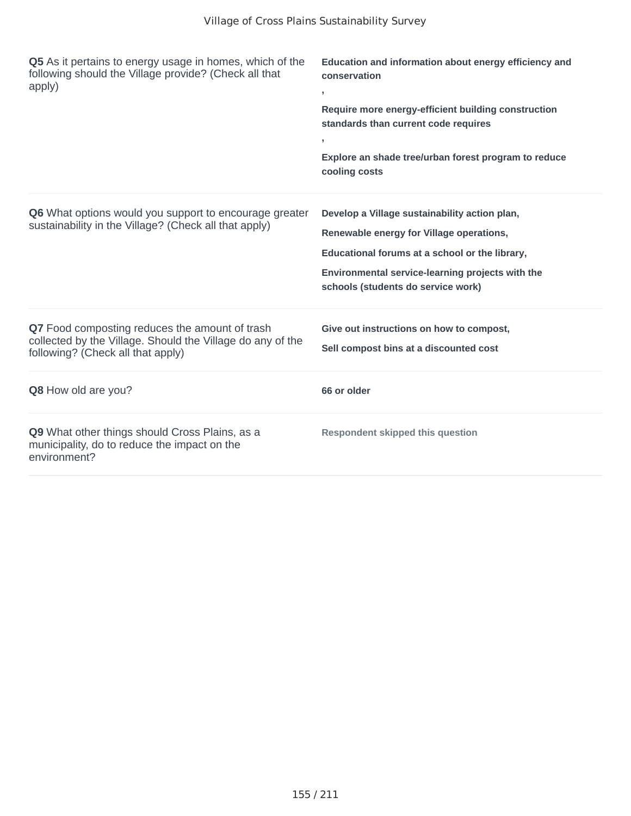| Q5 As it pertains to energy usage in homes, which of the<br>following should the Village provide? (Check all that<br>apply)                       | Education and information about energy efficiency and<br>conservation<br>У.<br>Require more energy-efficient building construction<br>standards than current code requires<br>Explore an shade tree/urban forest program to reduce<br>cooling costs |
|---------------------------------------------------------------------------------------------------------------------------------------------------|-----------------------------------------------------------------------------------------------------------------------------------------------------------------------------------------------------------------------------------------------------|
| Q6 What options would you support to encourage greater<br>sustainability in the Village? (Check all that apply)                                   | Develop a Village sustainability action plan,<br>Renewable energy for Village operations,<br>Educational forums at a school or the library,<br>Environmental service-learning projects with the<br>schools (students do service work)               |
| Q7 Food composting reduces the amount of trash<br>collected by the Village. Should the Village do any of the<br>following? (Check all that apply) | Give out instructions on how to compost,<br>Sell compost bins at a discounted cost                                                                                                                                                                  |
| Q8 How old are you?                                                                                                                               | 66 or older                                                                                                                                                                                                                                         |
| Q9 What other things should Cross Plains, as a<br>municipality, do to reduce the impact on the<br>environment?                                    | <b>Respondent skipped this question</b>                                                                                                                                                                                                             |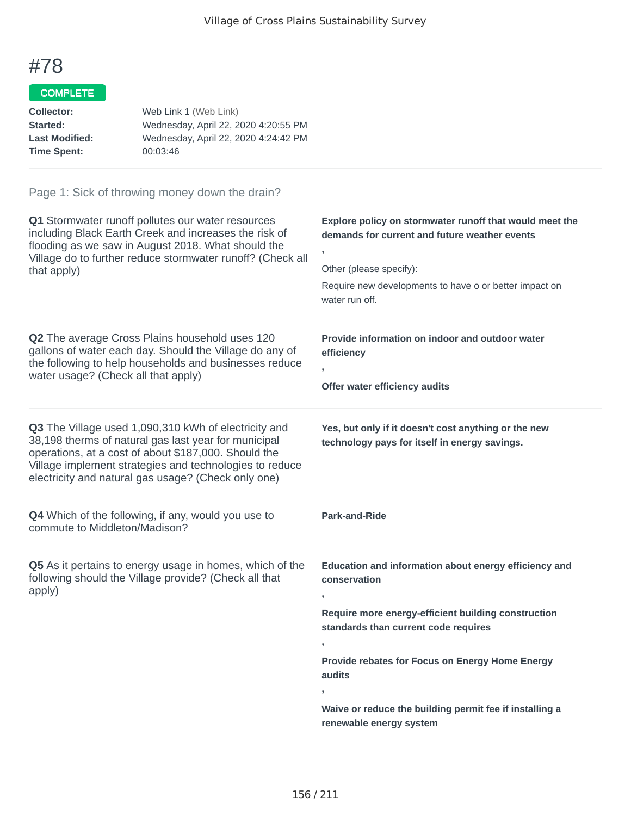## COMPLETE

| Wednesday, April 22, 2020 4:20:55 PM |
|--------------------------------------|
| Wednesday, April 22, 2020 4:24:42 PM |
|                                      |
|                                      |

| Q1 Stormwater runoff pollutes our water resources<br>including Black Earth Creek and increases the risk of<br>flooding as we saw in August 2018. What should the<br>Village do to further reduce stormwater runoff? (Check all<br>that apply)                                          | Explore policy on stormwater runoff that would meet the<br>demands for current and future weather events<br>Other (please specify):<br>Require new developments to have o or better impact on<br>water run off. |
|----------------------------------------------------------------------------------------------------------------------------------------------------------------------------------------------------------------------------------------------------------------------------------------|-----------------------------------------------------------------------------------------------------------------------------------------------------------------------------------------------------------------|
| Q2 The average Cross Plains household uses 120<br>gallons of water each day. Should the Village do any of<br>the following to help households and businesses reduce<br>water usage? (Check all that apply)                                                                             | Provide information on indoor and outdoor water<br>efficiency<br>$\overline{1}$<br>Offer water efficiency audits                                                                                                |
| Q3 The Village used 1,090,310 kWh of electricity and<br>38,198 therms of natural gas last year for municipal<br>operations, at a cost of about \$187,000. Should the<br>Village implement strategies and technologies to reduce<br>electricity and natural gas usage? (Check only one) | Yes, but only if it doesn't cost anything or the new<br>technology pays for itself in energy savings.                                                                                                           |
| Q4 Which of the following, if any, would you use to<br>commute to Middleton/Madison?                                                                                                                                                                                                   | <b>Park-and-Ride</b>                                                                                                                                                                                            |
| Q5 As it pertains to energy usage in homes, which of the<br>following should the Village provide? (Check all that<br>apply)                                                                                                                                                            | Education and information about energy efficiency and<br>conservation<br>Require more energy-efficient building construction<br>standards than current code requires                                            |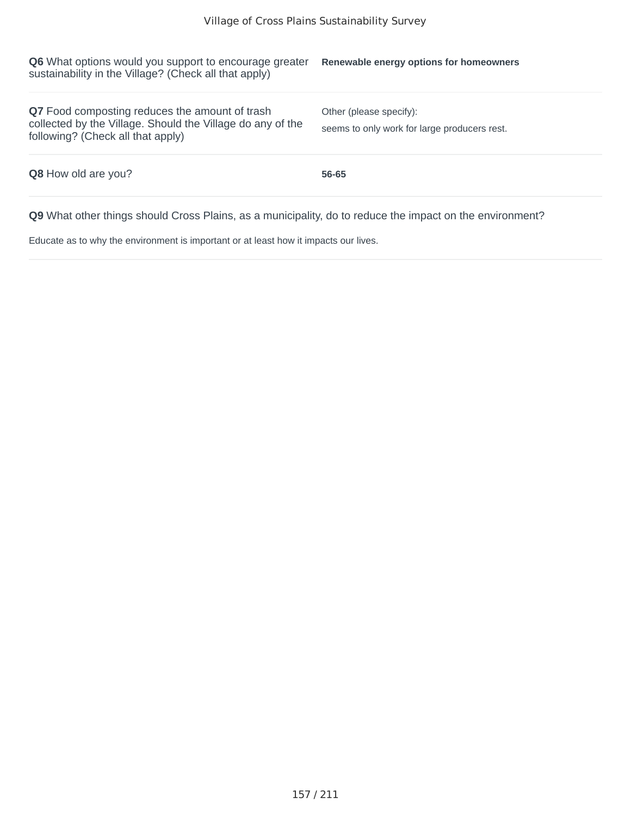| <b>Q6</b> What options would you support to encourage greater<br>sustainability in the Village? (Check all that apply)                                   | Renewable energy options for homeowners                                 |
|----------------------------------------------------------------------------------------------------------------------------------------------------------|-------------------------------------------------------------------------|
| <b>Q7</b> Food composting reduces the amount of trash<br>collected by the Village. Should the Village do any of the<br>following? (Check all that apply) | Other (please specify):<br>seems to only work for large producers rest. |
| <b>Q8</b> How old are you?                                                                                                                               | 56-65                                                                   |
|                                                                                                                                                          |                                                                         |

Educate as to why the environment is important or at least how it impacts our lives.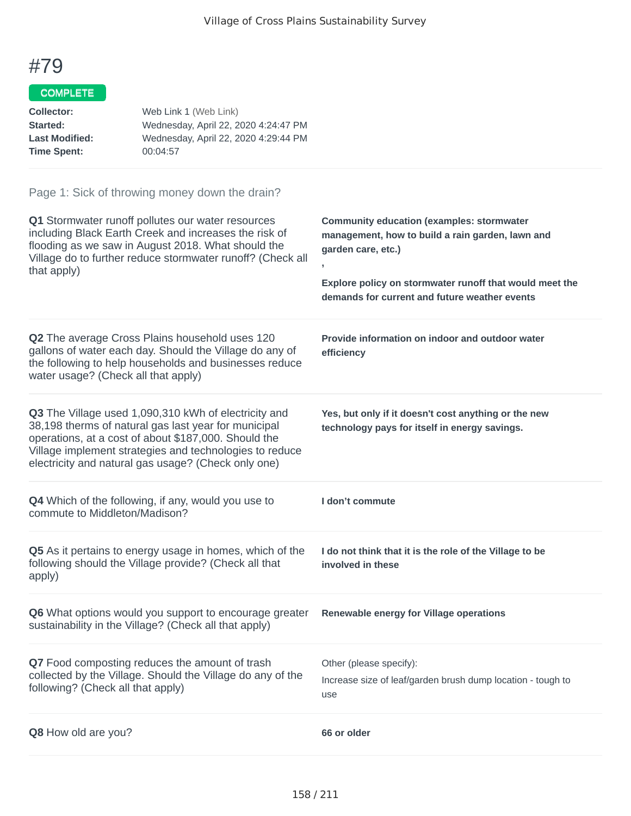## COMPLETE

| Collector:            | Web Link 1 (Web Link)                |
|-----------------------|--------------------------------------|
| Started:              | Wednesday, April 22, 2020 4:24:47 PM |
| <b>Last Modified:</b> | Wednesday, April 22, 2020 4:29:44 PM |
| <b>Time Spent:</b>    | 00:04:57                             |

| Q1 Stormwater runoff pollutes our water resources<br>including Black Earth Creek and increases the risk of<br>flooding as we saw in August 2018. What should the<br>Village do to further reduce stormwater runoff? (Check all<br>that apply)                                          | <b>Community education (examples: stormwater</b><br>management, how to build a rain garden, lawn and<br>garden care, etc.)<br>Explore policy on stormwater runoff that would meet the<br>demands for current and future weather events |
|----------------------------------------------------------------------------------------------------------------------------------------------------------------------------------------------------------------------------------------------------------------------------------------|----------------------------------------------------------------------------------------------------------------------------------------------------------------------------------------------------------------------------------------|
| Q2 The average Cross Plains household uses 120<br>gallons of water each day. Should the Village do any of<br>the following to help households and businesses reduce<br>water usage? (Check all that apply)                                                                             | Provide information on indoor and outdoor water<br>efficiency                                                                                                                                                                          |
| Q3 The Village used 1,090,310 kWh of electricity and<br>38,198 therms of natural gas last year for municipal<br>operations, at a cost of about \$187,000. Should the<br>Village implement strategies and technologies to reduce<br>electricity and natural gas usage? (Check only one) | Yes, but only if it doesn't cost anything or the new<br>technology pays for itself in energy savings.                                                                                                                                  |
| <b>Q4</b> Which of the following, if any, would you use to<br>commute to Middleton/Madison?                                                                                                                                                                                            | I don't commute                                                                                                                                                                                                                        |
| Q5 As it pertains to energy usage in homes, which of the<br>following should the Village provide? (Check all that<br>apply)                                                                                                                                                            | I do not think that it is the role of the Village to be<br>involved in these                                                                                                                                                           |
|                                                                                                                                                                                                                                                                                        |                                                                                                                                                                                                                                        |
| Q6 What options would you support to encourage greater<br>sustainability in the Village? (Check all that apply)                                                                                                                                                                        | Renewable energy for Village operations                                                                                                                                                                                                |
| Q7 Food composting reduces the amount of trash<br>collected by the Village. Should the Village do any of the<br>following? (Check all that apply)                                                                                                                                      | Other (please specify):<br>Increase size of leaf/garden brush dump location - tough to<br>use                                                                                                                                          |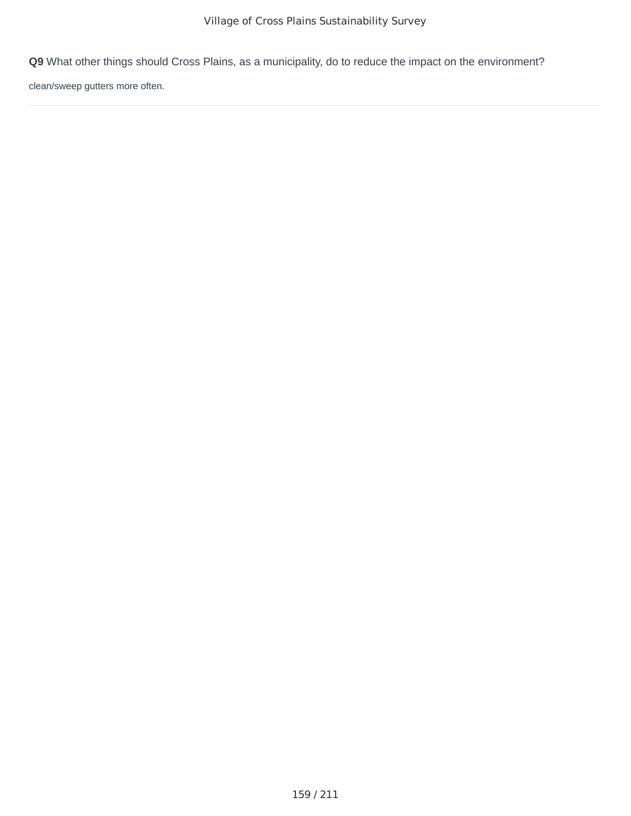clean/sweep gutters more often.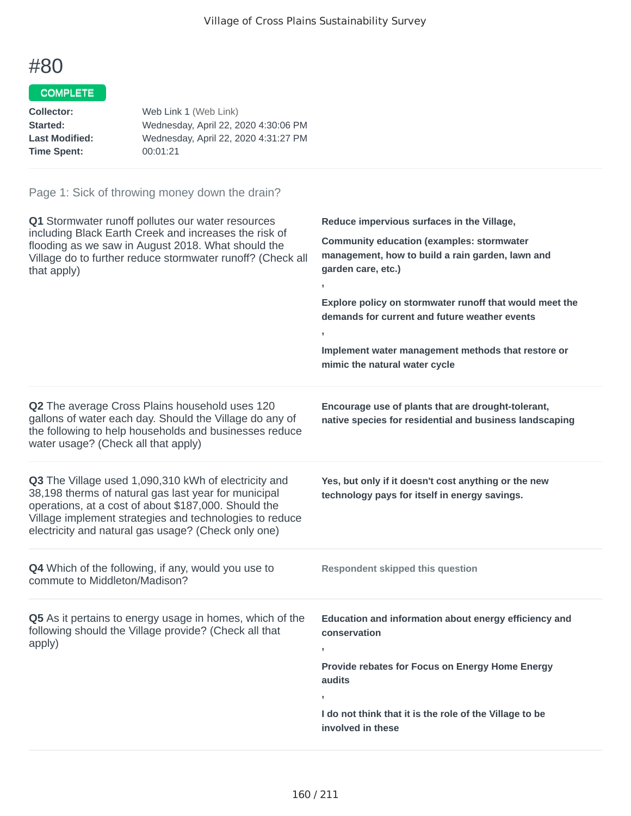#### COMPLETE

| Web Link 1 (Web Link)                |
|--------------------------------------|
| Wednesday, April 22, 2020 4:30:06 PM |
| Wednesday, April 22, 2020 4:31:27 PM |
| 00:01:21                             |
|                                      |

| Q1 Stormwater runoff pollutes our water resources<br>including Black Earth Creek and increases the risk of<br>flooding as we saw in August 2018. What should the<br>Village do to further reduce stormwater runoff? (Check all<br>that apply)                                          | Reduce impervious surfaces in the Village,<br><b>Community education (examples: stormwater</b><br>management, how to build a rain garden, lawn and<br>garden care, etc.)<br>Explore policy on stormwater runoff that would meet the<br>demands for current and future weather events<br>Implement water management methods that restore or<br>mimic the natural water cycle |
|----------------------------------------------------------------------------------------------------------------------------------------------------------------------------------------------------------------------------------------------------------------------------------------|-----------------------------------------------------------------------------------------------------------------------------------------------------------------------------------------------------------------------------------------------------------------------------------------------------------------------------------------------------------------------------|
| Q2 The average Cross Plains household uses 120<br>gallons of water each day. Should the Village do any of<br>the following to help households and businesses reduce<br>water usage? (Check all that apply)                                                                             | Encourage use of plants that are drought-tolerant,<br>native species for residential and business landscaping                                                                                                                                                                                                                                                               |
| Q3 The Village used 1,090,310 kWh of electricity and<br>38,198 therms of natural gas last year for municipal<br>operations, at a cost of about \$187,000. Should the<br>Village implement strategies and technologies to reduce<br>electricity and natural gas usage? (Check only one) | Yes, but only if it doesn't cost anything or the new<br>technology pays for itself in energy savings.                                                                                                                                                                                                                                                                       |
| <b>Q4</b> Which of the following, if any, would you use to<br>commute to Middleton/Madison?                                                                                                                                                                                            | <b>Respondent skipped this question</b>                                                                                                                                                                                                                                                                                                                                     |
| Q5 As it pertains to energy usage in homes, which of the<br>following should the Village provide? (Check all that<br>apply)                                                                                                                                                            | Education and information about energy efficiency and<br>conservation<br>y.<br>Provide rebates for Focus on Energy Home Energy<br>audits<br>I do not think that it is the role of the Village to be<br>involved in these                                                                                                                                                    |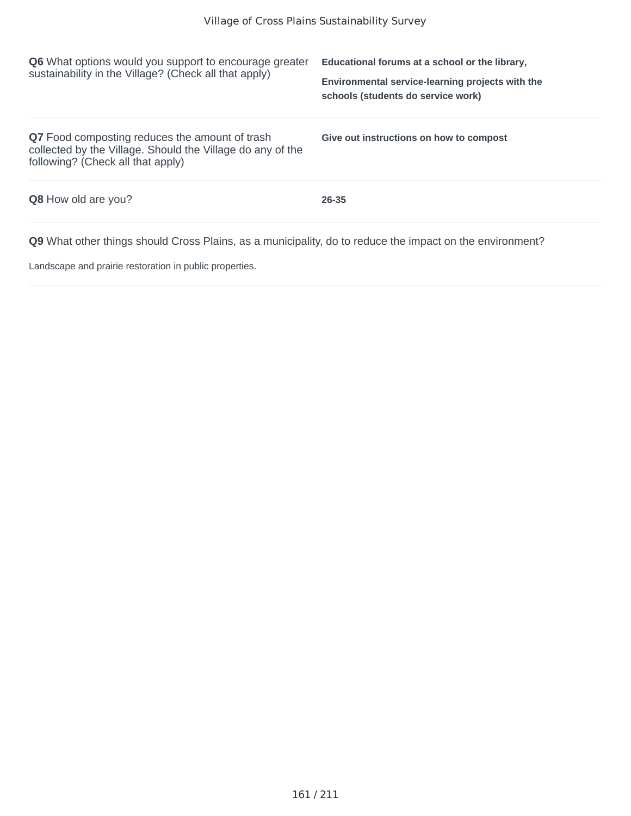| <b>Q6</b> What options would you support to encourage greater<br>sustainability in the Village? (Check all that apply)                            | Educational forums at a school or the library,<br>Environmental service-learning projects with the<br>schools (students do service work) |
|---------------------------------------------------------------------------------------------------------------------------------------------------|------------------------------------------------------------------------------------------------------------------------------------------|
| Q7 Food composting reduces the amount of trash<br>collected by the Village. Should the Village do any of the<br>following? (Check all that apply) | Give out instructions on how to compost                                                                                                  |
| <b>Q8</b> How old are you?                                                                                                                        | 26-35                                                                                                                                    |
| <b>Q9</b> What other things should Cross Plains, as a municipality, do to reduce the impact on the environment?                                   |                                                                                                                                          |

Landscape and prairie restoration in public properties.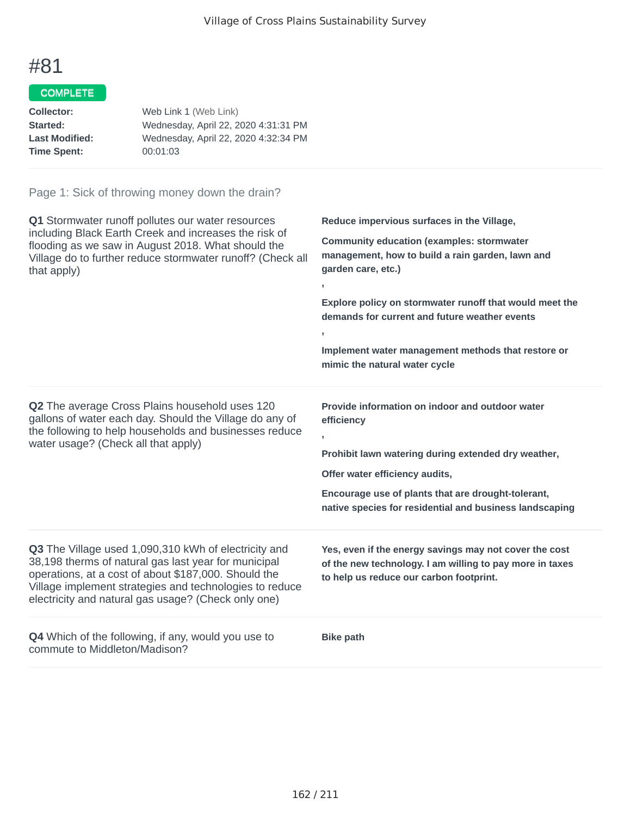## COMPLETE

| Q1 Stormwater runoff pollutes our water resources<br>including Black Earth Creek and increases the risk of<br>flooding as we saw in August 2018. What should the<br>Village do to further reduce stormwater runoff? (Check all<br>that apply)                                          | Reduce impervious surfaces in the Village,<br><b>Community education (examples: stormwater</b><br>management, how to build a rain garden, lawn and<br>garden care, etc.)<br>y.<br>Explore policy on stormwater runoff that would meet the<br>demands for current and future weather events<br>$\mathbf{r}$<br>Implement water management methods that restore or<br>mimic the natural water cycle |
|----------------------------------------------------------------------------------------------------------------------------------------------------------------------------------------------------------------------------------------------------------------------------------------|---------------------------------------------------------------------------------------------------------------------------------------------------------------------------------------------------------------------------------------------------------------------------------------------------------------------------------------------------------------------------------------------------|
| Q2 The average Cross Plains household uses 120<br>gallons of water each day. Should the Village do any of<br>the following to help households and businesses reduce<br>water usage? (Check all that apply)                                                                             | Provide information on indoor and outdoor water<br>efficiency<br>$\overline{1}$<br>Prohibit lawn watering during extended dry weather,<br>Offer water efficiency audits,<br>Encourage use of plants that are drought-tolerant,<br>native species for residential and business landscaping                                                                                                         |
| Q3 The Village used 1,090,310 kWh of electricity and<br>38,198 therms of natural gas last year for municipal<br>operations, at a cost of about \$187,000. Should the<br>Village implement strategies and technologies to reduce<br>electricity and natural gas usage? (Check only one) | Yes, even if the energy savings may not cover the cost<br>of the new technology. I am willing to pay more in taxes<br>to help us reduce our carbon footprint.                                                                                                                                                                                                                                     |
| <b>Q4</b> Which of the following, if any, would you use to<br>commute to Middleton/Madison?                                                                                                                                                                                            | <b>Bike path</b>                                                                                                                                                                                                                                                                                                                                                                                  |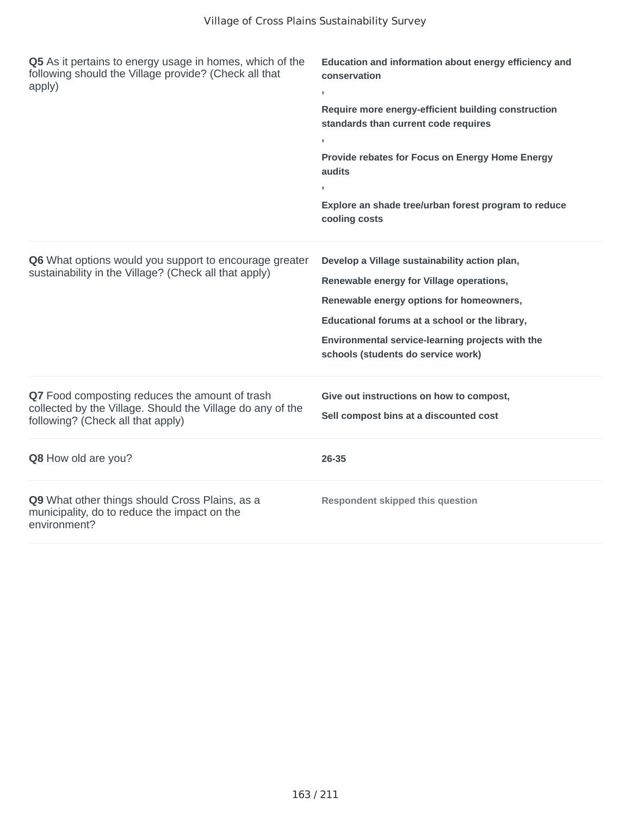| Q5 As it pertains to energy usage in homes, which of the<br>following should the Village provide? (Check all that<br>apply)                       | Education and information about energy efficiency and<br>conservation<br>$\overline{1}$<br>Require more energy-efficient building construction<br>standards than current code requires<br>Provide rebates for Focus on Energy Home Energy<br>audits<br>Explore an shade tree/urban forest program to reduce<br>cooling costs |
|---------------------------------------------------------------------------------------------------------------------------------------------------|------------------------------------------------------------------------------------------------------------------------------------------------------------------------------------------------------------------------------------------------------------------------------------------------------------------------------|
| Q6 What options would you support to encourage greater<br>sustainability in the Village? (Check all that apply)                                   | Develop a Village sustainability action plan,<br>Renewable energy for Village operations,<br>Renewable energy options for homeowners,<br>Educational forums at a school or the library,<br>Environmental service-learning projects with the<br>schools (students do service work)                                            |
| Q7 Food composting reduces the amount of trash<br>collected by the Village. Should the Village do any of the<br>following? (Check all that apply) | Give out instructions on how to compost,<br>Sell compost bins at a discounted cost                                                                                                                                                                                                                                           |
| Q8 How old are you?                                                                                                                               | 26-35                                                                                                                                                                                                                                                                                                                        |
| Q9 What other things should Cross Plains, as a<br>municipality, do to reduce the impact on the<br>environment?                                    | <b>Respondent skipped this question</b>                                                                                                                                                                                                                                                                                      |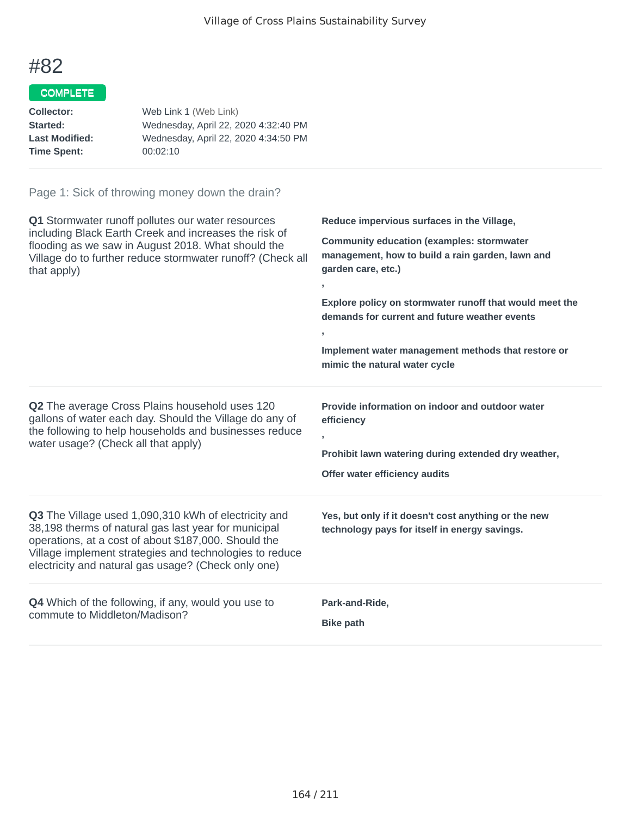#### COMPLETE

| Web Link 1 (Web Link)                |
|--------------------------------------|
| Wednesday, April 22, 2020 4:32:40 PM |
| Wednesday, April 22, 2020 4:34:50 PM |
| 00:02:10                             |
|                                      |

| Q1 Stormwater runoff pollutes our water resources<br>including Black Earth Creek and increases the risk of<br>flooding as we saw in August 2018. What should the<br>Village do to further reduce stormwater runoff? (Check all<br>that apply)                                          | Reduce impervious surfaces in the Village,<br><b>Community education (examples: stormwater</b><br>management, how to build a rain garden, lawn and<br>garden care, etc.)<br>Explore policy on stormwater runoff that would meet the<br>demands for current and future weather events<br>$\overline{1}$<br>Implement water management methods that restore or<br>mimic the natural water cycle |
|----------------------------------------------------------------------------------------------------------------------------------------------------------------------------------------------------------------------------------------------------------------------------------------|-----------------------------------------------------------------------------------------------------------------------------------------------------------------------------------------------------------------------------------------------------------------------------------------------------------------------------------------------------------------------------------------------|
| Q2 The average Cross Plains household uses 120<br>gallons of water each day. Should the Village do any of<br>the following to help households and businesses reduce<br>water usage? (Check all that apply)                                                                             | Provide information on indoor and outdoor water<br>efficiency<br>$\overline{1}$<br>Prohibit lawn watering during extended dry weather,<br>Offer water efficiency audits                                                                                                                                                                                                                       |
| Q3 The Village used 1,090,310 kWh of electricity and<br>38,198 therms of natural gas last year for municipal<br>operations, at a cost of about \$187,000. Should the<br>Village implement strategies and technologies to reduce<br>electricity and natural gas usage? (Check only one) | Yes, but only if it doesn't cost anything or the new<br>technology pays for itself in energy savings.                                                                                                                                                                                                                                                                                         |
| Q4 Which of the following, if any, would you use to<br>commute to Middleton/Madison?                                                                                                                                                                                                   | Park-and-Ride,<br><b>Bike path</b>                                                                                                                                                                                                                                                                                                                                                            |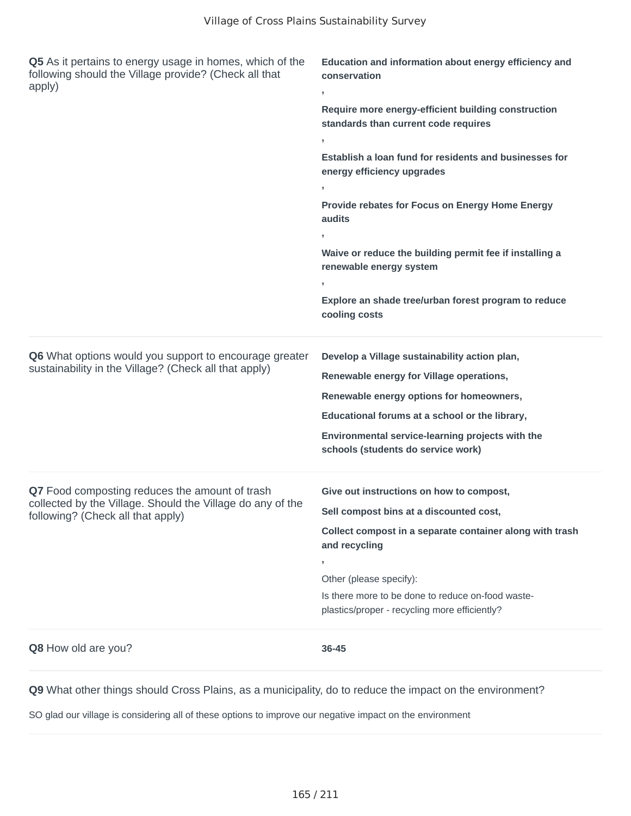| Q5 As it pertains to energy usage in homes, which of the<br>following should the Village provide? (Check all that<br>apply)                       | Education and information about energy efficiency and<br>conservation<br>y.<br>Require more energy-efficient building construction<br>standards than current code requires<br>У.<br>Establish a loan fund for residents and businesses for<br>energy efficiency upgrades<br>$\mathbf{r}$<br>Provide rebates for Focus on Energy Home Energy<br>audits<br>У.<br>Waive or reduce the building permit fee if installing a<br>renewable energy system<br>э.<br>Explore an shade tree/urban forest program to reduce<br>cooling costs |
|---------------------------------------------------------------------------------------------------------------------------------------------------|----------------------------------------------------------------------------------------------------------------------------------------------------------------------------------------------------------------------------------------------------------------------------------------------------------------------------------------------------------------------------------------------------------------------------------------------------------------------------------------------------------------------------------|
| Q6 What options would you support to encourage greater<br>sustainability in the Village? (Check all that apply)                                   | Develop a Village sustainability action plan,<br>Renewable energy for Village operations,<br>Renewable energy options for homeowners,<br>Educational forums at a school or the library,<br>Environmental service-learning projects with the<br>schools (students do service work)                                                                                                                                                                                                                                                |
| Q7 Food composting reduces the amount of trash<br>collected by the Village. Should the Village do any of the<br>following? (Check all that apply) | Give out instructions on how to compost,<br>Sell compost bins at a discounted cost,<br>Collect compost in a separate container along with trash<br>and recycling<br>,<br>Other (please specify):<br>Is there more to be done to reduce on-food waste-<br>plastics/proper - recycling more efficiently?                                                                                                                                                                                                                           |
| Q8 How old are you?                                                                                                                               | 36-45                                                                                                                                                                                                                                                                                                                                                                                                                                                                                                                            |

SO glad our village is considering all of these options to improve our negative impact on the environment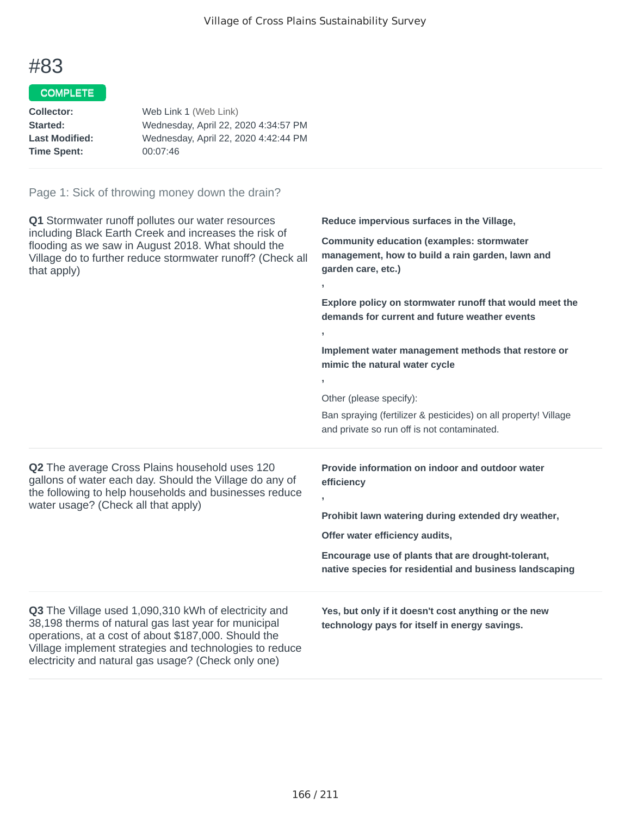**,**

**,**

**,**

## #83

#### COMPLETE

| Collector:            | Web Link 1 (Web Link)                |
|-----------------------|--------------------------------------|
| Started:              | Wednesday, April 22, 2020 4:34:57 PM |
| <b>Last Modified:</b> | Wednesday, April 22, 2020 4:42:44 PM |
| <b>Time Spent:</b>    | 00:07:46                             |
|                       |                                      |

#### Page 1: Sick of throwing money down the drain?

**Q1** Stormwater runoff pollutes our water resources including Black Earth Creek and increases the risk of flooding as we saw in August 2018. What should the Village do to further reduce stormwater runoff? (Check all that apply)

**Reduce impervious surfaces in the Village,**

**Community education (examples: stormwater management, how to build a rain garden, lawn and garden care, etc.)**

**Explore policy on stormwater runoff that would meet the demands for current and future weather events**

**Implement water management methods that restore or mimic the natural water cycle**

Other (please specify):

Ban spraying (fertilizer & pesticides) on all property! Village and private so run off is not contaminated.

**Q2** The average Cross Plains household uses 120 gallons of water each day. Should the Village do any of the following to help households and businesses reduce water usage? (Check all that apply)

**Q3** The Village used 1,090,310 kWh of electricity and 38,198 therms of natural gas last year for municipal operations, at a cost of about \$187,000. Should the Village implement strategies and technologies to reduce electricity and natural gas usage? (Check only one)

**Provide information on indoor and outdoor water efficiency ,**

**Prohibit lawn watering during extended dry weather,**

**Offer water efficiency audits,**

**Encourage use of plants that are drought-tolerant, native species for residential and business landscaping**

**Yes, but only if it doesn't cost anything or the new technology pays for itself in energy savings.**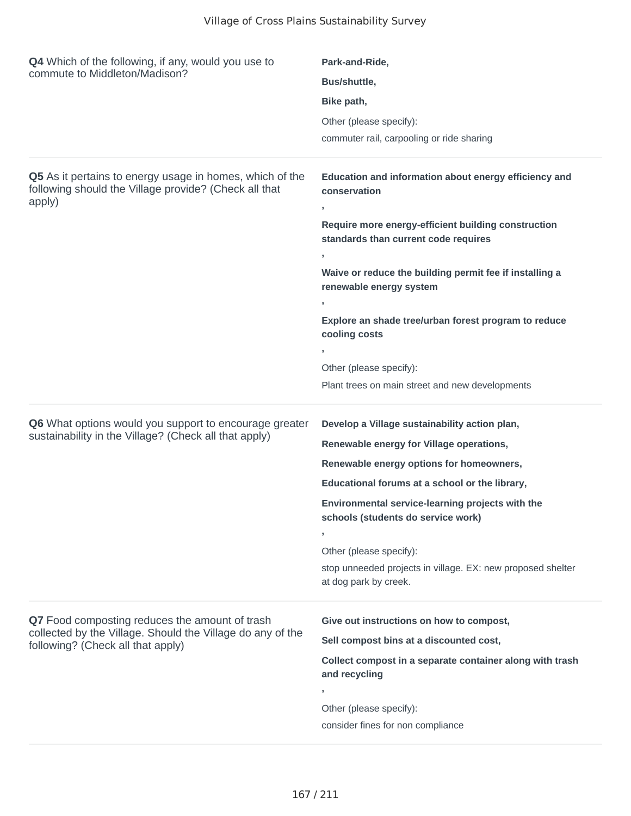| <b>Q4</b> Which of the following, if any, would you use to<br>commute to Middleton/Madison?                                 | Park-and-Ride,                                                                                    |  |
|-----------------------------------------------------------------------------------------------------------------------------|---------------------------------------------------------------------------------------------------|--|
|                                                                                                                             | Bus/shuttle,                                                                                      |  |
|                                                                                                                             | Bike path,                                                                                        |  |
|                                                                                                                             | Other (please specify):                                                                           |  |
|                                                                                                                             | commuter rail, carpooling or ride sharing                                                         |  |
| Q5 As it pertains to energy usage in homes, which of the<br>following should the Village provide? (Check all that<br>apply) | Education and information about energy efficiency and<br>conservation                             |  |
|                                                                                                                             | J.<br>Require more energy-efficient building construction<br>standards than current code requires |  |
|                                                                                                                             | J.                                                                                                |  |
|                                                                                                                             | Waive or reduce the building permit fee if installing a<br>renewable energy system                |  |
|                                                                                                                             | J.                                                                                                |  |
|                                                                                                                             | Explore an shade tree/urban forest program to reduce<br>cooling costs                             |  |
|                                                                                                                             | J.                                                                                                |  |
|                                                                                                                             | Other (please specify):                                                                           |  |
|                                                                                                                             | Plant trees on main street and new developments                                                   |  |
| Q6 What options would you support to encourage greater                                                                      | Develop a Village sustainability action plan,                                                     |  |
| sustainability in the Village? (Check all that apply)                                                                       | Renewable energy for Village operations,                                                          |  |
|                                                                                                                             | Renewable energy options for homeowners,                                                          |  |
|                                                                                                                             | Educational forums at a school or the library,                                                    |  |
|                                                                                                                             | Environmental service-learning projects with the<br>schools (students do service work)            |  |
|                                                                                                                             | э.                                                                                                |  |
|                                                                                                                             | Other (please specify):                                                                           |  |
|                                                                                                                             | stop unneeded projects in village. EX: new proposed shelter<br>at dog park by creek.              |  |
| Q7 Food composting reduces the amount of trash                                                                              | Give out instructions on how to compost,                                                          |  |
| collected by the Village. Should the Village do any of the<br>following? (Check all that apply)                             | Sell compost bins at a discounted cost,                                                           |  |
|                                                                                                                             | Collect compost in a separate container along with trash<br>and recycling                         |  |
|                                                                                                                             | J.                                                                                                |  |
|                                                                                                                             | Other (please specify):                                                                           |  |
|                                                                                                                             | consider fines for non compliance                                                                 |  |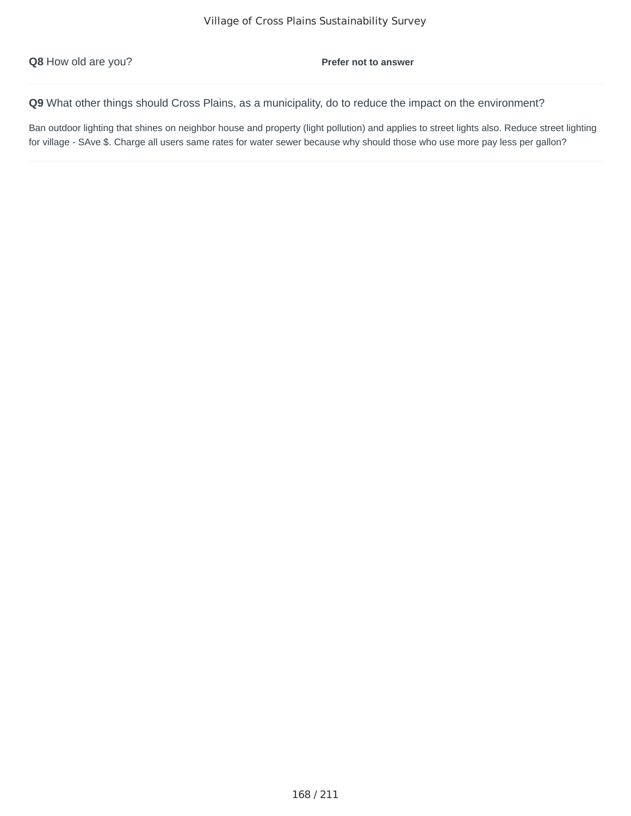Ban outdoor lighting that shines on neighbor house and property (light pollution) and applies to street lights also. Reduce street lighting for village - SAve \$. Charge all users same rates for water sewer because why should those who use more pay less per gallon?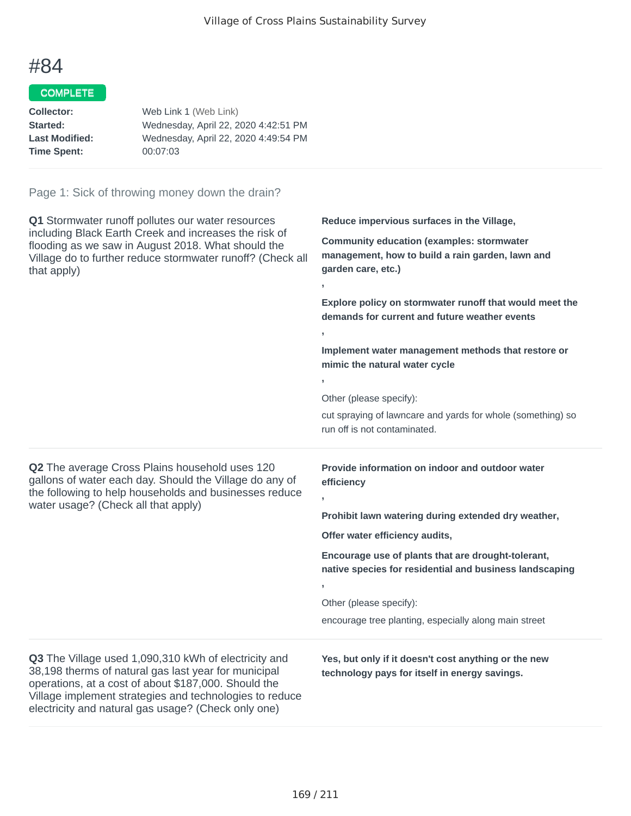**,**

**,**

**,**

**,**

**,**

## #84

#### COMPLETE

| Collector:            | Web Link 1 (Web Link)                |
|-----------------------|--------------------------------------|
| Started:              | Wednesday, April 22, 2020 4:42:51 PM |
| <b>Last Modified:</b> | Wednesday, April 22, 2020 4:49:54 PM |
| <b>Time Spent:</b>    | 00:07:03                             |
|                       |                                      |

#### Page 1: Sick of throwing money down the drain?

**Q1** Stormwater runoff pollutes our water resources including Black Earth Creek and increases the risk of flooding as we saw in August 2018. What should the Village do to further reduce stormwater runoff? (Check all that apply)

**Reduce impervious surfaces in the Village,**

**Community education (examples: stormwater management, how to build a rain garden, lawn and garden care, etc.)**

**Explore policy on stormwater runoff that would meet the demands for current and future weather events**

**Implement water management methods that restore or mimic the natural water cycle**

Other (please specify):

cut spraying of lawncare and yards for whole (something) so run off is not contaminated.

**Q2** The average Cross Plains household uses 120 gallons of water each day. Should the Village do any of the following to help households and businesses reduce water usage? (Check all that apply)

**Provide information on indoor and outdoor water efficiency**

**Prohibit lawn watering during extended dry weather,**

**Offer water efficiency audits,**

**Encourage use of plants that are drought-tolerant, native species for residential and business landscaping**

Other (please specify):

encourage tree planting, especially along main street

**Q3** The Village used 1,090,310 kWh of electricity and 38,198 therms of natural gas last year for municipal operations, at a cost of about \$187,000. Should the Village implement strategies and technologies to reduce electricity and natural gas usage? (Check only one)

**Yes, but only if it doesn't cost anything or the new technology pays for itself in energy savings.**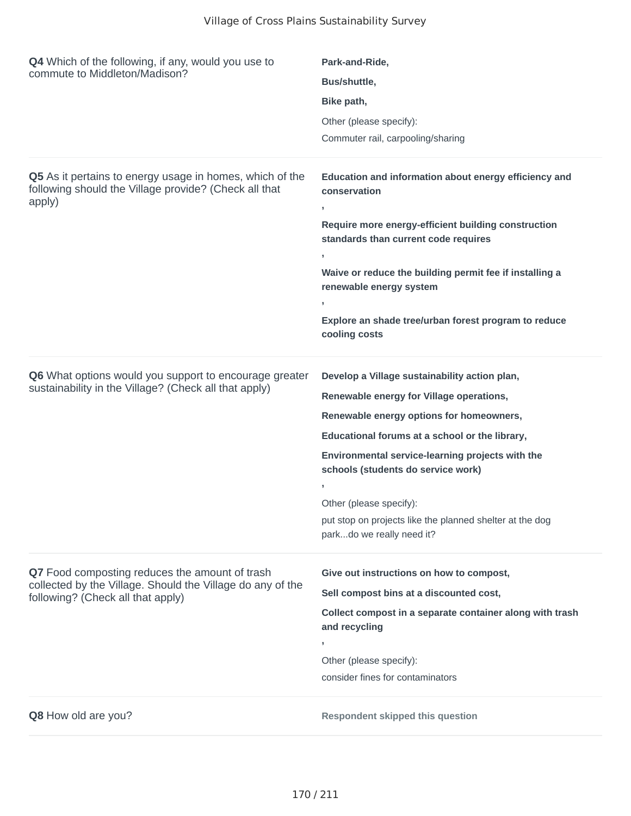| <b>Q4</b> Which of the following, if any, would you use to<br>commute to Middleton/Madison?                                 | Park-and-Ride,                                                                                              |
|-----------------------------------------------------------------------------------------------------------------------------|-------------------------------------------------------------------------------------------------------------|
|                                                                                                                             | Bus/shuttle,                                                                                                |
|                                                                                                                             | Bike path,                                                                                                  |
|                                                                                                                             | Other (please specify):                                                                                     |
|                                                                                                                             | Commuter rail, carpooling/sharing                                                                           |
| Q5 As it pertains to energy usage in homes, which of the<br>following should the Village provide? (Check all that<br>apply) | Education and information about energy efficiency and<br>conservation<br>$\,$                               |
|                                                                                                                             | Require more energy-efficient building construction<br>standards than current code requires<br>$\mathbf{I}$ |
|                                                                                                                             | Waive or reduce the building permit fee if installing a<br>renewable energy system                          |
|                                                                                                                             | ÷<br>Explore an shade tree/urban forest program to reduce<br>cooling costs                                  |
| Q6 What options would you support to encourage greater                                                                      | Develop a Village sustainability action plan,                                                               |
| sustainability in the Village? (Check all that apply)                                                                       | Renewable energy for Village operations,                                                                    |
|                                                                                                                             | Renewable energy options for homeowners,                                                                    |
|                                                                                                                             | Educational forums at a school or the library,                                                              |
|                                                                                                                             | Environmental service-learning projects with the<br>schools (students do service work)                      |
|                                                                                                                             | $\overline{1}$<br>Other (please specify):                                                                   |
|                                                                                                                             | put stop on projects like the planned shelter at the dog<br>parkdo we really need it?                       |
| Q7 Food composting reduces the amount of trash                                                                              | Give out instructions on how to compost,                                                                    |
| collected by the Village. Should the Village do any of the<br>following? (Check all that apply)                             | Sell compost bins at a discounted cost,                                                                     |
|                                                                                                                             | Collect compost in a separate container along with trash<br>and recycling                                   |
|                                                                                                                             | J,                                                                                                          |
|                                                                                                                             | Other (please specify):<br>consider fines for contaminators                                                 |
|                                                                                                                             |                                                                                                             |
| Q8 How old are you?                                                                                                         | <b>Respondent skipped this question</b>                                                                     |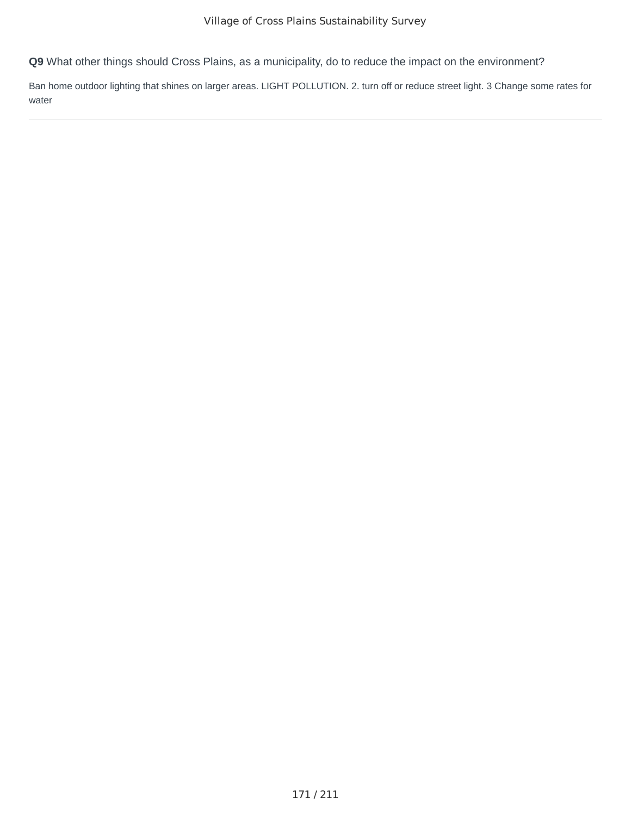Ban home outdoor lighting that shines on larger areas. LIGHT POLLUTION. 2. turn off or reduce street light. 3 Change some rates for water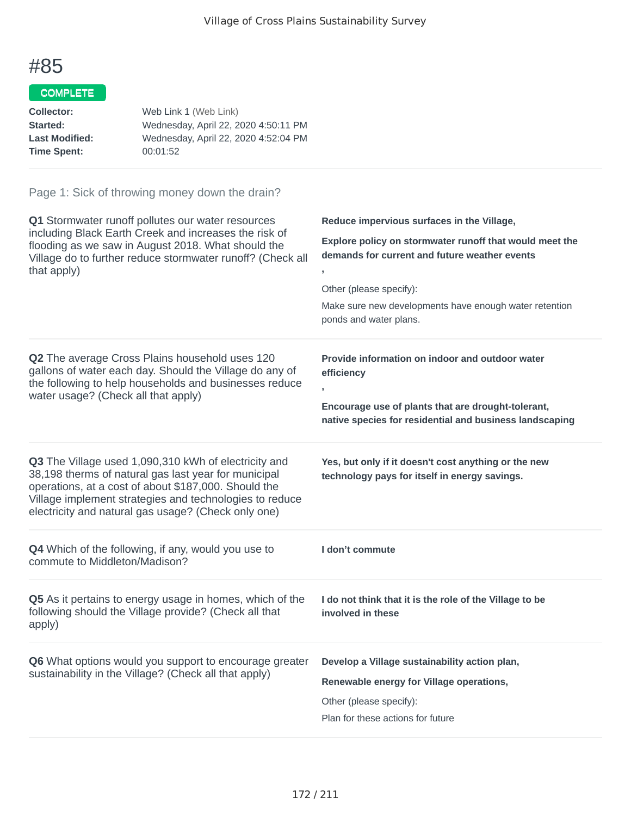#### COMPLETE

| Web Link 1 (Web Link)                |
|--------------------------------------|
| Wednesday, April 22, 2020 4:50:11 PM |
| Wednesday, April 22, 2020 4:52:04 PM |
| 00:01:52                             |
|                                      |

| Q1 Stormwater runoff pollutes our water resources<br>including Black Earth Creek and increases the risk of<br>flooding as we saw in August 2018. What should the<br>Village do to further reduce stormwater runoff? (Check all<br>that apply)                                          | Reduce impervious surfaces in the Village,<br>Explore policy on stormwater runoff that would meet the<br>demands for current and future weather events<br>Other (please specify):<br>Make sure new developments have enough water retention<br>ponds and water plans. |
|----------------------------------------------------------------------------------------------------------------------------------------------------------------------------------------------------------------------------------------------------------------------------------------|-----------------------------------------------------------------------------------------------------------------------------------------------------------------------------------------------------------------------------------------------------------------------|
| Q2 The average Cross Plains household uses 120<br>gallons of water each day. Should the Village do any of<br>the following to help households and businesses reduce<br>water usage? (Check all that apply)                                                                             | Provide information on indoor and outdoor water<br>efficiency<br>$\overline{\phantom{a}}$<br>Encourage use of plants that are drought-tolerant,<br>native species for residential and business landscaping                                                            |
| Q3 The Village used 1,090,310 kWh of electricity and<br>38,198 therms of natural gas last year for municipal<br>operations, at a cost of about \$187,000. Should the<br>Village implement strategies and technologies to reduce<br>electricity and natural gas usage? (Check only one) | Yes, but only if it doesn't cost anything or the new<br>technology pays for itself in energy savings.                                                                                                                                                                 |
| Q4 Which of the following, if any, would you use to<br>commute to Middleton/Madison?                                                                                                                                                                                                   | I don't commute                                                                                                                                                                                                                                                       |
| Q5 As it pertains to energy usage in homes, which of the<br>following should the Village provide? (Check all that<br>apply)                                                                                                                                                            | I do not think that it is the role of the Village to be<br>involved in these                                                                                                                                                                                          |
| Q6 What options would you support to encourage greater<br>sustainability in the Village? (Check all that apply)                                                                                                                                                                        | Develop a Village sustainability action plan,<br>Renewable energy for Village operations,<br>Other (please specify):<br>Plan for these actions for future                                                                                                             |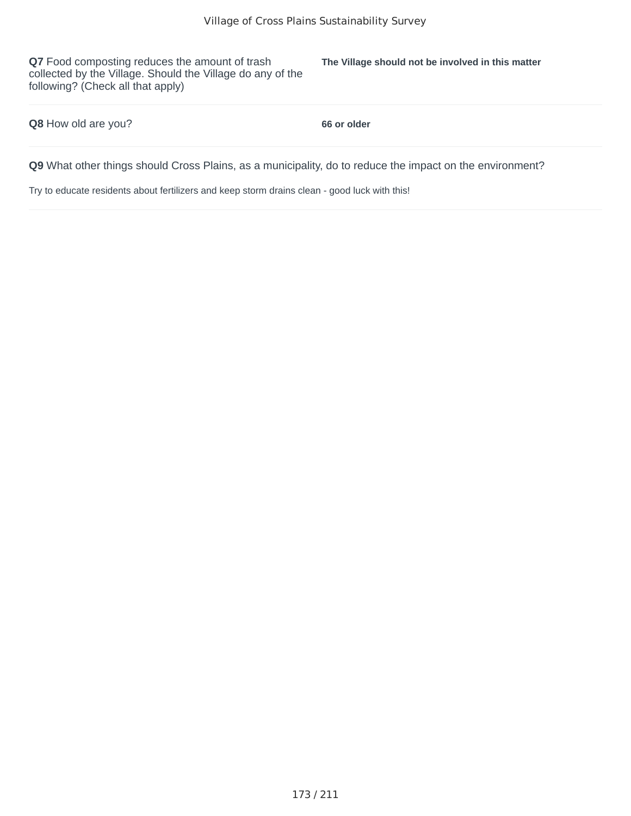**Q7** Food composting reduces the amount of trash collected by the Village. Should the Village do any of the following? (Check all that apply)

**The Village should not be involved in this matter**

**Q8** How old are you? **66 or older**

**Q9** What other things should Cross Plains, as a municipality, do to reduce the impact on the environment?

Try to educate residents about fertilizers and keep storm drains clean - good luck with this!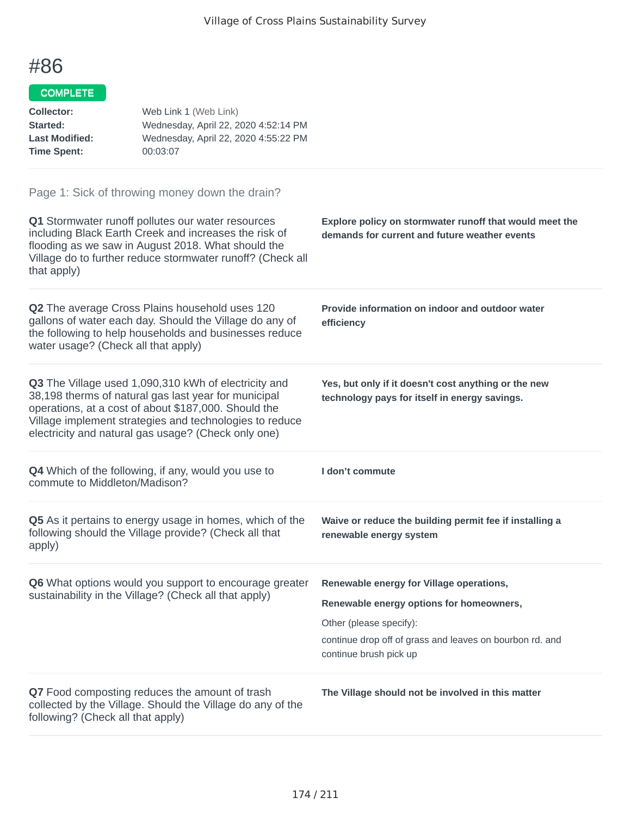#### COMPLETE

| <b>Collector:</b><br>Started:<br><b>Last Modified:</b><br><b>Time Spent:</b> | Web Link 1 (Web Link)<br>Wednesday, April 22, 2020 4:52:14 PM<br>Wednesday, April 22, 2020 4:55:22 PM<br>00:03:07                                                                                                                                                                      |                                                                                                                                                                                                       |
|------------------------------------------------------------------------------|----------------------------------------------------------------------------------------------------------------------------------------------------------------------------------------------------------------------------------------------------------------------------------------|-------------------------------------------------------------------------------------------------------------------------------------------------------------------------------------------------------|
| that apply)                                                                  | Page 1: Sick of throwing money down the drain?<br>Q1 Stormwater runoff pollutes our water resources<br>including Black Earth Creek and increases the risk of<br>flooding as we saw in August 2018. What should the<br>Village do to further reduce stormwater runoff? (Check all       | Explore policy on stormwater runoff that would meet the<br>demands for current and future weather events                                                                                              |
| water usage? (Check all that apply)                                          | Q2 The average Cross Plains household uses 120<br>gallons of water each day. Should the Village do any of<br>the following to help households and businesses reduce                                                                                                                    | Provide information on indoor and outdoor water<br>efficiency                                                                                                                                         |
|                                                                              | Q3 The Village used 1,090,310 kWh of electricity and<br>38,198 therms of natural gas last year for municipal<br>operations, at a cost of about \$187,000. Should the<br>Village implement strategies and technologies to reduce<br>electricity and natural gas usage? (Check only one) | Yes, but only if it doesn't cost anything or the new<br>technology pays for itself in energy savings.                                                                                                 |
| commute to Middleton/Madison?                                                | <b>Q4</b> Which of the following, if any, would you use to                                                                                                                                                                                                                             | I don't commute                                                                                                                                                                                       |
| apply)                                                                       | <b>Q5</b> As it pertains to energy usage in homes, which of the<br>following should the Village provide? (Check all that                                                                                                                                                               | Waive or reduce the building permit fee if installing a<br>renewable energy system                                                                                                                    |
|                                                                              | <b>Q6</b> What options would you support to encourage greater<br>sustainability in the Village? (Check all that apply)                                                                                                                                                                 | Renewable energy for Village operations,<br>Renewable energy options for homeowners,<br>Other (please specify):<br>continue drop off of grass and leaves on bourbon rd. and<br>continue brush pick up |
| following? (Check all that apply)                                            | Q7 Food composting reduces the amount of trash<br>collected by the Village. Should the Village do any of the                                                                                                                                                                           | The Village should not be involved in this matter                                                                                                                                                     |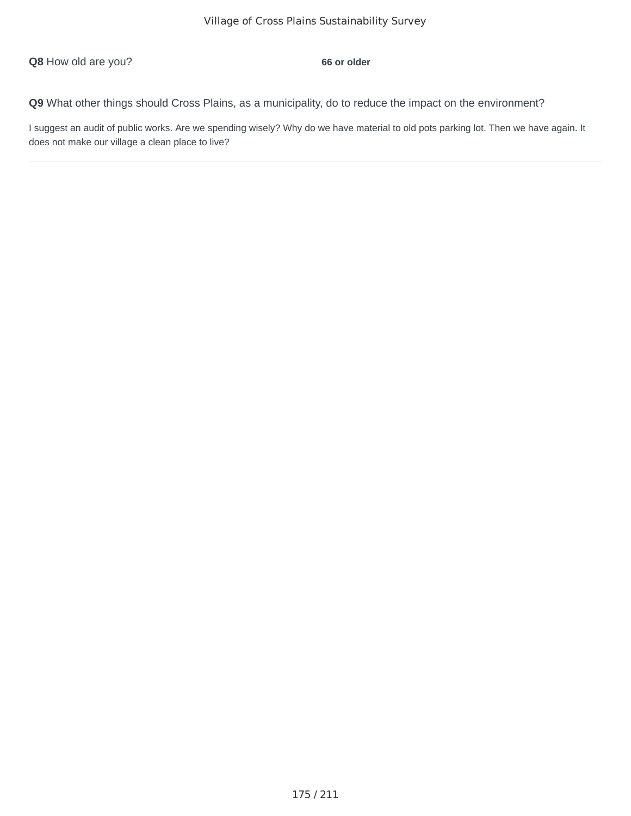I suggest an audit of public works. Are we spending wisely? Why do we have material to old pots parking lot. Then we have again. It does not make our village a clean place to live?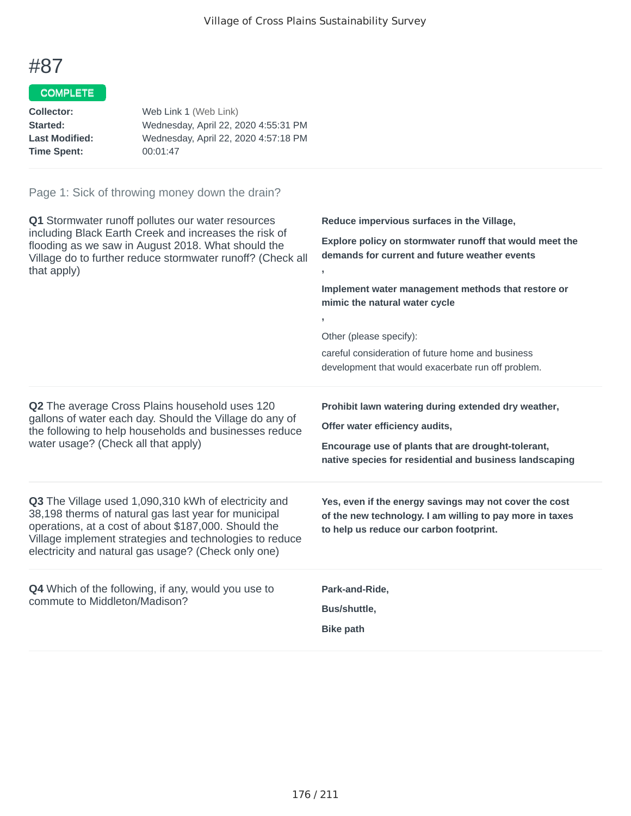#### COMPLETE

| Web Link 1 (Web Link)                |
|--------------------------------------|
| Wednesday, April 22, 2020 4:55:31 PM |
| Wednesday, April 22, 2020 4:57:18 PM |
| 00:01:47                             |
|                                      |

| Q1 Stormwater runoff pollutes our water resources<br>including Black Earth Creek and increases the risk of<br>flooding as we saw in August 2018. What should the<br>Village do to further reduce stormwater runoff? (Check all<br>that apply)                                          | Reduce impervious surfaces in the Village,<br>Explore policy on stormwater runoff that would meet the<br>demands for current and future weather events<br>y.<br>Implement water management methods that restore or<br>mimic the natural water cycle<br>Other (please specify):<br>careful consideration of future home and business<br>development that would exacerbate run off problem. |
|----------------------------------------------------------------------------------------------------------------------------------------------------------------------------------------------------------------------------------------------------------------------------------------|-------------------------------------------------------------------------------------------------------------------------------------------------------------------------------------------------------------------------------------------------------------------------------------------------------------------------------------------------------------------------------------------|
| Q2 The average Cross Plains household uses 120<br>gallons of water each day. Should the Village do any of<br>the following to help households and businesses reduce<br>water usage? (Check all that apply)                                                                             | Prohibit lawn watering during extended dry weather,<br>Offer water efficiency audits,<br>Encourage use of plants that are drought-tolerant,<br>native species for residential and business landscaping                                                                                                                                                                                    |
| Q3 The Village used 1,090,310 kWh of electricity and<br>38,198 therms of natural gas last year for municipal<br>operations, at a cost of about \$187,000. Should the<br>Village implement strategies and technologies to reduce<br>electricity and natural gas usage? (Check only one) | Yes, even if the energy savings may not cover the cost<br>of the new technology. I am willing to pay more in taxes<br>to help us reduce our carbon footprint.                                                                                                                                                                                                                             |
| <b>Q4</b> Which of the following, if any, would you use to<br>commute to Middleton/Madison?                                                                                                                                                                                            | Park-and-Ride,<br>Bus/shuttle,<br><b>Bike path</b>                                                                                                                                                                                                                                                                                                                                        |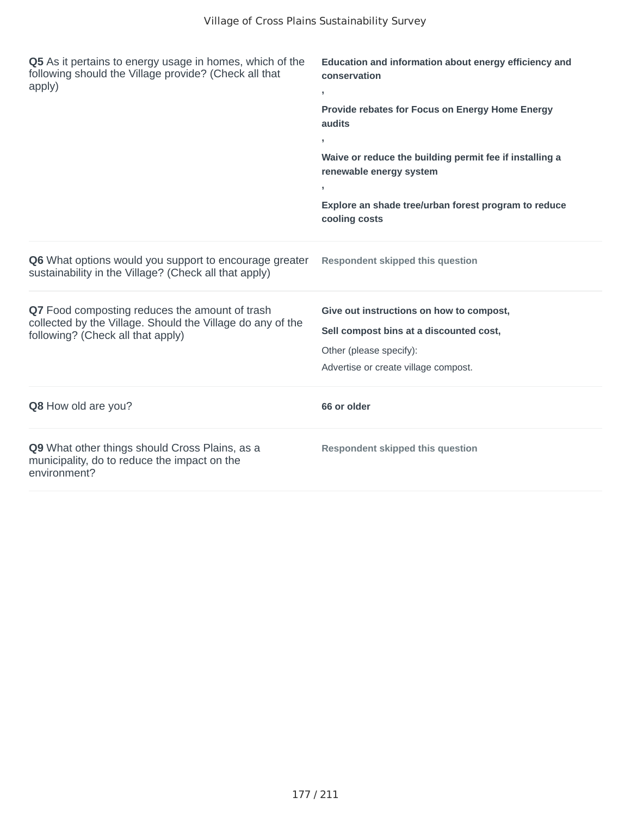| Q5 As it pertains to energy usage in homes, which of the<br>following should the Village provide? (Check all that<br>apply)                       | Education and information about energy efficiency and<br>conservation<br>y.<br>Provide rebates for Focus on Energy Home Energy<br>audits<br>$\overline{1}$<br>Waive or reduce the building permit fee if installing a<br>renewable energy system<br>Explore an shade tree/urban forest program to reduce<br>cooling costs |
|---------------------------------------------------------------------------------------------------------------------------------------------------|---------------------------------------------------------------------------------------------------------------------------------------------------------------------------------------------------------------------------------------------------------------------------------------------------------------------------|
| <b>Q6</b> What options would you support to encourage greater<br>sustainability in the Village? (Check all that apply)                            | <b>Respondent skipped this question</b>                                                                                                                                                                                                                                                                                   |
| Q7 Food composting reduces the amount of trash<br>collected by the Village. Should the Village do any of the<br>following? (Check all that apply) | Give out instructions on how to compost,<br>Sell compost bins at a discounted cost,<br>Other (please specify):<br>Advertise or create village compost.                                                                                                                                                                    |
| <b>Q8</b> How old are you?                                                                                                                        | 66 or older                                                                                                                                                                                                                                                                                                               |
| Q9 What other things should Cross Plains, as a<br>municipality, do to reduce the impact on the<br>environment?                                    | <b>Respondent skipped this question</b>                                                                                                                                                                                                                                                                                   |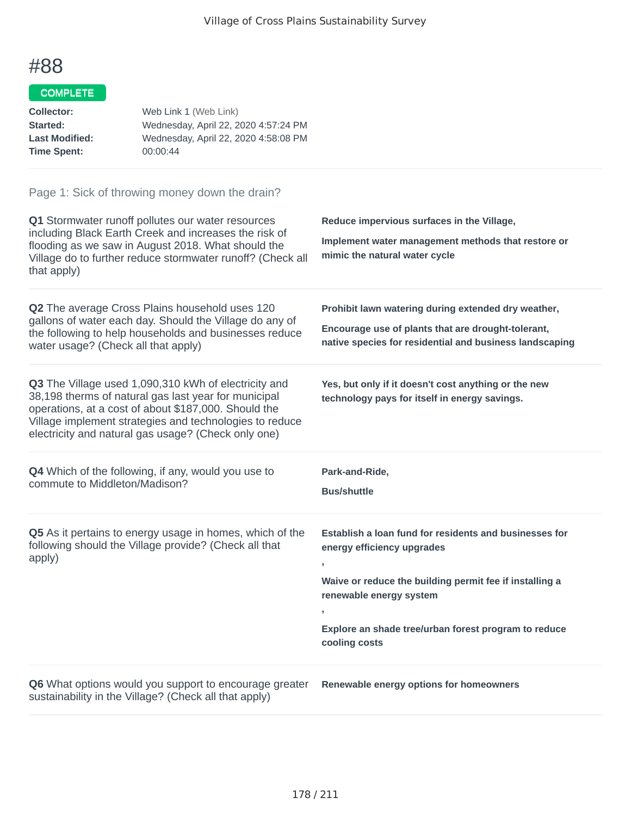#### COMPLETE

| Web Link 1 (Web Link)                |
|--------------------------------------|
| Wednesday, April 22, 2020 4:57:24 PM |
| Wednesday, April 22, 2020 4:58:08 PM |
| 00:00:44                             |
|                                      |

| Q1 Stormwater runoff pollutes our water resources<br>including Black Earth Creek and increases the risk of<br>flooding as we saw in August 2018. What should the<br>Village do to further reduce stormwater runoff? (Check all<br>that apply)                                          | Reduce impervious surfaces in the Village,<br>Implement water management methods that restore or<br>mimic the natural water cycle                                                                                                                                     |
|----------------------------------------------------------------------------------------------------------------------------------------------------------------------------------------------------------------------------------------------------------------------------------------|-----------------------------------------------------------------------------------------------------------------------------------------------------------------------------------------------------------------------------------------------------------------------|
| Q2 The average Cross Plains household uses 120<br>gallons of water each day. Should the Village do any of<br>the following to help households and businesses reduce<br>water usage? (Check all that apply)                                                                             | Prohibit lawn watering during extended dry weather,<br>Encourage use of plants that are drought-tolerant,<br>native species for residential and business landscaping                                                                                                  |
| Q3 The Village used 1,090,310 kWh of electricity and<br>38,198 therms of natural gas last year for municipal<br>operations, at a cost of about \$187,000. Should the<br>Village implement strategies and technologies to reduce<br>electricity and natural gas usage? (Check only one) | Yes, but only if it doesn't cost anything or the new<br>technology pays for itself in energy savings.                                                                                                                                                                 |
| Q4 Which of the following, if any, would you use to<br>commute to Middleton/Madison?                                                                                                                                                                                                   | Park-and-Ride,<br><b>Bus/shuttle</b>                                                                                                                                                                                                                                  |
|                                                                                                                                                                                                                                                                                        |                                                                                                                                                                                                                                                                       |
| Q5 As it pertains to energy usage in homes, which of the<br>following should the Village provide? (Check all that<br>apply)                                                                                                                                                            | Establish a loan fund for residents and businesses for<br>energy efficiency upgrades<br>Waive or reduce the building permit fee if installing a<br>renewable energy system<br>$\overline{1}$<br>Explore an shade tree/urban forest program to reduce<br>cooling costs |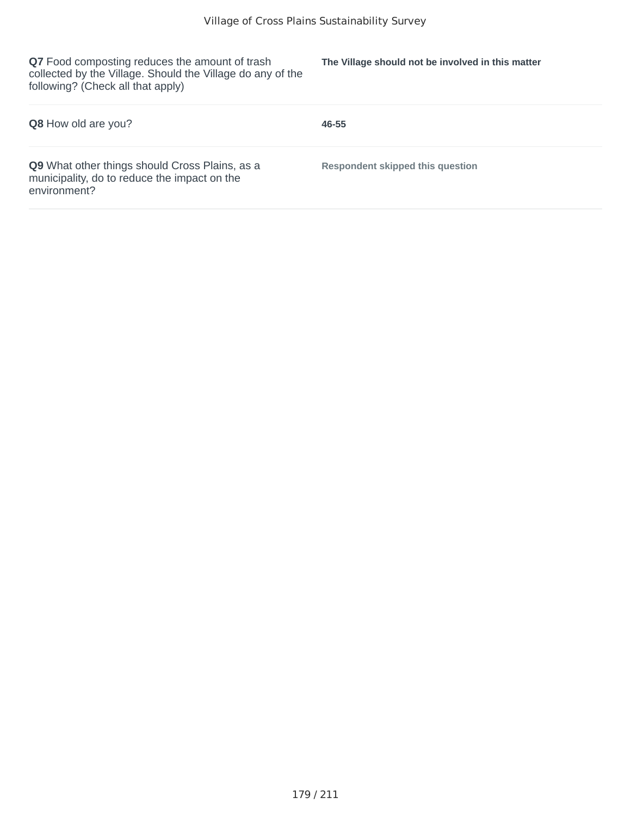**Q7** Food composting reduces the amount of trash collected by the Village. Should the Village do any of the following? (Check all that apply)

**The Village should not be involved in this matter**

| <b>Q8</b> How old are you?                                                                                            | 46-55                            |
|-----------------------------------------------------------------------------------------------------------------------|----------------------------------|
| <b>Q9</b> What other things should Cross Plains, as a<br>municipality, do to reduce the impact on the<br>environment? | Respondent skipped this question |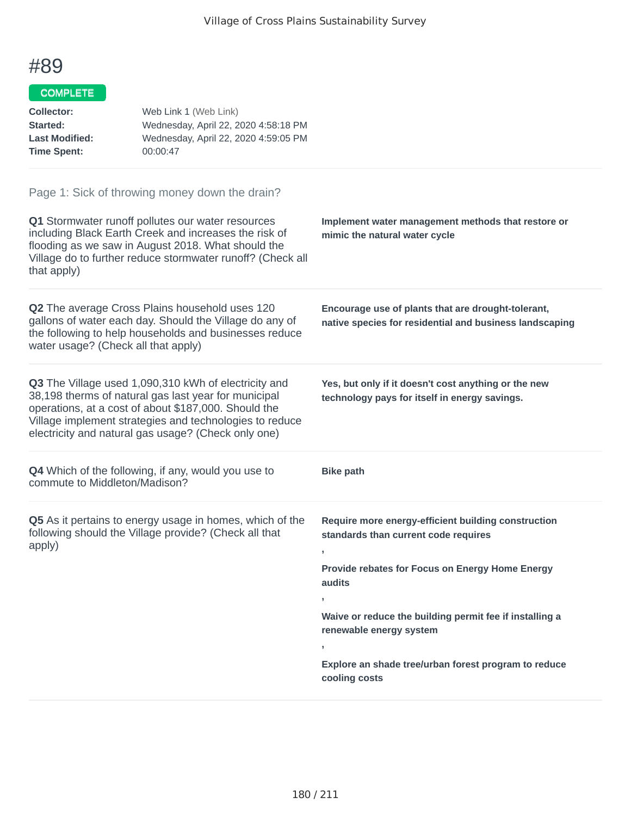#### COMPLETE

| Collector:            | Web Link 1 (Web Link)                |
|-----------------------|--------------------------------------|
| Started:              | Wednesday, April 22, 2020 4:58:18 PM |
| <b>Last Modified:</b> | Wednesday, April 22, 2020 4:59:05 PM |
| <b>Time Spent:</b>    | 00:00:47                             |

| Q1 Stormwater runoff pollutes our water resources<br>including Black Earth Creek and increases the risk of<br>flooding as we saw in August 2018. What should the<br>Village do to further reduce stormwater runoff? (Check all<br>that apply)                                          | Implement water management methods that restore or<br>mimic the natural water cycle                           |
|----------------------------------------------------------------------------------------------------------------------------------------------------------------------------------------------------------------------------------------------------------------------------------------|---------------------------------------------------------------------------------------------------------------|
| Q2 The average Cross Plains household uses 120<br>gallons of water each day. Should the Village do any of<br>the following to help households and businesses reduce<br>water usage? (Check all that apply)                                                                             | Encourage use of plants that are drought-tolerant,<br>native species for residential and business landscaping |
| Q3 The Village used 1,090,310 kWh of electricity and<br>38,198 therms of natural gas last year for municipal<br>operations, at a cost of about \$187,000. Should the<br>Village implement strategies and technologies to reduce<br>electricity and natural gas usage? (Check only one) | Yes, but only if it doesn't cost anything or the new<br>technology pays for itself in energy savings.         |
|                                                                                                                                                                                                                                                                                        |                                                                                                               |
| <b>Q4</b> Which of the following, if any, would you use to<br>commute to Middleton/Madison?                                                                                                                                                                                            | <b>Bike path</b>                                                                                              |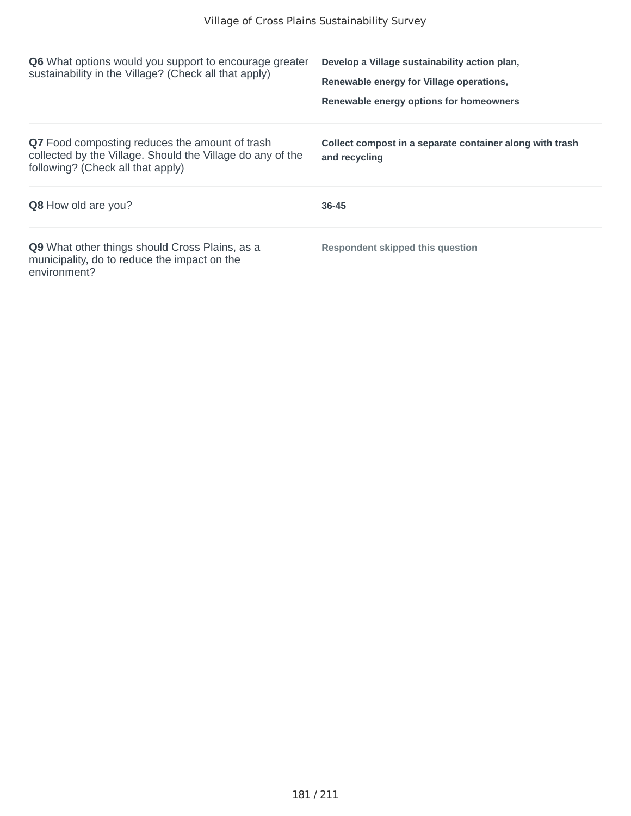| <b>Q6</b> What options would you support to encourage greater<br>sustainability in the Village? (Check all that apply)                                   | Develop a Village sustainability action plan,<br>Renewable energy for Village operations,<br>Renewable energy options for homeowners |
|----------------------------------------------------------------------------------------------------------------------------------------------------------|--------------------------------------------------------------------------------------------------------------------------------------|
| <b>Q7</b> Food composting reduces the amount of trash<br>collected by the Village. Should the Village do any of the<br>following? (Check all that apply) | Collect compost in a separate container along with trash<br>and recycling                                                            |
| <b>Q8</b> How old are you?                                                                                                                               | 36-45                                                                                                                                |
| <b>Q9</b> What other things should Cross Plains, as a<br>municipality, do to reduce the impact on the<br>environment?                                    | <b>Respondent skipped this question</b>                                                                                              |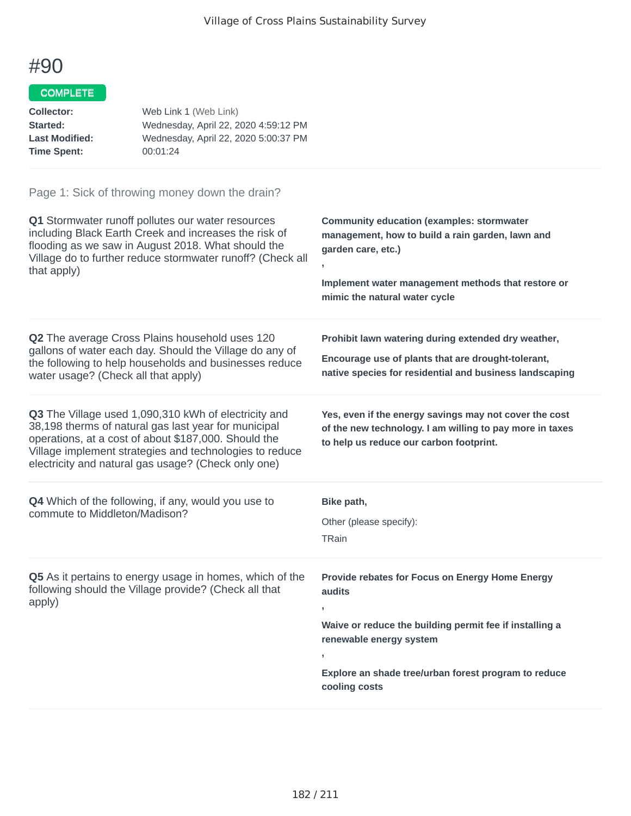### COMPLETE

| Collector:            | Web Link 1 (Web Link)                |
|-----------------------|--------------------------------------|
| Started:              | Wednesday, April 22, 2020 4:59:12 PM |
| <b>Last Modified:</b> | Wednesday, April 22, 2020 5:00:37 PM |
| <b>Time Spent:</b>    | 00:01:24                             |

| Q1 Stormwater runoff pollutes our water resources<br>including Black Earth Creek and increases the risk of<br>flooding as we saw in August 2018. What should the<br>Village do to further reduce stormwater runoff? (Check all<br>that apply)                                          | <b>Community education (examples: stormwater</b><br>management, how to build a rain garden, lawn and<br>garden care, etc.)<br>y.<br>Implement water management methods that restore or<br>mimic the natural water cycle             |
|----------------------------------------------------------------------------------------------------------------------------------------------------------------------------------------------------------------------------------------------------------------------------------------|-------------------------------------------------------------------------------------------------------------------------------------------------------------------------------------------------------------------------------------|
| Q2 The average Cross Plains household uses 120<br>gallons of water each day. Should the Village do any of<br>the following to help households and businesses reduce<br>water usage? (Check all that apply)                                                                             | Prohibit lawn watering during extended dry weather,<br>Encourage use of plants that are drought-tolerant,<br>native species for residential and business landscaping                                                                |
| Q3 The Village used 1,090,310 kWh of electricity and<br>38,198 therms of natural gas last year for municipal<br>operations, at a cost of about \$187,000. Should the<br>Village implement strategies and technologies to reduce<br>electricity and natural gas usage? (Check only one) | Yes, even if the energy savings may not cover the cost<br>of the new technology. I am willing to pay more in taxes<br>to help us reduce our carbon footprint.                                                                       |
| <b>Q4</b> Which of the following, if any, would you use to<br>commute to Middleton/Madison?                                                                                                                                                                                            | Bike path,<br>Other (please specify):<br>TRain                                                                                                                                                                                      |
| Q5 As it pertains to energy usage in homes, which of the<br>following should the Village provide? (Check all that<br>apply)                                                                                                                                                            | Provide rebates for Focus on Energy Home Energy<br>audits<br>y.<br>Waive or reduce the building permit fee if installing a<br>renewable energy system<br>,<br>Explore an shade tree/urban forest program to reduce<br>cooling costs |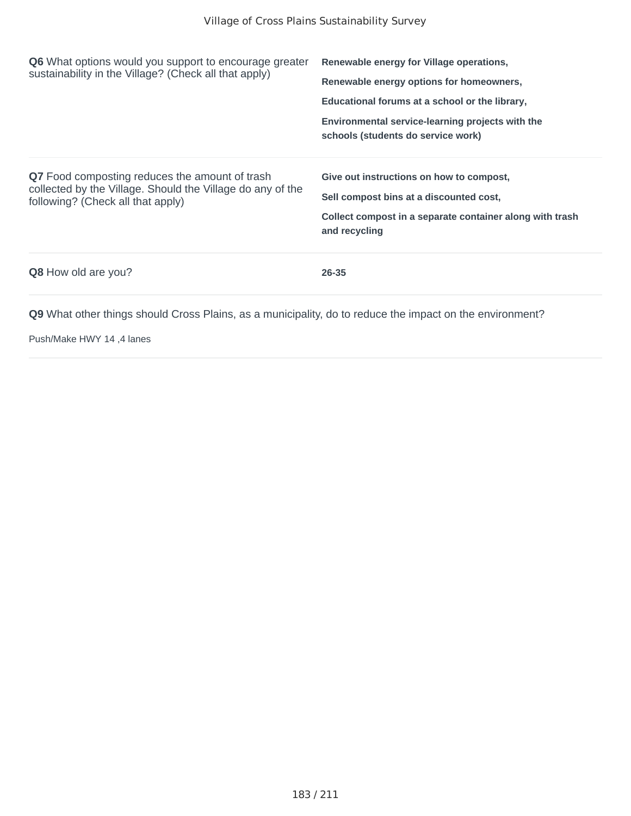| Q6 What options would you support to encourage greater<br>sustainability in the Village? (Check all that apply)                                   | Renewable energy for Village operations,<br>Renewable energy options for homeowners,<br>Educational forums at a school or the library,<br>Environmental service-learning projects with the<br>schools (students do service work) |
|---------------------------------------------------------------------------------------------------------------------------------------------------|----------------------------------------------------------------------------------------------------------------------------------------------------------------------------------------------------------------------------------|
| Q7 Food composting reduces the amount of trash<br>collected by the Village. Should the Village do any of the<br>following? (Check all that apply) | Give out instructions on how to compost,<br>Sell compost bins at a discounted cost,<br>Collect compost in a separate container along with trash<br>and recycling                                                                 |
| <b>Q8</b> How old are you?                                                                                                                        | 26-35                                                                                                                                                                                                                            |

Push/Make HWY 14 ,4 lanes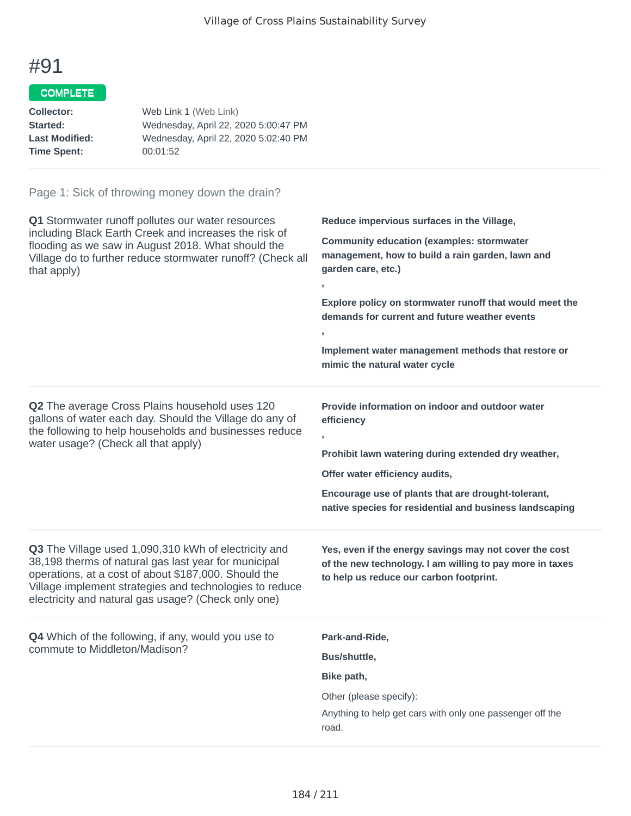## COMPLETE

| Web Link 1 (Web Link)                |
|--------------------------------------|
| Wednesday, April 22, 2020 5:00:47 PM |
| Wednesday, April 22, 2020 5:02:40 PM |
| 00:01:52                             |
|                                      |

| Q1 Stormwater runoff pollutes our water resources<br>including Black Earth Creek and increases the risk of<br>flooding as we saw in August 2018. What should the<br>Village do to further reduce stormwater runoff? (Check all<br>that apply)                                          | Reduce impervious surfaces in the Village,<br><b>Community education (examples: stormwater</b><br>management, how to build a rain garden, lawn and<br>garden care, etc.)<br>$\pmb{\mathfrak{z}}$<br>Explore policy on stormwater runoff that would meet the<br>demands for current and future weather events<br>$\overline{1}$<br>Implement water management methods that restore or<br>mimic the natural water cycle |
|----------------------------------------------------------------------------------------------------------------------------------------------------------------------------------------------------------------------------------------------------------------------------------------|-----------------------------------------------------------------------------------------------------------------------------------------------------------------------------------------------------------------------------------------------------------------------------------------------------------------------------------------------------------------------------------------------------------------------|
| Q2 The average Cross Plains household uses 120<br>gallons of water each day. Should the Village do any of<br>the following to help households and businesses reduce<br>water usage? (Check all that apply)                                                                             | Provide information on indoor and outdoor water<br>efficiency<br>У.<br>Prohibit lawn watering during extended dry weather,<br>Offer water efficiency audits,<br>Encourage use of plants that are drought-tolerant,<br>native species for residential and business landscaping                                                                                                                                         |
| Q3 The Village used 1,090,310 kWh of electricity and<br>38,198 therms of natural gas last year for municipal<br>operations, at a cost of about \$187,000. Should the<br>Village implement strategies and technologies to reduce<br>electricity and natural gas usage? (Check only one) | Yes, even if the energy savings may not cover the cost<br>of the new technology. I am willing to pay more in taxes<br>to help us reduce our carbon footprint.                                                                                                                                                                                                                                                         |
| <b>Q4</b> Which of the following, if any, would you use to<br>commute to Middleton/Madison?                                                                                                                                                                                            | Park-and-Ride,<br><b>Bus/shuttle,</b><br>Bike path,<br>Other (please specify):<br>Anything to help get cars with only one passenger off the<br>road.                                                                                                                                                                                                                                                                  |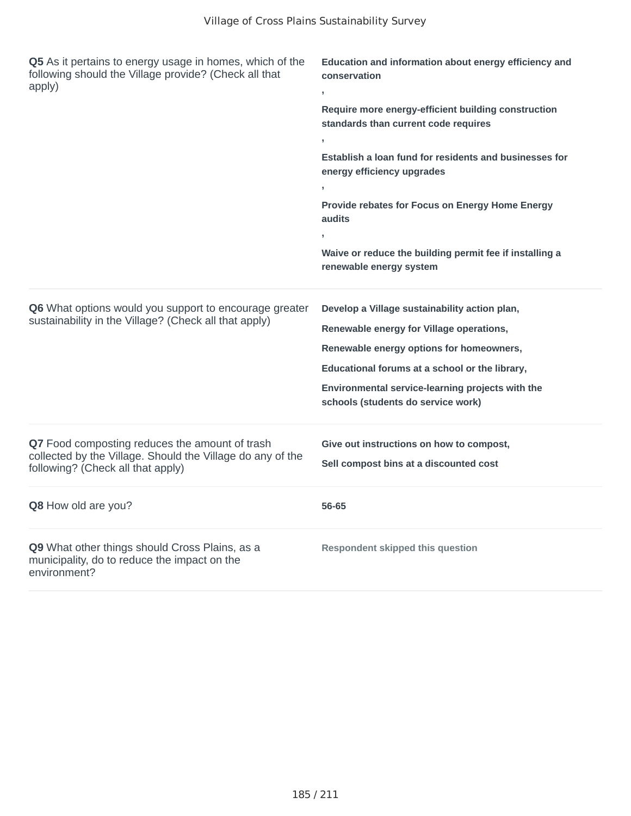| Q5 As it pertains to energy usage in homes, which of the<br>following should the Village provide? (Check all that<br>apply)                       | Education and information about energy efficiency and<br>conservation<br>Require more energy-efficient building construction<br>standards than current code requires<br>Establish a loan fund for residents and businesses for<br>energy efficiency upgrades<br>Provide rebates for Focus on Energy Home Energy<br>audits<br>Waive or reduce the building permit fee if installing a<br>renewable energy system |
|---------------------------------------------------------------------------------------------------------------------------------------------------|-----------------------------------------------------------------------------------------------------------------------------------------------------------------------------------------------------------------------------------------------------------------------------------------------------------------------------------------------------------------------------------------------------------------|
| Q6 What options would you support to encourage greater<br>sustainability in the Village? (Check all that apply)                                   | Develop a Village sustainability action plan,<br>Renewable energy for Village operations,<br>Renewable energy options for homeowners,<br>Educational forums at a school or the library,<br>Environmental service-learning projects with the<br>schools (students do service work)                                                                                                                               |
| Q7 Food composting reduces the amount of trash<br>collected by the Village. Should the Village do any of the<br>following? (Check all that apply) | Give out instructions on how to compost,<br>Sell compost bins at a discounted cost                                                                                                                                                                                                                                                                                                                              |
| Q8 How old are you?                                                                                                                               | 56-65                                                                                                                                                                                                                                                                                                                                                                                                           |
| Q9 What other things should Cross Plains, as a<br>municipality, do to reduce the impact on the<br>environment?                                    | <b>Respondent skipped this question</b>                                                                                                                                                                                                                                                                                                                                                                         |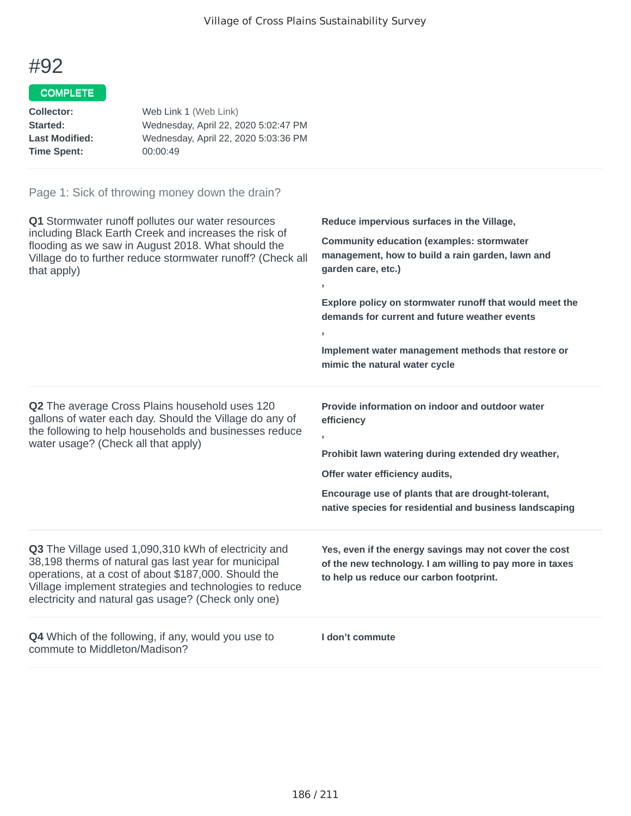### COMPLETE

| Web Link 1 (Web Link)                |
|--------------------------------------|
| Wednesday, April 22, 2020 5:02:47 PM |
| Wednesday, April 22, 2020 5:03:36 PM |
| 00:00:49                             |
|                                      |

| Q1 Stormwater runoff pollutes our water resources<br>including Black Earth Creek and increases the risk of<br>flooding as we saw in August 2018. What should the<br>Village do to further reduce stormwater runoff? (Check all<br>that apply)                                          | Reduce impervious surfaces in the Village,<br><b>Community education (examples: stormwater</b><br>management, how to build a rain garden, lawn and<br>garden care, etc.)<br>$\mathbf{r}$<br>Explore policy on stormwater runoff that would meet the<br>demands for current and future weather events<br>$\mathbf{I}$<br>Implement water management methods that restore or<br>mimic the natural water cycle |
|----------------------------------------------------------------------------------------------------------------------------------------------------------------------------------------------------------------------------------------------------------------------------------------|-------------------------------------------------------------------------------------------------------------------------------------------------------------------------------------------------------------------------------------------------------------------------------------------------------------------------------------------------------------------------------------------------------------|
| Q2 The average Cross Plains household uses 120<br>gallons of water each day. Should the Village do any of<br>the following to help households and businesses reduce<br>water usage? (Check all that apply)                                                                             | Provide information on indoor and outdoor water<br>efficiency<br>$\overline{1}$<br>Prohibit lawn watering during extended dry weather,<br>Offer water efficiency audits,<br>Encourage use of plants that are drought-tolerant,<br>native species for residential and business landscaping                                                                                                                   |
| Q3 The Village used 1,090,310 kWh of electricity and<br>38,198 therms of natural gas last year for municipal<br>operations, at a cost of about \$187,000. Should the<br>Village implement strategies and technologies to reduce<br>electricity and natural gas usage? (Check only one) | Yes, even if the energy savings may not cover the cost<br>of the new technology. I am willing to pay more in taxes<br>to help us reduce our carbon footprint.                                                                                                                                                                                                                                               |
| <b>Q4</b> Which of the following, if any, would you use to<br>commute to Middleton/Madison?                                                                                                                                                                                            | I don't commute                                                                                                                                                                                                                                                                                                                                                                                             |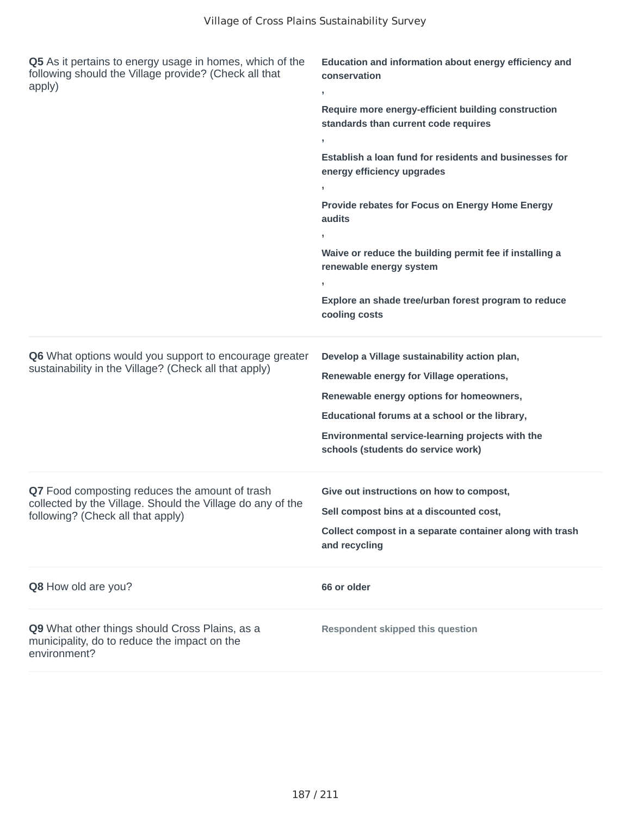| Q5 As it pertains to energy usage in homes, which of the<br>following should the Village provide? (Check all that<br>apply)                       | Education and information about energy efficiency and<br>conservation<br>,<br>Require more energy-efficient building construction<br>standards than current code requires<br>Establish a loan fund for residents and businesses for<br>energy efficiency upgrades<br>$\overline{1}$<br>Provide rebates for Focus on Energy Home Energy<br>audits<br>Waive or reduce the building permit fee if installing a<br>renewable energy system<br>Explore an shade tree/urban forest program to reduce<br>cooling costs |
|---------------------------------------------------------------------------------------------------------------------------------------------------|-----------------------------------------------------------------------------------------------------------------------------------------------------------------------------------------------------------------------------------------------------------------------------------------------------------------------------------------------------------------------------------------------------------------------------------------------------------------------------------------------------------------|
| Q6 What options would you support to encourage greater<br>sustainability in the Village? (Check all that apply)                                   | Develop a Village sustainability action plan,<br>Renewable energy for Village operations,<br>Renewable energy options for homeowners,<br>Educational forums at a school or the library,<br>Environmental service-learning projects with the<br>schools (students do service work)                                                                                                                                                                                                                               |
| Q7 Food composting reduces the amount of trash<br>collected by the Village. Should the Village do any of the<br>following? (Check all that apply) | Give out instructions on how to compost,<br>Sell compost bins at a discounted cost,<br>Collect compost in a separate container along with trash<br>and recycling                                                                                                                                                                                                                                                                                                                                                |
| Q8 How old are you?                                                                                                                               | 66 or older                                                                                                                                                                                                                                                                                                                                                                                                                                                                                                     |
| Q9 What other things should Cross Plains, as a<br>municipality, do to reduce the impact on the<br>environment?                                    | <b>Respondent skipped this question</b>                                                                                                                                                                                                                                                                                                                                                                                                                                                                         |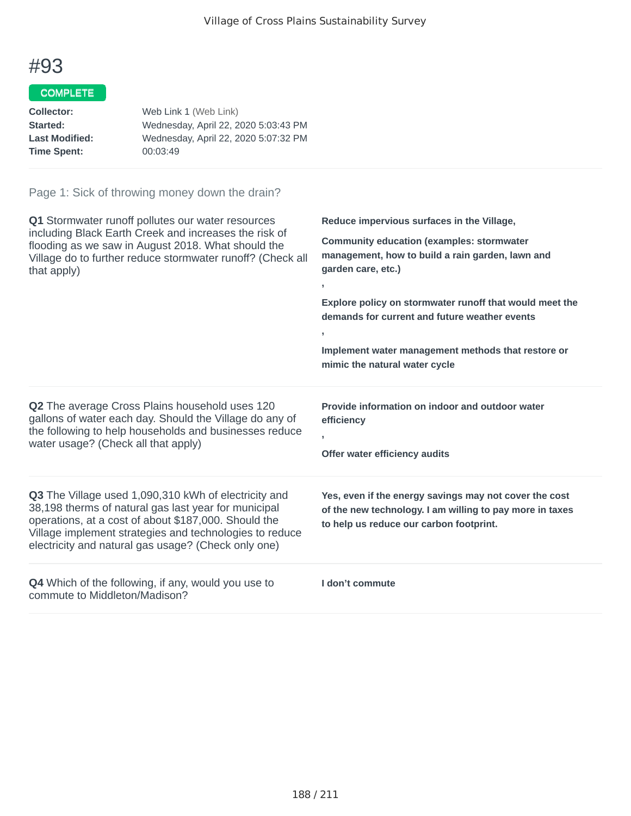### COMPLETE

| Web Link 1 (Web Link)                |
|--------------------------------------|
| Wednesday, April 22, 2020 5:03:43 PM |
| Wednesday, April 22, 2020 5:07:32 PM |
| 00:03:49                             |
|                                      |

| <b>Q1</b> Stormwater runoff pollutes our water resources<br>including Black Earth Creek and increases the risk of<br>flooding as we saw in August 2018. What should the<br>Village do to further reduce stormwater runoff? (Check all<br>that apply)                                   | Reduce impervious surfaces in the Village,<br><b>Community education (examples: stormwater</b><br>management, how to build a rain garden, lawn and<br>garden care, etc.)<br>$\overline{1}$<br>Explore policy on stormwater runoff that would meet the<br>demands for current and future weather events<br>Implement water management methods that restore or<br>mimic the natural water cycle |
|----------------------------------------------------------------------------------------------------------------------------------------------------------------------------------------------------------------------------------------------------------------------------------------|-----------------------------------------------------------------------------------------------------------------------------------------------------------------------------------------------------------------------------------------------------------------------------------------------------------------------------------------------------------------------------------------------|
| Q2 The average Cross Plains household uses 120<br>gallons of water each day. Should the Village do any of<br>the following to help households and businesses reduce<br>water usage? (Check all that apply)                                                                             | Provide information on indoor and outdoor water<br>efficiency<br>Offer water efficiency audits                                                                                                                                                                                                                                                                                                |
| Q3 The Village used 1,090,310 kWh of electricity and<br>38,198 therms of natural gas last year for municipal<br>operations, at a cost of about \$187,000. Should the<br>Village implement strategies and technologies to reduce<br>electricity and natural gas usage? (Check only one) | Yes, even if the energy savings may not cover the cost<br>of the new technology. I am willing to pay more in taxes<br>to help us reduce our carbon footprint.                                                                                                                                                                                                                                 |
| <b>Q4</b> Which of the following, if any, would you use to<br>commute to Middleton/Madison?                                                                                                                                                                                            | I don't commute                                                                                                                                                                                                                                                                                                                                                                               |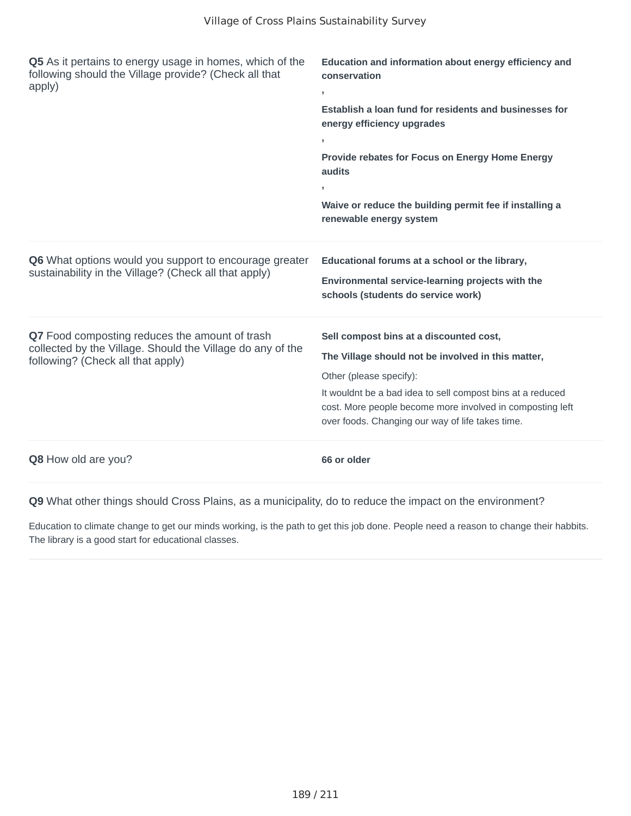| Q5 As it pertains to energy usage in homes, which of the<br>following should the Village provide? (Check all that<br>apply)                       | Education and information about energy efficiency and<br>conservation<br>y.<br>Establish a loan fund for residents and businesses for<br>energy efficiency upgrades<br>Provide rebates for Focus on Energy Home Energy<br>audits<br>Waive or reduce the building permit fee if installing a<br>renewable energy system |
|---------------------------------------------------------------------------------------------------------------------------------------------------|------------------------------------------------------------------------------------------------------------------------------------------------------------------------------------------------------------------------------------------------------------------------------------------------------------------------|
| <b>Q6</b> What options would you support to encourage greater<br>sustainability in the Village? (Check all that apply)                            | Educational forums at a school or the library,<br>Environmental service-learning projects with the<br>schools (students do service work)                                                                                                                                                                               |
| Q7 Food composting reduces the amount of trash<br>collected by the Village. Should the Village do any of the<br>following? (Check all that apply) | Sell compost bins at a discounted cost,<br>The Village should not be involved in this matter,<br>Other (please specify):<br>It wouldnt be a bad idea to sell compost bins at a reduced<br>cost. More people become more involved in composting left<br>over foods. Changing our way of life takes time.                |
| Q8 How old are you?                                                                                                                               | 66 or older                                                                                                                                                                                                                                                                                                            |

Education to climate change to get our minds working, is the path to get this job done. People need a reason to change their habbits. The library is a good start for educational classes.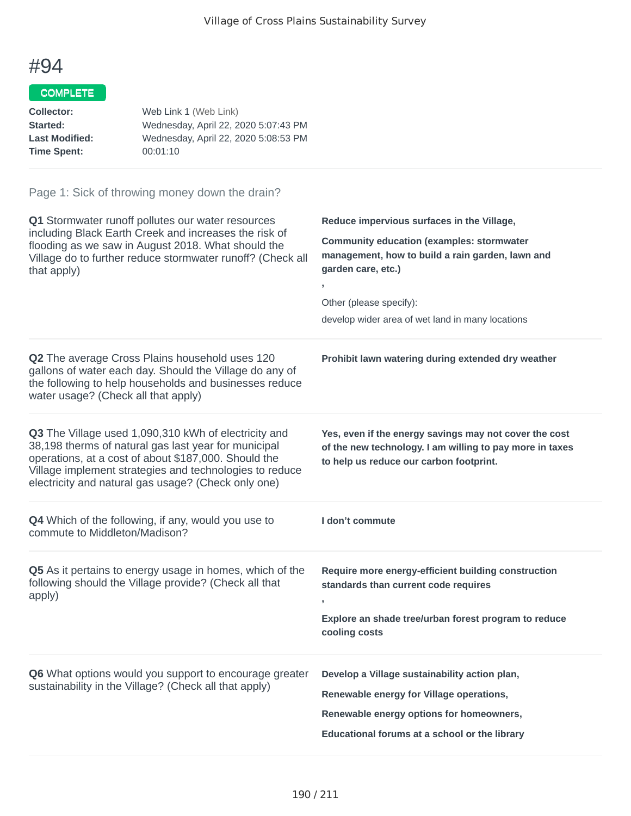## COMPLETE

| Web Link 1 (Web Link)                |
|--------------------------------------|
| Wednesday, April 22, 2020 5:07:43 PM |
| Wednesday, April 22, 2020 5:08:53 PM |
| 00:01:10                             |
|                                      |

| Q1 Stormwater runoff pollutes our water resources<br>including Black Earth Creek and increases the risk of<br>flooding as we saw in August 2018. What should the<br>Village do to further reduce stormwater runoff? (Check all<br>that apply)                                          | Reduce impervious surfaces in the Village,<br><b>Community education (examples: stormwater</b><br>management, how to build a rain garden, lawn and<br>garden care, etc.)<br>Other (please specify):<br>develop wider area of wet land in many locations |
|----------------------------------------------------------------------------------------------------------------------------------------------------------------------------------------------------------------------------------------------------------------------------------------|---------------------------------------------------------------------------------------------------------------------------------------------------------------------------------------------------------------------------------------------------------|
| Q2 The average Cross Plains household uses 120<br>gallons of water each day. Should the Village do any of<br>the following to help households and businesses reduce<br>water usage? (Check all that apply)                                                                             | Prohibit lawn watering during extended dry weather                                                                                                                                                                                                      |
| Q3 The Village used 1,090,310 kWh of electricity and<br>38,198 therms of natural gas last year for municipal<br>operations, at a cost of about \$187,000. Should the<br>Village implement strategies and technologies to reduce<br>electricity and natural gas usage? (Check only one) | Yes, even if the energy savings may not cover the cost<br>of the new technology. I am willing to pay more in taxes<br>to help us reduce our carbon footprint.                                                                                           |
| Q4 Which of the following, if any, would you use to<br>commute to Middleton/Madison?                                                                                                                                                                                                   | I don't commute                                                                                                                                                                                                                                         |
| Q5 As it pertains to energy usage in homes, which of the<br>following should the Village provide? (Check all that<br>apply)                                                                                                                                                            | Require more energy-efficient building construction<br>standards than current code requires<br>Explore an shade tree/urban forest program to reduce<br>cooling costs                                                                                    |
| Q6 What options would you support to encourage greater<br>sustainability in the Village? (Check all that apply)                                                                                                                                                                        | Develop a Village sustainability action plan,<br>Renewable energy for Village operations,<br>Renewable energy options for homeowners,<br>Educational forums at a school or the library                                                                  |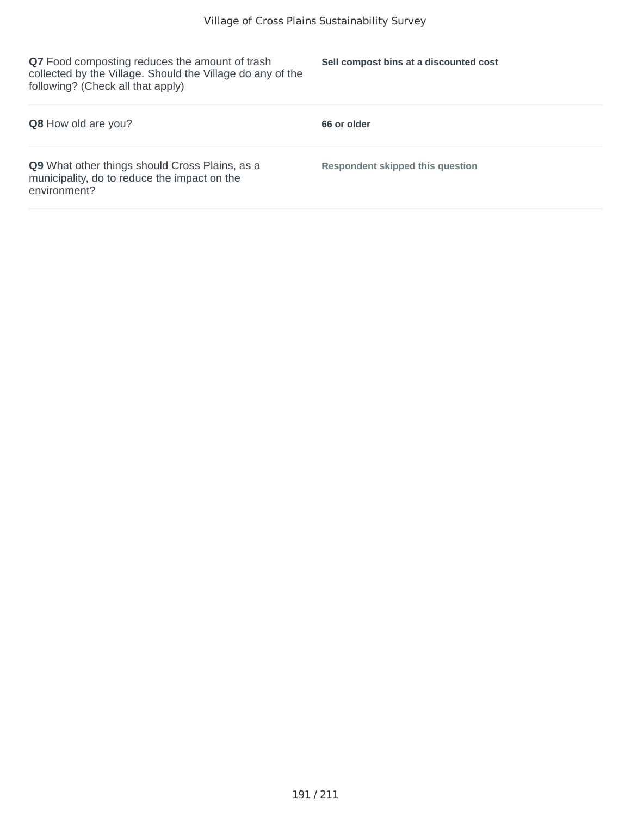**Q7** Food composting reduces the amount of trash collected by the Village. Should the Village do any of the following? (Check all that apply)

**Sell compost bins at a discounted cost**

| <b>Q8</b> How old are you?                                                                                     | 66 or older                             |
|----------------------------------------------------------------------------------------------------------------|-----------------------------------------|
| Q9 What other things should Cross Plains, as a<br>municipality, do to reduce the impact on the<br>environment? | <b>Respondent skipped this question</b> |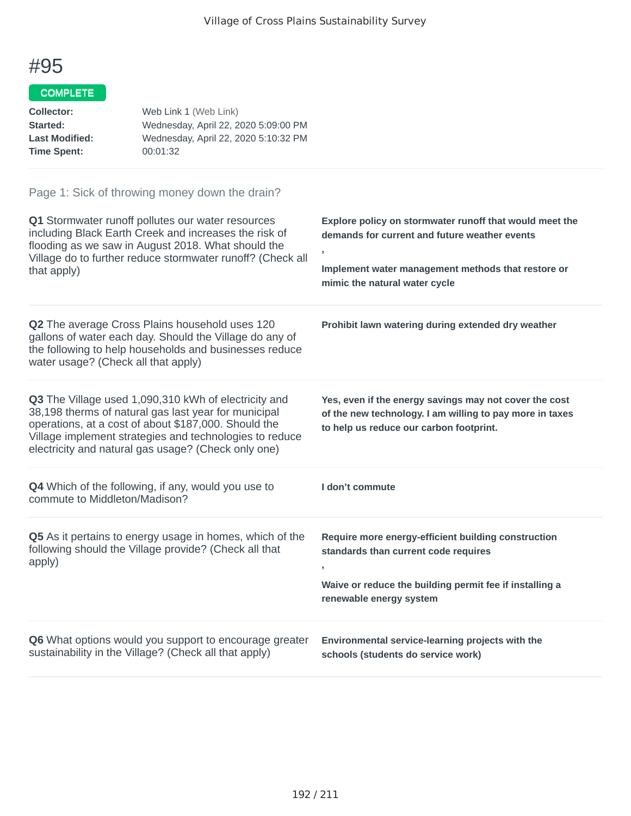### COMPLETE

| Web Link 1 (Web Link)                |
|--------------------------------------|
| Wednesday, April 22, 2020 5:09:00 PM |
| Wednesday, April 22, 2020 5:10:32 PM |
| 00:01:32                             |
|                                      |

| Q1 Stormwater runoff pollutes our water resources<br>including Black Earth Creek and increases the risk of<br>flooding as we saw in August 2018. What should the<br>Village do to further reduce stormwater runoff? (Check all<br>that apply)                                          | Explore policy on stormwater runoff that would meet the<br>demands for current and future weather events<br>э.<br>Implement water management methods that restore or<br>mimic the natural water cycle |
|----------------------------------------------------------------------------------------------------------------------------------------------------------------------------------------------------------------------------------------------------------------------------------------|-------------------------------------------------------------------------------------------------------------------------------------------------------------------------------------------------------|
| Q2 The average Cross Plains household uses 120<br>gallons of water each day. Should the Village do any of<br>the following to help households and businesses reduce<br>water usage? (Check all that apply)                                                                             | Prohibit lawn watering during extended dry weather                                                                                                                                                    |
| Q3 The Village used 1,090,310 kWh of electricity and<br>38,198 therms of natural gas last year for municipal<br>operations, at a cost of about \$187,000. Should the<br>Village implement strategies and technologies to reduce<br>electricity and natural gas usage? (Check only one) | Yes, even if the energy savings may not cover the cost<br>of the new technology. I am willing to pay more in taxes<br>to help us reduce our carbon footprint.                                         |
| <b>Q4</b> Which of the following, if any, would you use to<br>commute to Middleton/Madison?                                                                                                                                                                                            | I don't commute                                                                                                                                                                                       |
| Q5 As it pertains to energy usage in homes, which of the<br>following should the Village provide? (Check all that<br>apply)                                                                                                                                                            | Require more energy-efficient building construction<br>standards than current code requires<br>y.<br>Waive or reduce the building permit fee if installing a<br>renewable energy system               |
| Q6 What options would you support to encourage greater<br>sustainability in the Village? (Check all that apply)                                                                                                                                                                        | Environmental service-learning projects with the<br>schools (students do service work)                                                                                                                |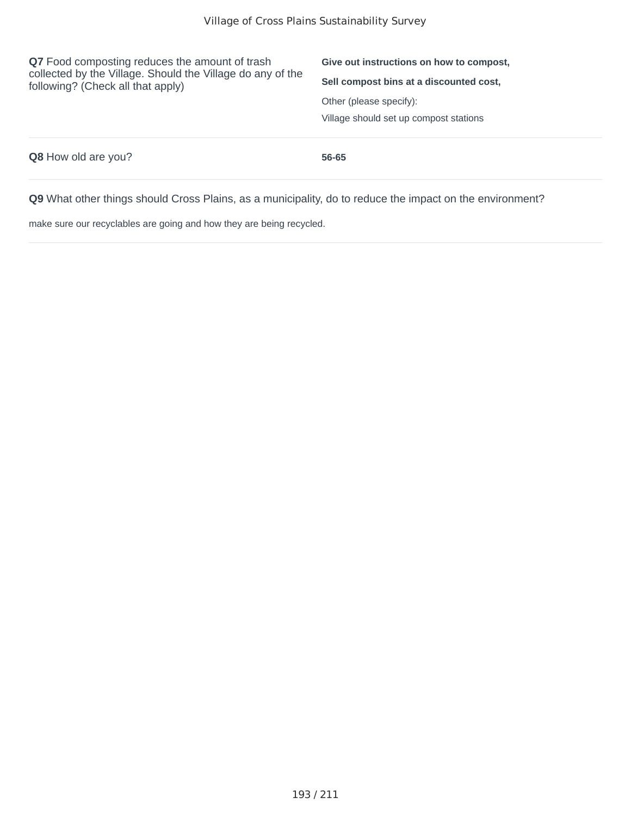| Q7 Food composting reduces the amount of trash<br>collected by the Village. Should the Village do any of the<br>following? (Check all that apply) | Give out instructions on how to compost.<br>Sell compost bins at a discounted cost, |
|---------------------------------------------------------------------------------------------------------------------------------------------------|-------------------------------------------------------------------------------------|
|                                                                                                                                                   | Other (please specify):<br>Village should set up compost stations                   |
| <b>Q8</b> How old are you?                                                                                                                        | 56-65                                                                               |

make sure our recyclables are going and how they are being recycled.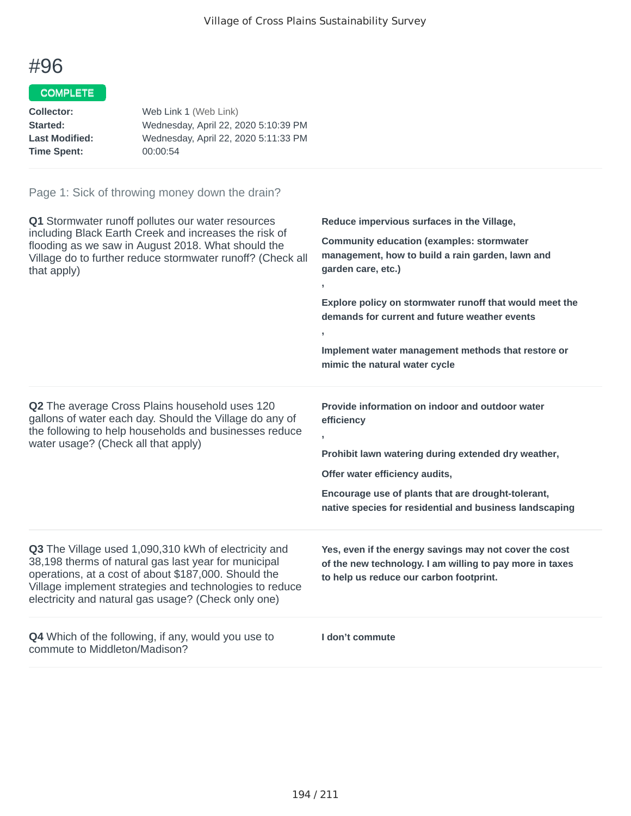### COMPLETE

| Collector:            | Web Link 1 (Web Link)                |
|-----------------------|--------------------------------------|
| Started:              | Wednesday, April 22, 2020 5:10:39 PM |
| <b>Last Modified:</b> | Wednesday, April 22, 2020 5:11:33 PM |
| <b>Time Spent:</b>    | 00:00:54                             |
|                       |                                      |

| Q1 Stormwater runoff pollutes our water resources<br>including Black Earth Creek and increases the risk of<br>flooding as we saw in August 2018. What should the<br>Village do to further reduce stormwater runoff? (Check all<br>that apply)                                          | Reduce impervious surfaces in the Village,<br><b>Community education (examples: stormwater</b><br>management, how to build a rain garden, lawn and<br>garden care, etc.)<br>$\overline{1}$<br>Explore policy on stormwater runoff that would meet the<br>demands for current and future weather events<br>$\mathbf{r}$<br>Implement water management methods that restore or<br>mimic the natural water cycle |
|----------------------------------------------------------------------------------------------------------------------------------------------------------------------------------------------------------------------------------------------------------------------------------------|---------------------------------------------------------------------------------------------------------------------------------------------------------------------------------------------------------------------------------------------------------------------------------------------------------------------------------------------------------------------------------------------------------------|
| Q2 The average Cross Plains household uses 120<br>gallons of water each day. Should the Village do any of<br>the following to help households and businesses reduce<br>water usage? (Check all that apply)                                                                             | Provide information on indoor and outdoor water<br>efficiency<br>$\overline{1}$<br>Prohibit lawn watering during extended dry weather,<br>Offer water efficiency audits,<br>Encourage use of plants that are drought-tolerant,<br>native species for residential and business landscaping                                                                                                                     |
| Q3 The Village used 1,090,310 kWh of electricity and<br>38,198 therms of natural gas last year for municipal<br>operations, at a cost of about \$187,000. Should the<br>Village implement strategies and technologies to reduce<br>electricity and natural gas usage? (Check only one) | Yes, even if the energy savings may not cover the cost<br>of the new technology. I am willing to pay more in taxes<br>to help us reduce our carbon footprint.                                                                                                                                                                                                                                                 |
| <b>Q4</b> Which of the following, if any, would you use to<br>commute to Middleton/Madison?                                                                                                                                                                                            | I don't commute                                                                                                                                                                                                                                                                                                                                                                                               |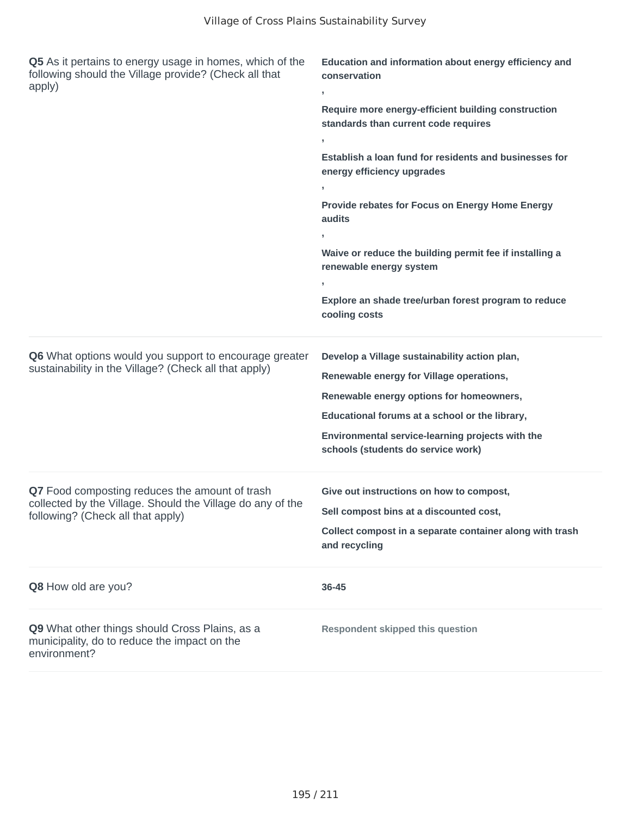| Q5 As it pertains to energy usage in homes, which of the<br>following should the Village provide? (Check all that<br>apply)                       | Education and information about energy efficiency and<br>conservation<br>,<br>Require more energy-efficient building construction<br>standards than current code requires<br>Establish a loan fund for residents and businesses for<br>energy efficiency upgrades<br>Provide rebates for Focus on Energy Home Energy<br>audits<br>Waive or reduce the building permit fee if installing a<br>renewable energy system<br>Explore an shade tree/urban forest program to reduce<br>cooling costs |
|---------------------------------------------------------------------------------------------------------------------------------------------------|-----------------------------------------------------------------------------------------------------------------------------------------------------------------------------------------------------------------------------------------------------------------------------------------------------------------------------------------------------------------------------------------------------------------------------------------------------------------------------------------------|
| Q6 What options would you support to encourage greater<br>sustainability in the Village? (Check all that apply)                                   | Develop a Village sustainability action plan,<br>Renewable energy for Village operations,<br>Renewable energy options for homeowners,<br>Educational forums at a school or the library,<br>Environmental service-learning projects with the<br>schools (students do service work)                                                                                                                                                                                                             |
| Q7 Food composting reduces the amount of trash<br>collected by the Village. Should the Village do any of the<br>following? (Check all that apply) | Give out instructions on how to compost,<br>Sell compost bins at a discounted cost,<br>Collect compost in a separate container along with trash<br>and recycling                                                                                                                                                                                                                                                                                                                              |
| Q8 How old are you?                                                                                                                               | 36-45                                                                                                                                                                                                                                                                                                                                                                                                                                                                                         |
| Q9 What other things should Cross Plains, as a<br>municipality, do to reduce the impact on the<br>environment?                                    | <b>Respondent skipped this question</b>                                                                                                                                                                                                                                                                                                                                                                                                                                                       |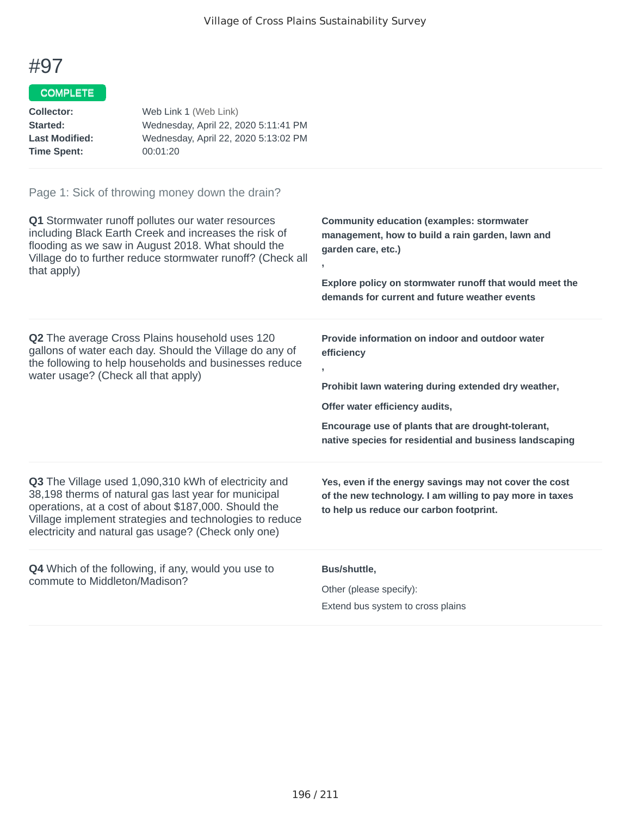# COMPLETE

| Collector:            | Web Link 1 (Web Link)                |
|-----------------------|--------------------------------------|
| Started:              | Wednesday, April 22, 2020 5:11:41 PM |
| <b>Last Modified:</b> | Wednesday, April 22, 2020 5:13:02 PM |
| <b>Time Spent:</b>    | 00:01:20                             |

| Q1 Stormwater runoff pollutes our water resources<br>including Black Earth Creek and increases the risk of<br>flooding as we saw in August 2018. What should the<br>Village do to further reduce stormwater runoff? (Check all<br>that apply)                                          | <b>Community education (examples: stormwater</b><br>management, how to build a rain garden, lawn and<br>garden care, etc.)<br>$\mathbf{I}$<br>Explore policy on stormwater runoff that would meet the<br>demands for current and future weather events                                  |
|----------------------------------------------------------------------------------------------------------------------------------------------------------------------------------------------------------------------------------------------------------------------------------------|-----------------------------------------------------------------------------------------------------------------------------------------------------------------------------------------------------------------------------------------------------------------------------------------|
| <b>Q2</b> The average Cross Plains household uses 120<br>gallons of water each day. Should the Village do any of<br>the following to help households and businesses reduce<br>water usage? (Check all that apply)                                                                      | Provide information on indoor and outdoor water<br>efficiency<br>$\mathbf{I}$<br>Prohibit lawn watering during extended dry weather,<br>Offer water efficiency audits,<br>Encourage use of plants that are drought-tolerant,<br>native species for residential and business landscaping |
| Q3 The Village used 1,090,310 kWh of electricity and<br>38,198 therms of natural gas last year for municipal<br>operations, at a cost of about \$187,000. Should the<br>Village implement strategies and technologies to reduce<br>electricity and natural gas usage? (Check only one) | Yes, even if the energy savings may not cover the cost<br>of the new technology. I am willing to pay more in taxes<br>to help us reduce our carbon footprint.                                                                                                                           |
| Q4 Which of the following, if any, would you use to<br>commute to Middleton/Madison?                                                                                                                                                                                                   | Bus/shuttle,<br>Other (please specify):<br>Extend bus system to cross plains                                                                                                                                                                                                            |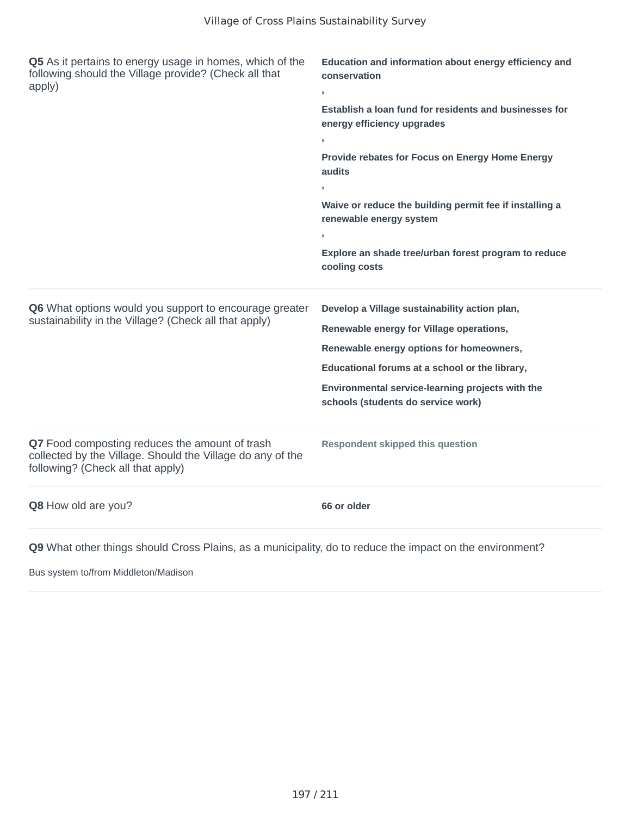| Q5 As it pertains to energy usage in homes, which of the<br>following should the Village provide? (Check all that<br>apply)                       | Education and information about energy efficiency and<br>conservation                     |
|---------------------------------------------------------------------------------------------------------------------------------------------------|-------------------------------------------------------------------------------------------|
|                                                                                                                                                   | Establish a loan fund for residents and businesses for<br>energy efficiency upgrades<br>y |
|                                                                                                                                                   | Provide rebates for Focus on Energy Home Energy<br>audits                                 |
|                                                                                                                                                   | Waive or reduce the building permit fee if installing a<br>renewable energy system        |
|                                                                                                                                                   | Explore an shade tree/urban forest program to reduce<br>cooling costs                     |
| Q6 What options would you support to encourage greater                                                                                            | Develop a Village sustainability action plan,                                             |
| sustainability in the Village? (Check all that apply)                                                                                             | Renewable energy for Village operations,                                                  |
|                                                                                                                                                   | Renewable energy options for homeowners,                                                  |
|                                                                                                                                                   | Educational forums at a school or the library,                                            |
|                                                                                                                                                   | Environmental service-learning projects with the<br>schools (students do service work)    |
| Q7 Food composting reduces the amount of trash<br>collected by the Village. Should the Village do any of the<br>following? (Check all that apply) | <b>Respondent skipped this question</b>                                                   |
| Q8 How old are you?                                                                                                                               | 66 or older                                                                               |
| Q9 What other things should Cross Plains, as a municipality, do to reduce the impact on the environment?                                          |                                                                                           |

Bus system to/from Middleton/Madison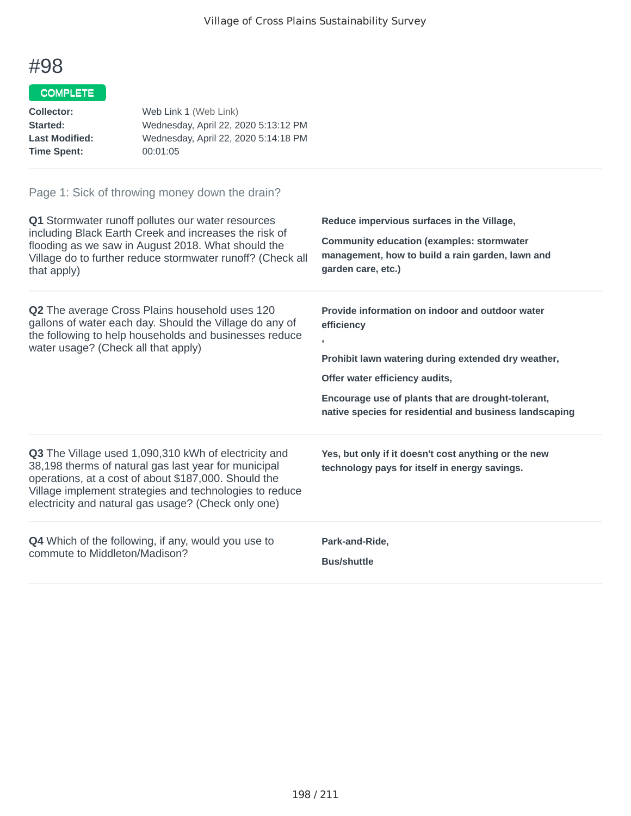#### COMPLETE

| <b>Collector:</b><br>Started:<br><b>Last Modified:</b><br><b>Time Spent:</b>                                                                                                                                      | Web Link 1 (Web Link)<br>Wednesday, April 22, 2020 5:13:12 PM<br>Wednesday, April 22, 2020 5:14:18 PM<br>00:01:05                                                                                                                                                                      |                                                                                                                                                                          |
|-------------------------------------------------------------------------------------------------------------------------------------------------------------------------------------------------------------------|----------------------------------------------------------------------------------------------------------------------------------------------------------------------------------------------------------------------------------------------------------------------------------------|--------------------------------------------------------------------------------------------------------------------------------------------------------------------------|
|                                                                                                                                                                                                                   | Page 1: Sick of throwing money down the drain?                                                                                                                                                                                                                                         |                                                                                                                                                                          |
| that apply)                                                                                                                                                                                                       | Q1 Stormwater runoff pollutes our water resources<br>including Black Earth Creek and increases the risk of<br>flooding as we saw in August 2018. What should the<br>Village do to further reduce stormwater runoff? (Check all                                                         | Reduce impervious surfaces in the Village,<br><b>Community education (examples: stormwater</b><br>management, how to build a rain garden, lawn and<br>garden care, etc.) |
| <b>Q2</b> The average Cross Plains household uses 120<br>gallons of water each day. Should the Village do any of<br>the following to help households and businesses reduce<br>water usage? (Check all that apply) |                                                                                                                                                                                                                                                                                        | Provide information on indoor and outdoor water<br>efficiency<br>y<br>Prohibit lawn watering during extended dry weather,<br>Offer water efficiency audits,              |
|                                                                                                                                                                                                                   | Encourage use of plants that are drought-tolerant,<br>native species for residential and business landscaping                                                                                                                                                                          |                                                                                                                                                                          |
|                                                                                                                                                                                                                   | Q3 The Village used 1,090,310 kWh of electricity and<br>38,198 therms of natural gas last year for municipal<br>operations, at a cost of about \$187,000. Should the<br>Village implement strategies and technologies to reduce<br>electricity and natural gas usage? (Check only one) | Yes, but only if it doesn't cost anything or the new<br>technology pays for itself in energy savings.                                                                    |

**Q4** Which of the following, if any, would you use to commute to Middleton/Madison?

**Park-and-Ride,**

**Bus/shuttle**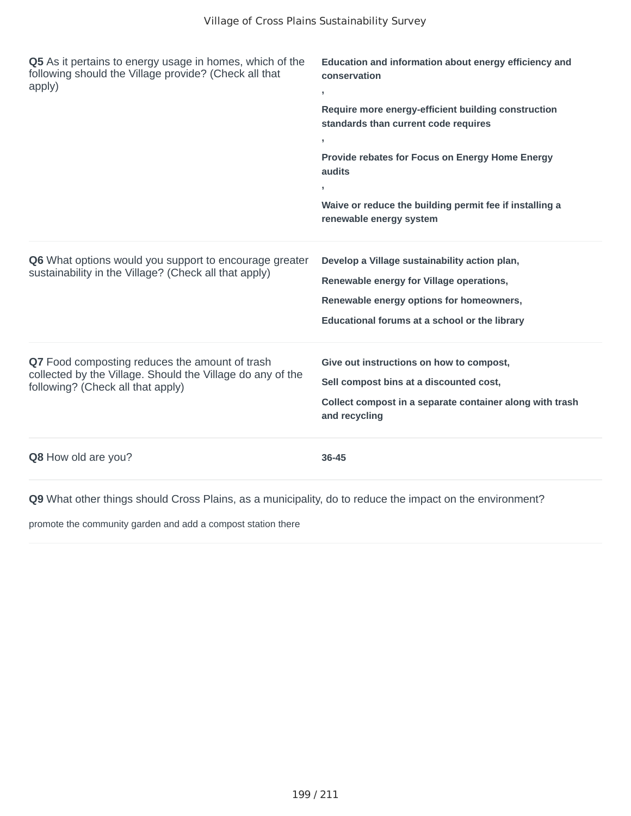| Q5 As it pertains to energy usage in homes, which of the<br>following should the Village provide? (Check all that<br>apply)                       | Education and information about energy efficiency and<br>conservation<br>$\,$<br>Require more energy-efficient building construction<br>standards than current code requires<br>У.<br>Provide rebates for Focus on Energy Home Energy<br>audits<br>×.<br>Waive or reduce the building permit fee if installing a<br>renewable energy system |
|---------------------------------------------------------------------------------------------------------------------------------------------------|---------------------------------------------------------------------------------------------------------------------------------------------------------------------------------------------------------------------------------------------------------------------------------------------------------------------------------------------|
| Q6 What options would you support to encourage greater<br>sustainability in the Village? (Check all that apply)                                   | Develop a Village sustainability action plan,<br>Renewable energy for Village operations,<br>Renewable energy options for homeowners,<br>Educational forums at a school or the library                                                                                                                                                      |
| Q7 Food composting reduces the amount of trash<br>collected by the Village. Should the Village do any of the<br>following? (Check all that apply) | Give out instructions on how to compost,<br>Sell compost bins at a discounted cost,<br>Collect compost in a separate container along with trash<br>and recycling                                                                                                                                                                            |
| Q8 How old are you?                                                                                                                               | 36-45                                                                                                                                                                                                                                                                                                                                       |

promote the community garden and add a compost station there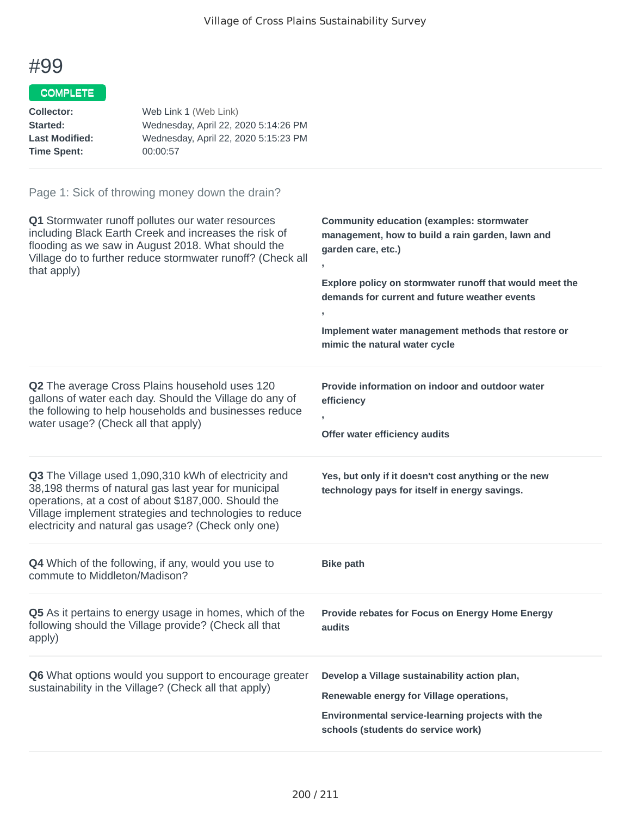### COMPLETE

| Web Link 1 (Web Link)                |
|--------------------------------------|
| Wednesday, April 22, 2020 5:14:26 PM |
| Wednesday, April 22, 2020 5:15:23 PM |
| 00:00:57                             |
|                                      |

| Q1 Stormwater runoff pollutes our water resources<br>including Black Earth Creek and increases the risk of<br>flooding as we saw in August 2018. What should the<br>Village do to further reduce stormwater runoff? (Check all<br>that apply)                                          | <b>Community education (examples: stormwater</b><br>management, how to build a rain garden, lawn and<br>garden care, etc.)<br>Explore policy on stormwater runoff that would meet the<br>demands for current and future weather events<br>$\overline{ }$<br>Implement water management methods that restore or<br>mimic the natural water cycle |
|----------------------------------------------------------------------------------------------------------------------------------------------------------------------------------------------------------------------------------------------------------------------------------------|-------------------------------------------------------------------------------------------------------------------------------------------------------------------------------------------------------------------------------------------------------------------------------------------------------------------------------------------------|
| Q2 The average Cross Plains household uses 120<br>gallons of water each day. Should the Village do any of<br>the following to help households and businesses reduce<br>water usage? (Check all that apply)                                                                             | Provide information on indoor and outdoor water<br>efficiency<br>Offer water efficiency audits                                                                                                                                                                                                                                                  |
| Q3 The Village used 1,090,310 kWh of electricity and<br>38,198 therms of natural gas last year for municipal<br>operations, at a cost of about \$187,000. Should the<br>Village implement strategies and technologies to reduce<br>electricity and natural gas usage? (Check only one) | Yes, but only if it doesn't cost anything or the new<br>technology pays for itself in energy savings.                                                                                                                                                                                                                                           |
| Q4 Which of the following, if any, would you use to<br>commute to Middleton/Madison?                                                                                                                                                                                                   | <b>Bike path</b>                                                                                                                                                                                                                                                                                                                                |
| Q5 As it pertains to energy usage in homes, which of the<br>following should the Village provide? (Check all that<br>apply)                                                                                                                                                            | Provide rebates for Focus on Energy Home Energy<br>audits                                                                                                                                                                                                                                                                                       |
| Q6 What options would you support to encourage greater<br>sustainability in the Village? (Check all that apply)                                                                                                                                                                        | Develop a Village sustainability action plan,<br>Renewable energy for Village operations,<br>Environmental service-learning projects with the<br>schools (students do service work)                                                                                                                                                             |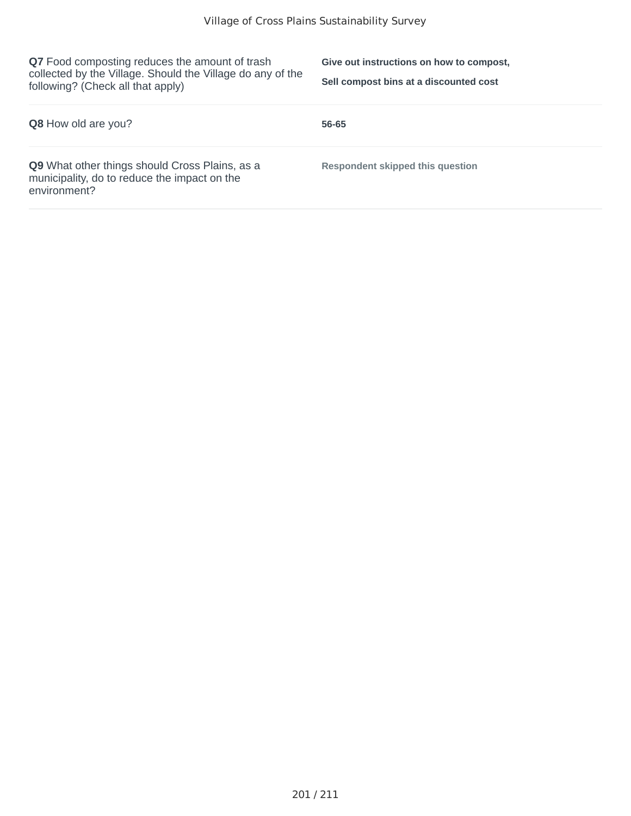**Q7** Food composting reduces the amount of trash collected by the Village. Should the Village do any of the following? (Check all that apply)

**Give out instructions on how to compost, Sell compost bins at a discounted cost**

| <b>Q8</b> How old are you?                                                                                     | 56-65                                   |
|----------------------------------------------------------------------------------------------------------------|-----------------------------------------|
| Q9 What other things should Cross Plains, as a<br>municipality, do to reduce the impact on the<br>environment? | <b>Respondent skipped this question</b> |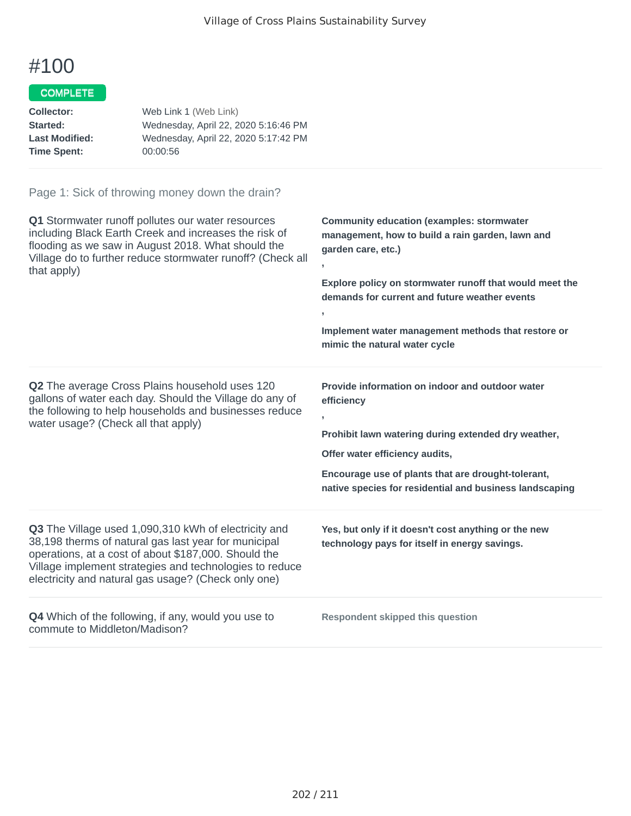### COMPLETE

| Collector:            | Web Link 1 (Web Link)                |
|-----------------------|--------------------------------------|
| Started:              | Wednesday, April 22, 2020 5:16:46 PM |
| <b>Last Modified:</b> | Wednesday, April 22, 2020 5:17:42 PM |
| <b>Time Spent:</b>    | 00:00:56                             |
|                       |                                      |

| Q1 Stormwater runoff pollutes our water resources<br>including Black Earth Creek and increases the risk of<br>flooding as we saw in August 2018. What should the<br>Village do to further reduce stormwater runoff? (Check all<br>that apply)                                          | <b>Community education (examples: stormwater</b><br>management, how to build a rain garden, lawn and<br>garden care, etc.)<br>Explore policy on stormwater runoff that would meet the<br>demands for current and future weather events<br>y.<br>Implement water management methods that restore or<br>mimic the natural water cycle |
|----------------------------------------------------------------------------------------------------------------------------------------------------------------------------------------------------------------------------------------------------------------------------------------|-------------------------------------------------------------------------------------------------------------------------------------------------------------------------------------------------------------------------------------------------------------------------------------------------------------------------------------|
| <b>Q2</b> The average Cross Plains household uses 120<br>gallons of water each day. Should the Village do any of<br>the following to help households and businesses reduce<br>water usage? (Check all that apply)                                                                      | Provide information on indoor and outdoor water<br>efficiency<br>Prohibit lawn watering during extended dry weather,<br>Offer water efficiency audits,<br>Encourage use of plants that are drought-tolerant,<br>native species for residential and business landscaping                                                             |
| Q3 The Village used 1,090,310 kWh of electricity and<br>38,198 therms of natural gas last year for municipal<br>operations, at a cost of about \$187,000. Should the<br>Village implement strategies and technologies to reduce<br>electricity and natural gas usage? (Check only one) | Yes, but only if it doesn't cost anything or the new<br>technology pays for itself in energy savings.                                                                                                                                                                                                                               |
| <b>Q4</b> Which of the following, if any, would you use to<br>commute to Middleton/Madison?                                                                                                                                                                                            | <b>Respondent skipped this question</b>                                                                                                                                                                                                                                                                                             |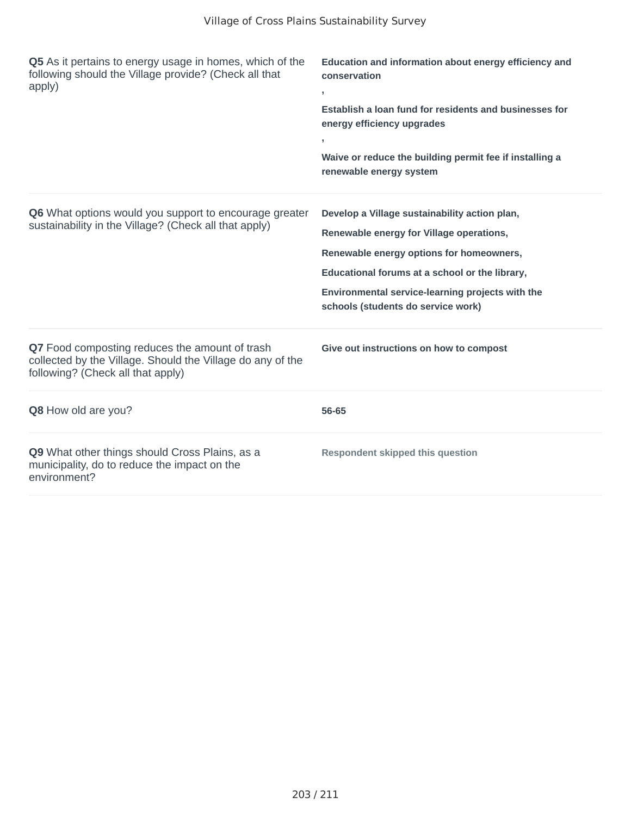| Q5 As it pertains to energy usage in homes, which of the<br>following should the Village provide? (Check all that<br>apply)                       | Education and information about energy efficiency and<br>conservation                            |  |
|---------------------------------------------------------------------------------------------------------------------------------------------------|--------------------------------------------------------------------------------------------------|--|
|                                                                                                                                                   | J.<br>Establish a loan fund for residents and businesses for<br>energy efficiency upgrades<br>y. |  |
|                                                                                                                                                   | Waive or reduce the building permit fee if installing a<br>renewable energy system               |  |
| Q6 What options would you support to encourage greater                                                                                            | Develop a Village sustainability action plan,                                                    |  |
| sustainability in the Village? (Check all that apply)                                                                                             | Renewable energy for Village operations,                                                         |  |
|                                                                                                                                                   | Renewable energy options for homeowners,                                                         |  |
|                                                                                                                                                   | Educational forums at a school or the library,                                                   |  |
|                                                                                                                                                   | Environmental service-learning projects with the<br>schools (students do service work)           |  |
| Q7 Food composting reduces the amount of trash<br>collected by the Village. Should the Village do any of the<br>following? (Check all that apply) | Give out instructions on how to compost                                                          |  |
| Q8 How old are you?                                                                                                                               | 56-65                                                                                            |  |
| Q9 What other things should Cross Plains, as a<br>municipality, do to reduce the impact on the<br>environment?                                    | <b>Respondent skipped this question</b>                                                          |  |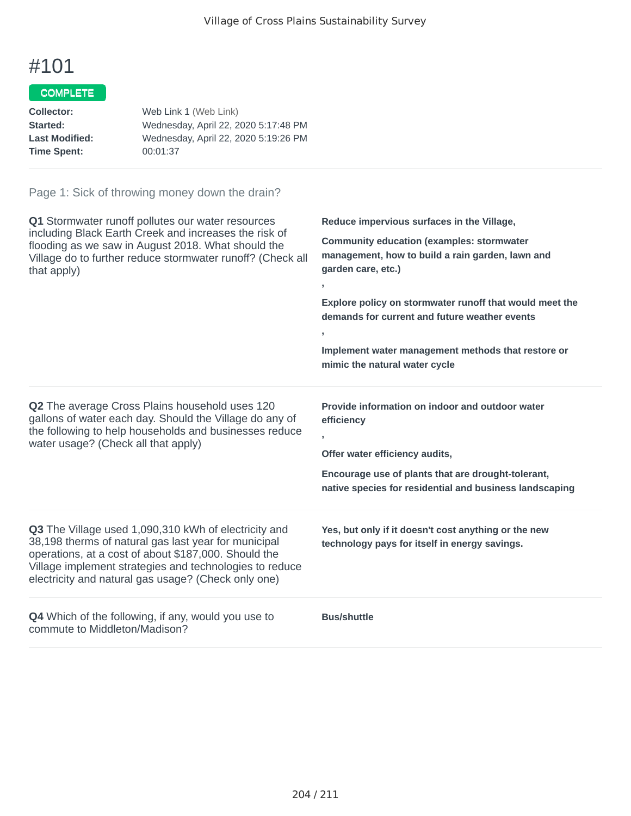### COMPLETE

| Web Link 1 (Web Link)                |
|--------------------------------------|
| Wednesday, April 22, 2020 5:17:48 PM |
| Wednesday, April 22, 2020 5:19:26 PM |
| 00:01:37                             |
|                                      |

| Q1 Stormwater runoff pollutes our water resources<br>including Black Earth Creek and increases the risk of<br>flooding as we saw in August 2018. What should the<br>Village do to further reduce stormwater runoff? (Check all<br>that apply)                                          | Reduce impervious surfaces in the Village,<br><b>Community education (examples: stormwater</b><br>management, how to build a rain garden, lawn and<br>garden care, etc.)<br>Explore policy on stormwater runoff that would meet the<br>demands for current and future weather events<br>Implement water management methods that restore or<br>mimic the natural water cycle |
|----------------------------------------------------------------------------------------------------------------------------------------------------------------------------------------------------------------------------------------------------------------------------------------|-----------------------------------------------------------------------------------------------------------------------------------------------------------------------------------------------------------------------------------------------------------------------------------------------------------------------------------------------------------------------------|
| Q2 The average Cross Plains household uses 120<br>gallons of water each day. Should the Village do any of<br>the following to help households and businesses reduce<br>water usage? (Check all that apply)                                                                             | Provide information on indoor and outdoor water<br>efficiency<br>Offer water efficiency audits,<br>Encourage use of plants that are drought-tolerant,<br>native species for residential and business landscaping                                                                                                                                                            |
| Q3 The Village used 1,090,310 kWh of electricity and<br>38,198 therms of natural gas last year for municipal<br>operations, at a cost of about \$187,000. Should the<br>Village implement strategies and technologies to reduce<br>electricity and natural gas usage? (Check only one) | Yes, but only if it doesn't cost anything or the new<br>technology pays for itself in energy savings.                                                                                                                                                                                                                                                                       |
| <b>Q4</b> Which of the following, if any, would you use to<br>commute to Middleton/Madison?                                                                                                                                                                                            | <b>Bus/shuttle</b>                                                                                                                                                                                                                                                                                                                                                          |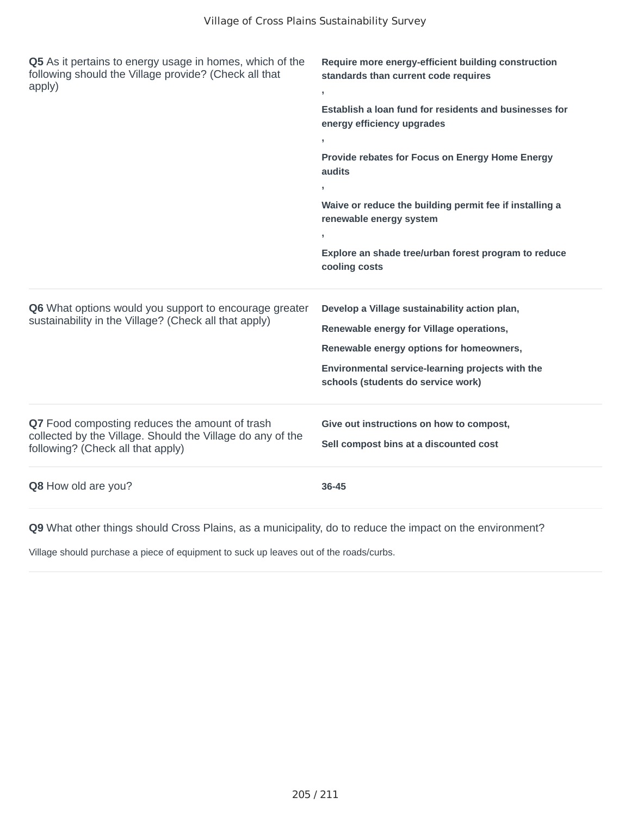| Q5 As it pertains to energy usage in homes, which of the<br>following should the Village provide? (Check all that<br>apply)                       | Require more energy-efficient building construction<br>standards than current code requires<br>$\overline{1}$<br>Establish a loan fund for residents and businesses for<br>energy efficiency upgrades<br>У.<br>Provide rebates for Focus on Energy Home Energy<br>audits<br>э.<br>Waive or reduce the building permit fee if installing a<br>renewable energy system<br>У.<br>Explore an shade tree/urban forest program to reduce<br>cooling costs |
|---------------------------------------------------------------------------------------------------------------------------------------------------|-----------------------------------------------------------------------------------------------------------------------------------------------------------------------------------------------------------------------------------------------------------------------------------------------------------------------------------------------------------------------------------------------------------------------------------------------------|
| Q6 What options would you support to encourage greater<br>sustainability in the Village? (Check all that apply)                                   | Develop a Village sustainability action plan,<br>Renewable energy for Village operations,<br>Renewable energy options for homeowners,<br>Environmental service-learning projects with the<br>schools (students do service work)                                                                                                                                                                                                                     |
| Q7 Food composting reduces the amount of trash<br>collected by the Village. Should the Village do any of the<br>following? (Check all that apply) | Give out instructions on how to compost,<br>Sell compost bins at a discounted cost                                                                                                                                                                                                                                                                                                                                                                  |
| Q8 How old are you?                                                                                                                               | $36 - 45$                                                                                                                                                                                                                                                                                                                                                                                                                                           |

Village should purchase a piece of equipment to suck up leaves out of the roads/curbs.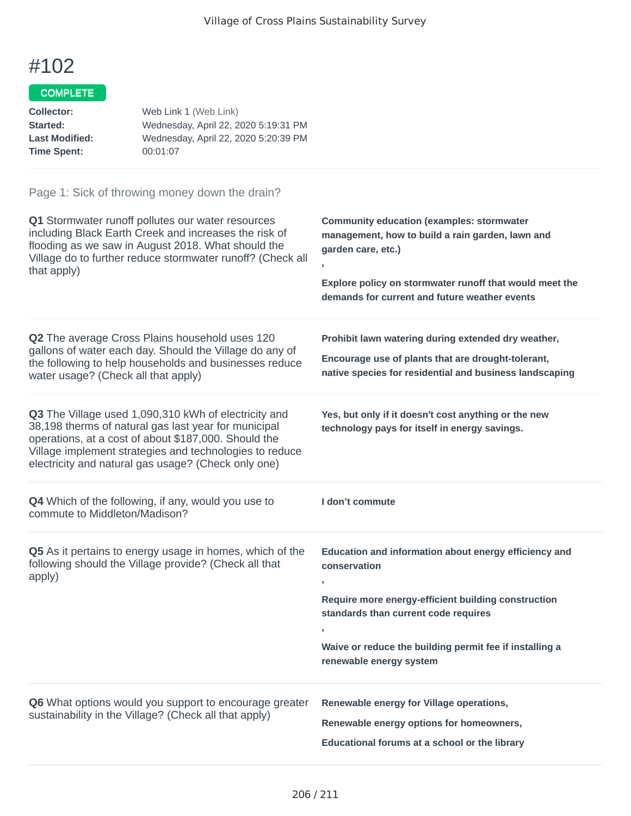### COMPLETE

| Web Link 1 (Web Link)                |
|--------------------------------------|
| Wednesday, April 22, 2020 5:19:31 PM |
| Wednesday, April 22, 2020 5:20:39 PM |
| 00:01:07                             |
|                                      |

| Q1 Stormwater runoff pollutes our water resources<br>including Black Earth Creek and increases the risk of<br>flooding as we saw in August 2018. What should the<br>Village do to further reduce stormwater runoff? (Check all<br>that apply)                                          | <b>Community education (examples: stormwater</b><br>management, how to build a rain garden, lawn and<br>garden care, etc.)<br>Explore policy on stormwater runoff that would meet the<br>demands for current and future weather events                           |
|----------------------------------------------------------------------------------------------------------------------------------------------------------------------------------------------------------------------------------------------------------------------------------------|------------------------------------------------------------------------------------------------------------------------------------------------------------------------------------------------------------------------------------------------------------------|
| Q2 The average Cross Plains household uses 120<br>gallons of water each day. Should the Village do any of<br>the following to help households and businesses reduce<br>water usage? (Check all that apply)                                                                             | Prohibit lawn watering during extended dry weather,<br>Encourage use of plants that are drought-tolerant,<br>native species for residential and business landscaping                                                                                             |
| Q3 The Village used 1,090,310 kWh of electricity and<br>38,198 therms of natural gas last year for municipal<br>operations, at a cost of about \$187,000. Should the<br>Village implement strategies and technologies to reduce<br>electricity and natural gas usage? (Check only one) | Yes, but only if it doesn't cost anything or the new<br>technology pays for itself in energy savings.                                                                                                                                                            |
|                                                                                                                                                                                                                                                                                        |                                                                                                                                                                                                                                                                  |
| Q4 Which of the following, if any, would you use to<br>commute to Middleton/Madison?                                                                                                                                                                                                   | I don't commute                                                                                                                                                                                                                                                  |
| Q5 As it pertains to energy usage in homes, which of the<br>following should the Village provide? (Check all that<br>apply)                                                                                                                                                            | Education and information about energy efficiency and<br>conservation<br>Require more energy-efficient building construction<br>standards than current code requires<br>y.<br>Waive or reduce the building permit fee if installing a<br>renewable energy system |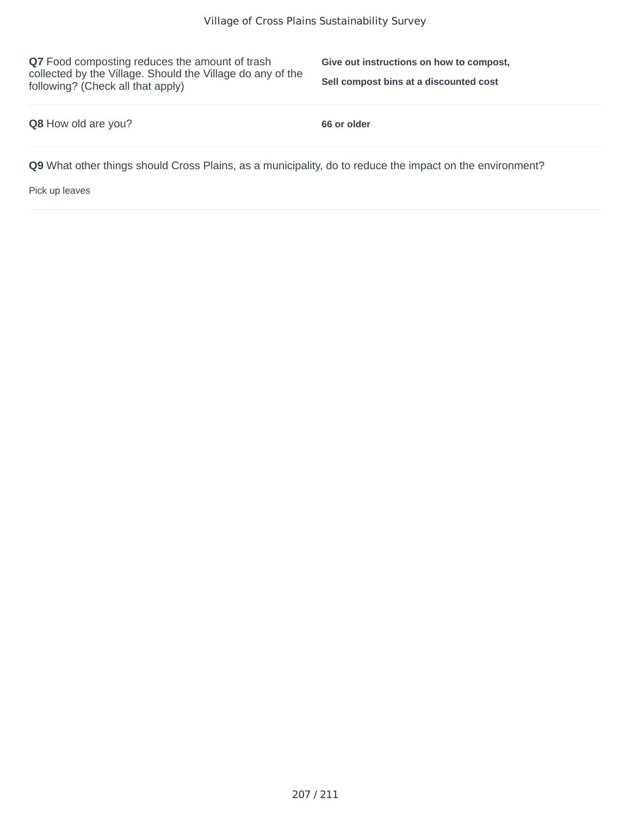**Q7** Food composting reduces the amount of trash collected by the Village. Should the Village do any of the following? (Check all that apply)

**Give out instructions on how to compost, Sell compost bins at a discounted cost**

#### **Q8** How old are you? **66 or older**

**Q9** What other things should Cross Plains, as a municipality, do to reduce the impact on the environment?

Pick up leaves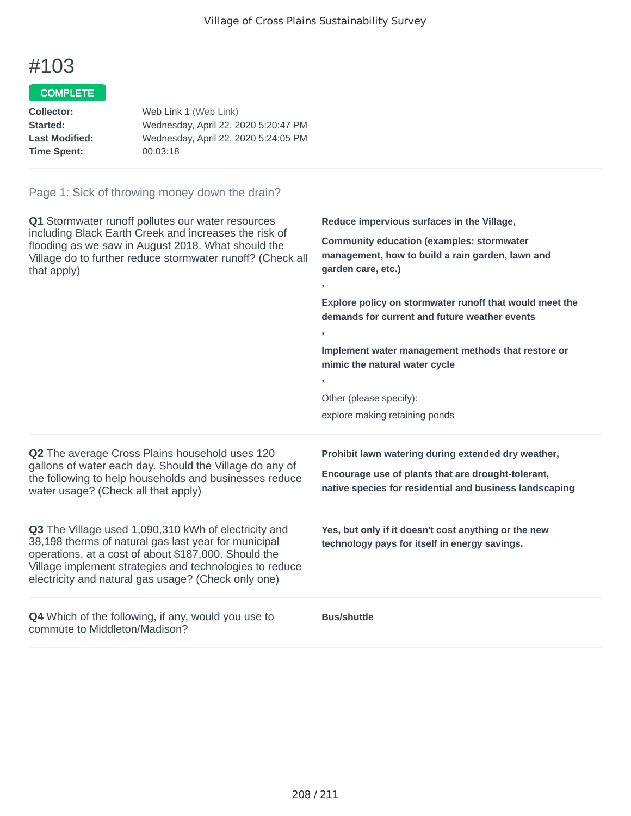**,**

**,**

**,**

# #103

#### **COMPLETE**

| Collector:            | Web Link 1 (Web Link)                |
|-----------------------|--------------------------------------|
| <b>Started:</b>       | Wednesday, April 22, 2020 5:20:47 PM |
| <b>Last Modified:</b> | Wednesday, April 22, 2020 5:24:05 PM |
| Time Spent:           | 00:03:18                             |
|                       |                                      |

#### Page 1: Sick of throwing money down the drain?

**Q1** Stormwater runoff pollutes our water resources including Black Earth Creek and increases the risk of flooding as we saw in August 2018. What should the Village do to further reduce stormwater runoff? (Check all that apply)

**Reduce impervious surfaces in the Village,**

**Community education (examples: stormwater management, how to build a rain garden, lawn and garden care, etc.)**

**Explore policy on stormwater runoff that would meet the demands for current and future weather events**

**Implement water management methods that restore or mimic the natural water cycle**

Other (please specify): explore making retaining ponds

**Q2** The average Cross Plains household uses 120 gallons of water each day. Should the Village do any of the following to help households and businesses reduce water usage? (Check all that apply)

**Q3** The Village used 1,090,310 kWh of electricity and 38,198 therms of natural gas last year for municipal operations, at a cost of about \$187,000. Should the Village implement strategies and technologies to reduce electricity and natural gas usage? (Check only one)

**Q4** Which of the following, if any, would you use to commute to Middleton/Madison?

**Prohibit lawn watering during extended dry weather,**

**Encourage use of plants that are drought-tolerant, native species for residential and business landscaping**

**Yes, but only if it doesn't cost anything or the new technology pays for itself in energy savings.**

**Bus/shuttle**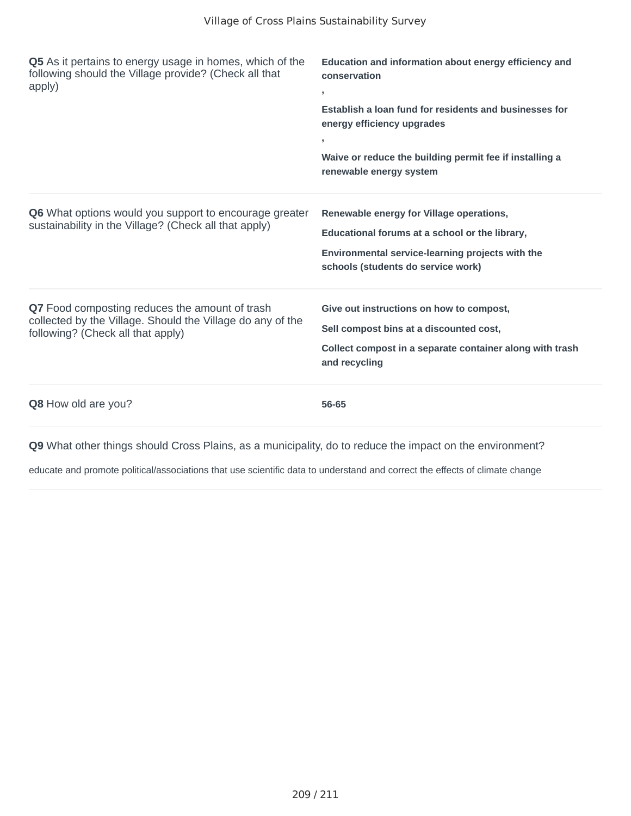| Q5 As it pertains to energy usage in homes, which of the<br>following should the Village provide? (Check all that<br>apply)                       | Education and information about energy efficiency and<br>conservation<br>J.<br>Establish a loan fund for residents and businesses for<br>energy efficiency upgrades<br>У.<br>Waive or reduce the building permit fee if installing a<br>renewable energy system |
|---------------------------------------------------------------------------------------------------------------------------------------------------|-----------------------------------------------------------------------------------------------------------------------------------------------------------------------------------------------------------------------------------------------------------------|
| Q6 What options would you support to encourage greater<br>sustainability in the Village? (Check all that apply)                                   | Renewable energy for Village operations,<br>Educational forums at a school or the library,<br>Environmental service-learning projects with the<br>schools (students do service work)                                                                            |
| Q7 Food composting reduces the amount of trash<br>collected by the Village. Should the Village do any of the<br>following? (Check all that apply) | Give out instructions on how to compost,<br>Sell compost bins at a discounted cost,<br>Collect compost in a separate container along with trash<br>and recycling                                                                                                |
| <b>Q8</b> How old are you?                                                                                                                        | 56-65                                                                                                                                                                                                                                                           |

educate and promote political/associations that use scientific data to understand and correct the effects of climate change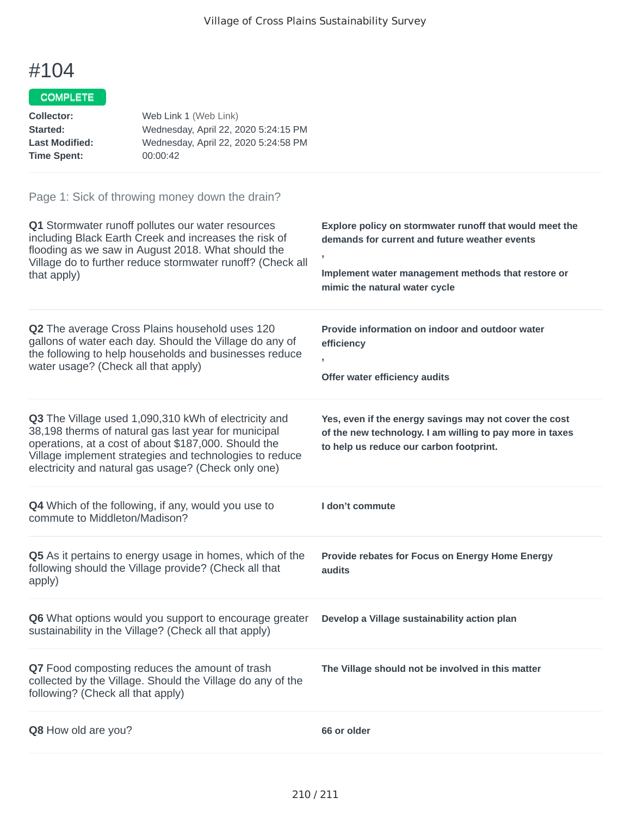## COMPLETE

| Collector:            | Web Link 1 (Web Link)                |
|-----------------------|--------------------------------------|
| Started:              | Wednesday, April 22, 2020 5:24:15 PM |
| <b>Last Modified:</b> | Wednesday, April 22, 2020 5:24:58 PM |
| <b>Time Spent:</b>    | 00:00:42                             |

| Q1 Stormwater runoff pollutes our water resources<br>including Black Earth Creek and increases the risk of<br>flooding as we saw in August 2018. What should the<br>Village do to further reduce stormwater runoff? (Check all<br>that apply)                                          | Explore policy on stormwater runoff that would meet the<br>demands for current and future weather events<br>,<br>Implement water management methods that restore or<br>mimic the natural water cycle |
|----------------------------------------------------------------------------------------------------------------------------------------------------------------------------------------------------------------------------------------------------------------------------------------|------------------------------------------------------------------------------------------------------------------------------------------------------------------------------------------------------|
| Q2 The average Cross Plains household uses 120<br>gallons of water each day. Should the Village do any of<br>the following to help households and businesses reduce<br>water usage? (Check all that apply)                                                                             | Provide information on indoor and outdoor water<br>efficiency<br>$\overline{ }$<br>Offer water efficiency audits                                                                                     |
| Q3 The Village used 1,090,310 kWh of electricity and<br>38,198 therms of natural gas last year for municipal<br>operations, at a cost of about \$187,000. Should the<br>Village implement strategies and technologies to reduce<br>electricity and natural gas usage? (Check only one) | Yes, even if the energy savings may not cover the cost<br>of the new technology. I am willing to pay more in taxes<br>to help us reduce our carbon footprint.                                        |
| Q4 Which of the following, if any, would you use to<br>commute to Middleton/Madison?                                                                                                                                                                                                   | I don't commute                                                                                                                                                                                      |
| Q5 As it pertains to energy usage in homes, which of the<br>following should the Village provide? (Check all that<br>apply)                                                                                                                                                            | Provide rebates for Focus on Energy Home Energy<br>audits                                                                                                                                            |
| Q6 What options would you support to encourage greater<br>sustainability in the Village? (Check all that apply)                                                                                                                                                                        | Develop a Village sustainability action plan                                                                                                                                                         |
| Q7 Food composting reduces the amount of trash<br>collected by the Village. Should the Village do any of the<br>following? (Check all that apply)                                                                                                                                      | The Village should not be involved in this matter                                                                                                                                                    |
| Q8 How old are you?                                                                                                                                                                                                                                                                    | 66 or older                                                                                                                                                                                          |